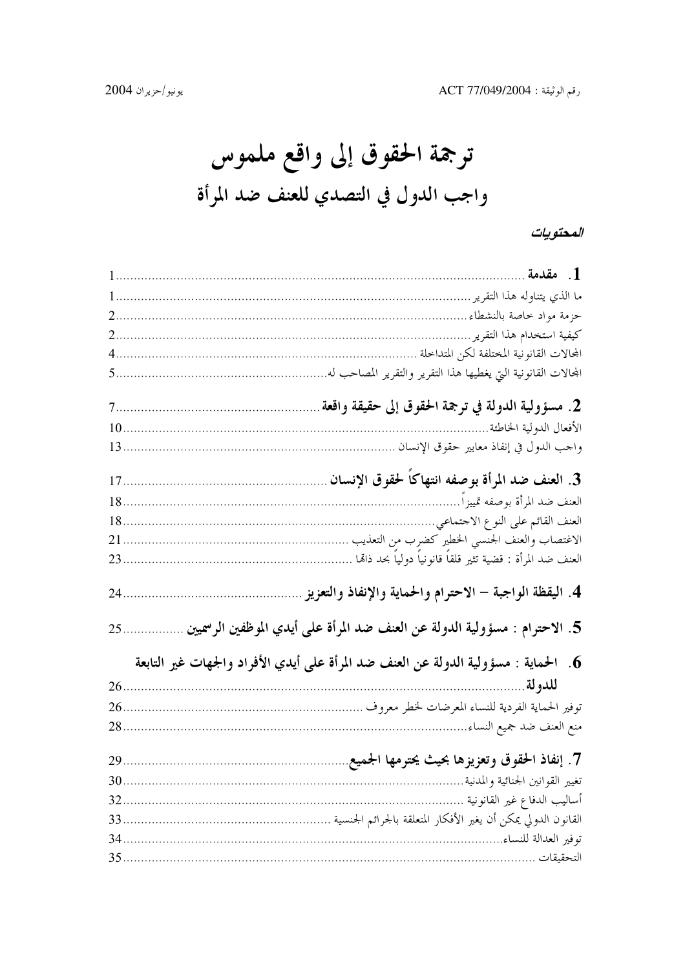ترجمة الحقوق إلى واقع ملموس واجب الدول في التصدي للعنف ضد المرأة

### المحتويات

|      | 1. مقدمة .                                                                            |
|------|---------------------------------------------------------------------------------------|
|      | ما الذي يتناوله هذا التقرير ……….                                                      |
|      |                                                                                       |
| 2.   | كيفية استخدام هذا التقرير …………                                                        |
| 4.   | المحالات القانونية المختلفة لكن المتداخلة                                             |
| 5.   | المحالات القانونية التي يغطيها هذا التقرير والتقرير المصاحب له                        |
|      | 2. مسؤولية الدولة في ترجمة الحقوق إلى حقيقة واقعة                                     |
| $10$ | الأفعال الدولية الخاطئة                                                               |
| $13$ | واحب الدول في إنفاذ معايير حقوق الإنسان                                               |
| $17$ | 3. العنف ضد المرأة بوصفه انتهاكاً لحقوق الإنسان                                       |
| $18$ | العنف ضد المرأة بوصفه تمييزاً                                                         |
| $18$ | العنف القائم على النوع الاحتماعي                                                      |
| 21.  | الاغتصاب والعنف الجنسبي الخطير كضرب من التعذيب                                        |
| $23$ | العنف ضد المرأة : قضية تثير قلقاً قانونياً دولياً بحد ذاتما                           |
| 24.  | 4. اليقظة الواجبة – الاحترام والحماية والإنفاذ والتعزيز                               |
| 25.  | 5. الاحترام : مسؤولية الدولة عن العنف ضد المرأة على أيدي الموظفين الرسميين            |
|      | 6.   الحماية : مسؤولية الدولة عن العنف ضد المرأة على أيدي الأفراد والجهات غير التابعة |
| 26.  | للدولة                                                                                |
| 26   | توفير الحماية الفردية للنساء المعرضات لخطر معروف                                      |
| 28   | منع العنف ضد جميع النساء                                                              |
|      |                                                                                       |
| 29   | 7. إنفاذ الحقوق وتعزيزها بحيث يحترمها الجميع                                          |
| 30.  | تغيير القوانين الجنائية والمدنية                                                      |
| 32.  | أساليب الدفاع غير القانونية                                                           |
| 33   | القانون الدولي يمكن أن يغير الأفكار المتعلقة بالجرائم الجنسية                         |
| 34.  | توفير العدالة للنساء                                                                  |
| 35   | التحقيقات                                                                             |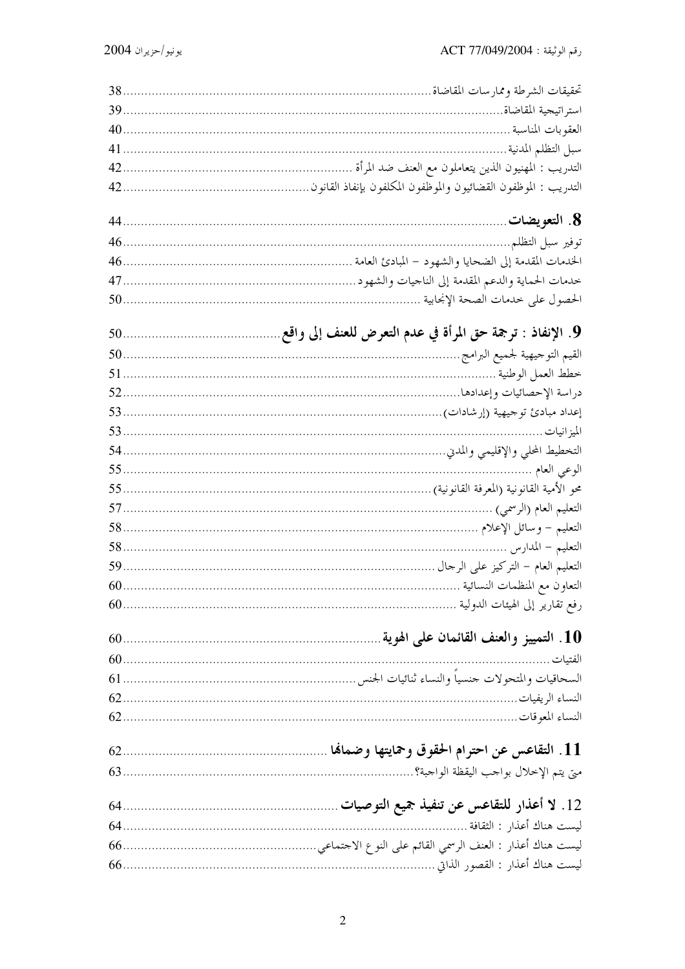| التعليم العام (الرسمي)                |
|---------------------------------------|
|                                       |
|                                       |
|                                       |
| التعاون مع المنظمات النسائية          |
|                                       |
|                                       |
|                                       |
| الفتيات                               |
|                                       |
|                                       |
|                                       |
|                                       |
| متى يتم الإخلال بواحب اليقظة الواحبة؟ |
|                                       |
|                                       |
| ليست هناك أعذار : الثقافة …….         |
|                                       |
|                                       |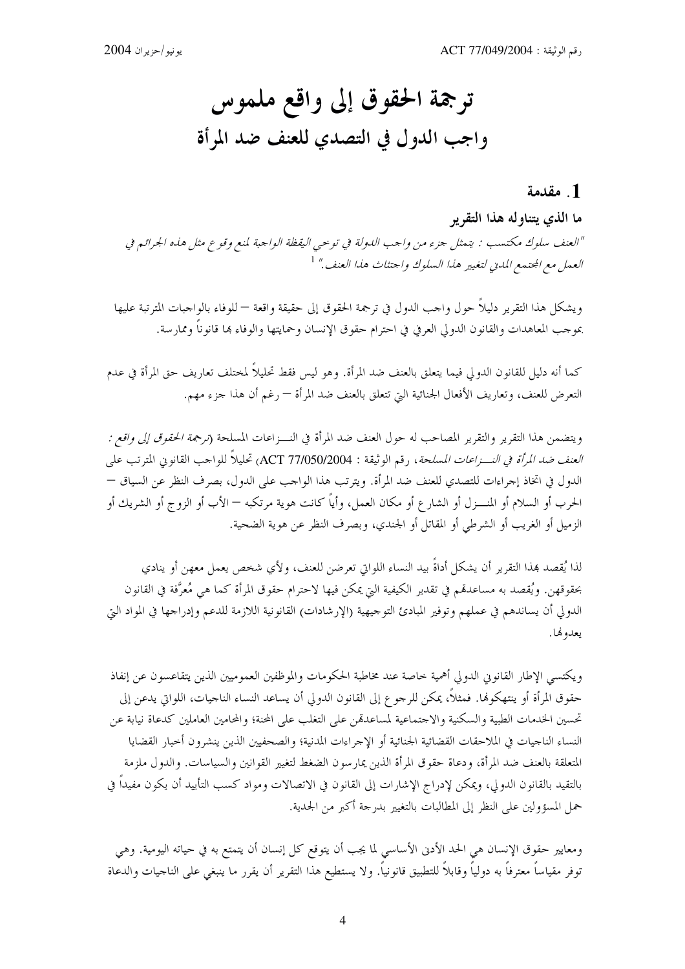# ترجمة الحقوق إلى واقع ملموس واجب الدول في التصدي للعنف ضد المرأة

### 1. مقدمة

ما الذي يتناوله هذا التقرير

"العنف سلوك مكتسب : يتمثل جزء من واجب اللولة في توحيى اليقظة الواجبة لمنع وقوع مثل هذه الجرائم في العمل مع الجتمع المدنى لتغيير هذا السلوك واحتثاث هذا العنف." <sup>1</sup>

ويشكل هذا التقرير دليلاً حول واحب الدول في ترجمة الحقوق إلى حقيقة واقعة — للوفاء بالواجبات المترتبة عليها بموحب المعاهدات والقانون الدولي العرفي في احترام حقوق الإنسان وحمايتها والوفاء ها قانوناً وممارسة.

كما أنه دليل للقانون الدولي فيما يتعلق بالعنف ضد المرأة. وهو ليس فقط تحليلاً لمختلف تعاريف حق المرأة في عدم التعرض للعنف، وتعاريف الأفعال الجنائية التي تتعلق بالعنف ضد المرأة — رغم أن هذا جزء مهم.

ويتضمن هذا التقرير والتقرير المصاحب له حول العنف ضد المرأة في النـــزاعات المسلحة (*ترجمة الحقوق إلى واقع : العنف ضد المرأة في النـــزاعات المسلحة*، رقم الوثيقة : ACT 77/050/2004) تحليلاً للواحب القانوني المترتب على الدول في اتخاذ إجراءات للتصدي للعنف ضد المرأة. ويترتب هذا الواحب على الدول، بصرف النظر عن السياق — الحرب أو السلام أو المنــــزل أو الشارع أو مكان العمل، وأياً كانت هوية مرتكبه — الأب أو الزوج أو الشريك أو الزميل أو الغريب أو الشرطي أو المقاتل أو الجندي، وبصرف النظر عن هوية الضحية.

لذا يُقصد هذا التقرير أن يشكل أداةً بيد النساء اللواتي تعرضن للعنف، ولأي شخص يعمل معهن أو ينادي بحقوقهن. ويُقصد به مساعدتمم في تقدير الكيفية التي يمكن فيها لاحترام حقوق المرأة كما هي مُعرَّفة في القانون الدولي أن يساندهم في عملهم وتوفير المبادئ التوجيهية (الإرشادات) القانونية اللازمة للدعم وإدراجها في المواد البيّ يعدونها.

ويكتسى الإطار القانوني الدولي أهمية خاصة عند مخاطبة الحكومات والموظفين العموميين الذين يتقاعسون عن إنفاذ حقوق المرأة أو ينتهكوها. فمثلاً، يمكن للرجوع إلى القانون الدولي أن يساعد النساء الناجيات، اللواتي يدعن إلى تحسين الخدمات الطبية والسكنية والاحتماعية لمساعدقمن على التغلب على المحنة؛ والمحامين العاملين كدعاة نيابة عن النساء الناجيات في الملاحقات القضائية الجنائية أو الإجراءات المدنية؛ والصحفيين الذين ينشرون أخبار القضايا المتعلقة بالعنف ضد المرأة، ودعاة حقوق المرأة الذين يمارسون الضغط لتغيير القوانين والسياسات. والدول ملزمة بالتقيد بالقانون الدولي، ويمكن لإدراج الإشارات إلى القانون في الاتصالات ومواد كسب التأييد أن يكون مفيداً في حمل المسؤولين على النظر إلى المطالبات بالتغيير بدرجة أكبر من الجدية.

ومعايير حقوق الإنسان هي الحد الأدنى الأساسي لما يجب أن يتوقع كل إنسان أن يتمتع به في حياته اليومية. وهي توفر مقياساً معترفاً به دولياً وقابلاً للتطبيق قانونياً. ولا يستطيع هذا التقرير أن يقرر ما ينبغى على الناجيات والدعاة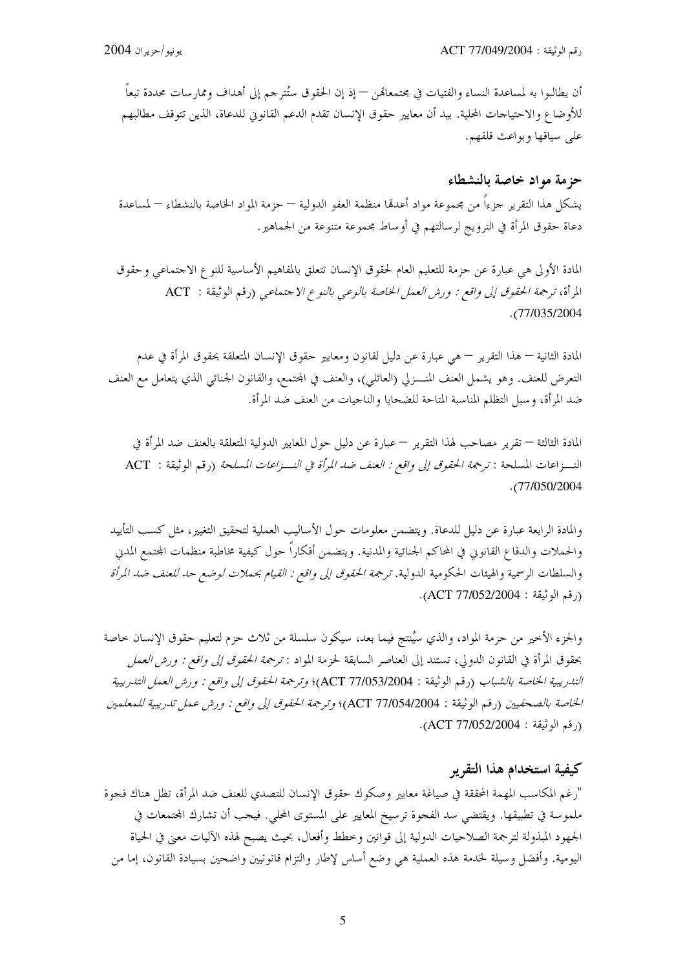أن يطالبوا به لمساعدة النساء والفتيات في مجتمعالهن — إذ إن الحقوق ستُترجم إلى أهداف وممارسات محددة تبعا للأوضاع والاحتياحات المحلية. بيد أن معايير حقوق الإنسان تقدم الدعم القانوين للدعاة، الذين تتوقف مطالبهم على سياقها وبواعث قلقهم.

### حزمة مواد خاصة بالنشطاء

يشكل هذا التقرير جزءاً من مجموعة مواد أعدمها منظمة العفو الدولية — حزمة المواد الخاصة بالنشطاء — لمساعدة دعاة حقوق المرأة في الترويج لرسالتهم في أوساط مجموعة متنوعة من الجماهير .

المادة الأولى هي عبارة عن حزمة للتعليم العام لحقوق الإنسان تتعلق بالمفاهيم الأساسية للنوع الاحتماعي وحقوق المرأة، ترجمة الحقوق إلى واقع : ورش العمل الخاصة بالوعبي بالنوع الاجتماعبي (رقم الوثيقة : ACT  $. (77/035/2004$ 

المادة الثانية — هذا التقرير — هي عبارة عن دليل لقانون ومعايير حقوق الإنسان المتعلقة بحقوق المرأة في عدم التعرض للعنف. وهو يشمل العنف المنـــزلي (العائلي)، والعنف في المجتمع، والقانون الجنائي الذي يتعامل مع العنف ضد المرأة، وسبل التظلم المناسبة المتاحة للضحايا والناجيات من العنف ضد المرأة.

المادة الثالثة — تقرير مصاحب لهذا التقرير — عبارة عن دليل حول المعايير الدولية المتعلقة بالعنف ضد المرأة في النـــزاعات المسلحة : *ترجمة الحقوق إلى واقع : العنف ضد المرأة في النـــزاعات المسلحة* (رقم الوثيقة : ACT  $. (77/050/2004$ 

والمادة الرابعة عبارة عن دليل للدعاة. ويتضمن معلومات حول الأساليب العملية لتحقيق التغيير، مثل كسب التأييد والحملات والدفاع القانوني في المحاكم الجنائية والمدنية. ويتضمن أفكاراً حول كيفية مخاطبة منظمات المحتمع المدني والسلطات الرسمية والهيئات الحكومية الدولية. ترجم*ة الحقوق إلى واقع : القيام بحملات لوضع حد للعنف ضد المرأة* (رقم الوثيقة: ACT 77/052/2004).

والجزء الأخير من حزمة المواد، والذي سيُنتج فيما بعد، سيكون سلسلة من ثلاث حزم لتعليم حقوق الإنسان حاصة بحقوق المرأة في القانون الدولي، تستند إلى العناصر السابقة لحزمة المواد : *ترجمة الحقوق إلى واقع : ورش العمل* التدريبية الخاصة بالشباب (رقم الوثيقة : ACT 77/053/2004)؛ وترجمة الحقوق إلى واقع : ورش العمل التدريبية الخاصة بالصحفيين (رقم الوثيقة : ACT 77/054/2004)؛ وترجمة الحقوق إلى واقع : ورش عمل تدريبية للمعلمين (رقم الوثيقة: ACT 77/052/2004).

### كيفية استخدام هذا التقرير

"رغم المكاسب المهمة المحققة في صياغة معايير وصكوك حقوق الإنسان للتصدي للعنف ضد المرأة، تظل هناك فجوة ملموسة في تطبيقها. ويقتضي سد الفجوة ترسيخ المعايير على المستوى المحلي. فيجب أن تشارك المحتمعات في الجهود المبذولة لترجمة الصلاحيات الدولية إلى قوانين وخطط وأفعال، بحيث يصبح لهذه الآليات معنى في الحياة اليومية. وأفضل وسيلة لخدمة هذه العملية هي وضع أساس لإطار والتزام قانونيين واضحين بسيادة القانون، إما من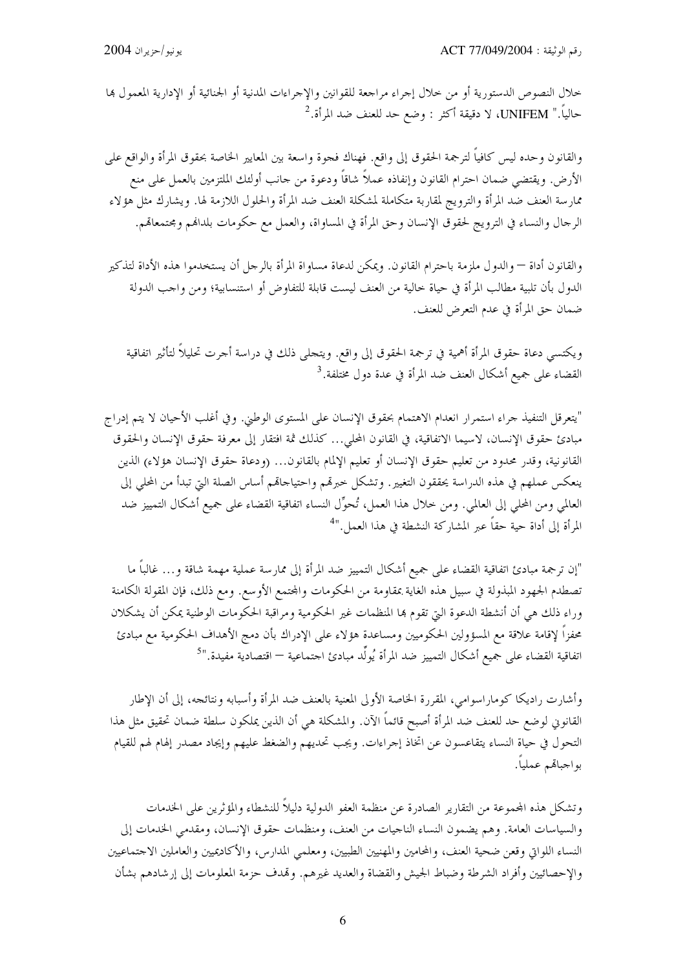خلال النصوص الدستورية أو من خلال إجراء مراجعة للقوانين والإجراءات المدنية أو الجنائية أو الإدارية المعمول بما حالياً." UNIFEM، لا دقيقة أكثر : وضع حد للعنف ضد المرأة.<sup>2</sup>

والقانون وحده ليس كافياً لترجمة الحقوق إلى واقع. فهناك فجوة واسعة بين المعايير الخاصة بحقوق المرأة والواقع على الأرض. ويقتضي ضمان احترام القانون وإنفاذه عملاً شاقاً ودعوة من حانب أولئك الملتزمين بالعمل على منع ممارسة العنف ضد المرأة والترويج لمقاربة متكاملة لمشكلة العنف ضد المرأة والحلول اللازمة لها. ويشارك مثل هؤلاء الرحال والنساء في الترويج لحقوق الإنسان وحق المرأة في المساواة، والعمل مع حكومات بلدالهم ومحتمعالهم.

والقانون أداة — والدول ملزمة باحترام القانون. ويمكن لدعاة مساواة المرأة بالرجل أن يستخدموا هذه الأداة لتذكير الدول بأن تلبية مطالب المرأة في حياة خالية من العنف ليست قابلة للتفاوض أو استنسابية؛ ومن واجب الدولة ضمان حق المرأة في عدم التعرض للعنف.

ويكتسي دعاة حقوق المرأة أهمية في ترجمة الحقوق إلى واقع. ويتحلى ذلك في دراسة أحرت تحليلاً لتأثير اتفاقية القضاء على جميع أشكال العنف ضد المرأة في عدة دول مختلفة.<sup>3</sup>

"يتعرقل التنفيذ جراء استمرار انعدام الاهتمام بحقوق الإنسان على المستوى الوطني. وفي أغلب الأحيان لا يتم إدراج مبادئ حقوق الإنسان، لاسيما الاتفاقية، في القانون المحلي... كذلك ثمة افتقار إلى معرفة حقوق الإنسان والحقوق القانونية، وقدر محدود من تعليم حقوق الإنسان أو تعليم الإلمام بالقانون... (ودعاة حقوق الإنسان هؤلاء) الذين ينعكس عملهم في هذه الدراسة يحققون التغيير. وتشكل خبرتمم واحتياحاتمم أساس الصلة التي تبدأ من المحلي إلى العالمي ومن المحلي إلى العالمي. ومن خلال هذا العمل، تُحوِّل النساء اتفاقية القضاء على جميع أشكال التمييز ضد المرأة إلى أداة حية حقاً عبر المشاركة النشطة في هذا العمل."<sup>4</sup>

"إن ترجمة مبادئ اتفاقية القضاء على جميع أشكال التمييز ضد المرأة إلى ممارسة عملية مهمة شاقة و… غالباً ما تصطدم الجهود المبذولة في سبيل هذه الغاية بمقاومة من الحكومات والمحتمع الأوسع. ومع ذلك، فإن المقولة الكامنة وراء ذلك هي أن أنشطة الدعوة التي تقوم بما المنظمات غير الحكومية ومراقبة الحكومات الوطنية يمكن أن يشكلان محفزاً لإقامة علاقة مع المسؤولين الحكوميين ومساعدة هؤلاء على الإدراك بأن دمج الأهداف الحكومية مع مبادئ اتفاقية القضاء على جميع أشكال التمييز ضد المرأة يُولِّد مبادئ اجتماعية — اقتصادية مفيدة.''<sup>5</sup>

وأشارت راديكا كوماراسوامي، المقررة الحاصة الأولى المعنية بالعنف ضد المرأة وأسبابه ونتائجه، إلى أن الإطار القانوني لوضع حد للعنف ضد المرأة أصبح قائماً الآن. والمشكلة هي أن الذين يملكون سلطة ضمان تحقيق مثل هذا التحول في حياة النساء يتقاعسون عن اتخاذ إجراءات. ويجب تحديهم والضغط عليهم وإيجاد مصدر إلهام لهم للقيام بواجباقم عملياً.

وتشكل هذه المحموعة من التقارير الصادرة عن منظمة العفو الدولية دليلاً للنشطاء والمؤثرين على الخدمات والسياسات العامة. وهم يضمون النساء الناجيات من العنف، ومنظمات حقوق الإنسان، ومقدمي الخدمات إلى النساء اللواتي وقعن ضحية العنف، والمحامين والمهنيين الطبيين، ومعلمي المدارس، والأكاديميين والعاملين الاجتماعيين والإحصائيين وأفراد الشرطة وضباط الجيش والقضاة والعديد غيرهم. وتمدف حزمة المعلومات إلى إرشادهم بشأن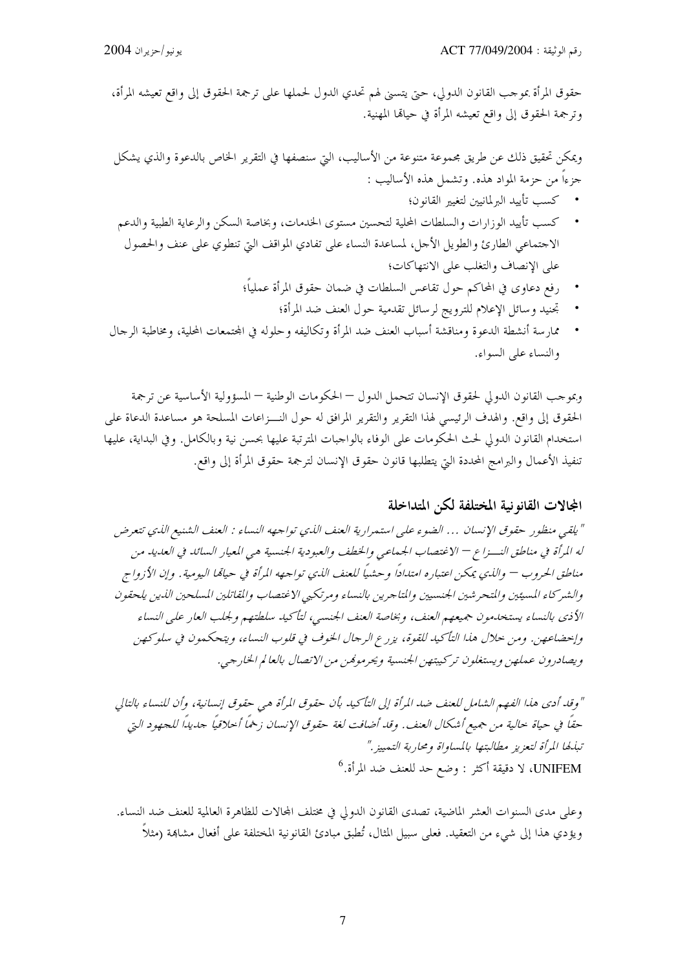حقوق المرأة بموحب القانون الدولي، حتى يتسنى لهم تحدي الدول لحملها على ترجمة الحقوق إلى واقع تعيشه المرأة، وترجمة الحقوق إلى واقع تعيشه المرأة في حيالها المهنية.

ويمكن تحقيق ذلك عن طريق محموعة متنوعة من الأساليب، التي سنصفها في التقرير الخاص بالدعوة والذي يشكل جزءاً من حزمة المواد هذه. وتشمل هذه الأساليب :

- كسب تأييد البرلمانيين لتغيير القانون؛
- كسب تأييد الوزارات والسلطات المحلية لتحسين مستوى الخدمات، وبخاصة السكن والرعاية الطبية والدعم الاجتماعي الطارئ والطويل الأجل، لمساعدة النساء على تفادي المواقف التي تنطوي على عنف والحصول على الإنصاف والتغلب على الانتهاكات؛
	- رفع دعاوى في المحاكم حول تقاعس السلطات في ضمان حقوق المرأة عملياً؛
		- تحنيد وسائل الإعلام للترويج لرسائل تقدمية حول العنف ضد المرأة؛
- ممارسة أنشطة الدعوة ومناقشة أسباب العنف ضد المرأة وتكاليفه وحلوله في المحتمعات المحلية، ومخاطبة الرحال والنساء على السواء.

وبموجب القانون الدولي لحقوق الإنسان تتحمل الدول — الحكومات الوطنية — المسؤولية الأساسية عن ترجمة الحقوق إلى واقع. والهدف الرئيسي لهذا التقرير والتقرير المرافق له حول النـــزاعات المسلحة هو مساعدة الدعاة على استخدام القانون الدولي لحث الحكومات على الوفاء بالواجبات المترتبة عليها بحسن نية وبالكامل. وفي البداية، عليها تنفيذ الأعمال والبرامج المحددة التي يتطلبها قانون حقوق الإنسان لترجمة حقوق المرأة إلى واقع.

### المجالات القانونية المختلفة لكن المتداخلة

" يلقي منظور حقوق الإنسان … الضوء على استمرارية العنف الذي تواجهه النساء : العنف الشنيع الذي تتعرض له المرأة في مناطق النسيزا ع — الاغتصاب الجيماعي والخطف والعبو دية الجنسية هي المعيار السائد في العديد من مناطق الحروب — والذي يمكن اعتباره امتداداً وحشياً للعنف الذي تواجهه المرأة في حياتما اليومية. وإن الأزواج والشركاء المسيئين والمتحرشين الجنسبين والتاجرين بالنساء ومرتكبي الاغتصاب والمفاتلين المسلحين الذين يلحقون الأذي بالنساء يستخدمون جميعهم العنف، وبخاصة العنف الجنسبي، لتأكيد سلطتهم ولجلب العار على النساء وإخضاعهن. ومن حلال هذا التأكيد للقوة، يزرع الرجال الخوف في قلوب النساء، ويتحكمون في سلوكهن ويصادرون عملهن ويستغلون تركيبتهن الجنسية ويحرموفين من الاتصال بالعالم الخارجي.

" وقد أدى هذا الفهم الشامل للعنف ضد المرأة إلى التأكيد بأن حقوق المرأة هي حقوق إنسانية، وأن للنساء بالتالي حقًا في حياة حالية من جميع أشكال العنف. وقِد أضافت لغة حقوق الإنسان زخمًا أخلاقيًا جديدًا للجهود التي تبليطا المرأة لتعزيز مطالبتها بالمساواة ومحاربة التمييز ." UNIFEM، لا دقيقة أكثر : وضع حد للعنف ضد المرأة.<sup>6</sup>

وعلى مدى السنوات العشر الماضية، تصدى القانون الدولي في مختلف المحالات للظاهرة العالمية للعنف ضد النساء. ويؤدي هذا إلى شيء من التعقيد. فعلى سبيل المثال، تُطبق مبادئ القانونية المختلفة على أفعال مشاهة (مثلاً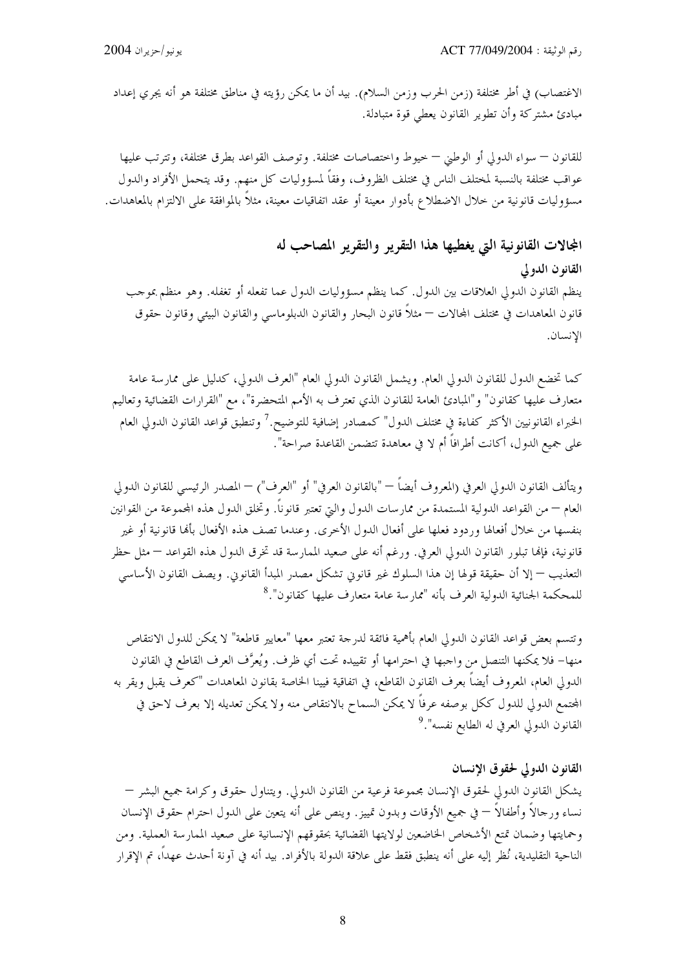الاغتصاب) في أطر مختلفة (زمن الحرب وزمن السلام). بيد أن ما يمكن رؤيته في مناطق مختلفة هو أنه يجري إعداد مبادئ مشتركة وأن تطوير القانون يعطي قوة متبادلة.

للقانون — سواء الدولي أو الوطني — خيوط واختصاصات مختلفة. وتوصف القواعد بطرق مختلفة، وتترتب عليها عواقب مختلفة بالنسبة لمختلف الناس في مختلف الظروف، وفقاً لمسؤوليات كل منهم. وقد يتحمل الأفراد والدول مسؤوليات قانونية من حلال الاضطلاع بأدوار معينة أو عقد اتفاقيات معينة، مثلاً بالموافقة على الالتزام بالمعاهدات.

المجالات القانونية التي يغطيها هذا التقرير والتقرير المصاحب له القانون الدولي ينظم القانون الدولي العلاقات بين الدول. كما ينظم مسؤوليات الدول عما تفعله أو تغفله. وهو منظم بموحب قانون المعاهدات في مختلف المحالات — مثلاً قانون البحار والقانون الدبلوماسي والقانون البيئي وقانون حقوق الإنسان.

كما تخضع الدول للقانون الدولي العام. ويشمل القانون الدولي العام "العرف الدولي، كدليل على ممارسة عامة متعارف عليها كقانون" و"المبادئ العامة للقانون الذي تعترف به الأمم المتحضرة"، مع "القرارات القضائية وتعاليم الخبراء القانو نيين الأكثر كفاءة في مختلف الدول" كمصادر إضافية للتوضيح.<sup>7</sup> وتنطبق قواعد القانون الدولي العام على جميع الدول، أكانت أطرافاً أم لا في معاهدة تتضمن القاعدة صراحة".

ويتألف القانون الدولي العرفي (المعروف أيضاً — "بالقانون العرفي" أو "العرف") — المصدر الرئيسي للقانون الدولي العام — من القواعد الدولية المستمدة من ممارسات الدول والتي تعتبر قانونا. وتخلق الدول هذه المحموعة من القوانين بنفسها من حلال أفعالها وردود فعلها على أفعال الدول الأخرى. وعندما تصف هذه الأفعال بألها قانونية أو غير قانونية، فإلها تبلور القانون الدولي العرفي. ورغم أنه على صعيد الممارسة قد تخرق الدول هذه القواعد — مثل حظر التعذيب — إلا أن حقيقة قولها إن هذا السلوك غير قانوني تشكل مصدر المبدأ القانوني. ويصف القانون الأساسي للمحكمة الجنائية الدولية العرف بأنه "ممارسة عامة متعارف عليها كقانون".<sup>8</sup>

وتتسم بعض قواعد القانون الدولي العام بأهمية فائقة لدرجة تعتبر معها "معايير قاطعة" لا يمكن للدول الانتقاص منها– فلا يمكنها التنصل من واجبها في احترامها أو تقييده تحت أي ظرف. ويُعرَّف العرف القاطع في القانون الدولي العام، المعروف أيضاً بعرف القانون القاطع، في اتفاقية فيينا الخاصة بقانون المعاهدات "كعرف يقبل ويقر به المحتمع الدولي للدول ككل بوصفه عرفاً لا يمكن السماح بالانتقاص منه ولا يمكن تعديله إلا بعرف لاحق في القانون الدولي العرفي له الطابع نفسه".<sup>9</sup>

#### القانون الدولي لحقوق الانسان

يشكل القانون الدولي لحقوق الإنسان مجموعة فرعية من القانون الدولي. ويتناول حقوق وكرامة جميع البشر — نساء ورحالاً وأطفالاً — في جميع الأوقات وبدون تمييز. وينص على أنه يتعين على الدول احترام حقوق الإنسان وحمايتها وضمان تمتع الأشخاص الخاضعين لولايتها القضائية بحقوقهم الإنسانية على صعيد الممارسة العملية. ومن الناحية التقليدية، نُظر إليه على أنه ينطبق فقط على علاقة الدولة بالأفراد. بيد أنه في آونة أحدث عهداً، تم الإقرار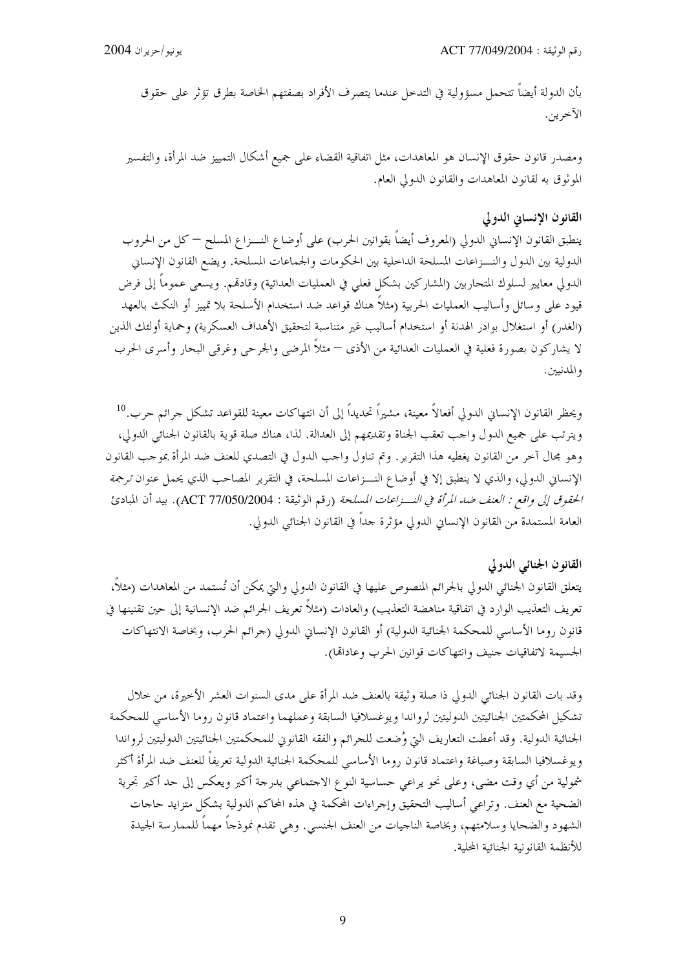بأن الدولة أيضاً تتحمل مسؤولية في التدحل عندما يتصرف الأفراد بصفتهم الخاصة بطرق تؤثر على حقوق الآخرين.

ومصدر قانون حقوق الإنسان هو المعاهدات، مثل اتفاقية القضاء على جميع أشكال التمييز ضد المرأة، والتفسير الموثوق به لقانون المعاهدات والقانون الدولي العام.

#### القانون الإنساني الدولي

ينطبق القانون الإنساني الدولي (المعروف أيضاً بقوانين الحرب) على أوضاع النـــزاع المسلح — كل من الحروب الدولية بين الدول والنـــزاعات المسلحة الداخلية بين الحكومات والجماعات المسلحة. ويضع القانون الإنساني الدولي معايير لسلوك المتحاربين (المشاركين بشكل فعلي في العمليات العدائية) وقادقم. ويسعى عموماً إلى فرض قيود على وسائل وأساليب العمليات الحربية (مثلاً هناك قواعد ضد استخدام الأسلحة بلا تمييز أو النكث بالعهد (الغدر) أو استغلال بوادر الهدنة أو استخدام أساليب غير متناسبة لتحقيق الأهداف العسكرية) وحماية أولئك الذين لا يشاركون بصورة فعلية في العمليات العدائية من الأذى — مثلاً المرضى والجرحى وغرقى البحار وأسرى الحرب و المدنيين.

ويحظر القانون الإنساني الدولي أفعالاً معينة، مشيراً تحديداً إلى أن انتهاكات معينة للقواعد تشكل جرائم حرب.<sup>10</sup> ويترتب على جميع الدول واحب تعقب الجناة وتقديمهم إلى العدالة. لذا، هناك صلة قوية بالقانون الجنائي الدولي، وهو مجال آخر من القانون يغطيه هذا التقرير. وتم تناول واحب الدول في التصدي للعنف ضد المرأة بموحب القانون الإنساني الدولي، والذي لا ينطبق إلا في أوضاع النـــزاعات المسلحة، في التقرير المصاحب الذي يحمل عنوان ترجمة *الحقوق إلى واقع : العنف ضد المرأة في النـــزاعات المسلحة* (رقم الوثيقة : ACT 77/050/2004). بيد أن المبادئ العامة المستمدة من القانون الإنساني الدولي مؤثرة جداً في القانون الجنائبي الدولي.

### القانون الجنائبي الدولي

يتعلق القانون الجنائي الدولي بالجرائم المنصوص عليها في القانون الدولي والتي يمكن أن تُستمد من المعاهدات (مثلاً، تعريف التعذيب الوارد في اتفاقية مناهضة التعذيب) والعادات (مثلاً تعريف الجرائم ضد الإنسانية إلى حين تقنينها في قانون روما الأساسي للمحكمة الجنائية الدولية) أو القانون الإنساني الدولي (جرائم الحرب، وبخاصة الانتهاكات الجسيمة لاتفاقيات حنيف وانتهاكات قوانين الحرب وعادالها).

وقد بات القانون الجنائي الدولي ذا صلة وثيقة بالعنف ضد المرأة على مدى السنوات العشر الأخيرة، من حلال تشكيل المحكمتين الجنائيتين الدوليتين لرواندا ويوغسلافيا السابقة وعملهما واعتماد قانون روما الأساسي للمحكمة الجنائية الدولية. وقد أعطت التعاريف التي وُضعت للجرائم والفقه القانوين للمحكمتين الجنائيتين الدوليتين لرواندا ويوغسلافيا السابقة وصياغة واعتماد قانون روما الأساسي للمحكمة الجنائية الدولية تعريفاً للعنف ضد المرأة أكثر شمولية من أي وقت مضي، وعلى نحو يراعي حساسية النوع الاحتماعي بدرجة أكبر ويعكس إلى حد أكبر تجربة الضحية مع العنف. وتراعي أساليب التحقيق وإجراءات المحكمة في هذه المحاكم الدولية بشكل متزايد حاجات الشهود والضحايا وسلامتهم، وبخاصة الناجيات من العنف الجنسي. وهي تقدم نموذجاً مهماً للممارسة الجيدة للأنظمة القانونية الجنائية المحلية.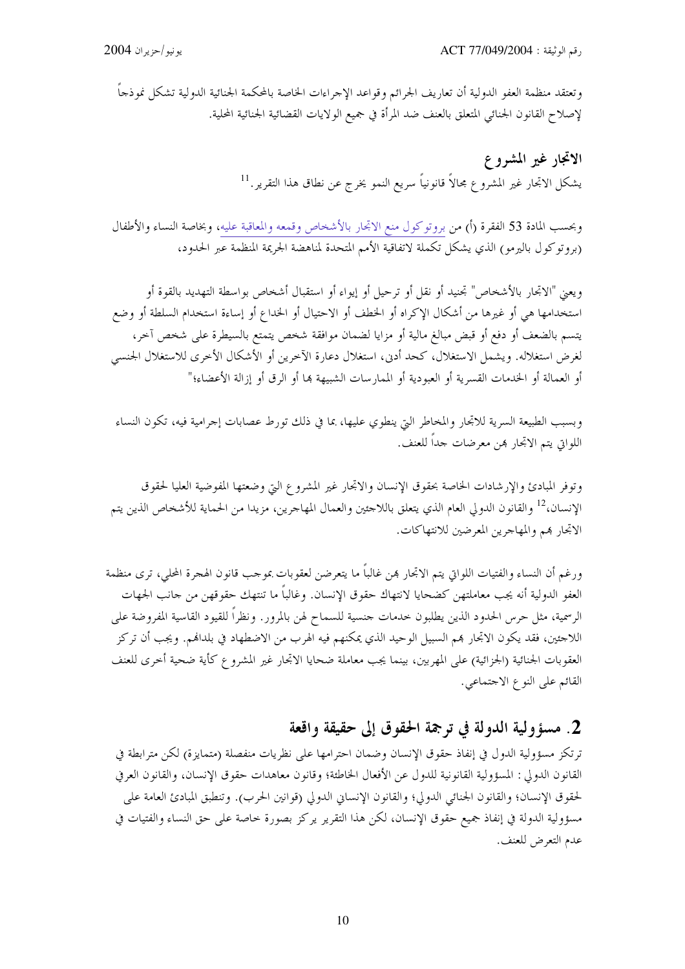وتعتقد منظمة العفو الدولية أن تعاريف الجرائم وقواعد الإحراءات الخاصة بالمحكمة الجنائية الدولية تشكل نموذحاً لإصلاح القانون الجنائي المتعلق بالعنف ضد المرأة في جميع الولايات القضائية الجنائية المحلية.

> الاتجار غير المشروع يشكل الاتحار غير المشروع مجالاً قانونياً سريع النمو يخرج عن نطاق هذا التقرير.<sup>11</sup>

وبحسب المادة 53 الفقرة (أ) من بروتوكول منع الاتحار بالأشخاص وقمعه والمعاقبة عليه، وبخاصة النساء والأطفال (بروتوكول باليرمو) الذي يشكل تكملة لاتفاقية الأمم المتحدة لمناهضة الجريمة المنظمة عبر الحدود،

ويعني "الاتحار بالأشخاص" تجنيد أو نقل أو ترحيل أو إيواء أو استقبال أشخاص بواسطة التهديد بالقوة أو استخدامها هي أو غيرها من أشكال الإكراه أو الخطف أو الاحتيال أو الخداع أو إساءة استخدام السلطة أو وضع يتسم بالضعف أو دفع أو قبض مبالغ مالية أو مزايا لضمان موافقة شخص يتمتع بالسيطرة على شخص آخر، لغرض استغلاله. ويشمل الاستغلال، كحد أدين، استغلال دعارة الآخرين أو الأشكال الأخرى للاستغلال الجنسي أو العمالة أو الخدمات القسرية أو العبودية أو الممارسات الشبيهة بما أو الرق أو إزالة الأعضاء؛"

وبسبب الطبيعة السرية للاتجار والمخاطر التي ينطوي عليها، بما في ذلك تورط عصابات إجرامية فيه، تكون النساء اللواتي يتم الاتجار بمن معرضات حداً للعنف.

وتوفر المبادئ والإرشادات الخاصة بحقوق الإنسان والاتحار غير المشروع التي وضعتها المفوضية العليا لحقوق الإنسان،<sup>12</sup> والقانون الدولي العام الذي يتعلق باللاجئين والعمال المهاجرين، مزيدا من الحماية للأشخاص الذين يتم الاتحار هم والمهاجرين المعرضين للانتهاكات.

ورغم أن النساء والفتيات اللواتي يتم الاتجار هن غالباً ما يتعرضن لعقوبات بموجب قانون الهجرة المحلي، ترى منظمة العفو الدولية أنه يجب معاملتهن كضحايا لانتهاك حقوق الإنسان. وغالباً ما تنتهك حقوقهن من حانب الجهات الرسمية، مثل حرس الحدود الذين يطلبون حدمات حنسية للسماح لهن بالمرور. ونظراً للقيود القاسية المفروضة على اللاجئين، فقد يكون الاتحار هم السبيل الوحيد الذي يمكنهم فيه الهرب من الاضطهاد في بلداهم. ويجب أن تركز العقوبات الجنائية (الجزائية) على المهربين، بينما يجب معاملة ضحايا الاتحار غير المشروع كأية ضحية أخرى للعنف القائم على النوع الاجتماعي.

### 2. مسؤولية الدولة في ترجمة الحقوق إلى حقيقة واقعة

ترتكز مسؤولية الدول في إنفاذ حقوق الإنسان وضمان احترامها على نظريات منفصلة (متمايزة) لكن مترابطة في القانون الدولي : المسؤولية القانونية للدول عن الأفعال الخاطئة؛ وقانون معاهدات حقوق الإنسان، والقانون العرفي لحقوق الإنسان؛ والقانون الجنائي الدولي؛ والقانون الإنساني الدولي (قوانين الحرب). وتنطبق المبادئ العامة على مسؤولية الدولة في إنفاذ جميع حقوق الإنسان، لكن هذا التقرير يركز بصورة حاصة على حق النساء والفتيات في عدم التعرض للعنف.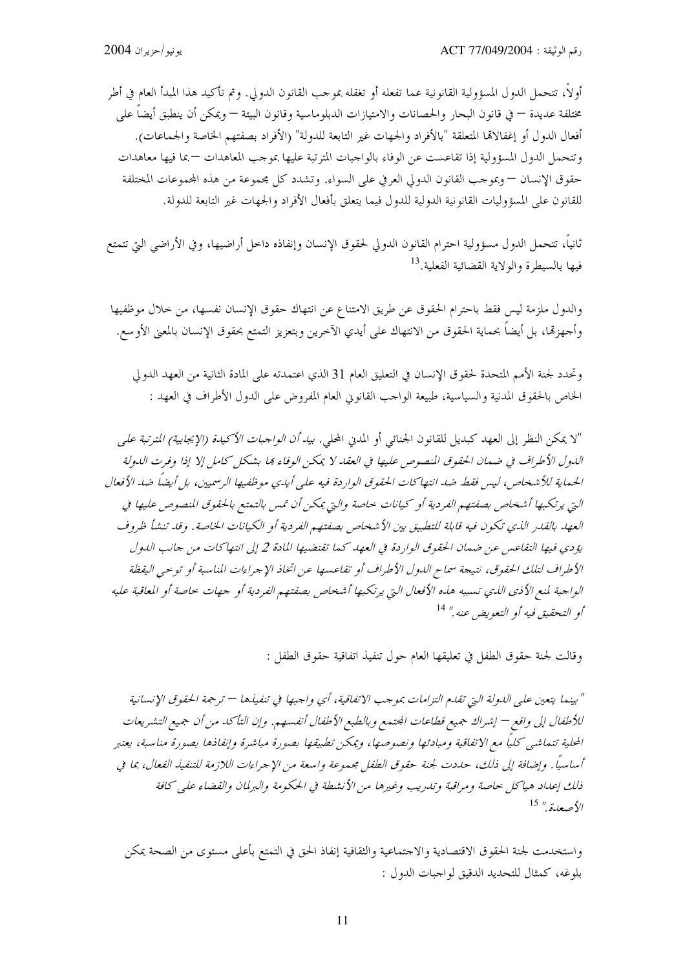أولاً، تتحمل الدول المسؤولية القانونية عما تفعله أو تغفله بموحب القانون الدولي. وتم تأكيد هذا المبدأ العام في أطر مختلفة عديدة — في قانون البحار والحصانات والامتيازات الدبلوماسية وقانون البيئة — ويمكن أن ينطبق أيضاً على أفعال الدول أو إغفالاتما المتعلقة "بالأفراد والجهات غير التابعة للدولة" (الأفراد بصفتهم الخاصة والجماعات). وتتحمل الدول المسؤولية إذا تقاعست عن الوفاء بالواجبات المترتبة عليها بموجب المعاهدات —بما فيها معاهدات حقوق الإنسان — وبموجب القانون الدولي العرفي على السواء. وتشدد كل مجموعة من هذه المجموعات المختلفة للقانون على المسؤوليات القانونية الدولية للدول فيما يتعلق بأفعال الأفراد والجهات غير التابعة للدولة.

ثانياً، تتحمل الدول مسؤولية احترام القانون الدولي لحقوق الإنسان وإنفاذه داحل أراضيها، وفي الأراضي التي تتمتع فيها بالسيطرة والولاية القضائية الفعلية.<sup>13</sup>

والدول ملزمة ليس فقط باحترام الحقوق عن طريق الامتناع عن انتهاك حقوق الإنسان نفسها، من خلال موظفيها وأجهزهّا، بل أيضا بحماية الحقوق من الانتهاك على أيدي الآخرين وبتعزيز التمتع بحقوق الإنسان بالمعنى الأوسع.

وتحدد لجنة الأمم المتحدة لحقوق الإنسان في التعليق العام 31 الذي اعتمدته على المادة الثانية من العهد الدولي الخاص بالحقوق المدنية والسياسية، طبيعة الواحب القانوين العام المفروض على الدول الأطراف في العهد :

"لا يمكن النظر إلى العهد كبديل للقانون الجنائي أو المدني المحلي. *بيد أن الواجبات الأكيدة (الإيجابية) المترتبة على* اللهول الأطراف في ضهان الحقوق المنصوص عليها في العقد لا يمكن الوفاء مجا بشكل كامل إلا إذا وفرت اللهولة الحماية للأشخاص، ليس فقط ضد انتها كات الحقوق الواردة فيه على أيدي موظفيها الرسميين، بل أيضاً ضد الأفعال التي يرتكبها أشخاص بصفتهم الفردية أو كيانات حاصة والتي يمكن أن تمس بالتمتع بالحقوق المنصوص عليها في العهد بالقدر الذي تكون فيه قابلة للتطبيق بين الأشخاص بصفتهم الفردية أو الكيانات الخاصة. وقد تنشأ ظروف يؤ دي فيها التقاعس عن ضمان الحقوق الواردة في العهد كما تقتضيها المادة 2 إلى انتهاكات من جانب الدول الأطراف لتلك الحقوق، نتيجة سماح الدول الأطراف أو تقاعسها عن اتخاذ الإجراءات المناسبة أو توحيى اليقظة الواجبة لمنع الأذى الذي تسببه هذه الأفعال التي يرتكبها أشخاص بصفتهم الفردية أو جهات حاصة أو المعاقبة عليه أو التحقيق فيه أو التعويض عنه." <sup>14</sup>

وقالت لجنة حقوق الطفل في تعليقها العام حول تنفيذ اتفاقية حقوق الطفل :

" بينما يتعين على اللهولة التي تقليم التزامات بموجب الاتفاقية، أي واجبها في تنفيذها — ترجمة الحقوق الإنسانية للأطفال إلى واقع — إشراك جميع قطاعات المجتمع وبالطبع الأطفال أنفسهم. وإن التأكد من أن جميع التشريعات المحلية تتماشى كلياً مع الاتفاقية ومبادئها ونصوصها، ويمكن تطبيقها بصورة مباشرة وإنفاذها بصورة مناسبة، يعتبر أساسياً . وإضافة إلى ذلك، حددت لجنة حقوق الطفل مجموعة واسعة من الإجراءات اللازمة للتنفيذ الفعال، بما في ذلك إعداد هياكل حاصة ومراقبة وتدريب وغيرها من الأنشطة في الحكومة والبرلمان والقضاء على كافة  $^{15}$  صعدة " $^{15}$ 

واستخدمت لجنة الحقوق الاقتصادية والاحتماعية والثقافية إنفاذ الحق في التمتع بأعلمي مستوى من الصحة يمكن بلوغه، كمثال للتحديد الدقيق لواجبات الدول :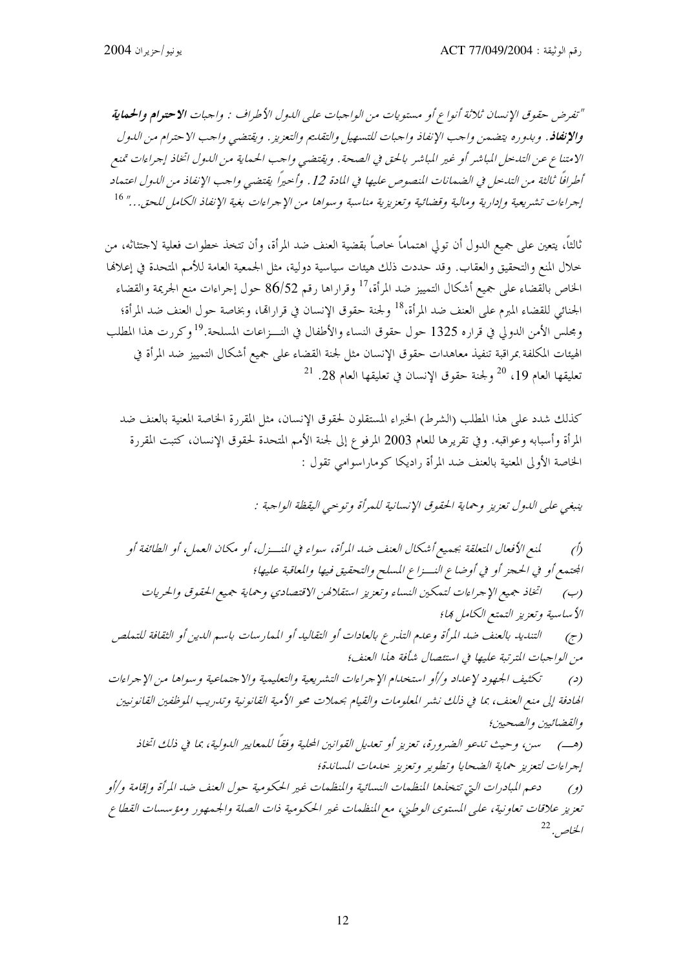"تفرض حقوق الإنسان ثلاثة أنواع أو مستويات من الواجبات على الدول الأطراف : واجبات الاحترام والحماية والإنفافه. وبدوره يتضمن واحب الإنفاذ واحبات للتسهيل والتقليم والتعزيز. ويقتضي واحب الاحترام من اللدول الامتناع عن التدخل المباشر أو غير المباشر بالحق في الصحة. ويقتضي واحب الحماية من الدول اتخاذ إحراءات تمنع أطرافاً ثالثة من التدخل في الضمانات المنصوص عليها في المادة 12 . وأحيراً يقتضي واحب الإنفاذ من الدول اعتماد إجراءات تشريعية وإدارية ومالية وقضائية وتعزيزية مناسبة وسواها من الإجراءات بغية الإنفاذ الكامل للحق..." 16

ثالثاً، يتعين على جميع الدول أن تولى اهتماماً حاصاً بقضية العنف ضد المرأة، وأن تتخذ حطوات فعلية لاجتثاثه، من خلال المنع والتحقيق والعقاب. وقد حددت ذلك هيئات سياسية دولية، مثل الجمعية العامة للأمم المتحدة في إعلالها الخاص بالقضاء على جميع أشكال التمييز ضد المرأة،<sup>17</sup> وقراراها رقم 86/52 حول إجراءات منع الجريمة والقضاء الجنائي للقضاء المبرم على العنف ضد المرأة،<sup>18</sup> ولجنة حقوق الإنسان في قرارالها، وبخاصة حول العنف ضد المرأة؛ ومجلس الأمن الدولي في قراره 1325 حول حقوق النساء والأطفال في النـــزاعات المسلحة.<sup>19</sup>وكررت هذا المطلب الهيئات المكلفة بمراقبة تنفيذ معاهدات حقوق الإنسان مثل لجنة القضاء على جميع أشكال التمييز ضد المرأة في  $^{21}$  تعليقها العام 19،  $^{20}$  ولجنة حقوق الإنسان في تعليقها العام 28.  $^{12}$ 

كذلك شدد على هذا المطلب (الشرط) الخبراء المستقلون لحقوق الإنسان، مثل المقررة الخاصة المعنية بالعنف ضد المرأة وأسبابه وعواقبه. وفي تقريرها للعام 2003 المرفوع إلى لجنة الأمم المتحدة لحقوق الإنسان، كتبت المقررة الخاصة الأولى المعنية بالعنف ضد المرأة راديكا كوماراسوامي تقول :

ينبغي على الدول تعزيز وحماية الحقوق الإنسانية للمرأة وتوحيي اليقظة الواحبة :

لمنع الأفعال المتعلقة بجمعيع أشكال العنف ضد المرأة، سواء في المنسزل، أو مكان العمل، أو الطائفة أو  $\hat{D}$ المحتمع أو في الحجز أو في أوضاع النسزاع المسلح والتحقيق فيها والمعاقبة عليها؛ اتخاذ جميع الإجراءات لتمكين النساء وتعزيز استقلالهن الاقتصادي وحماية جميع الحقوق والحريات  $(\hookrightarrow)$ الأساسية وتعزيز التمتع الكامل ها؛ التنديد بالعنف ضد المرأة وعدم التذرع بالعادات أو التقاليد أو الممارسات باسم الدين أو الثقافة للتملص  $(\tau)$ من الواجبات المترتبة عليها في استئصال شأفة هذا العنف؛ تكثيف الجهود لإعداد و/أو استخدام الإجراءات التشريعية والتعليمية والاجتماعية وسواها من الإجراءات  $\epsilon$ الهادفة إلى منع العنف، بما في ذلك نشير المعلومات والقيام بحملات محو الأمية القانونية وتدريب الموظفين القانونيين والقضائيين والصحبين؛ (هب) \_ سين، وحيث تبعو الضيرورة، تعزيز أو تعديل القوانين المحلية وفقاً للمعايير الدولية، بما في ذلك اتخاذ إجراءات لتعزيز حماية الضحايا وتطوير وتعزيز حلهات المساندة؛ دعم المبادرات التي تتخذها المنظمات النسائية والمنظمات غير الحكومية حول العنف ضد المرأة وإقامة و/أو  $\left( \begin{array}{c} \ell \end{array} \right)$ تعزيز علاقات تعاونية، على المستوى الوطني، مع المنظمات غير الحكومية ذات الصلة والجمهور ومؤسسات القطاع الخلص. <sup>22</sup>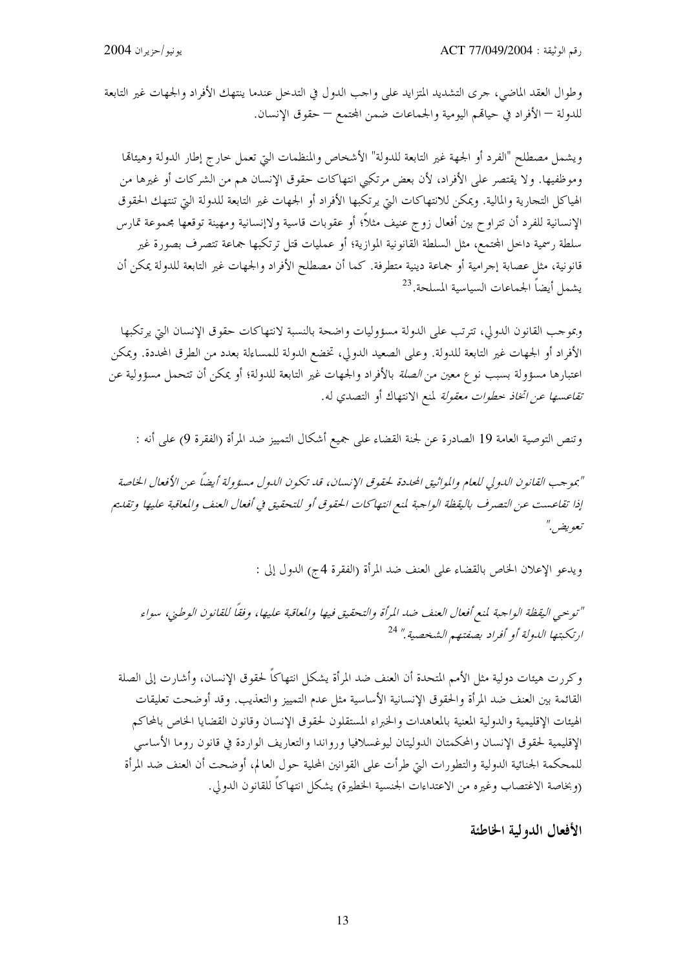وطوال العقد الماضي، حرى التشديد المتزايد على واحب الدول في التدحل عندما ينتهك الأفراد والجهات غير التابعة للدولة — الأفراد في حيالهم اليومية والجماعات ضمن المحتمع — حقوق الإنسان.

ويشمل مصطلح "الفرد أو الجهة غير التابعة للدولة" الأشخاص والمنظمات التي تعمل خارج إطار الدولة وهيئاقما وموظفيها. ولا يقتصر على الأفراد، لأن بعض مرتكبي انتهاكات حقوق الإنسان هم من الشركات أو غيرها من الهياكل التجارية والمالية. ويمكن للانتهاكات التي يرتكبها الأفراد أو الجهات غير التابعة للدولة التي تنتهك الحقوق الإنسانية للفرد أن تتراوح بين أفعال زوج عنيف مثلاً؛ أو عقوبات قاسية ولاإنسانية ومهينة توقعها محموعة تمارس سلطة رسمية داخل المحتمع، مثل السلطة القانونية الموازية؛ أو عمليات قتل ترتكبها جماعة تتصرف بصورة غير قانونية، مثل عصابة إجرامية أو جماعة دينية متطرفة. كما أن مصطلح الأفراد والجهات غير التابعة للدولة يمكن أن يشمل أيضاً الجماعات السياسية المسلحة.<sup>23</sup>

وبموحب القانون الدولي، تترتب على الدولة مسؤوليات واضحة بالنسبة لانتهاكات حقوق الإنسان التي يرتكبها الأفراد أو الجهات غير التابعة للدولة. وعلى الصعيد الدولي، تخضع الدولة للمساءلة بعدد من الطرق المحددة. ويمكن اعتبارها مسؤولة بسبب نوع معين من *الصلة* بالأفراد والجهات غير التابعة للدولة؛ أو يمكن أن تتحمل مسؤولية عن *تقاعسها عن اتخاذ خطوات معقولة* لمنع الانتهاك أو التصدي له.

وتنص التوصية العامة 19 الصادرة عن لجنة القضاء على جميع أشكال التمييز ضد المرأة (الفقرة 9) على أنه :

"بموجب القانون الدولي للعام والمواثيق المحددة لحقوق الإنسان، قد تكون الدول مسؤولة أيضاً عن الأفعال الخاصة إذا تقاعست عن التصرف باليقظة الواحبة لمنع انتهاكات الحقوق أو للتحقيق في أفعال العنف والمعاقبة عليها وتقليم تعويض ٌ

ويدعو الإعلان الخاص بالقضاء على العنف ضد المرأة (الفقرة 4ج) الدول إلى :

"توحيى اليقظة الواحبة لمنع أفعال العنف ضد المرأة والتحقيق فيها والمعاقبة عليها، وفقاً للقانون الوطني، سواء ارتكبتها اللهولة أو أفراد بصفتهم الشخصية." <sup>24</sup>

وكررت هيئات دولية مثل الأمم المتحدة أن العنف ضد المرأة يشكل انتهاكاً لحقوق الإنسان، وأشارت إلى الصلة القائمة بين العنف ضد المرأة والحقوق الإنسانية الأساسية مثل عدم التمييز والتعذيب. وقد أوضحت تعليقات الهيئات الإقليمية والدولية المعنية بالمعاهدات والخبراء المستقلون لحقوق الإنسان وقانون القضايا الخاص بالمحاكم الإقليمية لحقوق الإنسان والمحكمتان الدوليتان ليوغسلافيا ورواندا والتعاريف الواردة في قانون روما الأساسى للمحكمة الجنائية الدولية والتطورات البت طرأت على القوانين المحلية حول العالم، أوضحت أن العنف ضد المرأة (وبخاصة الاغتصاب وغيره من الاعتداءات الجنسية الخطيرة) يشكل انتهاكاً للقانون الدولي.

الأفعال الدولية الخاطئة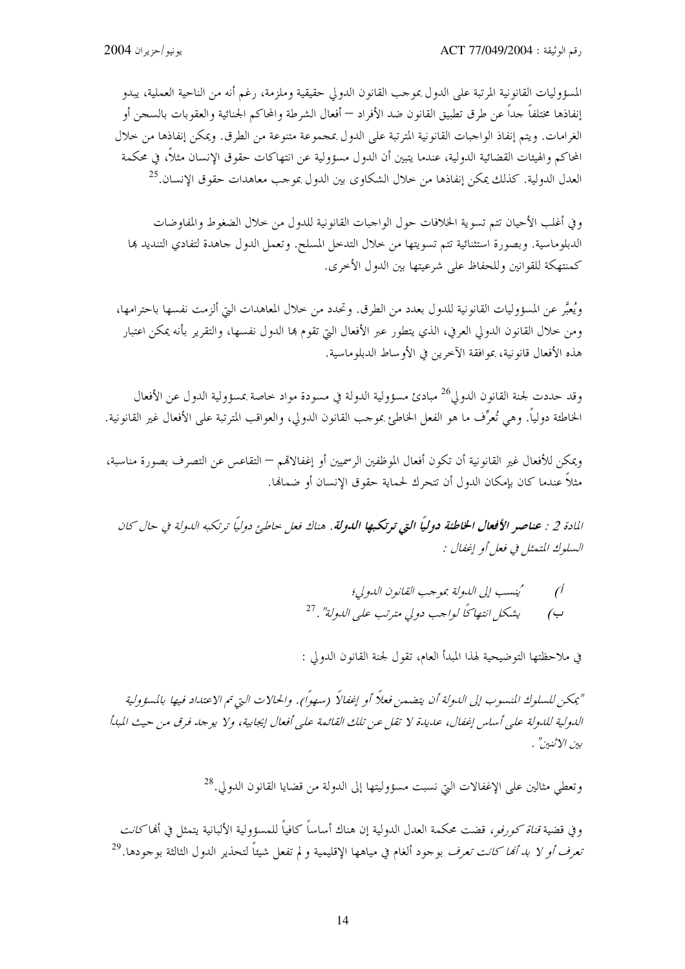المسؤوليات القانونية المرتبة على الدول بموجب القانون الدولي حقيقية وملزمة، رغم أنه من الناحية العملية، يبدو إنفاذها مختلفاً حداً عن طرق تطبيق القانون ضد الأفراد — أفعال الشرطة والمحاكم الجنائية والعقوبات بالسجن أو الغرامات. ويتم إنفاذ الواجبات القانونية المترتبة على الدول بمجموعة متنوعة من الطرق. ويمكن إنفاذها من حلال المحاكم والهيئات القضائية الدولية، عندما يتبين أن الدول مسؤولية عن انتهاكات حقوق الإنسان مثلاً، في محكمة العدل الدولية. كذلك يمكن إنفاذها من حلال الشكاوي بين الدول بموجب معاهدات حقوق الإنسان.<sup>25</sup>

و في أغلب الأحيان تتم تسوية الخلافات حول الواجبات القانونية للدول من حلال الضغوط والمفاوضات الدبلوماسية. وبصورة استثنائية تتم تسويتها من حلال التدحل المسلح. وتعمل الدول حاهدة لتفادي التنديد ها كمنتهكة للقوانين وللحفاظ على شرعيتها بين الدول الأخرى.

ويُعبَّر عن المسؤوليات القانونية للدول بعدد من الطرق. وتحدد من حلال المعاهدات التي ألزمت نفسها باحترامها، ومن خلال القانون الدولي العرفي، الذي يتطور عبر الأفعال التي تقوم بما الدول نفسها، والتقرير بأنه يمكن اعتبار هذه الأفعال قانونية، بموافقة الآخرين في الأوساط الدبلوماسية.

وقد حددت لجنة القانون الدولي<sup>26</sup> مبادئ مسؤولية الدولة في مسودة مواد حاصة بمسؤولية الدول عن الأفعال الخاطئة دولياً. وهي تُعرِّف ما هو الفعل الخاطئ بموجب القانون الدولى، والعواقب المترتبة على الأفعال غير القانونية.

ويمكن للأفعال غير القانونية أن تكون أفعال الموظفين الرسميين أو إغفالاقمم — التقاعس عن التصرف بصورة مناسبة، مثلاً عندما كان بإمكان الدول أن تتحرك لحماية حقوق الإنسان أو ضمانها.

المادة 2 : **عناصر الأفعال الخاطئة دولياً التي ترتكبها الليولة.** هناك فعل حاطي<sup>ء</sup> دولياً ترتكبه الليولة في حال كان السلوك المتعثل في فعل أو إغفال :

> كينسب إلى اللهولة بموجب القانون اللهولي؛  $\mathcal{O}$ يشكل انتهاكًا لواحب دولي مترتب على الدولة". <sup>27</sup>  $\overline{(\overline{\cdot})}$

في ملاحظتها التوضيحية لهذا المبدأ العام، تقول لجنة القانون الدولي :

"يمكن للسلوك المنسوب إلى الدولة أن يتضمن فعلاً أو إغفالاً (سهواً). والحالات التي تم الاعتداد فيها بالمسؤولية الدولية للدولة على أساس إغفال، عديدة لا تقل عن تلك القائمة على أفعال إيجابية، ولا يوجد فرق من حيث المبدأ بين الاثنين" .

وتعطى مثالين على الإغفالات التي نسبت مسؤوليتها إلى الدولة من قضايا القانون الدولي.<sup>28</sup>

و في قضية *قناة كورفو ،* قضت محكمة العدل الدولية إن هناك أساساً كافياً للمسؤولية الألبانية يتمثل في ألها *كانت* تعر*ف أو لا بد أنما كانت تعرف* بوحود ألغام في مياهها الإقليمية و لم تفعل شيئاً لتحذير الدول الثالثة بوحودها.<sup>29</sup>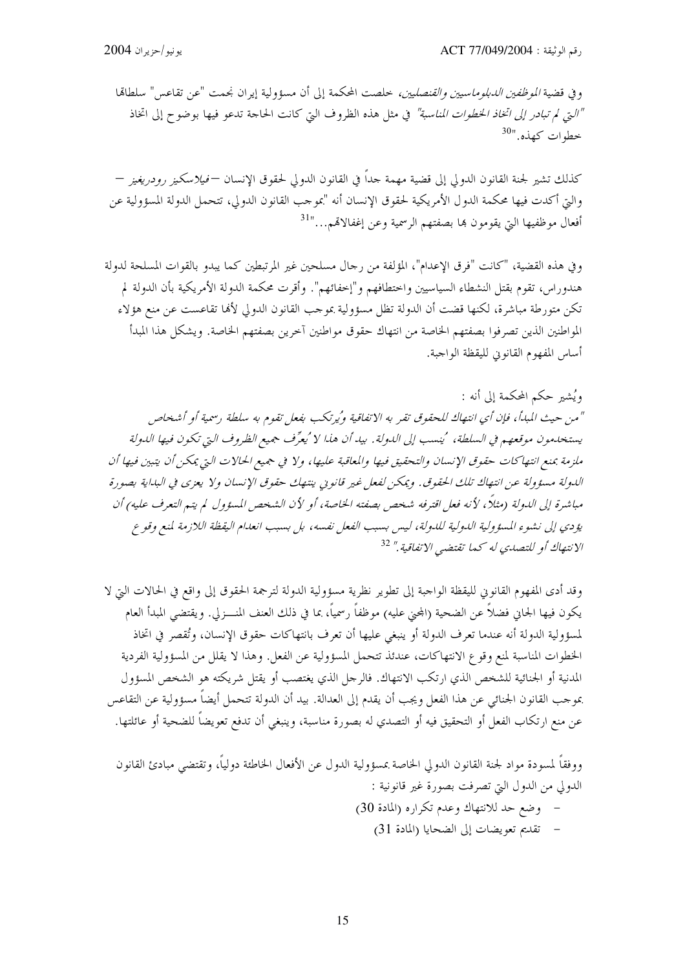وفي قضية *الموظفين الدبلوماسيين والقنصليين،* خلصت المحكمة إلى أن مسؤولية إيران نجمت "عن تقاعس" سلطاقما "التي لم تبادر إلى اتخاذ الخطوات المناسبة" في مثل هذه الظروف التي كانت الحاجة تدعو فيها بوضوح إلى اتخاذ خطوات كهذه."<sup>30</sup>

كذلك تشير لجنة القانون الدولي إلى قضية مهمة جداً في القانون الدولي لحقوق الإنسان —*فيلاسكيز رودريغيز* — والتي أكدت فيها محكمة الدول الأمريكية لحقوق الإنسان أنه "بموجب القانون الدولي، تتحمل الدولة المسؤولية عن أفعال موظفيها التي يقومون بما بصفتهم الرسمية وعن إغفالاتمم..."<sup>31</sup>

وفي هذه القضية، "كانت "فرق الإعدام"، المؤلفة من رجال مسلحين غير المرتبطين كما يبدو بالقوات المسلحة لدولة هندوراس، تقوم بقتل النشطاء السياسيين واختطافهم و"إخفائهم". وأقرت محكمة الدولة الأمريكية بأن الدولة لم تكن متورطة مباشرة، لكنها قضت أن الدولة تظل مسؤولية بموحب القانون الدولي لألها تقاعست عن منع هؤلاء المواطنين الذين تصرفوا بصفتهم الخاصة من انتهاك حقوق مواطنين آخرين بصفتهم الخاصة. ويشكل هذا المبدأ أساس المفهوم القانوين لليقظة الواجبة.

ويُشير حكم المحكمة إلى أنه : "من حيث المبدأ، فإن أي انتهاك للحقوق تقر به الاتفاقية ويُرتكب بفعل تقوم به سلطة رسمية أو أشخاص يستخدمون موقعهم في السلطة، ُينسب إلى الدولة. بيد أن هذا لا ُيعرِّف جميع الظروف التي تكون فيها الدولة ملزمة بمنع انتهاكات حقوق الإنسان والتحقيق فيها والمعاقبة عليها، ولا في جميع الحالات التي يمكن أن يتبين فيها أن الدولة مسؤولة عن انتهاك تلك الحقوق. ويمكن لفعل غير قانوني ينتهك حقوق الإنسان ولا يعزى في البداية بصورة مباشرة إلى الدولة (مثلاً، لأنه فعل اقترفه شخص بصفته الخاصة، أو لأن الشخص المسؤول لم يتم التعرف عليه) أن يؤدي إلى نشوء المسؤولية اللدولية للدولة، ليس بسبب الفعل نفسه، بل بسبب انعدام اليقظة اللازمة لمنع وقوع الانتهاكُ أو للتصدي له كها تقتضي الاتفاقية." <sup>32</sup>

وقد أدى المفهوم القانوين لليقظة الواجبة إلى تطوير نظرية مسؤولية الدولة لترجمة الحقوق إلى واقع في الحالات التي لا يكون فيها الجاني فضلاً عن الضحية (المحنى عليه) موظفاً رسمياً، بما في ذلك العنف المنــــزلي. ويقتضي المبدأ العام لمسؤولية الدولة أنه عندما تعرف الدولة أو ينبغي عليها أن تعرف بانتهاكات حقوق الإنسان، وتُقصر في اتخاذ الخطوات المناسبة لمنع وقوع الانتهاكات، عندئذ تتحمل المسؤولية عن الفعل. وهذا لا يقلل من المسؤولية الفردية المدنية أو الجنائية للشخص الذي ارتكب الانتهاك. فالرحل الذي يغتصب أو يقتل شريكته هو الشخص المسؤول بموجب القانون الجنائي عن هذا الفعل ويجب أن يقدم إلى العدالة. بيد أن الدولة تتحمل أيضاً مسؤولية عن التقاعس عن منع ارتكاب الفعل أو التحقيق فيه أو التصدي له بصورة مناسبة، وينبغي أن تدفع تعويضاً للضحية أو عائلتها.

ووفقاً لمسودة مواد لجنة القانون الدولي الخاصة بمسؤولية الدول عن الأفعال الخاطئة دولياً، وتقتضي مبادئ القانون الدولي من الدول التي تصرفت بصورة غير قانونية : – وضع حد للانتهاك وعدم تكراره (المادة 30) - تقديم تعويضات إلى الضحايا (المادة 31)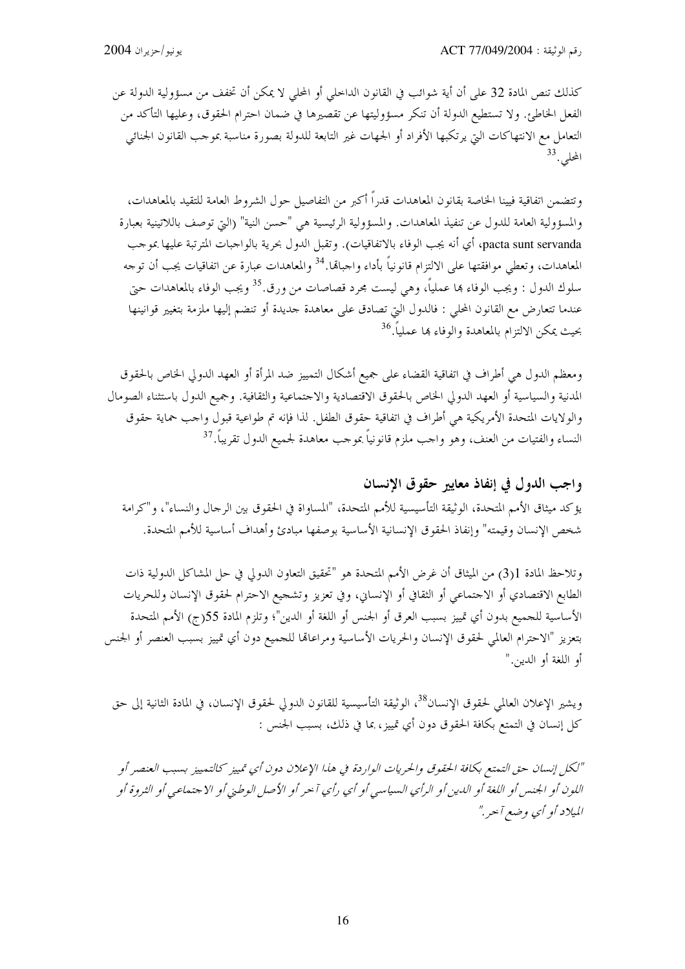كذلك تنص المادة 32 على أن أية شوائب في القانون الداخلي أو المحلي لا يمكن أن تخفف من مسؤولية الدولة عن الفعل الخاطئ. ولا تستطيع الدولة أن تنكر مسؤوليتها عن تقصيرها في ضمان احترام الحقوق، وعليها التأكد من التعامل مع الانتهاكات التي يرتكبها الأفراد أو الجهات غير التابعة للدولة بصورة مناسبة بموحب القانون الجنائبي المحلي.<sup>33</sup>

وتتضمن اتفاقية فيينا الخاصة بقانون المعاهدات قدراً أكبر من التفاصيل حول الشروط العامة للتقيد بالمعاهدات، والمسؤولية العامة للدول عن تنفيذ المعاهدات. والمسؤولية الرئيسية هي "حسن النية" (التي توصف باللاتينية بعبارة pacta sunt servanda، أي أنه يجب الوفاء بالاتفاقيات). وتقبل الدول بحرية بالواجبات المترتبة عليها بموحب المعاهدات، وتعطي موافقتها على الالتزام قانونياً بأداء واحباهًا.<sup>34</sup> والمعاهدات عبارة عن اتفاقيات يجب أن توجه سلوك الدول : ويجب الوفاء بما عملياً، وهي ليست مجرد قصاصات من ورق.<sup>35</sup> ويجب الوفاء بالمعاهدات حبّي عندما تتعارض مع القانون المحلي : فالدول التي تصادق على معاهدة جديدة أو تنضم إليها ملزمة بتغيير قوانينها بحيث يمكن الالتزام بالمعاهدة والوفاء ها عملياً.<sup>36</sup>

ومعظم الدول هي أطراف في اتفاقية القضاء على جميع أشكال التمييز ضد المرأة أو العهد الدولي الخاص بالحقوق المدنية والسياسية أو العهد الدولي الخاص بالحقوق الاقتصادية والاحتماعية والثقافية. وجميع الدول باستثناء الصومال والولايات المتحدة الأمريكية هي أطراف في اتفاقية حقوق الطفل. لذا فإنه تم طواعية قبول واحب حماية حقوق النساء والفتيات من العنف، وهو واحب ملزم قانونياً بموحب معاهدة لجميع الدول تقريباً.<sup>37</sup>

واجب الدول في إنفاذ معايير حقوق الإنسان يؤكد ميثاق الأمم المتحدة، الوثيقة التأسيسية للأمم المتحدة، "المساواة في الحقوق بين الرجال والنساء"، و"كرامة شخص الإنسان وقيمته" وإنفاذ الحقوق الإنسانية الأساسية بوصفها مبادئ وأهداف أساسية للأمم المتحدة.

وتلاحظ المادة 1(3) من الميثاق أن غرض الأمم المتحدة هو "تحقيق التعاون الدولي في حل المشاكل الدولية ذات الطابع الاقتصادي أو الاحتماعي أو الثقافي أو الإنساني، وفي تعزيز وتشجيع الاحترام لحقوق الإنسان وللحريات الأساسية للجميع بدون أي تمييز بسبب العرق أو الجنس أو اللغة أو الدين"؛ وتلزم المادة 55(ج) الأمم المتحدة بتعزيز "الاحترام العالمي لحقوق الإنسان والحريات الأساسية ومراعاتما للجميع دون أي تمييز بسبب العنصر أو الجنس أو اللغة أو الدين."

ويشير الإعلان العالمي لحقوق الإنسان<sup>38</sup>، الوثيقة التأسيسية للقانون الدولي لحقوق الإنسان، في المادة الثانية إلى حق كلِّ إنسان في التمتع بكافة الحقوق دون أي تمييز، بما في ذلك، بسبب الجنس :

"لكل إنسان حق التمتع بكافة الحقوق والحريات الواردة في هذا الإعلان دون أي تمييز كالتمييز بسبب العنصر أو اللون أو الجنس أو اللغة أو الدين أو الرأي السياسي أو أي رأي آخر أو الأصل الوطني أو الاجتماعي أو الشووة أو الميلاد أو أي وضع آحر ."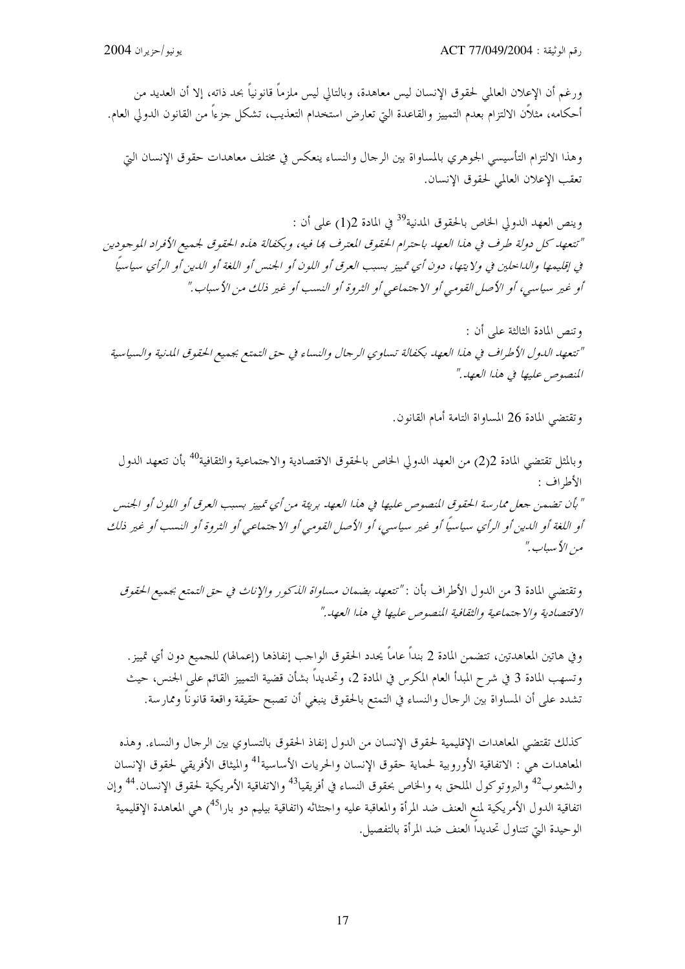ورغم أن الإعلان العالمي لحقوق الإنسان ليس معاهدة، وبالتالي ليس ملزماً قانونياً بحد ذاته، إلا أن العديد من أحكامه، مثلاًن الالتزام بعدم التمييز والقاعدة التي تعارض استخدام التعذيب، تشكل جزءاً من القانون الدولي العام.

وهذا الالتزام التأسيسي الجوهري بالمساواة بين الرحال والنساء ينعكس في مختلف معاهدات حقوق الإنسان التي تعقب الإعلان العالمي لحقوق الإنسان.

وينص العهد الدولي الخاص بالحقوق المدنية<sup>39</sup> في المادة 2(1) على أن : "تتعهد كل دولة طرف في هذا العهد باحترام الحقوق المعترف ها فيه، وبكفالة هذه الحقوق لجميع الأفراد الموجودين في إقليمها والداحلين في ولايتها، دون أي تمييز بسبب العرق أو اللون أو الجنس أو اللغة أو الدين أو الرأي سياسياً أو غير سياسي، أو الأصل القومي أو الاجتماعي أو الثروة أو النسب أو غير ذلك من الأسباب."

وتنص المادة الثالثة على أن : "تتعهد الدول الأطراف في هذا العهد بكفالة تساوي الرجال والنساء في حق التمتع بجميع الحقوق المدنية والسياسية المنصوص عليها في هذا العهد."

وتقتضي المادة 26 المساواة التامة أمام القانون.

وبالمثل تقتضي المادة 2(2) من العهد الدولي الخاص بالحقوق الاقتصادية والاجتماعية والثقافية<sup>40</sup> بأن تتعهد الدول الأطراف : " بأن تضمن جعل ممارسة الحقوق المنصوص عليها في هذا العهد بريئة من أي تمييز بسبب العرق أو اللون أو الجنس أو اللغة أو الدين أو الرأي سياسياً أو غير سياسي، أو الأصل القومي أو الاجتماعي أو الثروة أو النسب أو غير ذلك مين الأيساب ."

وتقتضي المادة 3 من الدول الأطراف بأن : *"تتعهد بضمان مساواة الذكور والإناث في حق الت*متع بجميع *الحقوق* الاقتصادية والاجتماعية والثقافية المنصوص عليها في هذا العهد."

وفي هاتين المعاهدتين، تتضمن المادة 2 بنداً عاماً يحدد الحقوق الواحب إنفاذها (إعمالها) للحميع دون أي تمييز. وتسهب المادة 3 في شرح المبدأ العام المكرس في المادة 2، وتحديداً بشأن قضية التمييز القائم على الجنس، حيث تشدد على أن المساواة بين الرحال والنساء في التمتع بالحقوق ينبغي أن تصبح حقيقة واقعة قانوناً وممارسة.

كذلك تقتضي المعاهدات الإقليمية لحقوق الإنسان من الدول إنفاذ الحقوق بالتساوي بين الرحال والنساء. وهذه المعاهدات هي : الاتفاقية الأوروبية لحماية حقوق الإنسان والحريات الأساسية<sup>41</sup> والميثاق الأفريقي لحقوق الإنسان والشعوب<sup>42</sup> والبروتوكول الملحق به والحاص بحقوق النساء في أفريقيا<sup>43</sup> والاتفاقية الأمريكية لحقوق الإنسان.<sup>44</sup> وإن اتفاقية الدول الأمريكية لمنع العنف ضد المرأة والمعاقبة عليه واحتثاثه (اتفاقية بيليم دو بارا<sup>45</sup>) هي المعاهدة الإقليمية الوحيدة التي تتناول تحديداً العنف ضد المرأة بالتفصيل.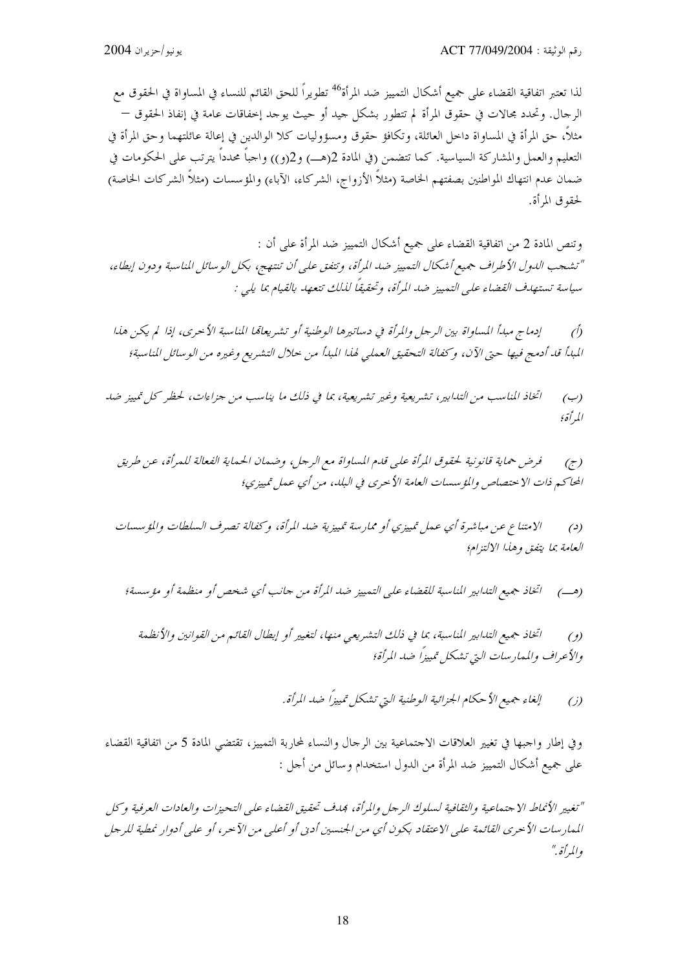لذا تعتبر اتفاقية القضاء على جميع أشكال التمييز ضد المرأة<sup>46</sup> تطويراً للحق القائم للنساء في المساواة في الحقوق مع الرحال. وتحدد مجالات في حقوق المرأة لم تتطور بشكل حيد أو حيث يوحد إخفاقات عامة في إنفاذ الحقوق — مثلاً، حق المرأة في المساواة داخل العائلة، وتكافؤ حقوق ومسؤوليات كلا الوالدين في إعالة عائلتهما وحق المرأة في التعليم والعمل والمشاركة السياسية. كما تتضمن (في المادة 2(هـــ) و2(و)) واحباً محدداً يترتب على الحكومات في ضمان عدم انتهاك المواطنين بصفتهم الخاصة (مثلاً الأزواج، الشركاء، الآباء) والمؤسسات (مثلاً الشركات الخاصة) لحقوق المرأة.

وتنص المادة 2 من اتفاقية القضاء على جميع أشكال التمييز ضد المرأة على أن : "تشجب الدول الأطراف جميع أشكال التمييز ضد المرأة، وتتفق على أن تنتهج، بكل الوسائل المناسبة ودون إبطاء، سياسة تستهدف القضاء على التمييز ضد المرأة، وتحقيقاً لذلك تتعهد بالقيام بما يلي :

اتخاذ المناسب من التدابير، تشريعية وغير تشريعية، بما في ذلك ما يناسب من جزاءات، لحظر كل تمييز ضد  $(\hookrightarrow)$ المرأة؛

الامتناع عن مباشرة أي عمل تمييزي أو ممارسة تمييزية ضد المرأة، وكفالة تصرف السلطات والمؤسسات  $(2)$ العامة بما يتفق وهذا الالتزام؛

اتخاذ جميع التدابير المناسبة، بما في ذلك التشريعي منها، لتغيير أو إبطال القائم من القوانين والأنظمة  $(2)$ والأعراف والممارسات التي تشكل تمييزاً ضد المرأة؛

وفي إطار واحبها في تغيير العلاقات الاحتماعية بين الرحال والنساء لمحاربة التمييز، تقتضي المادة 5 من اتفاقية القضاء على جميع أشكال التمييز ضد المرأة من الدول استخدام وسائل من أجل :

"تغيير الأنماط الاجتماعية والثقافية لسلوك الرجل والمرأة، بمدف تحقيق القضاء على التحيزات والعادات العرفية وكل المهار سات الأحرى القائمة على الاعتقاد بكون أي من الجنسين أدبي أو أعلى من الآحر، أو على أدوار نمطية للرجل والمرأة بي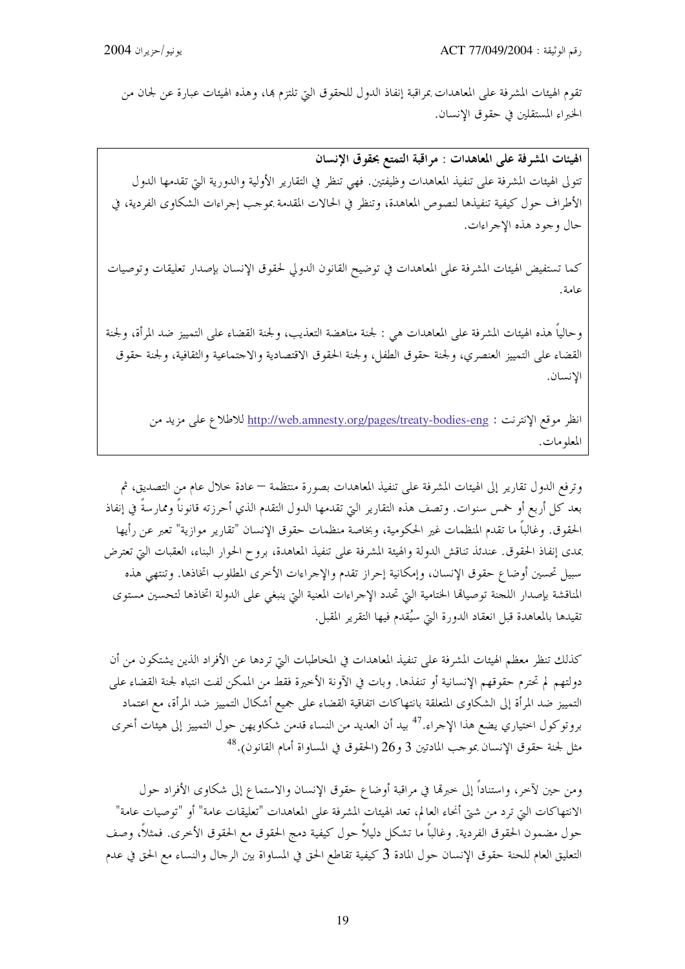تقوم الهيئات المشرفة على المعاهدات بمراقبة إنفاذ الدول للحقوق التي تلتزم بما، وهذه الهيئات عبارة عن لجان من الخبراء المستقلين في حقوق الإنسان.

الهيئات المشرفة على المعاهدات : مراقبة التمتع بحقوق الإنسان تتولى الهيئات المشرفة على تنفيذ المعاهدات وظيفتين. فهي تنظر في التقارير الأولية والدورية التي تقدمها الدول الأطراف حول كيفية تنفيذها لنصوص المعاهدة، وتنظر في الحالات المقدمة بموجب إجراءات الشكاوى الفردية، في حال وجود هذه الإجراءات.

كما تستفيض الهيئات المشرفة على المعاهدات في توضيح القانون الدولي لحقوق الإنسان بإصدار تعليقات وتوصيات عامة.

وحالياً هذه الهيئات المشرفة على المعاهدات هي : لجنة مناهضة التعذيب، ولجنة القضاء على التمييز ضد المرأة، ولجنة القضاء على التمييز العنصري، ولجنة حقوق الطفل، ولجنة الحقوق الاقتصادية والاحتماعية والثقافية، ولجنة حقوق الإنسان.

انظر موقع الإنترنت : http://web.amnesty.org/pages/treaty-bodies-eng للاطلاع على مزيد من المعلومات.

وترفع الدول تقارير إلى الهيئات المشرفة على تنفيذ المعاهدات بصورة منتظمة — عادة خلال عام من التصديق، ثم بعد كل أربع أو خمس سنوات. وتصف هذه التقارير التي تقدمها الدول التقدم الذي أحرزته قانوناً وممارسةً في إنفاذ الحقوق. وغالباً ما تقدم المنظمات غير الحكومية، وبخاصة منظمات حقوق الإنسان "تقارير موازية" تعبر عن رأيها بمدى إنفاذ الحقوق. عندئذ تناقش الدولة والهيئة المشرفة على تنفيذ المعاهدة، بروح الحوار البناء، العقبات التي تعترض سبيل تحسين أوضاع حقوق الإنسان، وإمكانية إحراز تقدم والإحراءات الأخرى المطلوب اتخاذها. وتنتهي هذه المناقشة بإصدار اللحنة توصياقما الختامية التي تحدد الإحراءات المعنية التي ينبغي على الدولة اتخاذها لتحسين مستوى تقيدها بالمعاهدة قبل انعقاد الدورة التي سيُقدم فيها التقرير المقبل.

كذلك تنظر معظم الهيئات المشرفة على تنفيذ المعاهدات في المخاطبات التي تردها عن الأفراد الذين يشتكون من أن دولتهم لم تحترم حقوقهم الإنسانية أو تنفذها. وبات في الآونة الأخيرة فقط من الممكن لفت انتباه لجنة القضاء على التمييز ضد المرأة إلى الشكاوى المتعلقة بانتهاكات اتفاقية القضاء على جميع أشكال التمييز ضد المرأة، مع اعتماد بروتوكول اختياري يضع هذا الإجراء.<sup>47</sup> بيد أن العديد من النساء قدمن شكاو يهن حول التمييز إلى هيئات أخرى مثل لجنة حقوق الإنسان بموحب المادتين 3 و26 (الحقوق في المساواة أمام القانون). $^{48}$ 

ومن حين لآخر، واستناداً إلى خبرها في مراقبة أوضاع حقوق الإنسان والاستماع إلى شكاوى الأفراد حول الانتهاكات التي ترد من شتى أنحاء العالم، تعد الهيئات المشرفة على المعاهدات "تعليقات عامة" أو "توصيات عامة" حول مضمون الحقوق الفردية. وغالباً ما تشكل دليلاً حول كيفية دمج الحقوق مع الحقوق الأخرى. فمثلاً، وصف التعليق العام للحنة حقوق الإنسان حول المادة 3 كيفية تقاطع الحق في المساواة بين الرجال والنساء مع الحق في عدم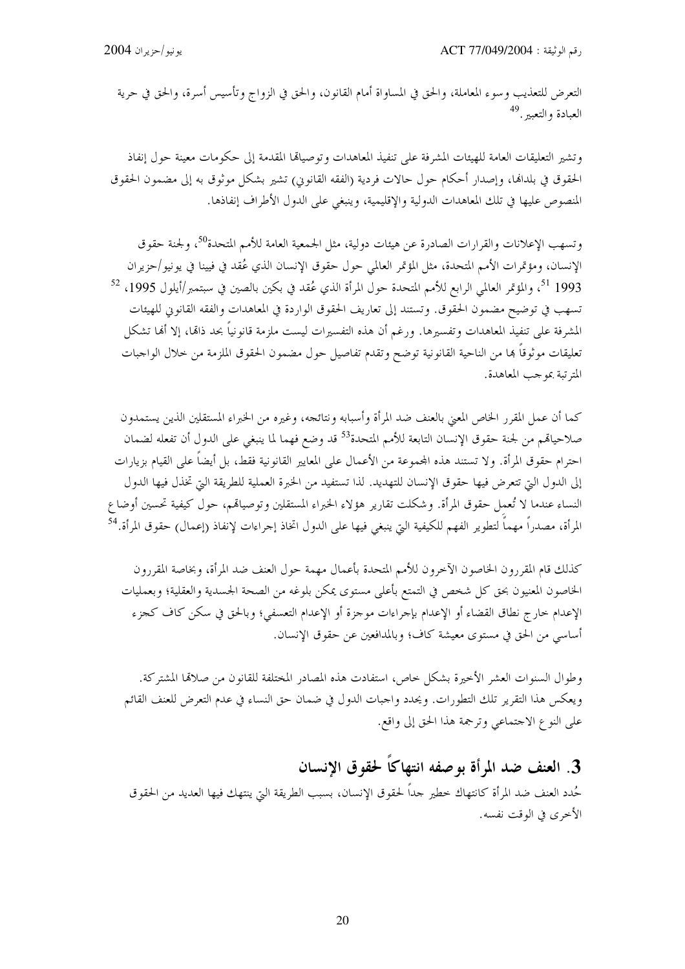التعرض للتعذيب وسوء المعاملة، والحق في المساواة أمام القانون، والحق في الزواج وتأسيس أسرة، والحق في حرية العبادة والتعبي<sup>49</sup>.

وتشير التعليقات العامة للهيئات المشرفة على تنفيذ المعاهدات وتوصياتها المقدمة إلى حكومات معينة حول إنفاذ الحقوق في بلدالها، وإصدار أحكام حول حالات فردية (الفقه القانوين) تشير بشكل موثوق به إلى مضمون الحقوق المنصوص عليها في تلك المعاهدات الدولية والإقليمية، وينبغي على الدول الأطراف إنفاذها.

وتسهب الإعلانات والقرارات الصادرة عن هيئات دولية، مثل الجمعية العامة للأمم المتحدة<sup>50</sup>، ولجنة حقوق الإنسان، ومؤتمرات الأمم المتحدة، مثل المؤتمر العالمي حول حقوق الإنسان الذي عُقد في فيينا في يونيو/حزيران 1993 <sup>51</sup>، والمؤتمر العالمي الرابع للأمم المتحدة حول المرأة الذي عُقد في بكين بالصين في سبتمبر/أيلول 1995، <sup>52</sup> تسهب في توضيح مضمون الحقوق. وتستند إلى تعاريف الحقوق الواردة في المعاهدات والفقه القانوين للهيئات المشرفة على تنفيذ المعاهدات وتفسيرها. ورغم أن هذه التفسيرات ليست ملزمة قانونياً بحد ذاقما، إلا أنما تشكل تعليقات موثوقاً ها من الناحية القانونية توضح وتقدم تفاصيل حول مضمون الحقوق الملزمة من خلال الواجبات المترتبة بموجب المعاهدة.

كما أن عمل المقرر الخاص المعنى بالعنف ضد المرأة وأسبابه ونتائجه، وغيره من الخبراء المستقلين الذين يستمدون صلاحياقمم من لجنة حقوق الإنسان التابعة للأمم المتحدة<sup>53</sup> قد وضع فهما لما ينبغي على الدول أن تفعله لضمان احترام حقوق المرأة. ولا تستند هذه المحموعة من الأعمال على المعايير القانونية فقط، بل أيضاً على القيام بزيارات إلى الدول التي تتعرض فيها حقوق الإنسان للتهديد. لذا تستفيد من الخبرة العملية للطريقة التي تخذل فيها الدول النساء عندما لا تُعمل حقوق المرأة. وشكلت تقارير هؤلاء الخبراء المستقلين وتوصياقم، حول كيفية تحسين أوضاع المرأة، مصدراً مهماً لتطوير الفهم للكيفية التي ينبغي فيها على الدول اتخاذ إجراءات لإنفاذ (إعمال) حقوق المرأة.<sup>54</sup>

كذلك قام المقررون الخاصون الآخرون للأمم المتحدة بأعمال مهمة حول العنف ضد المرأة، وبخاصة المقررون الخاصون المعنيون بحق كل شخص في التمتع بأعلى مستوى يمكن بلوغه من الصحة الجسدية والعقلية؛ وبعمليات الإعدام حارج نطاق القضاء أو الإعدام بإجراءات موجزة أو الإعدام التعسفي؛ وبالحق في سكن كاف كجزء أساسي من الحق في مستوى معيشة كاف؛ وبالمدافعين عن حقوق الإنسان.

وطوال السنوات العشر الأخيرة بشكل حاص، استفادت هذه المصادر المختلفة للقانون من صلاقما المشتركة. ويعكس هذا التقرير تلك التطورات. ويحدد واجبات الدول في ضمان حق النساء في عدم التعرض للعنف القائم على النوع الاحتماعي وترجمة هذا الحق إلى واقع.

# 3. العنف ضد المرأة بوصفه انتهاكاً لحقوق الإنسان

حُدد العنف ضد المرأة كانتهاك خطير حداً لحقوق الإنسان، بسبب الطريقة التي ينتهك فيها العديد من الحقوق الأخرى في الوقت نفسه.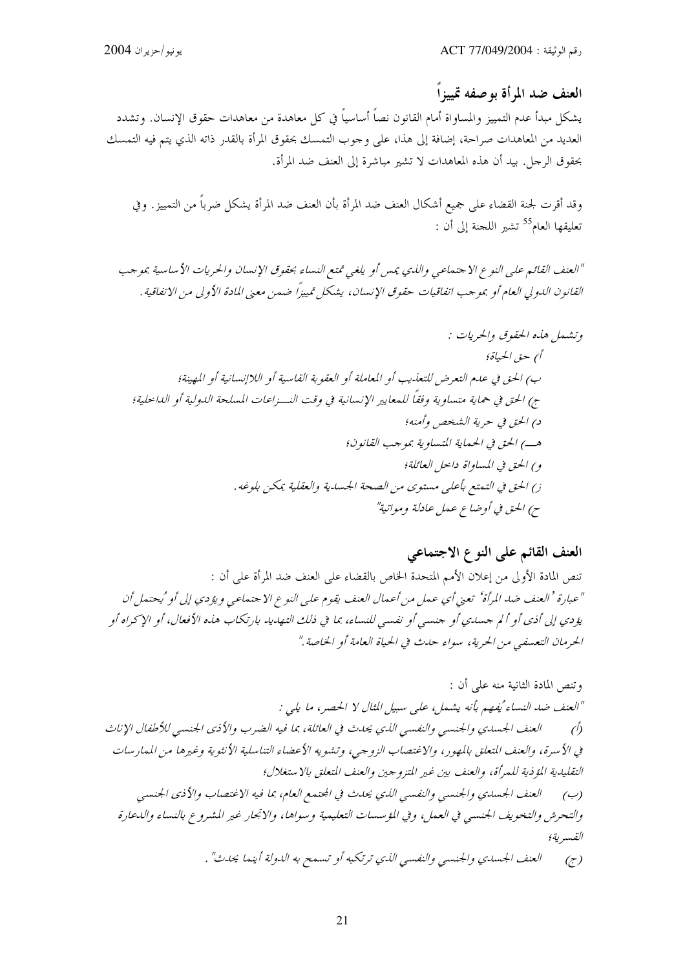العنف ضد المرأة بوصفه تمييزاً

يشكل مبدأ عدم التمييز والمساواة أمام القانون نصاً أساسياً في كل معاهدة من معاهدات حقوق الإنسان. وتشدد العديد من المعاهدات صراحة، إضافة إلى هذا، على وجوب التمسك بحقوق المرأة بالقدر ذاته الذي يتم فيه التمسك بحقوق الرجل. بيد أن هذه المعاهدات لا تشير مباشرة إلى العنف ضد المرأة.

وقد أقرت لجنة القضاء على جميع أشكال العنف ضد المرأة بأن العنف ضد المرأة يشكل ضرباً من التمييز . وفي تعليقها العام<sup>55</sup> تشير اللجنة إلى أن :

"العنف القائم على النوع الاجتماعي والذي يمس أو يلغي تمتع النساء بحقوق الإنسان والحريات الأساسية بموجب القانون الدولي العام أو بموجب اتفاقيات حقوق الإنسان، يشكل تمييزًا ضمن معنى المادة الأولى من الاتفاقية .

## العنف القائم على النوع الاجتماعي

تنص المادة الأولى من إعلان الأمم المتحدة الخاص بالقضاء على العنف ضد المرأة على أن : "عبارة 'العنف ضد المرأة' تعني أي عمل من أعمال العنف يقوم على النوع الاجتماعي ويؤدي إلى أو 'يحتمل أن يؤدي إلى أذى أو ألم جساءي أو جنسي أو نفسي للنساء، بما في ذلك التهابيا. بارتكاب هذه الأفعال، أو الإكراه أو الحرمان التعسفيي من الحرية، سواء حدث في الحياة العامة أو الخاصة ."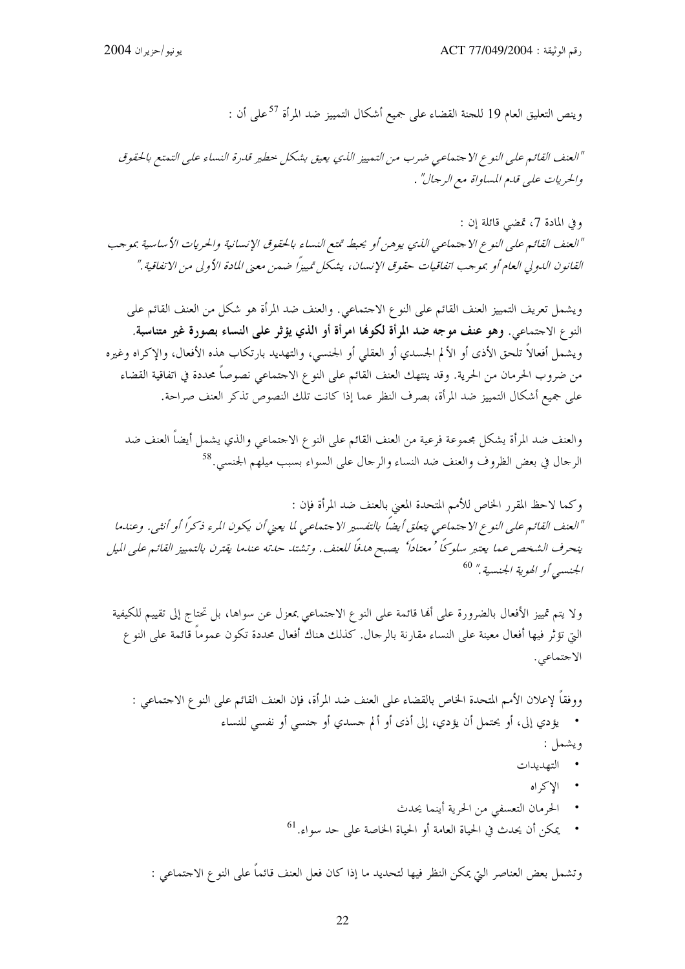وينص التعليق العام 19 للجنة القضاء على جميع أشكال التمييز ضد المرأة <sup>57</sup>على أن :

"العنف القائم على النوع الاجتماعي ضرب من التمييز اللدي يعيق بشكل حطير قدرة النساء على التمتع بالحقوق والحريات على قله المساواة مع الرجال" .

وفي المادة 7، تمضي قائلة إن : "العنف القائم على النوع الاجتماعي اللهي يوهن أو يحبط تمتع النساء بالحقوق الإنسانية والحريات الأساسية بموجب القانون الدولي العام أو بموجب اتفاقيات حقوق الإنسان، يشكل تمييزًا ضمن معنى المادة الأولى من الاتفاقية."

ويشمل تعريف التمييز العنف القائم على النوع الاحتماعي. والعنف ضد المرأة هو شكل من العنف القائم على النوع الاجتماعي. وهو عنف موجه ضد المرأة لكوفما امرأة أو الذي يؤثر على النساء بصورة غير متناسبة. ويشمل أفعالاً تلحق الأذى أو الألم الجسدي أو العقلي أو الجنسي، والتهديد بارتكاب هذه الأفعال، والإكراه وغيره من ضروب الحرمان من الحرية. وقد ينتهك العنف القائم على النوع الاحتماعي نصوصاً محددة في اتفاقية القضاء على جميع أشكال التمييز ضد المرأة، بصرف النظر عما إذا كانت تلك النصوص تذكر العنف صراحة.

والعنف ضد المرأة يشكل مجموعة فرعية من العنف القائم على النو ع الاجتماعي والذي يشمل أيضاً العنف ضد الرحال في بعض الظروف والعنف ضد النساء والرحال على السواء بسبب ميلهم الجنسي. <sup>58</sup>

وكما لاحظ المقرر الخاص للأمم المتحدة المعنى بالعنف ضد المرأة فإن : "العنف القائم على النوع الاجتماعي يتعلق أيضاً بالتفسير الاجتماعي لما يعني أن يكون المرء ذكراً أو أنثبي. وعندما ينحرف الشخص عما يعتبر سلوكاً ' معتاداً' يصبح هدفاً للعنف. وتشتد حدته عندما يقترن بالتمييز القائم على الميل الجنسبي أو الهوية الجنسية." <sup>60</sup>

ولا يتم تمييز الأفعال بالضرورة على ألها قائمة على النوع الاحتماعي بمعزل عن سواها، بل تحتاج إلى تقييم للكيفية التي تؤثَّر فيها أفعال معينة على النساء مقارنة بالرجال. كذلك هناك أفعال محددة تكون عموماً قائمة على النو ع الاجتماعي.

ووفقاً لإعلان الأمم المتحدة الخاص بالقضاء على العنف ضد المرأة، فإن العنف القائم على النو ع الاحتماعي : • يؤدي إلى، أو يحتمل أن يؤدي، إلى أذى أو ألم حسدي أو حنسي أو نفسي للنساء ويشمل : • التهديدات

- 
- الاكراه
- الحرمان التعسفي من الحرية أينما يحدث
- يمكن أن يحدث في الحياة العامة أو الحياة الخاصة على حد سواء. <sup>61</sup>

وتشمل بعض العناصر التي يمكن النظر فيها لتحديد ما إذا كان فعل العنف قائماً على النو ع الاحتماعي :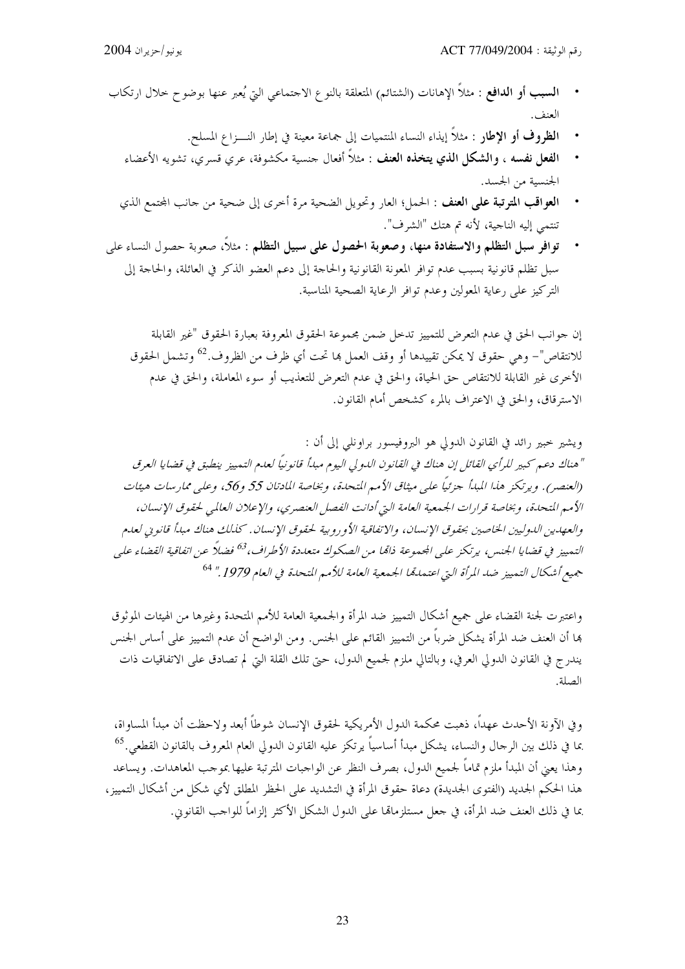- **السبب أو الدافع** : مثلاً الإهانات (الشتائم) المتعلقة بالنوع الاحتماعي التي يُعبر عنها بوضوح حلال ارتكاب العنف.
	- ا**لظروف أو الإطار** : مثلاً إيذاء النساء المنتميات إلى جماعة معينة في إطار النـــزاع المسلح.
	- ا**لفعل نفسه ، والشكل الذي يتخذه العنف :** مثلاً أفعال جنسية مكشوفة، عرى قسرى، تشويه الأعضاء الجنسية من الجسد.
	- ا**لعواقب المترتبة على العنف** : الحمل؛ العار وتحويل الضحية مرة أخرى إلى ضحية من حانب المحتمع الذي  $\ddot{\phantom{0}}$ تنتمي إليه الناجية، لأنه تم هتك "الشرف".
- توافر سبل التظلم والاستفادة منها، وصعوبة الحصول على سبيل التظلم : مثلاً، صعوبة حصول النساء على سبل تظلم قانونية بسبب عدم توافر المعونة القانونية والحاحة إلى دعم العضو الذكر في العائلة، والحاحة إلى التركيز على رعاية المعولين وعدم توافر الرعاية الصحية المناسبة.

إن جوانب الحق في عدم التعرض للتمييز تدحل ضمن مجموعة الحقوق المعروفة بعبارة الحقوق "غير القابلة للانتقاص"– وهي حقوق لا يمكن تقييدها أو وقف العمل ها تحت أي ظرف من الظروف.<sup>62</sup> وتشمل الحقوق الأخرى غير القابلة للانتقاص حق الحياة، والحق في عدم التعرض للتعذيب أو سوء المعاملة، والحق في عدم الاسترقاق، والحق في الاعتراف بالمرء كشخص أمام القانون.

ويشير خبير رائد في القانون الدولي هو البروفيسور براونلي إلى أن : "هناك دعم كبير للرأي القائل إن هناك في القانون الدولي اليوم مبدأ قانونياً لعدم التمييز ينطبق في قضايا العرق (العنصر) . ويرتكز هذا المبدأ جزئيًا على ميثاق الأمير المتحدة، وبخاصة المادتان 55 و56، وعلى ممارسات هيئات الأمم المتحلة، وبخاصة قرارات الجمعية العامة التي أدانت الفصل العنصري، والإعلان العالمي لحقوق الإنسان، والعهدين الدوليين الخاصين بحقوق الإنسان، والاتفاقية الأوروبية لحقوق الإنسان. كذلك هناك مبدأ قانوني لعدم التمييز في قضايا الجنس، يرتكز على الجموعة ذامًا من الصكوك متعددة الأطراف، <sup>63</sup> فضالًا عن اتفاقية القضاء على جميع أشكال التمييز ضد المرأة التي اعتمدتها الجمعية العامة للأمير المتحدة في العام 1979." <sup>64</sup>

واعتبرت لجنة القضاء على جميع أشكال التمييز ضد المرأة والجمعية العامة للأمم المتحدة وغيرها من الهيئات الموثوق ها أن العنف ضد المرأة يشكل ضرباً من التمييز القائم على الجنس. ومن الواضح أن عدم التمييز على أساس الجنس يندرج في القانون الدولي العرفي، وبالتالي ملزم لجميع الدول، حتى تلك القلة التي لم تصادق على الاتفاقيات ذات الصلة.

و في الآونة الأحدث عهداً، ذهبت محكمة الدول الأمريكية لحقوق الإنسان شوطاً أبعد ولاحظت أن مبدأ المساواة، بما في ذلك بين الرحال والنساء، يشكل مبدأ أساسياً يرتكز عليه القانون الدولي العام المعروف بالقانون القطعي.<sup>65</sup> وهذا يعني أن المبدأ ملزم تماماً لجميع الدول، بصرف النظر عن الواجبات المترتبة عليها بموجب المعاهدات. ويساعد هذا الحكم الجديد (الفتوى الجديدة) دعاة حقوق المرأة في التشديد على الحظر المطلق لأي شكل من أشكال التمييز، بما في ذلك العنف ضد المرأة، في جعل مستلزمالها على الدول الشكل الأكثر إلزاماً للواجب القانوين.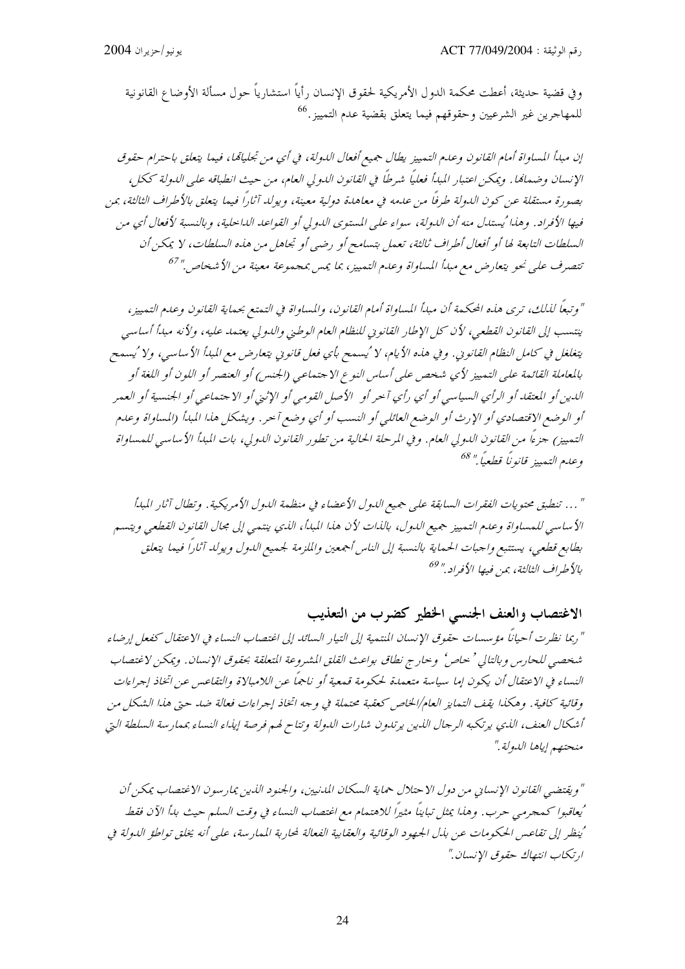وفي قضية حديثة، أعطت محكمة الدول الأمريكية لحقوق الإنسان رأياً استشارياً حول مسألة الأوضاع القانونية للمهاجرين غير الشرعيين وحقوقهم فيما يتعلق بقضية عدم التمييز .<sup>66</sup>

" وتبعًا لذلك، ترى هذه المحكمة أن مبدأ المساواة أمام القانون، والمساواة في التمتع بحماية القانون وعدم التمييز، ينتسب إلى القانون القطعي، لأن كل الإطار القانوني للنظام العام الوطني والدولي يعتمد عليه، ولأنه مبدأ أساسي يتغلغل في كامل النظام القانويي. وفي هذه الأيام، لا 'يسمح بأي فعل قانويي يتعارض مع المبدأ الأساسي، ولا 'يسمح بالمعاملة القائمة على التمييز لأي شخص على أساس النوع الاجتماعي (الجنس) أو العنصر أو اللون أو اللغة أو اللدين أو المعتقد أو الرأي البسياسي أو أي رأي آ حر أو الأصل القومي أو الإثبيّ أو الإ حتمهاعي أو الجنسية أو العبير أو الوضع الاقتصادي أو الإرث أو الوضع العائلي أو النسب أو أي وضع آحر. ويشكل هذا المبدأ (المساواة وعدم التمييز) جزءًا من القانون الدولي العام. وفي المرحلة الحالية من تطور القانون الدولي، بات المبدأ الأساسي للمساواة وعدم التمييز قانوناً قطعياً." <sup>68</sup>

" … تنطبق محتويات الفقرات السابقة على جميع الدول الأعضاء في منظمة الدول الأمريكية . وتطال آثار المبدأ الأساسي للمساواة وعدم التمييز جميع الدول، بالذات لأن هذا المبدأ، الذي ينتمي إلى مجال القانون القطعي ويتسم بطابع قطعي، يستتبع واجبات الحماية بالنسبة إلى الناس أجمعين والملزمة لجميع الدول ويولد آثاراً فيما يتعلق بالأطراف الثالثة، بمن فيها الأفراد " <sup>69</sup>

### الاغتصاب والعنف الجنسبي الخطير كضرب من التعذيب

"ربما نظرت أحيانًا مؤسسات حقوق الإنسان المنتمية إلى التيار السائد إلى اغتصاب النساء في الاعتقال كفعل إرضاء شخصيي للحارس و بالتالي ' حاص ' و حار ج نطاق بواعث القلق المشيروعة المتعلقة بحقوق الإنسان . ويمكن لاغتصاب النساء في الاعتقال أن يكون إما سياسة متعمدة لحكومة قمعية أو ناجماً عن اللامبالاة والتقاعس عن اتخاذ إجراءات وقائية كافية . وهكذا يقف التمايز العام/الخاص كعقبة محتملة في وجه اتخاذ إجراءات فعالة ضد حتى هذا الشكل من أشكال العنف، الذي يرتكبه الرحال الذين يرتدون شارات الدولة وتتاح لهم فرصة إيذاء النساء بممارسة السلطة التي منحتصم إياها الدولة."

" ويقتضبي القانون الإنساني من دول الاحتلال حماية السكان المدنيين، والجنود الذين يمار سون الاغتصاب يمكن أن أيعاقبوا كـمجرمبي حرب. وهذا يمثل تباينًا مثيرًا للاهتمام مع اغتصاب النساء في وقت السلم حيث بياً الآن فقط 'ينظر إلى تقاعس الحكومات عن بذل الجهود الوقائية والعقابية الفعالة لمحاربة الممارسة، على أنه يخلق تواطؤ الدولة في ارتكاب انتهاك حقوق الإنسان."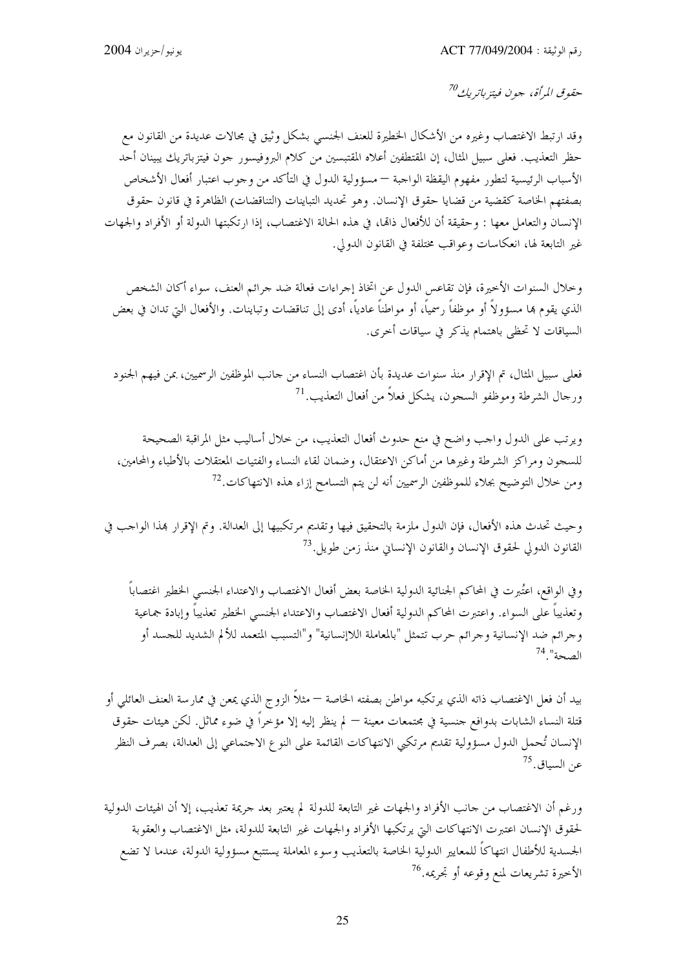حقوق المرأة، جون فيتز باتريك<sup>70</sup>

وقد ارتبط الاغتصاب وغيره من الأشكال الخطيرة للعنف الجنسبي بشكل وثيق في مجالات عديدة من القانون مع حظر التعذيب. فعلى سبيل المثال، إن المقتطفين أعلاه المقتبسين من كلام البروفيسور حون فيتزباتريك يبينان أحد الأسباب الرئيسية لتطور مفهوم اليقظة الواجبة — مسؤولية الدول في التأكد من وجوب اعتبار أفعال الأشخاص بصفتهم الخاصة كقضية من قضايا حقوق الإنسان. وهو تحديد التباينات (التناقضات) الظاهرة في قانون حقوق الإنسان والتعامل معها : وحقيقة أن للأفعال ذاتما، في هذه الحالة الاغتصاب، إذا ارتكبتها الدولة أو الأفراد والجهات غير التابعة لها، انعكاسات وعواقب مختلفة في القانون الدولي.

وخلال السنوات الأخيرة، فإن تقاعس الدول عن اتخاذ إجراءات فعالة ضد جرائم العنف، سواء أكان الشخص الذي يقوم بما مسؤولاً أو موظفاً رسمياً، أو مواطناً عادياً، أدى إلى تناقضات وتباينات. والأفعال التي تدان في بعض السياقات لا تحظى باهتمام يذكر في سياقات أخرى.

فعلي سبيل المثال، تم الإقرار منذ سنوات عديدة بأن اغتصاب النساء من حانب الموظفين الرسميين، بمن فيهم الجنود ورحال الشرطة وموظفو السجون، يشكل فعلاً من أفعال التعذيب.<sup>71</sup>

ويرتب على الدول واحب واضح في منع حدوث أفعال التعذيب، من حلال أساليب مثل المراقبة الصحيحة للسجون ومراكز الشرطة وغيرها من أماكن الاعتقال، وضمان لقاء النساء والفتيات المعتقلات بالأطباء والمحامين، ومن حلال التوضيح بجلاء للموظفين الرسميين أنه لن يتم التسامح إزاء هذه الانتهاكات.<sup>72</sup>

وحيث تحدث هذه الأفعال، فإن الدول ملزمة بالتحقيق فيها وتقديم مرتكبيها إلى العدالة. وتم الإقرار هذا الواحب في القانون الدولي لحقوق الإنسان والقانون الإنساني منذ زمن طويل.<sup>73</sup>

وفي الواقع، اعتُبرت في المحاكم الجنائية الدولية الخاصة بعض أفعال الاغتصاب والاعتداء الجنسبي الخطير اغتصاباً وتعذيباً على السواء. واعتبرت المحاكم الدولية أفعال الاغتصاب والاعتداء الجنسي الخطير تعذيباً وإبادة جماعية وجرائم ضد الإنسانية وجرائم حرب تتمثل "بالمعاملة اللاإنسانية" و"التسبب المتعمد للألم الشديد للجسد أو الصحة" 74

بيد أن فعل الاغتصاب ذاته الذي يرتكبه مواطن بصفته الخاصة — مثلاً الزوج الذي يمعن في ممارسة العنف العائلي أو قتلة النساء الشابات بدوافع جنسية في مجتمعات معينة — لم ينظر إليه إلا مؤخراً في ضوء مماثل. لكن هيئات حقوق الإنسان تُحمل الدول مسؤولية تقديم مرتكبي الانتهاكات القائمة على النوع الاحتماعي إلى العدالة، بصرف النظر عن السياق.<sup>75</sup>

ورغم أن الاغتصاب من حانب الأفراد والجهات غير التابعة للدولة لم يعتبر بعد حريمة تعذيب، إلا أن الهيئات الدولية لحقوق الإنسان اعتبرت الانتهاكات البت يرتكبها الأفراد والجهات غير التابعة للدولة، مثل الاغتصاب والعقوبة الجسدية للأطفال انتهاكاً للمعايير الدولية الخاصة بالتعذيب وسوء المعاملة يستتبع مسؤولية الدولة، عندما لا تضع الأخيرة تشريعات لمنع وقوعه أو تحريمه.<sup>76</sup>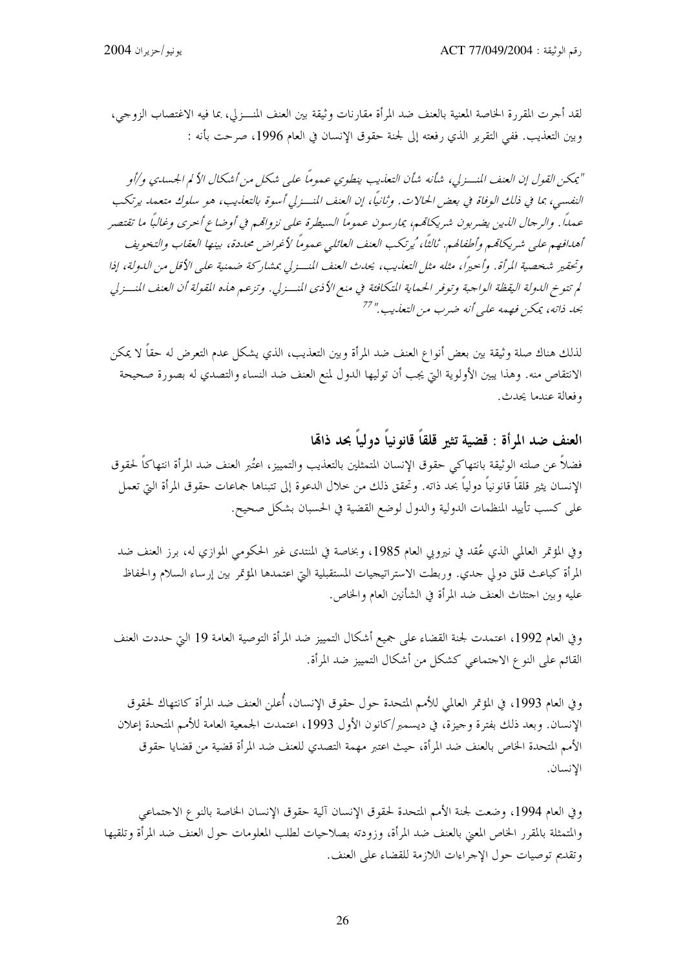لقد أجرت المقررة الخاصة المعنية بالعنف ضد المرأة مقارنات وثيقة بين العنف المنسـزلي، بما فيه الاغتصاب الزوجي، وبين التعذيب. ففي التقرير الذي رفعته إلى لجنة حقوق الإنسان في العام 1996، صرحت بأنه :

"يمكن القول إن العنف المنسـزلي، شأنه شأن التعذيب ينطوي عموماً على شكل من أشكال الألم الجسدي و/أو النفسي، بما في ذلك الوفاة في بعض الحالات. وثانيًا، إن العنف المنسزلي أسوة بالتعليب، هو سلوك متعمد يرتكب عمداً. والرحال الذين يضربون شريكاتمم، يمارسون عموماً السيطرة على نزوامًم في أوضاع أحرى وغالباً ما تقتصر أهدافهم على شريكاقمم وأطفالهم. ثالثاً، ُيرتكب العنف العائلي عموماً لأغراض محددة، بينها العقاب والتخويف وتحقير شخصية المرأة. وأحيرًا، مثله مثل التعليب، يحدث العنف المنسفرلي بمشاركة ضمنية على الأقل من اللهولة، إذا لم تتوخ الدولة اليقظة الواجبة وتوفر الحماية المتكافئة في منع الأذى المنسزلي. وتزعم هذه القولة أن العنف المنسزلي بحد ذاته، يمكن فهمه على أنه ضرب من التعذيب." <sup>77</sup>

لذلك هناك صلة وثيقة بين بعض أنواع العنف ضد المرأة وبين التعذيب، الذي يشكل عدم التعرض له حقاً لا يمكن الانتقاص منه. وهذا يبين الأولوية التي يجب أن توليها الدول لمنع العنف ضد النساء والتصدي له بصورة صحيحة وفعالة عندما يحدث.

# العنف ضد المرأة : قضية تثير قلقاً قانو نياً دولياً بحد ذاهّا

فضلاً عن صلته الوثيقة بانتهاكي حقوق الإنسان المتمثلين بالتعذيب والتمييز، اعتُبر العنف ضد المرأة انتهاكاً لحقوق الإنسان يثير قلقاً قانونياً دولياً بحد ذاته. وتحقق ذلك من حلال الدعوة إلى تتبناها جماعات حقوق المرأة التي تعمل على كسب تأييد المنظمات الدولية والدول لوضع القضية في الحسبان بشكل صحيح.

وفي المؤتمر العالمي الذي عُقد في نيروبي العام 1985، وبخاصة في المنتدى غير الحكومي الموازي له، برز العنف ضد المرأة كباعث قلق دولي حدي. وربطت الاستراتيجيات المستقبلية التي اعتمدها المؤتمر بين إرساء السلام والحفاظ عليه وبين احتثاث العنف ضد المرأة في الشأنين العام والخاص.

وفي العام 1992، اعتمدت لجنة القضاء على جميع أشكال التمييز ضد المرأة التوصية العامة 19 التي حددت العنف القائم على النو ع الاجتماعي كشكل من أشكال التمييز ضد المرأة.

وفي العام 1993، في المؤتمر العالمي للأمم المتحدة حول حقوق الإنسان، أُعلن العنف ضد المرأة كانتهاك لحقوق الإنسان. وبعد ذلك بفترة وجيزة، في ديسمبر/كانون الأول 1993، اعتمدت الجمعية العامة للأمم المتحدة إعلان الأمم المتحدة الخاص بالعنف ضد المرأة، حيث اعتبر مهمة التصدي للعنف ضد المرأة قضية من قضايا حقوق الإنسان.

وفي العام 1994، وضعت لجنة الأمم المتحدة لحقوق الإنسان آلية حقوق الإنسان الخاصة بالنوع الاحتماعي والمتمثلة بالمقرر الخاص المعنى بالعنف ضد المرأة، وزودته بصلاحيات لطلب المعلومات حول العنف ضد المرأة وتلقيها وتقديم توصيات حول الإجراءات اللازمة للقضاء على العنف.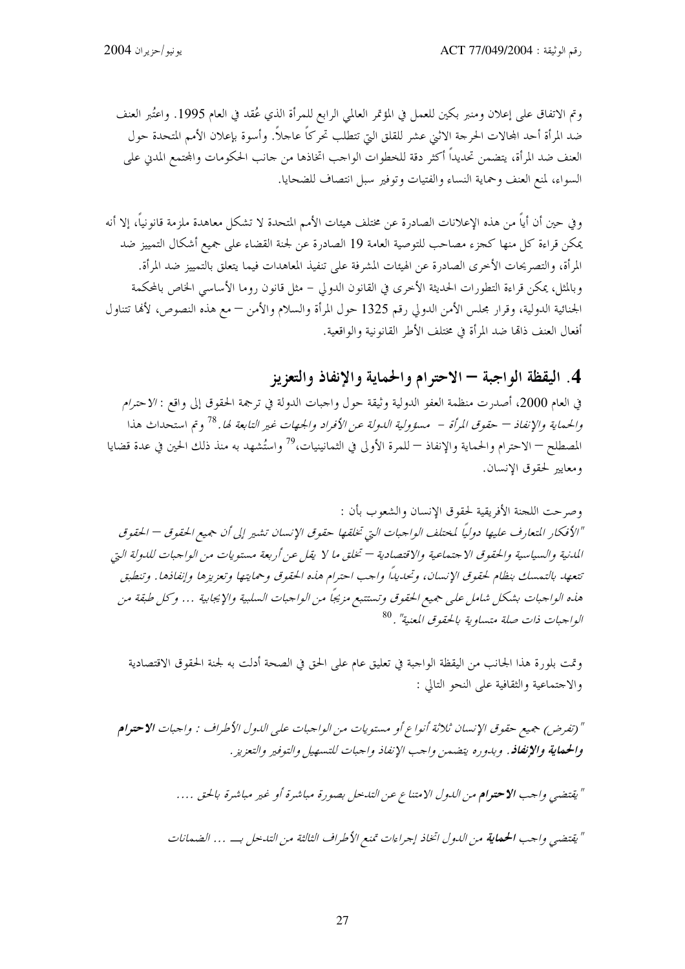وتم الاتفاق على إعلان ومنبر بكين للعمل في المؤتمر العالمي الرابع للمرأة الذي عُقد في العام 1995. واعتُبر العنف ضد المرأة أحد المحالات الحرجة الاثني عشر للقلق التي تتطلب تحركاً عاجلاً. وأسوة بإعلان الأمم المتحدة حول العنف ضد المرأة، يتضمن تحديداً أكثر دقة للخطوات الواحب اتخاذها من حانب الحكومات والمحتمع المدني على السواء، لمنع العنف وحماية النساء والفتيات وتوفير سبل انتصاف للضحايا.

و في حين أن أياً من هذه الإعلانات الصادرة عن مختلف هيئات الأمم المتحدة لا تشكل معاهدة ملزمة قانو نياً، إلا أنه يمكن قراءة كل منها كجزء مصاحب للتوصية العامة 19 الصادرة عن لجنة القضاء على جميع أشكال التمييز ضد المرأة، والتصريحات الأخرى الصادرة عن الهيئات المشرفة على تنفيذ المعاهدات فيما يتعلق بالتمييز ضد المرأة. وبالمثل، يمكن قراءة التطورات الحديثة الأخرى في القانون الدولي – مثل قانون روما الأساسى الخاص بالمحكمة الجنائية الدولية، وقرار مجلس الأمن الدولي رقم 1325 حول المرأة والسلام والأمن — مع هذه النصوص، لألها تتناول أفعال العنف ذاتما ضد المرأة في مختلف الأطر القانونية والواقعية.

# 4. اليقظة الواجبة — الاحترام والحماية والإنفاذ والتعزيز

في العام 2000، أصدرت منظمة العفو الدولية وثيقة حول واجبات الدولة في ترجمة الحقوق إلى واقع : الاحترام والحيماني*ة والإنفاذ — حقوق المرأة – مسؤولية الدولة عن الأفراد والجهات غير التابعة لها. <sup>78</sup> وتم استحداث هذا* المصطلح — الاحترام والحماية والإنفاذ — للمرة الأولى في الثمانينيات،<sup>79</sup> واستُشهد به منذ ذلك الحين في عدة قضايا ومعايير لحقوق الإنسان.

وصرحت اللجنة الأفريقية لحقوق الإنسان والشعوب بأن : "الأفكار المتعارف عليها دوليًا لمختلف الواجبات التي تخلقها حقوق الإنسان تشير إلى أن جميع الحقوق – الحقوق المدنية والسياسية والحقوق الاجتماعية والاقتصادية — تخلق ما لا يقل عن أربعة مستويات من الواجبات للدولة التي تتعهد بالتمسك بنظام لحقوق الإنسان، وتحديدًا واحب احترام هذه الحقوق وحمايتها وتعزيزها وإنفاذها. وتنطبق هذه الواجبات بشكل شامل على جميع الحقوق وتستتبع مزيجاً من الواجبات السلبية والإيجابية … وكل طبقة من الواجبات ذات صلة متساوية بالحقوق المعنية" . <sup>80</sup>

وتمت بلورة هذا الجانب من اليقظة الواجبة في تعليق عام على الحق في الصحة أدلت به لجنة الحقوق الاقتصادية والاجتماعية والثقافية على النحو التالي :

" (تفرض) جميع حقوق الإنسان ثلاثة أنواع أو مستويات من الواجبات على الدول الأطراف : واجبات الاحترام وا**لحيماية والإنفاذ** . وبدوره يتضهين واحب الإنفاذ واحبات للتسهيل والتوفير والتعزيز .

" يقتضي واحب الاحترام من اللهول الامتناع عن التدخل بصورة مباشرة أو غير مباشرة بالحق ….

" يقتضي واحب ا**لحماية** من الدول اتخاذ إحراءات تمنع الأطراف الثالثة من التدخل بـــــ... الضمانات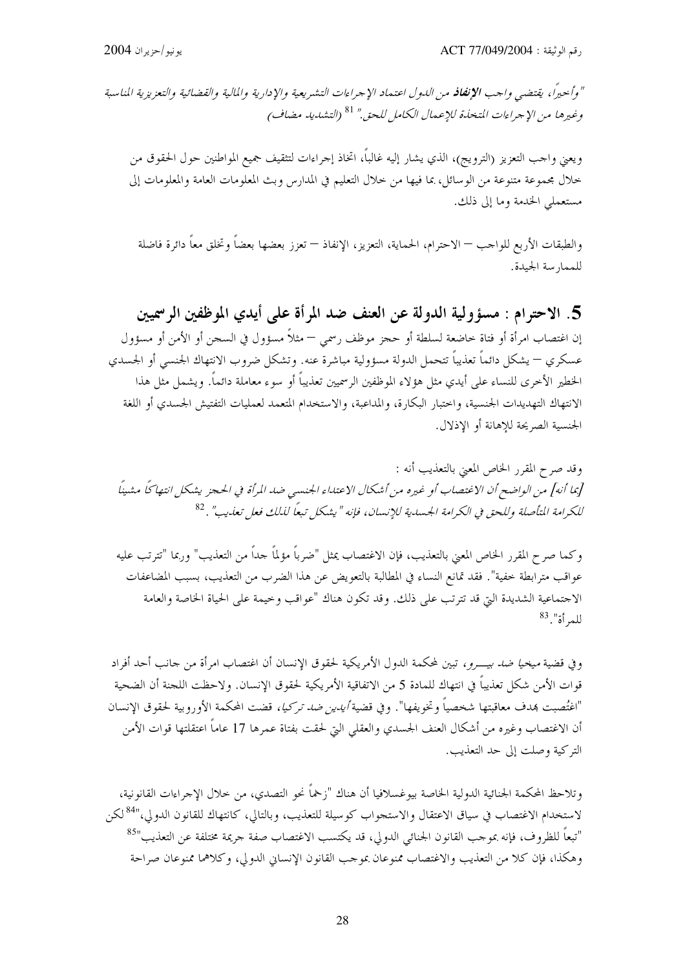" وأحيراً، يقتضي واحب **الإنفاذ** من الدول اعتماد الإجراءات التشريعية والإدارية والمالية والقضائية والتعزيزية المناسبة وغيرها من الإجراءات المتخلِّدة للإعمال الكامل للحق." <sup>81</sup> (التشديد مضاف)

ويعني واحب التعزيز (الترويج)، الذي يشار إليه غالباً، اتخاذ إجراءات لتثقيف جميع المواطنين حول الحقوق من خلال مجموعة متنوعة من الوسائل، بما فيها من خلال التعليم في المدارس وبث المعلومات العامة والمعلومات إلى مستعملي الخدمة وما إلى ذلك.

والطبقات الأربع للواحب — الاحترام، الحماية، التعزيز، الإنفاذ — تعزز بعضها بعضاً وتخلق معاً دائرة فاضلة للممارسة الجيدة.

5. الاحترام : مسؤولية الدولة عن العنف ضد المرأة على أيدي الموظفين الرسميين إن اغتصاب امرأة أو فتاة حاضعة لسلطة أو حجز موظف رسمي — مثلاً مسؤول في السجن أو الأمن أو مسؤول عسكري — يشكل دائماً تعذيباً تتحمل الدولة مسؤولية مباشرة عنه. وتشكل ضروب الانتهاك الجنسبي أو الجسدي الخطير الأخرى للنساء على أيدي مثل هؤلاء الموظفين الرسميين تعذيباً أو سوء معاملة دائماً. ويشمل مثل هذا الانتهاك التهديدات الجنسية، واحتبار البكارة، والمداعبة، والاستخدام المتعمد لعمليات التفتيش الجسدي أو اللغة الجنسية الصريحة للاهانة أو الاذلال.

وقد صرح المقرر الخاص المعنى بالتعذيب أنه : [بما أنه] من الواضح أن الاغتصاب أو غيره من أشكال الاعتداء الجنسبي ضد المرأة في الحجز يشكل انتهاكًا مشينًا للكرامة المتأصلة وللحق في الكرامة الجسدية للإنسان، فإنه "يشكل تبعاً لذلك فعل تعذيب" . 82

وكما صرح المقرر الخاص المعنى بالتعذيب، فإن الاغتصاب يمثل "ضرباً مؤلماً حداً من التعذيب" وربما "تترتب عليه عواقب مترابطة خفية". فقد تمانع النساء في المطالبة بالتعويض عن هذا الضرب من التعذيب، بسبب المضاعفات الاحتماعية الشديدة التي قد تترتب على ذلك. وقد تكون هناك "عواقب وخيمة على الحياة الخاصة والعامة للعرأة". <sup>83</sup>

و في قضية *ميخيا ضد بيــــرو ،* تبين لمحكمة الدول الأمريكية لحقوق الإنسان أن اغتصاب امرأة من حانب أحد أفراد قوات الأمن شكل تعذيباً في انتهاك للمادة 5 من الاتفاقية الأمريكية لحقوق الإنسان. ولاحظت اللجنة أن الضحية "اغتُصبت بمدف معاقبتها شخصياً وتخويفها". وفي قضية *أيدين ضد تركيا،* قضت المحكمة الأوروبية لحقوق الإنسان أن الاغتصاب وغيره من أشكال العنف الجسدي والعقلبي البيّ لحقت بفتاة عمرها 17 عاماً اعتقلتها قوات الأمن التركية وصلت إلى حد التعذيب.

وتلاحظ المحكمة الجنائية الدولية الخاصة بيوغسلافيا أن هناك "زخماً نحو التصدي، من حلال الإجراءات القانونية، لاستخدام الاغتصاب في سياق الاعتقال والاستجواب كوسيلة للتعذيب، وبالتالي، كانتهاك للقانون الدولي،"<sup>84</sup> لكن "تبعاً للظروف، فإنه بموجب القانون الجنائبي الدولي، قد يكتسب الاغتصاب صفة جريمة مختلفة عن التعذيب"<sup>85</sup> وهكذا، فإن كلا من التعذيب والاغتصاب ممنوعان بموحب القانون الإنساني الدولي، وكلاهما ممنوعان صراحة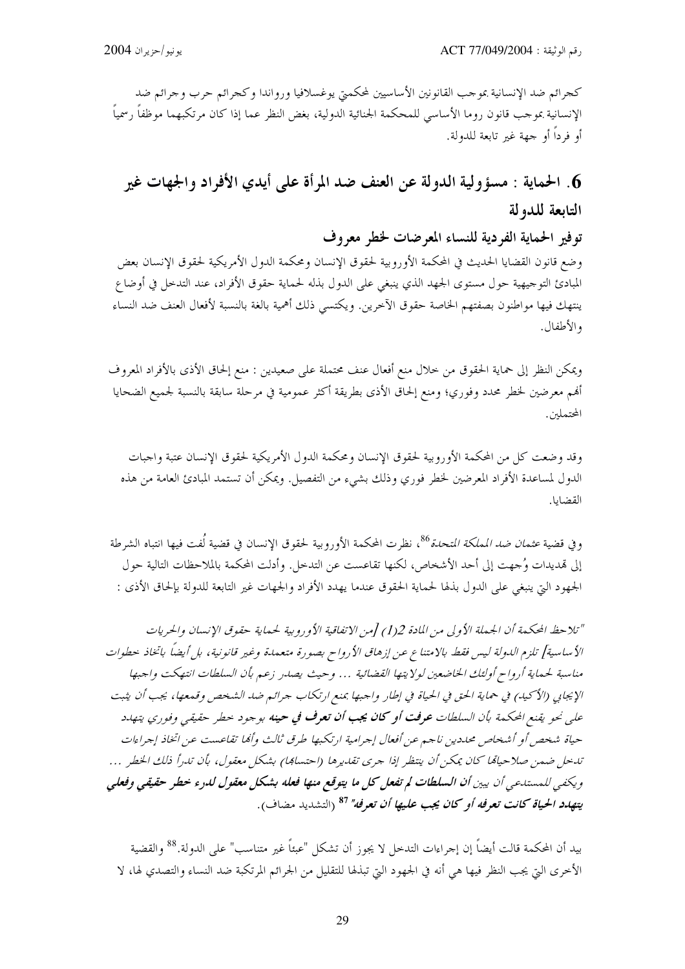كجرائم ضد الإنسانية بموحب القانونين الأساسيين لمحكمتي يوغسلافيا ورواندا وكجرائم حرب وحرائم ضد الإنسانية بموجب قانون روما الأساسى للمحكمة الجنائية الدولية، بغض النظر عما إذا كان مرتكبهما موظفاً رسمياً أو فرداً أو جهة غير تابعة للدولة.

# 6. الحماية : مسؤولية الدولة عن العنف ضد المرأة على أيدي الأفراد والجهات غير التابعة للدولة

توفير الحماية الفردية للنساء المعرضات لخطر معروف

وضع قانون القضايا الحديث في المحكمة الأوروبية لحقوق الإنسان ومحكمة الدول الأمريكية لحقوق الإنسان بعض المبادئ التوجيهية حول مستوى الجهد الذي ينبغي على الدول بذله لحماية حقوق الأفراد، عند التدخل في أوضاع ينتهك فيها مواطنون بصفتهم الخاصة حقوق الآخرين. ويكتسى ذلك أهمية بالغة بالنسبة لأفعال العنف ضد النساء و الأطفال.

ويمكن النظر إلى حماية الحقوق من خلال منع أفعال عنف محتملة على صعيدين : منع إلحاق الأذى بالأفراد المعروف ألهم معرضين لخطر محدد وفوري؛ ومنع إلحاق الأذى بطريقة أكثر عمومية في مرحلة سابقة بالنسبة لجميع الضحايا المحتملين.

وقد وضعت كل من المحكمة الأوروبية لحقوق الإنسان ومحكمة الدول الأمريكية لحقوق الإنسان عتبة واجبات الدول لمساعدة الأفراد المعرضين لخطر فوري وذلك بشيء من التفصيل. ويمكن أن تستمد المبادئ العامة من هذه القضايا.

وفي قضية *عثمان ضد المملكة المتحدة<sup>86</sup>،* نظرت المحكمة الأوروبية لحقوق الإنسان في قضية لُفت فيها انتباه الشرطة إلى قمديدات وُجهت إلى أحد الأشخاص، لكنها تقاعست عن التدخل. وأدلت المحكمة بالملاحظات التالية حول الجهود التي ينبغي على الدول بذلها لحماية الحقوق عندما يهدد الأفراد والجهات غير التابعة للدولة بإلحاق الأذى :

"تلاحظ المحكمة أن الجملة الأولى من المادة 1(1) [من الاتفاقية الأوروبية لحماية حقوق الإنسان والحريات الأساسية] تلزم الدولة ليس فقط بالامتناع عن إزهاق الأرواح بصورة متعمدة وغير قانونية، بل أيضاً باتخاذ حطوات مناسبة لحماية أرواح أولئك الخاضعين لولايتها القضائية … وحيث يصدر زعم بأن السلطات انتهكت واحبها الإيجابي (الأكيد) في حماية الحق في الحياة في إطار واجبها بمنع ارتكاب جرائم ضد الشخص وقمعها، يجب أن يثبت على نحو يقنع المحكمة بأن السلطات **عرفت أو كان يجب أن تعرف في حينه** بوجود حطر حقيقي وفوري يتهاد حياة شخص أو أشخاص محددين ناجيم عن أفعال إجرامية ارتكبها طرق ثالث وأفها تقاعست عن اتخاذ إجراءات تدخل ضمن صلاحياةما كان يمكن أن ينتظر إذا جرى تقديرها (احتسابها) بشكل معقول، بأن تدرأ ذلك الخطر … ويكفي للمستدعي أن يبين أن السلطات لم تفعل كل ما يتوقع منها فعله بشكل معقول لدرء خطر حقيقي وفعلي يته*دد الحياة كانت تعرفه أو كان يجب عليها أن تعرفه" <sup>87</sup> (التشديد مضاف).* 

بيد أن المحكمة قالت أيضاً إن إجراءات التدحل لا يجوز أن تشكل "عبئاً غير متناسب" على الدولة.<sup>88</sup> والقضية الأخرى التي يجب النظر فيها هي أنه في الجهود التي تبذلها للتقليل من الجرائم المرتكبة ضد النساء والتصدي لها، لا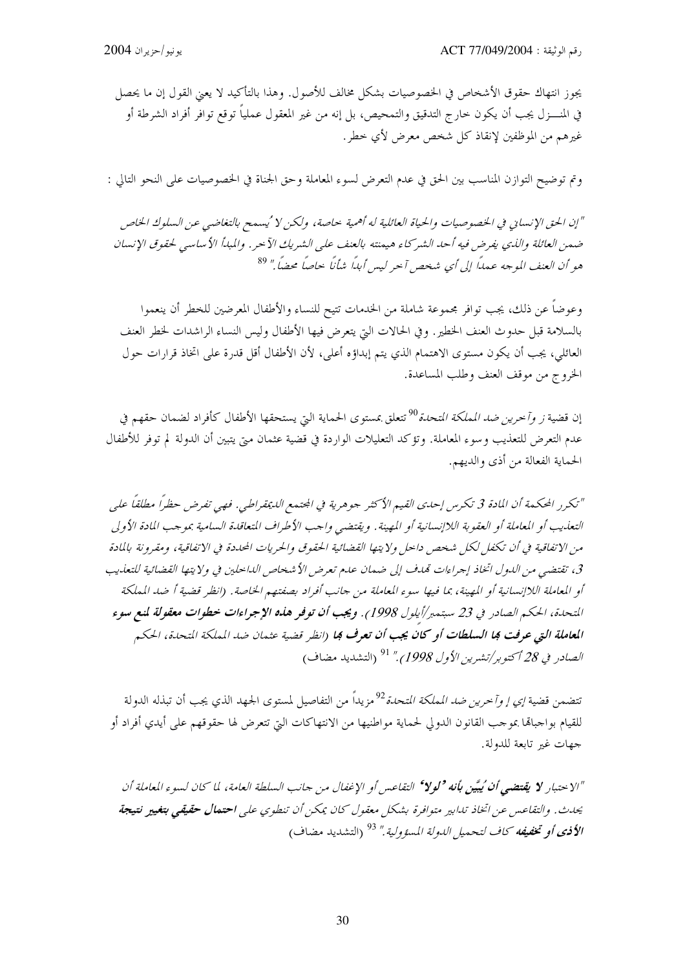يجوز انتهاك حقوق الأشخاص في الخصوصيات بشكل مخالف للأصول. وهذا بالتأكيد لا يعنى القول إن ما يحصل في المنــــزل يجب أن يكون حارج التدقيق والتمحيص، بل إنه من غير المعقول عملياً توقع توافر أفراد الشرطة أو غيرهم من الموظفين لإنقاذ كل شخص معرض لأي خطر.

وتم توضيح التوازن المناسب بين الحق في عدم التعرض لسوء المعاملة وحق الجناة في الخصوصيات على النحو التالي :

"إن الحق الإنساني في الخصوصيات والحياة العائلية له أهمية حاصة، ولكن لا ُيسمح بالتغاضبي عن السلوك الخاص ضمن العائلة والذي يفرض فيه أحد الشركاء هيمنته بالعنف على الشريك الآحر. والمبدأ الأساسي لحقوق الإنسان هو أن العنف الموجه عمداً إلى أي شخص آخر ليس أبداً شأناً خاصاً محضاً." <sup>89</sup>

وعوضاً عن ذلك، يجب توافر مجموعة شاملة من الخدمات تتيح للنساء والأطفال المعرضين للخطر أن ينعموا بالسلامة قبل حدوث العنف الخطير. وفي الحالات التي يتعرض فيها الأطفال وليس النساء الراشدات لخطر العنف العائلي، يجب أن يكون مستوى الاهتمام الذي يتم إبداؤه أعلى، لأن الأطفال أقل قدرة على اتخاذ قرارات حول الخروج من موقف العنف وطلب المساعدة.

إن قضية *ز وآخرين ضد المملكة المتحدة<sup>90</sup> ت*تعلق بمستوى الحماية التي يستحقها الأطفال كأفراد لضمان حقهم في عدم التعرض للتعذيب وسوء المعاملة. وتؤكد التعليلات الواردة في قضية عثمان متى يتبين أن الدولة لم توفر للأطفال الحماية الفعالة من أذى والديهم.

"تكرر المحكمة أن المادة 3 تكرس إحدى القيم الأكثر جوهرية في المحتمع الديمقراطي. فهي تفرض حظراً مطلقاً على التعاريب أو المعاملة أو العقوبة اللاإنسانية أو المهينة. ويقتضيي واحب الأطراف المتعاقدة السامية بموحب المادة الأولى من الاتفاقية في أن تكفل لكل شخص داخل ولايتها القضائية الحقوق والحريات المحددة في الاتفاقية، ومقرونة بالمادة 3، تقتضى من الدول اتخاذ إجراءات تمدف إلى ضمان عدم تعرض الأشخاص الداخلين في ولايتها القضائية للتعذيب أو المعاملة اللاإنسانية أو المهينة، بما فيها سوء المعاملة من جانب أفراد بصفتهم الخاصة. (انظر قضية أ ضد المملكة التحدة، الحكم الصادر في 23 سبتمبر/أيلول 1998). ويجب أن توفر هذه الإجراءات خطوات معقولة لمنع سوء ا**لمعاملة التي عرفت كها السلطات أو كان يجب أن تعرف كها (**انظر قضية عثمان ضد المملكة المتحدة، الحكم *الصادر في 28 أكتو بر/تشرين الأول 1998)."* <sup>91</sup> (التشديد مضاف)

تتضمن قضية *إي إ وآخرين ضد المملكة المتحدة <sup>92</sup> م*زيداً من التفاصيل لمستوى الجهد الذي يجب أن تبذله الدولة للقيام بواجبالها بموجب القانون الدولي لحماية مواطنيها من الانتهاكات التي تتعرض لها حقوقهم على أيدي أفراد أو جهات غير تابعة للدولة.

"الاحتبار **لا يقتضبي أن ُيبَيّن بأنه <sup>و</sup>لولا<sup>ء</sup> ا**لتفاعس أو الإغفال من حانب السلطة العامة، لما كان لسوء المعاملة أن يحدث. والتفاعس عن اتخاذ تدابير متوافرة بشكل معقول كان يمكن أن تنطوي على **احتمال حقيقيي بتغيير نتيجة** ا**لأذي أو تخفيفه** كاف لتحميل الدولة المسؤولية ." <sup>93</sup> (التشديد مضاف)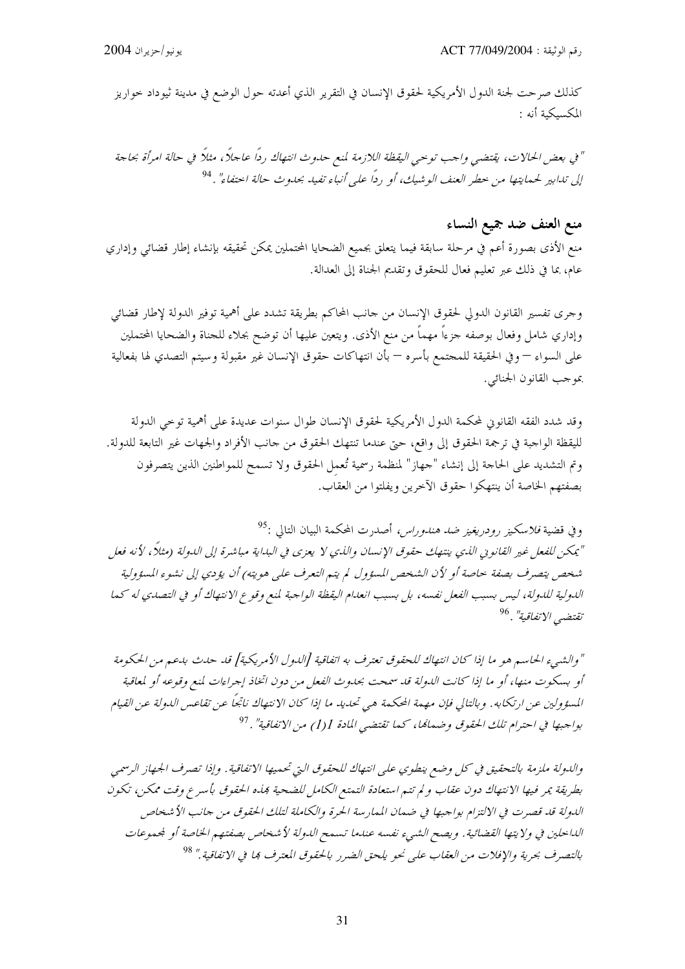كذلك صرحت لجنة الدول الأمريكية لحقوق الإنسان في التقرير الذي أعدته حول الوضع في مدينة ثيوداد حواريز المكسىكىة أنه :

" في بعض الحالات، يقتضي واحب توحي اليقظة اللازمة لمنع حدوث انتهاك رداً عاجلاً، مثلاً في حالة امرأة بحاجة إلى تدابير لحمايتها من حطر العنف الوشيك، أو رداً على أنباء تفيد بحدوث حالة احتفاء" . <sup>94</sup>

## منع العنف ضد جميع النساء

منع الأذى بصورة أعم في مرحلة سابقة فيما يتعلق بجميع الضحايا المحتملين يمكن تحقيقه بإنشاء إطار قضائي وإداري عام، بما في ذلك عبر تعليم فعال للحقوق وتقديم الجناة إلى العدالة.

وجرى تفسير القانون الدولي لحقوق الإنسان من حانب المحاكم بطريقة تشدد على أهمية توفير الدولة لإطار قضائي وإداري شامل وفعال بوصفه جزءاً مهماً من منع الأذى. ويتعين عليها أن توضح بجلاء للجناة والضحايا المحتملين على السواء — وفي الحقيقة للمجتمع بأسره — بأن انتهاكات حقوق الإنسان غير مقبولة وسيتم التصدي لها بفعالية بموجب القانون الجنائبي.

وقد شدد الفقه القانوين لمحكمة الدول الأمريكية لحقوق الإنسان طوال سنوات عديدة على أهمية توحى الدولة لليقظة الواجبة في ترجمة الحقوق إلى واقع، حتى عندما تنتهك الحقوق من حانب الأفراد والجهات غير التابعة للدولة. وتم التشديد على الحاحة إلى إنشاء "حهاز" لمنظمة رسمية تُعمل الحقوق ولا تسمح للمواطنين الذين يتصرفون بصفتهم الخاصة أن ينتهكوا حقوق الآخرين ويفلتوا من العقاب.

وفي قضية *فلاسكيز رودريغيز ضد هندوراس*، أصد<sub>ا</sub>ت المحكمة البيان التالي :<sup>95</sup> "يمكن للفعل غير القانوني اللدي ينتهك حقوق الإنسان واللدي لا يعزى في البداية مباشرة إلى الدولة (مثلاً، لأنه فعل شخص يتصرف بصفة حاصة أو لأن الشخص المسؤول لم يتم التعرف على هويته) أن يؤدي إلى نشوء المسؤولية الدولية للدولة، ليس بسبب الفعل نفسه، بل بسبب انعدام اليقظة الواجبة لمنع وقوع الانتهاك أو في التصدي له كما تقتضي الاتفاقية" .<sup>96</sup>

" والشهيء الحاسم هو ما إذا كان انتهاك للحقوق تعترف به اتفاقية [اللهول الأمريكية] قد حدث بدعم من الحكومة أو بسكوت منها، أو ما إذا كانت اللهولة قد سمحت بحدوث الفعل من دون اتخاذ إجراءات لمنع وقوعه أو لمعاقبة المسؤولين عن ارتكابه. وبالتالي فإن مهمة المحكمة هي تحديد ما إذا كان الانتهاك ناتجاً عن تقاعس الدولة عن القيام بواجبها في احترام تلك الحقوق وضمامًا، كما تقتضي المادة 1(1) من الاتفاقية" . <sup>97</sup>

والدولة ملزمة بالتحقيق في كل وضع ينطوي على انتهاك للحقوق التي تحميها الاتفاقية . وإذا تصرف الجهاز الرسمي بطريقة يمر فيها الانتهاك دون عقاب ولم تتم استعادة التمتع الكامل للضحية بمذه الحقوق بأسرع وقت ممكن، تكون الدولة قد قصرت في الالتزام بواجبها في ضمان الممارسة الحرة والكاملة لتلك الحقوق من حانب الأشخاص الداخلين في ولا يتها القضائية . ويصح الشيء نفسه عندما تسمح الدولة لأ شخاص بصفتهم الخاصة أو لجموعات بالتصرف بحرية والإفلات من العقاب على نحو يلحق الضرر بالحقوق المعترف ها في الاتفاقية." <sup>98</sup>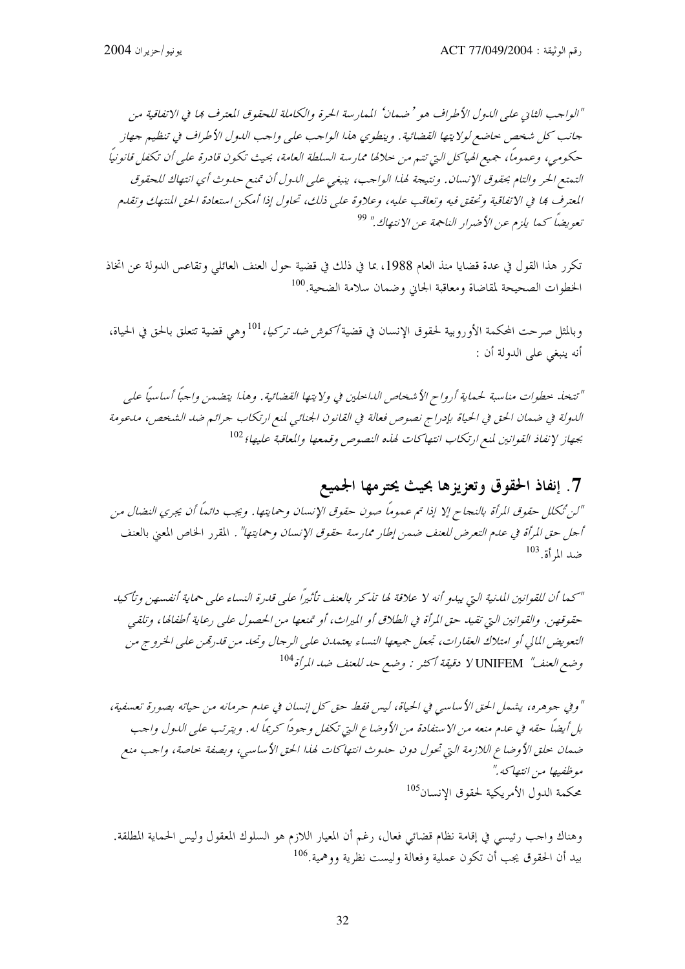"الواجب الثاني على الدول الأطراف هو ' ضمان' الممارسة الحرة والكاملة للحقوق المعترف بما في الاتفاقية من جانب كل شخص حاضع لولايتها القضائية . وينطوي هذا الواحب على واحب الدول الأطراف في تنظيم جهاز حكومي، وعموماً، جميع الهياكل التي تتم من حلالها ممارسة السلطة العامة، بحيث تكون قادرة على أن تكفل قانونياً التمتع الحر والتام بحقوق الإنسان. ونتيجة لهذا الواجب، ينبغي على الدول أن تمنع حدوث أي انتهاك للحقوق المعترف بما في الاتفاقية وتحقق فيه وتعاقب عليه، وعلاوة على ذلك، تحاول إذا أمكن استعادة الحق المنتهك وتقدم تعويضاً كما يلزم عن الأضرار الناجمة عن الانتهاك." <sup>99</sup>

تكرر هذا القول في عدة قضايا منذ العام 1988، بما في ذلك في قضية حول العنف العائلي وتقاعس الدولة عن اتخاذ الخطوات الصحيحة لمقاضاة ومعاقبة الجاني وضمان سلامة الضحية.<sup>100</sup>

وبالمثل صرحت المحكمة الأوروبية لحقوق الإنسان في قضية *أكوش ضد تركيا،* <sup>101</sup>وهي قضية تتعلق بالحق في الحياة، أنه ينبغي على الدولة أن :

" تتخله حطوات مناسبة لحيماية أ<sub>ر</sub>واح الأشخاص الداخلين في ولا يتها القضائية . وهذا يتضهين واجباً أساسياً علي اللدولة في ضمان الحق في الحياة بإدراج نصوص فعالة في القانون الجنائي لمنع ارتكاب جرائم ضد الشخص، ملحومة بجهاز لإنفاذ القوانين لمنع ارتكاب انتهاكات لهذه النصوص وقمعها والمعاقبة عليها؛ <sup>102</sup>

# 7. إنفاذ الحقوق وتعزيزها بحيث يحترمها الجميع

"لن تُكلل حقوق المرأة بالنجاح إلا إذا تم عموماً صون حقوق الإنسان وحمايتها. ويجب دائماً أن يجري النضال من أجل حق المرأة في عدم التعرض للعنف ضمن إطار ممارسة حقوق الإنسان وحمايتها" . المقرر الخاص المعني بالعنف  $^{103}$ ضد الم أة.

"كما أن للقوانين المدنية التي يبدو أنه لا علاقة لها تذكر بالعنف تأثيراً على قدرة النساء على حماية أنفسهن وتأكيد حقوقهن. والقوانين التي تقيد حق المرأة في الطلاق أو الميراث، أو تمنعها من الحصول على رعاية أطفالها، وتلقى التعويض المالي أو امتلاك العقارات، تجعل جميعها النساء يعتمدن على الرجال وتحد من قدرتمن على الخروج من وضع العنف" UNIFEM لا دقيقة أكثر : وضع حد للعنف ضد المرأة <sup>104</sup>

" وفي جوهره، يشمل الحق الأساسي في الحياة، ليس فقط حق كل إنسان في علىم حرمانه من حياته بصورة تعسفية، بل أيضاً حقه في علـم منعه من الاستفادة من الأوضاع التي تكفل وحوداً كريماً له. ويترتب على اللـول واحب ضمان حلق الأوضاع اللازمة التي تحول دون حدوث انتهاكات لهذا الحق الأساسي، وبصفة حاصة، واحب منع موظفيها من انتهاكه ." محكمة الدول الأمريكية لحقوق الإنسان<sup>105</sup>

وهناك واحب رئيسي في إقامة نظام قضائي فعال، رغم أن المعيار اللازم هو السلوك المعقول وليس الحماية المطلقة. بيد أن الحقوق يجب أن تكون عملية وفعالة وليست نظرية ووهمية.<sup>106</sup>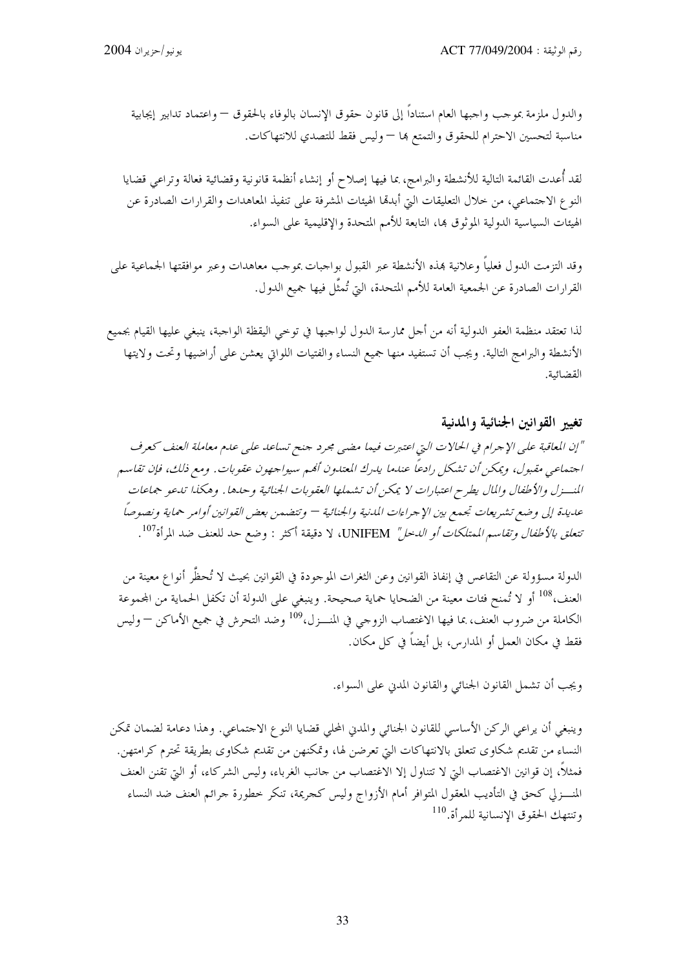والدول ملزمة بموجب واجبها العام استناداً إلى قانون حقوق الإنسان بالوفاء بالحقوق — واعتماد تدابير إيجابية مناسبة لتحسين الاحترام للحقوق والتمتع ها – وليس فقط للتصدي للانتهاكات.

لقد أُعدت القائمة التالية للأنشطة والبرامج، بما فيها إصلاح أو إنشاء أنظمة قانونية وقضائية فعالة وتراعى قضايا النوع الاجتماعي، من حلال التعليقات التي أبدها الهيئات المشرفة على تنفيذ المعاهدات والقرارات الصادرة عن الهيئات السياسية الدولية الموثوق بما، التابعة للأمم المتحدة والإقليمية على السواء.

وقد التزمت الدول فعلياً وعلانية بمذه الأنشطة عبر القبول بواجبات بموحب معاهدات وعبر موافقتها الجماعية على القرارات الصادرة عن الجمعية العامة للأمم المتحدة، التي تُمثَّل فيها جميع الدول.

لذا تعتقد منظمة العفو الدولية أنه من أحل ممارسة الدول لواجبها في توخي اليقظة الواجبة، ينبغي عليها القيام بجميع الأنشطة والبرامج التالية. ويجب أن تستفيد منها جميع النساء والفتيات اللواتي يعشن على أراضيها وتحت ولايتها القضائية.

### تغيير القوانين الجنائية والمدنية

"إن المعاقبة على الإجرام في الحالات التي اعتبرت فيما مضي مجرد جنح تساعد على عدم معاملة العنف كعرف اجتماعي مقبول، ويمكن أن تشكل رادعاً عندما يدرك المعتدون ألهم سيواجهون عقوبات. ومع ذلك، فإن تقاسم المنسزل والأطفال والمال يطرح اعتبارات لا يمكن أن تشملها العقوبات الجنائية وحدها . وهكذا تدعو جماعات عديدة إلى وضع تشريعات تجمع بين الإجراءات المدنية والجنائية — وتتضمن بعض القوانين أوامر حماية ونصوصاً تتع*لق بالأطفال وتقاسم الممتلكات أو الدخل"* UNIFEM، لا دقيقة أكثر : وضع حد للعنف ضد المرأة<sup>107</sup>.

الدولة مسؤولة عن التقاعس في إنفاذ القوانين وعن الثغرات الموحودة في القوانين بحيث لا تُحظَّر أنواع معينة من العنف،<sup>108</sup> أو لا تُمنح فئات معينة من الضحايا حماية صحيحة. وينبغي على الدولة أن تكفل الحماية من المحموعة الكاملة من ضروب العنف، بما فيها الاغتصاب الزوجي في المنـــزل،<sup>109</sup> وضد التحرش في جميع الأماكن — وليس فقط في مكان العمل أو المدارس، بل أيضاً في كل مكان.

ويجب أن تشمل القانون الجنائبي والقانون المدين على السواء.

وينبغي أن يراعى الركن الأساسي للقانون الجنائي والمدني المحلي قضايا النوع الاحتماعي. وهذا دعامة لضمان تمكن النساء من تقديم شكاوى تتعلق بالانتهاكات التي تعرضن لها، وتمكنهن من تقديم شكاوى بطريقة تحترم كرامتهن. فمثلاً، إن قوانين الاغتصاب التي لا تتناول إلا الاغتصاب من حانب الغرباء، وليس الشركاء، أو التي تقنن العنف المنــــزلي كحق في التأديب المعقول المتوافر أمام الأزواج وليس كجريمة، تنكر خطورة جرائم العنف ضد النساء وتنتهك الحقوق الإنسانية للمرأة.<sup>110</sup>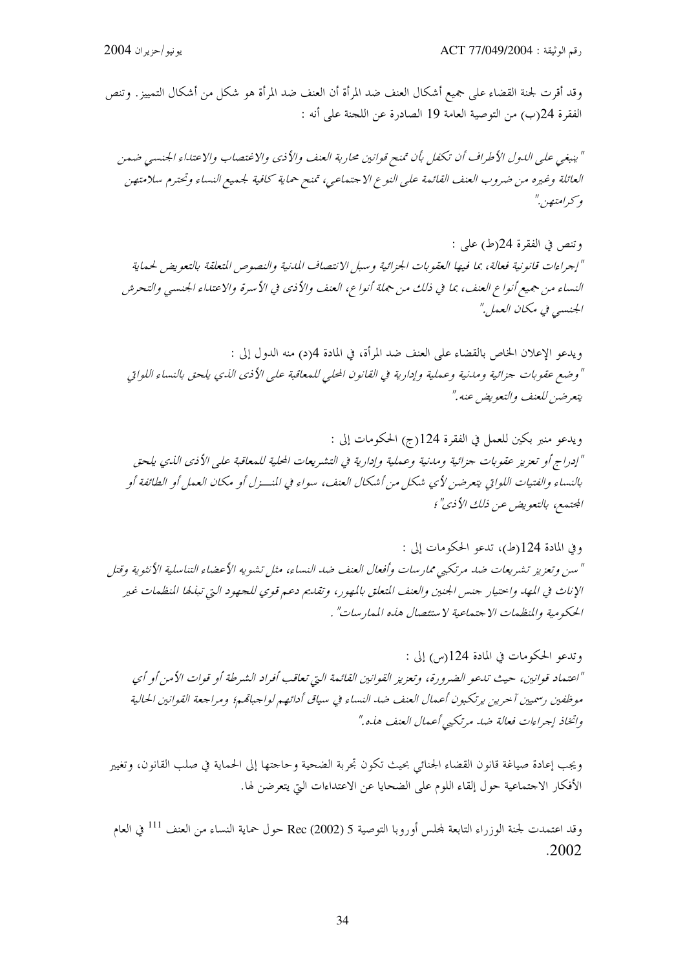وقد أقرت لجنة القضاء على جميع أشكال العنف ضد المرأة أن العنف ضد المرأة هو شكل من أشكال التمييز. وتنص الفقرة 24(ب) من التوصية العامة 19 الصادرة عن اللحنة على أنه :

" ينبغي على الدول الأطراف أن تكفل بأن تمنح قوانين محاربة العنف والأذي والاغتصاب والاعتداء الجنسي ضمن العائلة وغيره من ضروب العنف القائمة على النوع الاجتماعي، تمنح حماية كافية لجميع النساء وتحترم سلامتهن وكبرامتصن."

وتنص في الفقرة 24(ط) على : "إجراءات قانونية فعالة، بما فيها العقوبات الجزائية وسبل الانتصاف المدنية والنصوص المتعلقة بالتعويض لحماية النساء من جميع أنواع العنف، بما في ذلك من جهلة أنواع، العنف والأذي في الأسرة والاعتداء الجنسبي والتحرش الجنسي في مكان العمل"

ويدعو الإعلان الخاص بالقضاء على العنف ضد المرأة، في المادة 4(د) منه الدول إلى : " وضع عقوبات جزائية ومدنية وعملية وإدارية في القانون الحلي للمعاقبة على الأذي الذي يلحق بالنساء اللواتي يتعرضين للعنف والتعويض عنه ."

ويدعو منبر بكين للعمل في الفقرة 124(ج) الحكومات إلى : "إدراج أو تعزيز عقوبات جزائية ومدنية وعملية وإدارية في التشيريعات المحلية للمعاقبة على الأذي الذي يلحق بالنساء والفتيات اللواتي يتعرضين لأي شكل من أشكال العنف، سواء في المنسزل أو مكان العمل أو الطائفة أو المحتمع، بالتعويض عن ذلك الأذي"؛

وفي المادة 124(ط)، تدعو الحكومات إلى : " سن وتعزيز تشريعات ضد مرتكبي ممارسات وأفعال العنف ضد النساء، مثل تشويه الأعضاء التناسلية الأنثوية وقتل الإناث في المهد واحتيار جنس الجنين والعنف المتعلق بالمهور ، وتقليم دعيم قوي للجهود التي تبليطا المنظمات غير الحكومية والمنظهات الاجتماعية لاستئصال هذه الممارسات" .

وتدعو الحكومات في المادة 124(س) إلى : "اعتماد قوانين، حيث تدعو الضرورة، وتعزيز القوانين القائمة التي تعاقب أفراد الشرطة أو قوات الأمن أو أي موظفين رسميين آحرين يرتكبون أعمال العنف ضد النساء في سياق أدائهم لواجباقمم؛ ومراجعة القوانين الحالية واتخاذ إجراءات فعالة ضد مرتكبي أعمال العنف هذه."

ويجب إعادة صياغة قانون القضاء الجنائى بحيث تكون تجربة الضحية وحاحتها إلى الحماية في صلب القانون، وتغيير الأفكار الاجتماعية حول إلقاء اللوم على الضحايا عن الاعتداءات التي يتعرضن لها.

وقد اعتمدت لجنة الوزراء التابعة لمجلس أوروبا التوصية 5 (2002) Rec حول حماية النساء من العنف <sup>111</sup> في العام  $.2002$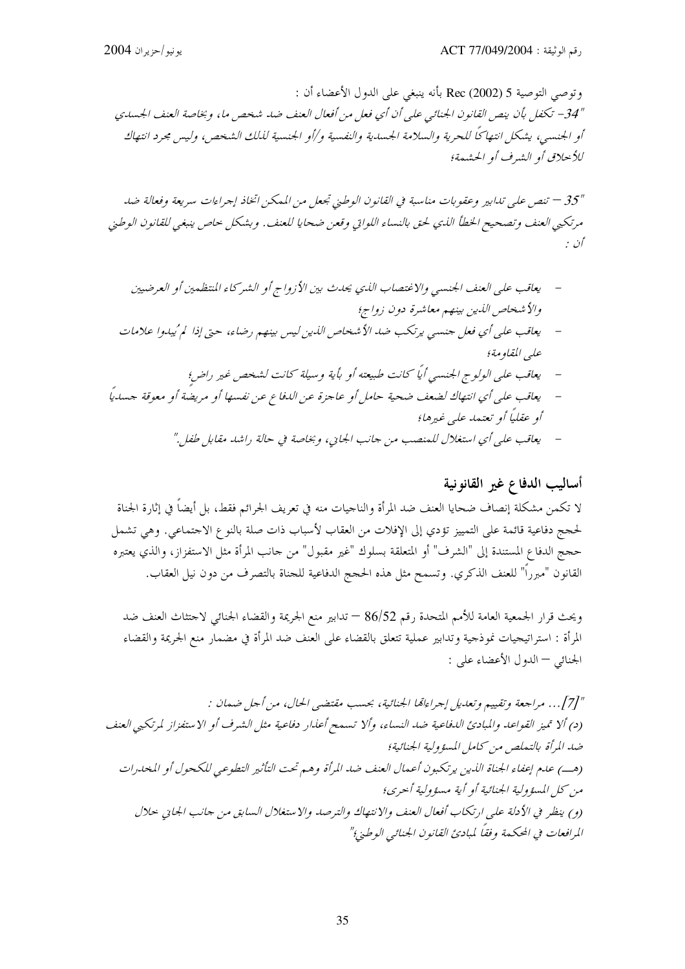وتوصى التوصية 5 (Rec (2002 بأنه ينبغي على الدول الأعضاء أن : "34 – تكفل بأن ينص القانون الجنائبي على أن أي فعل من أفعال العنف ضد شخص ما، وبخاصة العنف الجسدي أو الجنسبي، يشكل انتهاكًا للحرية والسلامة الجسدية والنفسية و/أو الجنسية لللك الشخص، وليس مجرد انتهاك للأحلاق أو الشيرف أو الحشيعة؛

"35 — تنص على تلدابير وعقوبات مناسبة في القانون الوطني تجعل من الممكن اتخاذ إجراءات سريعة وفعالة ضد مرتكبي العنف وتصحيح الخطأ الذي لحق بالنساء اللواتي وقعن ضحايا للعنف. وبشكل حاص ينبغي للقانون الوطني أن :

- يعاقب على العنف الجنسبي والاغتصاب اللدي يحدث بين الأزواج أو الشير كاء المنتظهين أو العرضيين والأشخاص الذين بينهم معاشرة دون زواج؛ يعاقب على أي فعل جنسي يرتكب ضد الأشخاص الذين ليس بينهم رضاء، حتى إذا لم ُيبدوا علامات علي المقاومة؛ يعاقب على الولوج الجنسبي أياً كانت طبيعته أو بأية وسيلة كانت لشخص غير راض؛ يعاقب على أي انتهاك لضعف ضحية حامل أو عاجزة عن الدفاع عن نفسها أو مريضة أو معوقة جسدياً اًو عقلياً أو تعتم*ها علي غيرها؛* 
	- يعاقب على أي استغلال للمنصب من جانب الجايي، وبخاصة في حالة راشد مقابل طفل."

### أساليب الدفاع غير القانونية

لا تكمن مشكلة إنصاف ضحايا العنف ضد المرأة والناجيات منه في تعريف الجرائم فقط، بل أيضاً في إثارة الجناة لحجج دفاعية قائمة على التمييز تؤدي إلى الإفلات من العقاب لأسباب ذات صلة بالنوع الاحتماعي. وهي تشمل حجج الدفاع المستندة إلى "الشرف" أو المتعلقة بسلوك "غير مقبول" من حانب المرأة مثل الاستفزاز، والذي يعتبره القانون "مبرراً" للعنف الذكري. وتسمح مثل هذه الحجج الدفاعية للجناة بالتصرف من دون نيل العقاب.

ويحث قرار الجمعية العامة للأمم المتحدة رقم 86/52 — تدابير منع الجريمة والقضاء الجنائي لاحتثاث العنف ضد المرأة : استراتيجيات نموذجية وتدابير عملية تتعلق بالقضاء على العنف ضد المرأة في مضمار منع الجريمة والقضاء الجنائبي — الدول الأعضاء على :

"[7]. . . مراجعة وتقييم وتعديل إجراءاتما الجنائية، بحسب مقتضى الحال، من أجل ضمان : (د) ألا تميز القواعد والمبادئ الدفاعية ضد النساء، وألا تسمح أعذار دفاعية مثل الشرف أو الاستفزاز لمرتكبي العنف ضد المرأة بالتملص من كامل المسؤولية الجنائية؛ (هب) علىم إعفاء الجناة الذين يرتكبون أعمال العنف ضد المرأة وهم تحت التأثير التطوعي للكحول أو المحدرات من كل المسؤ ولية الجنائية أو أية مسؤ ولية أحرى؛ (و) ينظر في الأدلة على ارتكاب أفعال العنف والانتهاك والترصد والاستغلال السابق من جانب الجايي حلال المرافعات في المحكمة وفقاً لمبادئ القانون الجنائبي الوطني؛"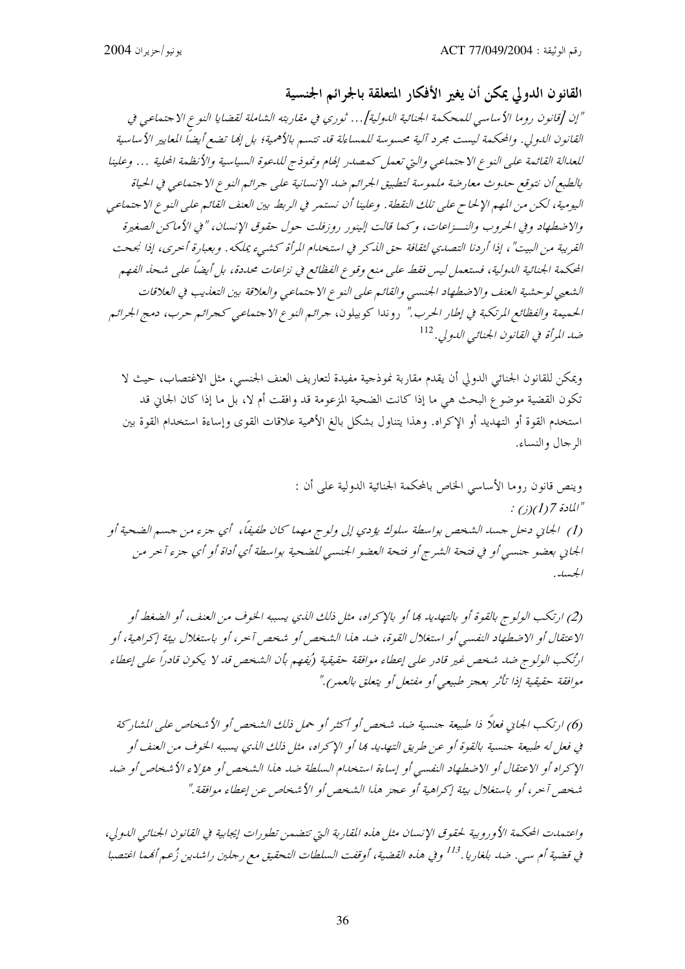القانون الدولي يمكن أن يغير الأفكار المتعلقة بالجرائم الجنسية "إن [قانون روما الأساسي للمحكمة الجنائية الدولية]... ثوري في مقاربته الشاملة لقضايا النوع الاجتماعي في القانون الدولي. والمحكمة ليست مجرد آلية محسوسة للمساءلة قد تتسم بالأهمية؛ بل إنما تضع أيضاً المعايير الأساسية للعدالة القائمة على النوع الاجتماعي والتي تعمل كمصدر إلهام ونموذج للدعوة السياسية والأنظمة الحلية … وعلينا بالطبع أن نتوقع حدوث معارضة ملموسة لتطبيق الجرائم ضد الإنسانية على جرائم النوع الاجتماعي في الحياة اليومية، لكن من المهم الإلحاح على تلك النقطة. وعلينا أن نستمر في الربط بين العنف القائم على النوع الاجتماعي والاضطهاد وفي الحروب والنسزاعات، وكمها قالت إلينور روزفلت حول حقوق الإنسان، " في الأماكن الصغيرة القريبة من البيت" ، إذا أردنا التصدي لثقافة حق الله كر في استخدام المرأة كشبيء يملكه . و بعبارة أحرى، إذا نجحت المحكمة الجنائية الدولية، فستعمل ليس فقط على منع وقوع الفظائع في نزاعات محددة، بل أيضاً على شحذ الفهم الشعبي لوحشية العنف والاضطهاد الجنسبي والقائم على النوع الاجتماعي والعلاقة بين التعليب في العلاقات الحميمة والفظائع المرتكبة في إطار الحرب." روندا كوبيلون، جرائم النوع الاجتماعي كجرائم حرب، دمج الجرائم ضد المرأة في القانون الجنائبي الدولي. <sup>112</sup>

ويمكن للقانون الجنائبي الدولي أن يقدم مقاربة نموذجية مفيدة لتعاريف العنف الجنسبي، مثل الاغتصاب، حيث لا تكون القضية موضوع البحث هي ما إذا كانت الضحية المزعومة قد وافقت أم لا، بل ما إذا كان الجاين قد استخدم القوة أو التهديد أو الإكراه. وهذا يتناول بشكل بالغ الأهمية علاقات القوى وإساءة استخدام القوة بين الرجال والنساء.

وينص قانون روما الأساسي الخاص بالمحكمة الجنائية الدولية على أن : المادة 1(1) $(1)$ ن  $\mu''$ (1) الجاني دخل جسد الشخص بواسطة سلوك يؤدي إلى ولوج مهما كان طفيفًا، أي جزء من جسم الضحية أو الجاني بعضو جنسي أو في فتحة الشرج أو فتحة العضو الجنسي للضحية بواسطة أي أداة أو أي جزء آحر من الجسلي.

(2) ارتكب الولوج بالقوة أو بالتهديد بما أو بالإكراه، مثل ذلك الذي يسببه الخوف من العنف، أو الضغط أو الاعتقال أو الاضطهاد النفسي أو استغلال القوة، ضد هذا الشخص أو شخص آخر، أو باستغلال بيئة إكراهية، أو ارْتُكب الولوج ضد شخص غير قادر على إعطاء موافقة حقيقية (يُفهم بأن الشخص قد لا يكون قادراً على إعطاء موافقة حقيقية إذا تأثر بعجز طبيعي أو مفتعل أو يتعلق بالعمر)."

(6) ارتكب الجايي فعلاً ذا طبيعة جنسية ضد شخص أو أكثر أو حمل ذلك الشخص أو الأشخاص على المشاركة في فعل له طبيعة جنسية بالقوة أو عن طريق التهديد بما أو الإكراه، مثل ذلك الذي يسببه الخوف من العنف أو الإكراه أو الاعتقال أو الاضطهاد النفسي أو إساءة استحدام السلطة ضد هذا الشخص أو هؤلاء الأشخاص أو ضد شخص آحر ، أو باستغلال بيئة إكراهية أو عجز هذا الشخص أو الأشخاص عن إعطاء موافقة."

واعتمدت المحكمة الأوروبية لحقوق الإنسان مثل هذه المقاربة التي تتضمن تطورات إيجابية في القانون الجنائبي الدولي، في قضية أم سي. ضد بلغاريا.<sup>113</sup> وفي هذه القضية، أوقفت السلطات التحقيق مع رجلين راشدين زُعم أمُما اغتصبا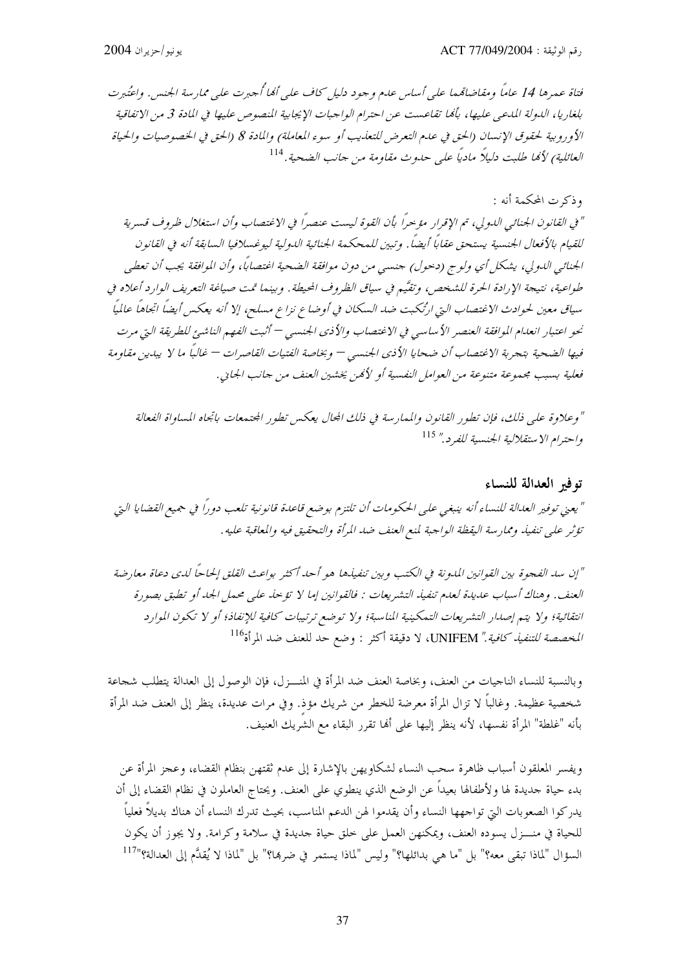فتاة عبيرها 14 عاماً ومقاضاتهما على أساس عدم وجود دليل كاف على أفيا أحبرت على ممارسة الجنيس. واعتُدرت بلغاريا، الدولة المدعبي عليها، بألها تقاعست عن احترام الواجبات الإيجابية المنصوص عليها في المادة 3 من الاتفاقية الأوروبية لحقوق الإنسان (الحق في علىم التعرض للتعذيب أو سوء المعاملة) والمادة 8 (الحق في الخصوصيات والحياة العائلية) لألها طلبت دليلاً ماديًا على حدوث مقاومة من حانب الضحية. <sup>114</sup>

وذكرت المحكمة أنه : " في القانون الجنائبي الدولي، تم الإقرار مؤجراً بأن القوة ليست عنصراً في الاغتصاب وأن استغلال ظروف قسرية للقيام بالأفعال الجنسية يستحق عقاباً أيضاً . وتبين للمحكمة الجنائية الدولية ليوغسلافيا السابقة أنه في القانون الجنائبي الدولي، يشكل أي ولو ج (دحول) جنسبي من دون موافقة الضحية اغتصاباً، وأن الموافقة يجب أن تعطبي طواعية، نتيجة الإرادة الحرة للشخص، وتقيَّم في سياق الظروف المحيطة. وبينما تمت صياغة التعريف الوارد أعلاه في سياق معين لحوادث الاغتصاب التي ارتُكبت ضد السكان في أوضاع نزاع مسلح، إلا أنه يعكس أيضاً اتجاهاً عالميًا نحو اعتبار انعدام الموافقة العنصر الأساسي في الاغتصاب والأذي الجنسي — أثبت الفهم الناشئ للطريقة التي مرت فيها الضحية بتجربة الاغتصاب أن ضحايا الأذى الجنسى — وبخاصة الفتيات القاصرات — غالباً ما لا يبدين مقاومة فعلية بسبب مجموعة متنوعة من العوامل النفسية أو لأمُن يخشين العنف من جانب الجايي.

" وعلاوة على ذلك، فإن تطور القانون والممارسة في ذلك الجال يعكس تطور الجتمعات باتجاه المساواة الفعالة واحترام الاستقلالية الجنسية للفرد." 115

### توفير العدالة للنساء

" يعني توفير العدالة للنساء أنه ينبغي على الحكومات أن تلتزم بوضع قاعدة قانونية تلعب دوراً في جميع القضايا التي تؤثر على تنفيذ وممارسة اليقظة الواحبة لمنع العنف ضد المرأة والتحقيق فيه والمعاقبة عليه .

"إن سد الفجوة بين القوانين المدونة في الكتب وبين تنفيذها هو أحد أكثر بواعث القلق إلحاحاً لدى دعاة معارضة العنف. وهناك أسباب عديدة لعدم تنفيذ التشريعات : فالقوانين إما لا تؤخذ على محمل الجد أو تطبق بصورة انتقائية؛ ولا يتم إصدار التشريعات التمكينية المناسبة؛ ولا توضع ترتيبات كافية للإنفاذ؛ أو لا تكون الموارد *المخصصة للتنفيذ كافية."* UNIFEM، لا دقيقة أكثر : وضع حد للعنف ضد المرأة<sup>116</sup>

وبالنسبة للنساء الناجيات من العنف، وبخاصة العنف ضد المرأة في المنـــزل، فإن الوصول إلى العدالة يتطلب شجاعة شخصية عظيمة. وغالباً لا تزال المرأة معرضة للخطر من شريك مؤذ. وفي مرات عديدة، ينظر إلى العنف ضد المرأة بأنه "غلطة" المرأة نفسها، لأنه ينظر إليها على ألها تقرر البقاء مع الشريك العنيف.

ويفسر المعلقون أسباب ظاهرة سحب النساء لشكاويهن بالإشارة إلى عدم ثقتهن بنظام القضاء، وعجز المرأة عن بدء حياة حديدة لها ولأطفالها بعيداً عن الوضع الذي ينطوي على العنف. ويحتاج العاملون في نظام القضاء إلى أن يدركوا الصعوبات التي تواجهها النساء وأن يقدموا لهن الدعم المناسب، بحيث تدرك النساء أن هناك بديلاً فعلياً للحياة في منـــزل يسوده العنف، ويمكنهن العمل على خلق حياة حديدة في سلامة وكرامة. ولا يجوز أن يكون السؤال "لماذا تبقى معه؟" بل "ما هي بدائلها؟" وليس "لماذا يستمر في ضرها؟" بل "لماذا لا يُقدَّم إلى العدالة؟"<sup>117</sup>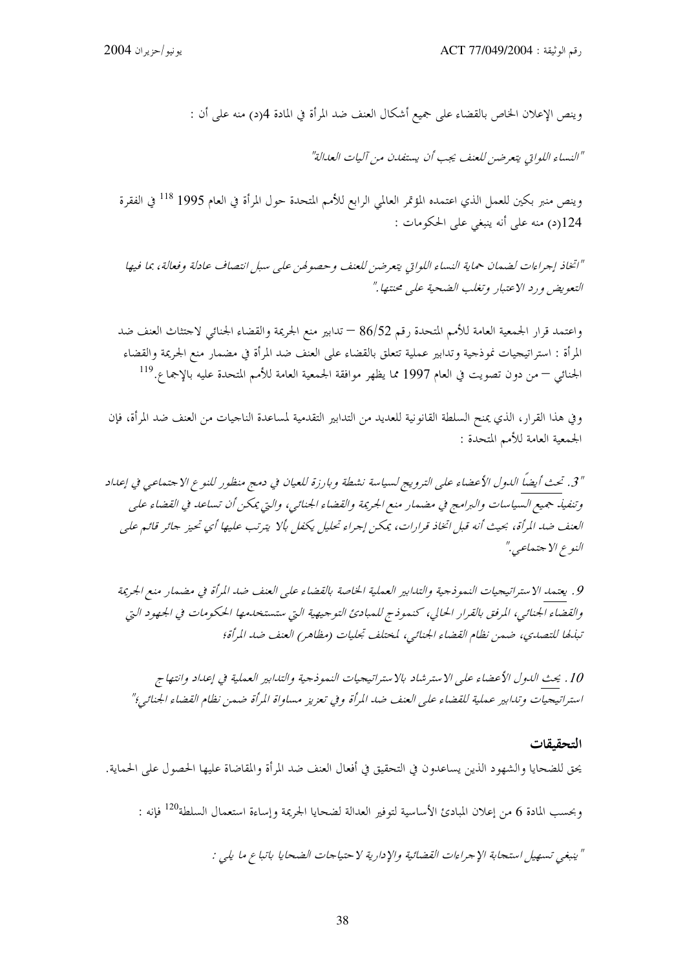وينص الإعلان الخاص بالقضاء على جميع أشكال العنف ضد المرأة في المادة 4(د) منه على أن :

"النساء اللواتي يتعرضن للعنف يجب أن يستفدن من آليات العدالة"

وينص منبر بكين للعمل الذي اعتمده المؤتمر العالمي الرابع للأمم المتحدة حول المرأة في العام 1995 <sup>118</sup> في الفقرة 124(د) منه على أنه ينبغي على الحكومات :

"اتخاذ إجراءات لضمان حماية النساء اللواتي يتعرضن للعنف وحصولهن على سبل انتصاف عادلة وفعالة، بما فيها التعويض ورد الاعتبار وتغلب الضحية على محنتها."

واعتمد قرار الجمعية العامة للأمم المتحدة رقم 86/52 — تدابير منع الجريمة والقضاء الجنائي لاحتثاث العنف ضد المرأة : استراتيجيات نموذجية وتدابير عملية تتعلق بالقضاء على العنف ضد المرأة في مضمار منع الجريمة والقضاء الجنائ<sub>ي</sub> — من دون تصويت في العام 1997 مما يظهر موافقة الجمعية العامة للأمم المتحدة عليه بالإجماع.<sup>119</sup>

وفي هذا القرار، الذي يمنح السلطة القانونية للعديد من التدابير التقدمية لمساعدة الناجيات من العنف ضد المرأة، فإن الجمعية العامة للأمم المتحدة :

" 3. تحث أيضاً الدول الأعضاء على الترويج لسياسة نشطة وبارزة للعيان في دمج منظور للنوع الاجتماعي في إعداد وتنفيذ جميع السياسات والبرامج في مضمار منع الجريمة والقضاء الجنائبي، والتي يمكن أن تساعد في القضاء على العنف ضد المرأة، بحيث أنه قبل اتخاذ قرارات، يمكن إجراء تحليل يكفل بألا يترتب عليها أي تحيز جائر قائم على النوع الاجتماعي."

9. يعتمد الاستراتيجيات النموذجية والتدابير العملية الخاصة بالقضاء على العنف ضد المرأة في مضمار منع الجريمة والقضاء الجنائبي، المرفق بالقرار الحالي، كنموذج للمبادئ التوجيهية التي ستستخدمها الحكومات في الجهود التي تبليطا للتصدي، ضمن نظام القضاء الجنائبي، لمختلف تجليات (مظاهر) العنف ضد المرأة؛

10 . يحث الدول الأعضاء على الاسترشاد بالاستراتيجيات النموذجية والتدابير العملية في إعداد وانتهاج استراتيجيات وتدابير عملية للقضاء على العنف ضد المرأة وفي تعزيز مساواة المرأة ضمن نظام القضاء الجنائبي؛"

#### التحقيقات

يحق للضحايا والشهود الذين يساعدون في التحقيق في أفعال العنف ضد المرأة والمقاضاة عليها الحصول على الحماية.

وبحسب المادة 6 من إعلان المبادئ الأساسية لتوفير العدالة لضحايا الجريمة وإساءة استعمال السلطة<sup>120</sup> فإنه :

" ينبغي تسهيل استجابة الإجراءات القضائية والإدارية لاحتياجات الضحايا باتباع ما يلي :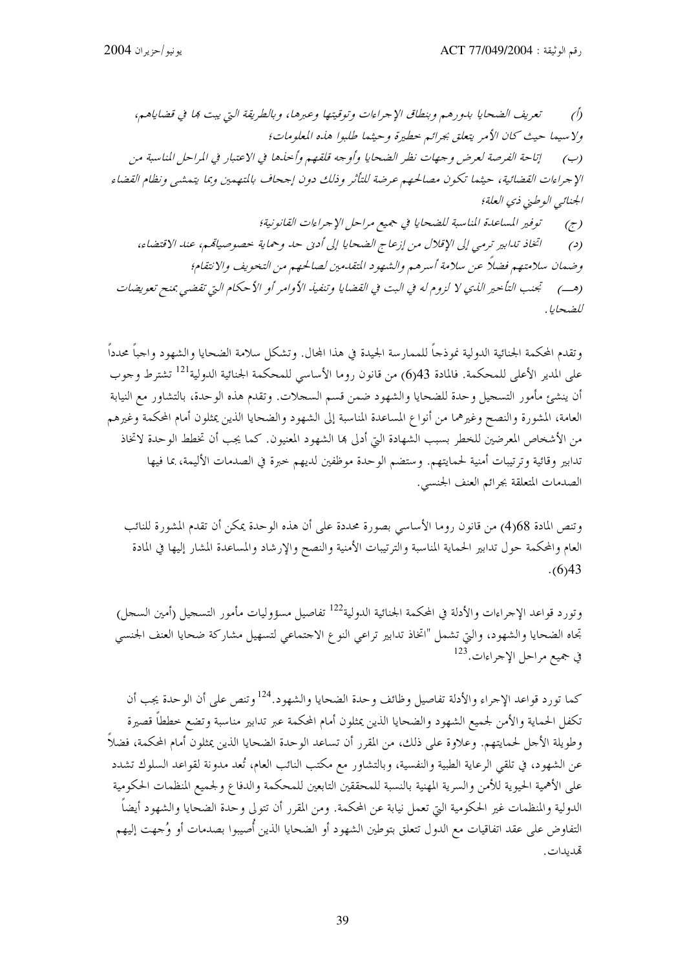تعريف الضحايا بدورهم وبنطاق الإجراءات وتوقيتها وعبرها، وبالطريقة التي ييت بما في قضاياهم،  $\sqrt{2}$ ولا سيما حيث كان الأمر يتعلق بجرائيم حطيرة وحيثيها طلبوا هذه المعلومات؛ إتاحة الفرصة لعرض وجهات نظر الضحايا وأوجه قلقهم وأحذها في الاعتبار في المراحل المناسبة من  $(\hookrightarrow)$ الإجراءات القضائية، حيثما تكون مصالحهم عرضة للتأثر وذلك دون إححاف بالمتهمين وبما يتمشى ونظام القضاء الجنائبي الوطني ذي العلة؛ توفير المساعدة المناسبة للضحايا في جميع مراحل الإحراءات القانونية؛  $(\tau)$ اتخاذ تدابير ترمي إلى الإقلال من إزعاج الضحايا إلى أدبى حد وحماية خصوصياتهم، عند الاقتضاء،  $\epsilon$ وضمان سلامتهم فضلاً عن سلامة أسرهم والشهود التقدمين لصالحهم من التخويف والانتقام؛ (هب) للجنب التأخير الذي لا لزوم له في البت في القضايا وتنفيذ الأوامر أو الأحكام التي تقضيي بمنح تعويضات للضحايا .

وتقدم المحكمة الجنائية الدولية نموذجاً للممارسة الجيدة في هذا المحال. وتشكل سلامة الضحايا والشهود واجباً محدداً على المدير الأعلى للمحكمة. فالمادة 43(6) من قانون روما الأساسي للمحكمة الجنائية الدولية<sup>121</sup> تشترط وجوب أن ينشئ مأمور التسجيل وحدة للضحايا والشهود ضمن قسم السجلات. وتقدم هذه الوحدة، بالتشاور مع النيابة العامة، المشورة والنصح وغيرهما من أنواع المساعدة المناسبة إلى الشهود والضحايا الذين يمثلون أمام المحكمة وغيرهم من الأشخاص المعرضين للخطر بسبب الشهادة التي أدلى ها الشهود المعنيون. كما يجب أن تخطط الوحدة لاتخاذ .<br>تدابير وقائية وترتيبات أمنية لحمايتهم. وستضم الوحدة موظفين لديهم حبرة في الصدمات الأليمة، بما فيها الصدمات المتعلقة بجرائم العنف الجنسبي.

وتنص المادة 68(4) من قانون روما الأساسي بصورة محددة على أن هذه الوحدة يمكن أن تقدم المشورة للنائب العام والمحكمة حول تدابير الحماية المناسبة والترتيبات الأمنية والنصح والإرشاد والمساعدة المشار إليها في المادة  $(6)43$ 

وتورد قواعد الإجراءات والأدلة في المحكمة الجنائية الدولية<sup>122</sup> تفاصيل مسؤوليات مأمور التسجيل (أمين السجل) تجاه الضحايا والشهود، والتي تشمل "اتخاذ تدابير تراعي النوع الاحتماعي لتسهيل مشاركة ضحايا العنف الحنسي في جميع مراحل الإجراءات.<sup>123</sup>

كما تورد قواعد الإجراء والأدلة تفاصيل وظائف وحدة الضحايا والشهود.<sup>124</sup> وتنص على أن الوحدة يجب أن تكفل الحماية والأمن لجميع الشهود والضحايا الذين يمثلون أمام المحكمة عبر تدابير مناسبة وتضع خططاً قصيرة وطويلة الأجل لحمايتهم. وعلاوة على ذلك، من المقرر أن تساعد الوحدة الضحايا الذين يمثلون أمام المحكمة، فضلاً عن الشهود، في تلقى الرعاية الطبية والنفسية، وبالتشاور مع مكتب النائب العام، تُعد مدونة لقواعد السلوك تشدد على الأهمية الحيوية للأمن والسرية المهنية بالنسبة للمحققين التابعين للمحكمة والدفاع ولجميع المنظمات الحكومية الدولية والمنظمات غير الحكومية التي تعمل نيابة عن المحكمة. ومن المقرر أن تتولى وحدة الضحايا والشهود أيضاً التفاوض على عقد اتفاقيات مع الدول تتعلق بتوطين الشهود أو الضحايا الذين أُصيبوا بصدمات أو وُجهت إليهم قىدىدات.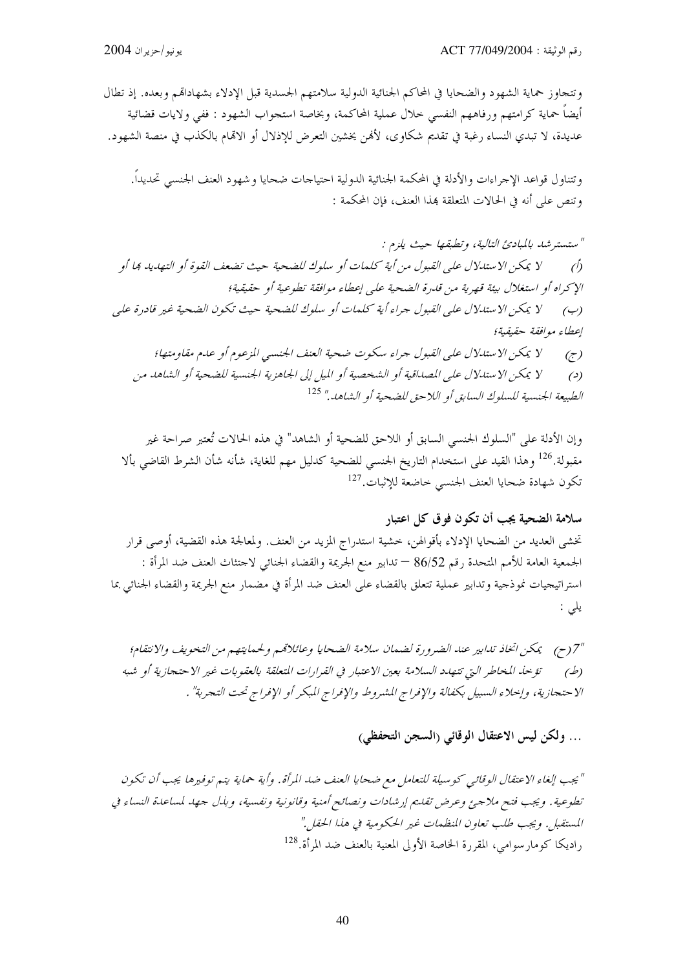وتتحاوز حماية الشهود والضحايا في المحاكم الجنائية الدولية سلامتهم الجسدية قبل الإدلاء بشهاداقمم وبعده. إذ تطال أيضاً حماية كرامتهم ورفاههم النفسي خلال عملية المحاكمة، وبخاصة استجواب الشهود : ففي ولايات قضائية عديدة، لا تبدي النساء رغبة في تقديم شكاوى، لأفمن يخشين التعرض للإذلال أو الاقمام بالكذب في منصة الشهود.

وتتناول قواعد الإجراءات والأدلة في المحكمة الجنائية الدولية احتياجات ضحايا وشهود العنف الجنسي تحديداً. وتنص على أنه في الحالات المتعلقة بمذا العنف، فإن المحكمة :

" ستسترشد بالمبادئ التالية، وتطبقها حيث يلزم : لا يمكن الاستدلال على القبول من أية كلمات أو سلوك للضحية حيث تضعف القوة أو التهديد بما أو  $\hat{O}$ الإكراه أو استغلال بيئة قصرية من قلدرة الضحية على إعطاء موافقة تطوعية أو حقيقية؛ لا يمكن الاستدلال على القبول جراء أية كلمات أو سلوك للضحية حيث تكون الضحية غير قادرة على  $(\hookrightarrow)$ إعطاء موافقة حقيقية؛ لا يمكن الاستدلال على القبول جراء سكوت ضحية العنف الجنسبي المزعوم أو عدم مقاومتها؛  $(\tau)$ لا يمكن الاستدلال على المصداقية أو الشخصية أو الميل إلى الجاهزية الجنسية للضحية أو الشاهد من  $\epsilon$ الطبيعة الجنسية للسلوك السابق أو اللاحق للضحية أو الشاهد." <sup>125</sup>

وإن الأدلة على "السلوك الجنسي السابق أو اللاحق للضحية أو الشاهد" في هذه الحالات تُعتبر صراحة غير مقبولة.<sup>126</sup> وهذا القيد على استخدام التاريخ الجنسي للضحية كدليل مهم للغاية، شأنه شأن الشرط القاضي بألا تكون شهادة ضحايا العنف الجنسي حاضعة للإثبات.<sup>127</sup>

سلامة الضحية يجب أن تكون فوق كل اعتبار تخشى العديد من الضحايا الإدلاء بأقوالهن، حشية استدراج المزيد من العنف. ولمعالجة هذه القضية، أوصى قرار الجمعية العامة للأمم المتحدة رقم 86/52 — تدابير منع الجريمة والقضاء الجنائي لاحتثاث العنف ضد المرأة : استراتيجيات نموذجية وتدابير عملية تتعلق بالقضاء على العنف ضد المرأة في مضمار منع الجريمة والقضاء الجنائي بما يلى :

"7(ح) \_ يمكن اتخاذ تدابير عند الضرورة لضمان سلامة الضحايا وعائلاقمم ولحمايتهم من التخويف والانتفام؛ تؤخذ المخاطر التي تتهدد السلامة بعين الاعتبار في القرارات المتعلقة بالعقوبات غير الاحتجازية أو شبه  $(b)$ الاحتجازية، وإحلاء السبيل بكفالة والإفراج المشروط والإفراج المبكر أو الإفراج تحت التجربة" .

## ... ولكن ليس الاعتقال الوقائي (السجن التحفظي)

"يجب إلغاء الاعتقال الوقائبي كوسيلة للتعامل مع ضحايا العنف ضد المرأة. وأية حماية يتم توفيرها يجب أن تكون تطوعية. ويجب فتح ملاجئ وعرض تقليم إرشادات ونصائح أمنية وقانونية ونفسية، وبذل جهد لمساعدة النساء في المستقبل. ويجب طلب تعاون المنظمات غير الحكومية في هذا الحقل." راديكا كومارسوامي، المقررة الخاصة الأولى المعنية بالعنف ضد المرأة.<sup>128</sup>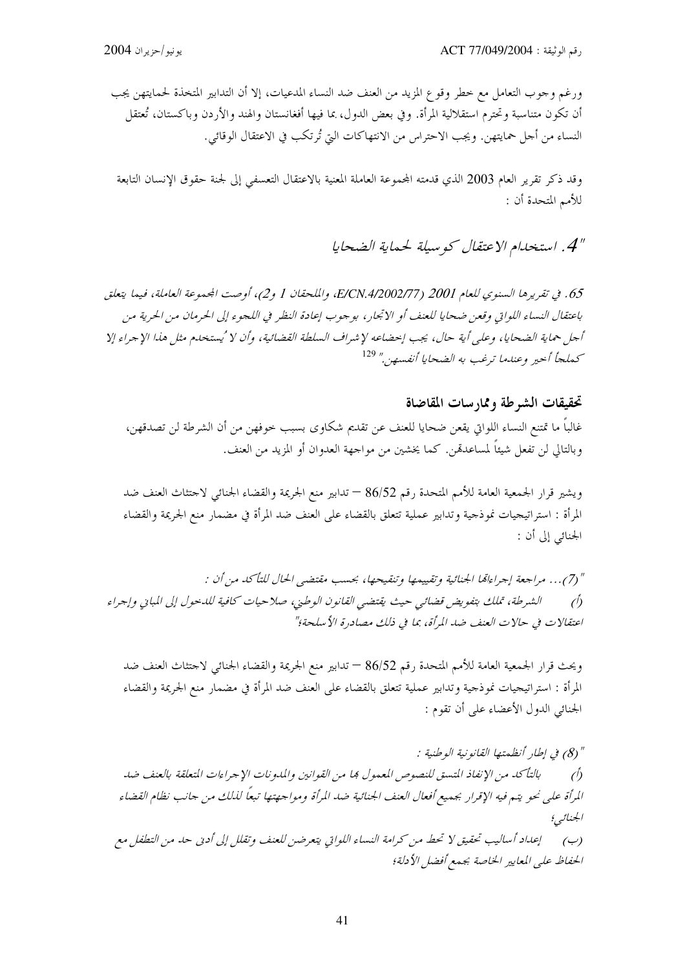ورغم وجوب التعامل مع خطر وقو ع المزيد من العنف ضد النساء المدعيات، إلا أن التدابير المتخذة لحمايتهن يجب أن تكون متناسبة وتحترم استقلالية المرأة. وفي بعض الدول، بما فيها أفغانستان والهند والأردن وباكستان، تُعتقل النساء من أحل حمايتهن. ويجب الاحتراس من الانتهاكات التي تُرتكب في الاعتقال الوقائي.

وقد ذكر تقرير العام 2003 الذي قدمته المجموعة العاملة المعنية بالاعتقال التعسفي إلى لجنة حقوق الإنسان التابعة للأمم المتحدة أن :

### " 4 . استخدام الاعتقال كو سيلة لحماية الضحايا

65. في تقريرها السنوي للعام 2001 (E/CN.4/2002/77، والملحقان 1 و2)، أوصت الجمموعة العاملة، فيما يتعلق باعتقال النساء اللواتي وقعن ضحايا للعنف أو الاتجار، بوجوب إعادة النظر في اللجوء إلى الحرمان من الحرية من أجل حماية الضحايا، وعلى أية حال، يجب إحضاعه لإشراف السلطة القضائية، وأن لا 'يستخلم مثل هذا الإجراء إلا كملجأ أحير وعندما ترغب به الضحايا أنفسهن" ل<sup>129</sup>

### تحقيقات الشرطة وممارسات المقاضاة

غالباً ما تمتنع النساء اللواتي يقعن ضحايا للعنف عن تقديم شكاوي بسبب حوفهن من أن الشرطة لن تصدقهن، وبالتالي لن تفعل شيئاً لمساعدةمن. كما يخشين من مواجهة العدوان أو المزيد من العنف.

ويشير قرار الجمعية العامة للأمم المتحدة رقم 86/52 — تدابير منع الجريمة والقضاء الجنائي لاحتثاث العنف ضد المرأة : استراتيجيات نموذجية وتدابير عملية تتعلق بالقضاء على العنف ضد المرأة في مضمار منع الجريمة والقضاء الجنائبي إلى أن :

" (7)... مراجعة إجراءاتما الجنائية وتقييمها وتنقيحها، بحسب مقتضى الحال للتأكد من أن : الشرطة، تملك بتفويض قضائي حيث يقتضى القانون الوطني، صلاحيات كافية للدحول إلى المباني وإجراء  $\hat{D}$ اعتقالات في حالات العنف ضد المرأة، بما في ذلك مصادرة الأسلحة؛"

ويحث قرار الجمعية العامة للأمم المتحدة رقم 86/52 — تدابير منع الجريمة والقضاء الجنائبي لاحتثاث العنف ضد المرأة : استراتيجيات نموذجية وتدابير عملية تتعلق بالقضاء على العنف ضد المرأة في مضمار منع الجريمة والقضاء الجنائي الدول الأعضاء على أن تقوم :

" (8) في إطار أنظمتها القانونية الوطنية : بالتأكد من الإنفاذ المتسق للنصوص المعمول بما من القوانين والمدونات الإجراءات المتعلقة بالعنف ضد  $\hat{D}$ المرأة على نحو يتم فيه الإقرار بجميع أفعال العنف الجنائية ضد المرأة ومواجهتها تبعاً لذلك من حانب نظام القضاء الجنائبي؛ إعداد أساليب تحقيق لا تحط من كرامة النساء اللواتي يتعرضن للعنف وتقلل إلى أدبي حد من التطفل مع  $(\rightarrow)$ الحفاظ على المعايير الخاصة بجمع أفضل الأدلة؛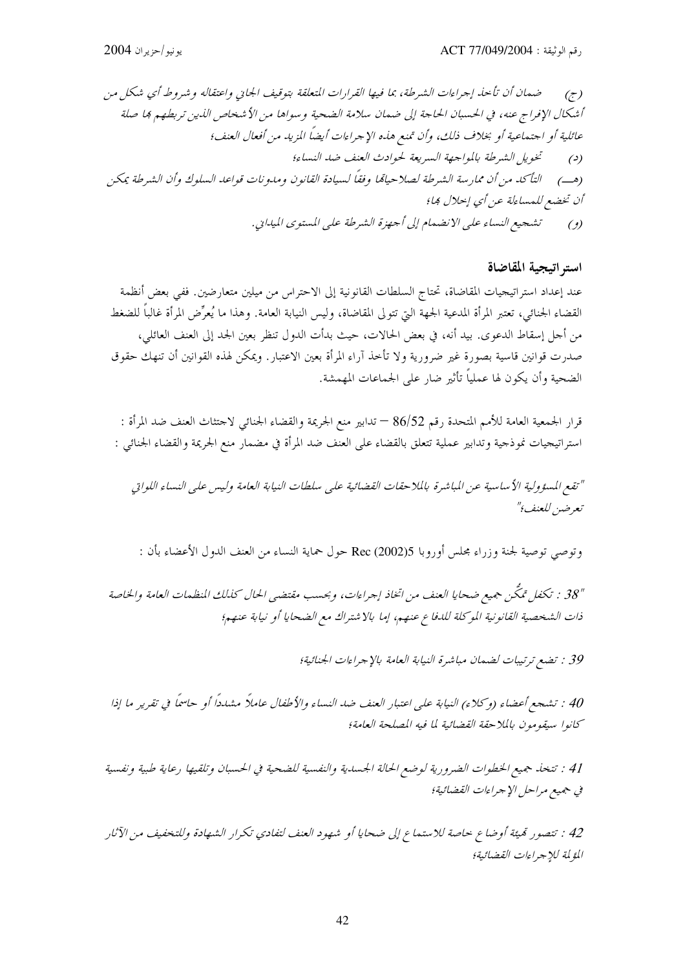استر اتيجية المقاضاة

عند إعداد استراتيجيات المقاضاة، تحتاج السلطات القانونية إلى الاحتراس من ميلين متعارضين. ففي بعض أنظمة القضاء الجنائي، تعتبر المرأة المدعية الجهة التي تتولى المقاضاة، وليس النيابة العامة. وهذا ما يُعرِّض المرأة غالباً للضغط من أجل إسقاط الدعوى. بيد أنه، في بعض الحالات، حيث بدأت الدول تنظر بعين الجد إلى العنف العائلي، صدرت قوانين قاسية بصورة غير ضرورية ولا تأخذ آراء المرأة بعين الاعتبار. ويمكن لهذه القوانين أن تنهك حقوق الضحية وأن يكون لها عملياً تأثير ضار على الجماعات المهمشة.

قرار الجمعية العامة للأمم المتحدة رقم 86/52 — تدابير منع الجريمة والقضاء الجنائبي لاحتثاث العنف ضد المرأة : استراتيجيات نموذجية وتدابير عملية تتعلق بالقضاء على العنف ضد المرأة في مضمار منع الجريمة والقضاء الجنائبي :

"تقع المسؤولية الأساسية عن المباشرة بالملاحقات القضائية على سلطات النيابة العامة وليس على النساء اللواتي تعرضين للعنف؟"

وتوصى توصية لجنة وزراء مجلس أوروبا Rec (2002)5 حول حماية النساء من العنف الدول الأعضاء بأن :

"38 : تكفل تمكَّن جميع ضحايا العنف من اتخاذ إجراءات، وبحسب مقتضى الحال كذلك المنظمات العامة والخاصة ذات الشخصية القانونية الموكلة للدفاع عنهم، إما بالاشتراك مع الضحايا أو نيابة عنهم؛

39 : تضع ترتيبات لضمان مباشرة النيابة العامة بالإجراءات الجنائية؛

40 : تشجع أعضاء (وكلاء) النيابة على اعتبار العنف ضد النساء والأطفال عاملاً مشدداً أو حاسماً في تقرير ما إذا كانوا سيقومون بالملاحقة القضائية لما فيه المصلحة العامة؛

41 : تتخذ جميع الخطوات الضرورية لوضع الحالة الجسدية والنفسية للضحية في الحسبان وتلقيها رعاية طبية ونفسية في جميع مراحل الإجراءات القضائية؛

42 : تتصور تميَّة أوضاع حاصة للاستماع إلى ضحايا أو شهود العنف لتفادي تكرار الشهادة وللتخفيف من الآثار المؤلمة للإجراءات القضائية؛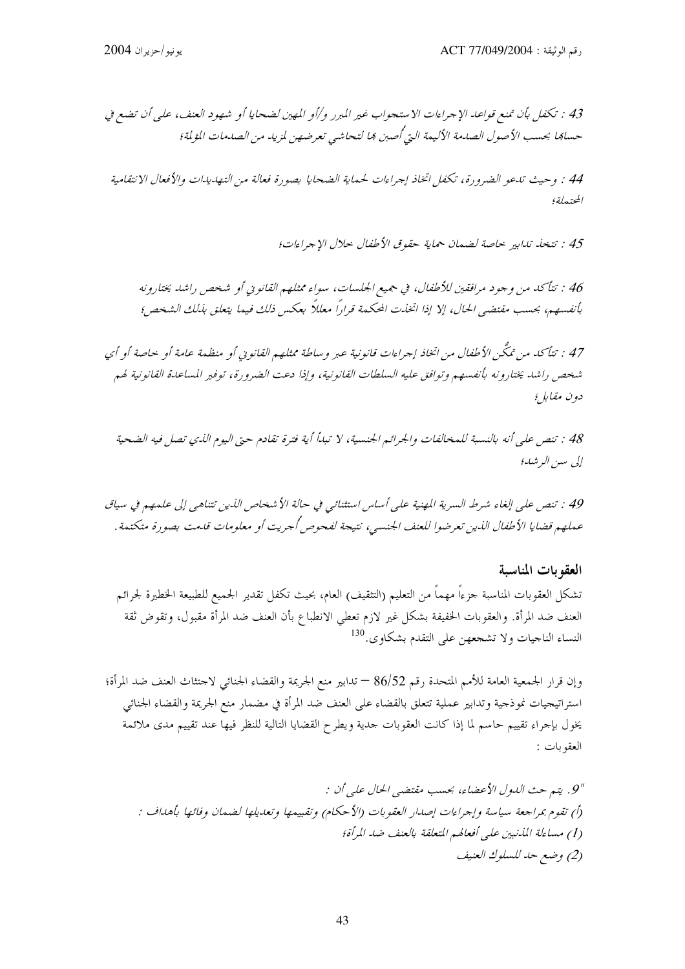44 : وحيث تدعو الضرورة، تكفل اتخاذ إجراءات لحماية الضحايا بصورة فعالة من التهديدات والأفعال الانتقامية المحتبهاة؛

45 : تتخذ تدابير حاصة لضمان حماية حقوق الأطفال حلال الإجراءات؛

46 : تتأكد من وجود مرافقين للأطفال، في جهيع الجلسات، سواء ممثلهم القانوين أو شخص راشد يختارونه بأنفسهم، بحسب مقتضى الحال، إلا إذا اتخذت المحكمة قراراً معللاً بعكس ذلك فيما يتعلق بذلك الشخص؛

47 : تتأكد من تمكَّن الأطفال من اتخاذ إجراءات قانونية عبر وساطة ممثلهم القانوني أو منظمة عامة أو حاصة أو أي شخص راشد يختارونه بأنفسهم وتوافق عليه السلطات القانونية، وإذا دعت الضرورة، توفير المساعدة القانونية لهم دون مقابل؛

48 : تنص على أنه بالنسبة للمخالفات والجرائم الجنسية، لا تبدأ أية فترة تقادم حتى اليوم اللدي تصل فيه الضحية إلى سىن الرشد؛

49 : تنص على إلغاء شرط السرية المهنية على أساس استثنائي في حالة الأشخاص الذين تتناهى إلى علمهم في سياق عملهم قضايا الأطفال الذين تعرضوا للعنف الجنسبي، نتيجة لفحوص أُجريت أو معلومات قلمت بصورة متكتمة .

العقوبات المناسبة تشكل العقوبات المناسبة جزءاً مهماً من التعليم (التثقيف) العام، بحيث تكفل تقدير الجميع للطبيعة الخطيرة لجرائم العنف ضد المرأة. والعقوبات الخفيفة بشكل غير لازم تعطى الانطباع بأن العنف ضد المرأة مقبول، وتقوض ثقة النساء الناحيات ولا تشجعهن على التقدم بشكاوي.<sup>130</sup>

وإن قرار الجمعية العامة للأمم المتحدة رقم 86/52 — تدابير منع الجريمة والقضاء الجنائبي لاحتثاث العنف ضد المرأة؛ استراتيجيات نموذجية وتدابير عملية تتعلق بالقضاء على العنف ضد المرأة في مضمار منع الجريمة والقضاء الجنائبي يخول بإجراء تقييم حاسم لما إذا كانت العقوبات حدية ويطرح القضايا التالية للنظر فيها عند تقييم مدى ملائمة العقوبات :

"9. يتبع حتْ اللهول الأعضاء، بحسب مقتضيي الحال علي أن : (أ) تقوم بمراجعة سياسة وإجراءات إصدار العقوبات (الأحكام) وتقييمها وتعديلها لضمان وفائها بأهداف : (1) مساءلة المذنبين على أفعالهم المتعلقة بالعنف ضد المرأة؛ (2) وضع حد للسلوك العنيف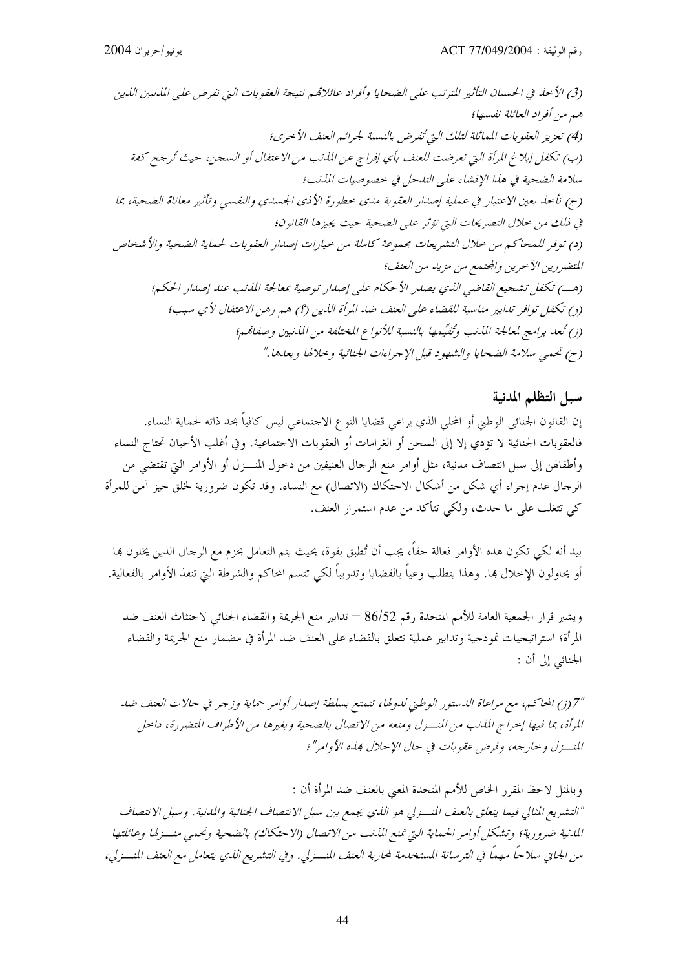### سبل التظلم المدنية

إن القانون الجنائي الوطني أو المحلي الذي يراعي قضايا النوع الاحتماعي ليس كافياً بحد ذاته لحماية النساء. فالعقوبات الجنائية لا تؤدي إلا إلى السحن أو الغرامات أو العقوبات الاحتماعية. وفي أغلب الأحيان تحتاج النساء وأطفالهن إلى سبل انتصاف مدنية، مثل أوامر منع الرحال العنيفين من دخول المنـــزل أو الأوامر التي تقتضي من الرجال عدم إجراء أي شكل من أشكال الاحتكاك (الاتصال) مع النساء. وقد تكون ضرورية لخلق حيز آمن للمرأة كي تتغلب على ما حدث، ولكي تتأكد من عدم استمرار العنف.

بيد أنه لكي تكون هذه الأوامر فعالة حقاً، يجب أن تُطبق بقوة، بحيث يتم التعامل بحزم مع الرحال الذين يخلون بما أو يحاولون الإحلال ها. وهذا يتطلب وعياً بالقضايا وتدريباً لكي تتسم المحاكم والشرطة التي تنفذ الأوامر بالفعالية.

ويشير قرار الجمعية العامة للأمم المتحدة رقم 86/52 — تدابير منع الجريمة والقضاء الجنائبي لاحتثاث العنف ضد المرأة؛ استراتيجيات نموذجية وتدابير عملية تتعلق بالقضاء على العنف ضد المرأة في مضمار منع الجريمة والقضاء الجنائبي إلى أن :

"7 (ز) المحاكم، مع مراعاة الدستور الوطني لدولها، تتمتع بسلطة إصدار أوامر حماية وزجر في حالات العنف ضد المرأة، بما فيها إحراج المذنب من المنسزل ومنعه من الاتصال بالضحية وبغيرها من الأطراف المتضررة، داحل المنسزل و حارجه، وفرض عقوبات في حال الإحلال بمذه الأوامر"؛

وبالمثل لاحظ المقرر الخاص للأمم المتحدة المعنى بالعنف ضد المرأة أن : "التشريع المثالي فيما يتعلق بالعنف المنسزلي هو الذي يجمع بين سبل الانتصاف الجنائية والمدنية. وسبل الانتصاف المدنية ضرورية؛ وتشكل أوامر الحماية التي تمنع المذنب من الاتصال (الاحتكاك) بالضحية وتحمى منسزلها وعائلتها من الجايي سلاحاً مهماً في الترسانة المستخدمة لمحاربة العنف المنسزلي. وفي التشريع الذي يتعامل مع العنف المنسزلي،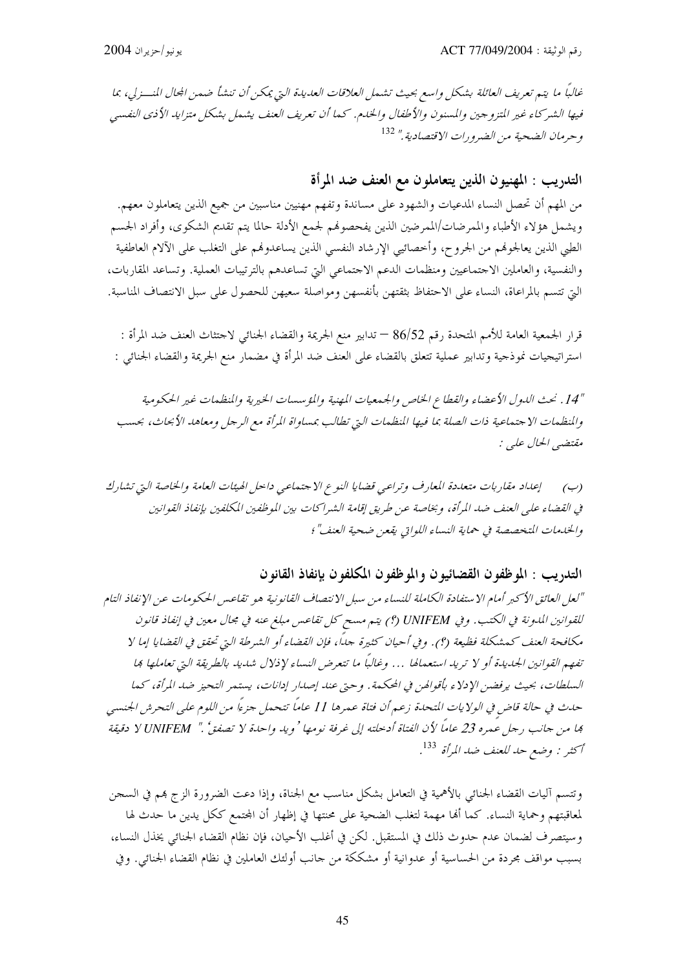غالباً ما يتم تعريف العائلة بشكل واسع بحيث تشمل العلاقات العديدة التي يمكن أن تنشأ ضمن المحال المنسزلي، بما فيها الشركاء غير التزوجين والمسنون والأطفال والخدم. كما أن تعريف العنف يشمل بشكل متزايد الأذى النفسي وحرمان الضحية من الضرورات الاقتصادية." 132

التدريب : المهنيون الذين يتعاملون مع العنف ضد المرأة

من المهم أن تحصل النساء المدعيات والشهود على مساندة وتفهم مهنيين مناسبين من جميع الذين يتعاملون معهم. ويشمل هؤلاء الأطباء والممرضات/الممرضين الذين يفحصوهم لجمع الأدلة حالما يتم تقديم الشكوى، وأفراد الجسم الطبي الذين يعالجوفم من الجروح، وأخصائيي الإرشاد النفسي الذين يساعدوفمم على التغلب على الآلام العاطفية والنفسية، والعاملين الاحتماعيين ومنظمات الدعم الاحتماعي التي تساعدهم بالترتيبات العملية. وتساعد المقاربات، التي تتسم بالمراعاة، النساء على الاحتفاظ بثقتهن بأنفسهن ومواصلة سعيهن للحصول على سبل الانتصاف المناسبة.

قرار الجمعية العامة للأمم المتحدة رقم 86/52 — تدابير منع الجريمة والقضاء الجنائبي لاحتثاث العنف ضد المرأة : استراتيجيات نموذجية وتدابير عملية تتعلق بالقضاء على العنف ضد المرأة في مضمار منع الجريمة والقضاء الجنائبي :

"14" . نحث الدول الأعضاء والقطاع الخاص والجيمعيات المهنية والمؤسسات الخيرية والمنظمات غير الحكومية والمنظمات الاجتماعية ذات الصلة بما فيها المنظمات التي تطالب بمساواة المرأة مع الرجل ومعاهد الأبحاث، بحسب مقتضبي الحال عليي :

(ب) [عداد مقاربات متعددة المعارف وتراعى قضايا النوع الاجتماعي داحل الهيئات العامة والخاصة التي تشارك في القضاء على العنف ضد المرأة، وبخاصة عن طريق إقامة الشراكات بين الموظفين المكلفين بإنفاذ القوانين والخدمات المتخصصة في حماية النساء اللواتي يفعن ضحية العنف"؛

التدريب : الموظفون القضائيون والموظفون المكلفون بإنفاذ القانون

"لعل العائق الأكبر أمام الاستفادة الكاملة للنساء من سبل الانتصاف القانونية هو تقاعس الحكومات عن الإنفاذ التام للقوانين المدونة في الكتب. وفي UNIFEM (؟) يتم مسح كل تقاعس مبلغ عنه في مجال معين في إنفاذ قانون مكافحة العنف كمشكلة فظيعة (؟). وفي أحيان كثيرة جدًا، فإن القضاء أو الشرطة التي تحقق في القضايا إما لا تفهم القوانين الجديدة أو لا تريد استعمالها … وغالباً ما تتعرض النساء لإذلال شديد بالطريقة التي تعاملها بما السلطات، بحيث يرفضن الإدلاء بأقوالهن في المحكمة. وحتى عند إصدار إدانات، يستمر التحيز ضد المرأة، كما حدث في حالة قاض في الولايات المتحدة زعم أن فتاة عمرها 11 عاماً تتحمل جزءاً من اللوم على التحرش الجنسي بما من جانب رجل عمره 23 عاماً لأن الفتاة أدخلته إلى غرفة نومها ' ويد واحدة لا تصفق ٗ .'' VUNIFEM لا دقيقة أكثر : وضع حد للعنف ضد المرأة <sup>133</sup>.

وتتسم آليات القضاء الجنائبي بالأهمية في التعامل بشكل مناسب مع الجناة، وإذا دعت الضرورة الزج هم في السجن لمعاقبتهم وحماية النساء. كما ألها مهمة لتغلب الضحية على محنتها في إظهار أن المحتمع ككل يدين ما حدث لها وسيتصرف لضمان عدم حدوث ذلك في المستقبل. لكن في أغلب الأحيان، فإن نظام القضاء الجنائبي يخذل النساء، بسبب مواقف محردة من الحساسية أو عدوانية أو مشككة من حانب أولئك العاملين في نظام القضاء الجنائبي. وفي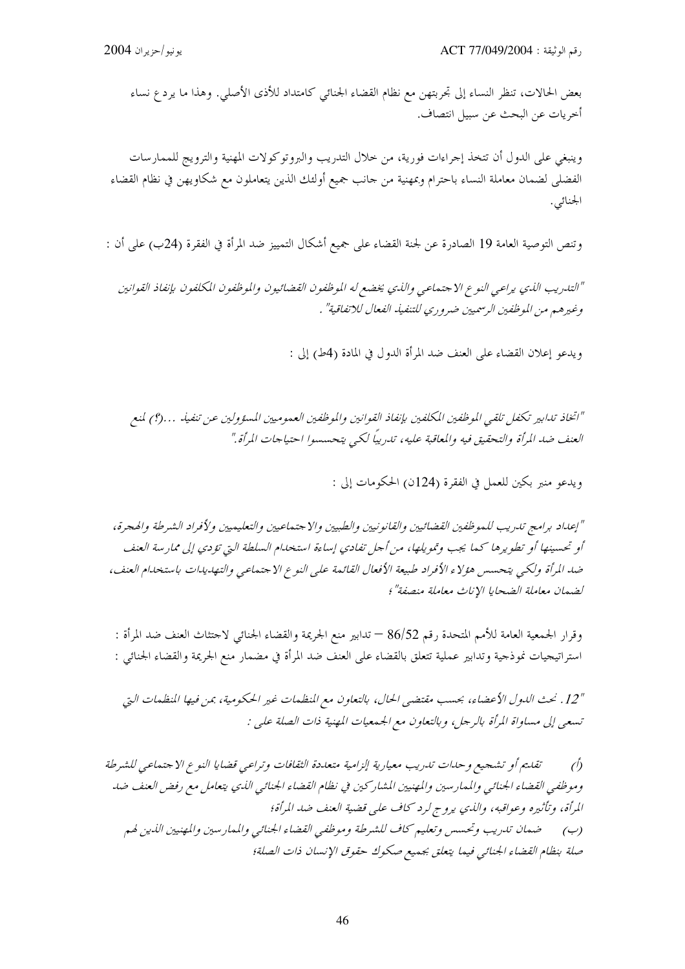بعض الحالات، تنظر النساء إلى تحربتهن مع نظام القضاء الجنائبي كامتداد للأذى الأصلي. وهذا ما يرد ع نساء أخريات عن البحث عن سبيل انتصاف.

وينبغي على الدول أن تتخذ إجراءات فورية، من خلال التدريب والبروتوكولات المهنية والترويج للممارسات الفضلي لضمان معاملة النساء باحترام وبمهنية من حانب جميع أولئك الذين يتعاملون مع شكاويهن في نظام القضاء الجنائى.

وتنص التوصية العامة 19 الصادرة عن لجنة القضاء على جميع أشكال التمييز ضد المرأة في الفقرة (24ب) على أن :

"التدريب الذي يراعبي النوع الاجتماعي والذي يخضع له الموظفون القضائيون والموظفون المكلفون بإنفاذ القوانين وغيرهم من الموظفين الرسميين ضروري للتنفيذ الفعال للاتفاقية" .

ويدعو إعلان القضاء على العنف ضد المرأة الدول في المادة (4ط) إلى :

"اتخاذ تدابير تكفل تلقبي الموظفين المكلفين بإنفاذ القوانين والموظفين العموميين المسؤولين عن تنفيذ …(؟) لمنع العنف ضد المرأة والتحقيق فيه والمعاقبة عليه، تدريبًا لكبي يتحسسوا احتياجات المرأة."

ويدعو منبر بكين للعمل في الفقرة (124ن) الحكومات إلى :

"إعداد برامج تدريب للموظفين القضائيين والقانونيين والطبيين والاحتماعيين والتعليميين ولأفراد الشرطة والهجرة، أو تحسينها أو تطويرها كما يجب وتمويلها، من أجل تفادي إساءة استخدام السلطة التي تؤدي إلى ممارسة العنف ضد المرأة ولكي يتحسس هؤلاء الأفراد طبيعة الأفعال القائمة على النوع الاجتماعي والتهديدات باستخدام العنف، لضمان معاملة الضحايا الإناث معاملة منصفة"؛

وقرار الجمعية العامة للأمم المتحدة رقم 86/52 — تدابير منع الجريمة والقضاء الجنائي لاحتثاث العنف ضد المرأة : استراتيجيات نموذجية وتدابير عملية تتعلق بالقضاء على العنف ضد المرأة في مضمار منع الجريمة والقضاء الجنائبي :

"12. نحث الدول الأعضاء، بحسب مقتضى الحال، بالتعاون مع المنظمات غير الحكومية، بمن فيها المنظمات التي تسعى إلى مساواة المرأة بالرجل، وبالتعاون مع الجمعيات المهنية ذات الصلة على :

تقليم أو تشجيع و حياات تدريب معيارية إلزامية متعددة الثقافات وتراعبي قضايا النوع الاجتماعي للشرطة  $\bigwedge$ وموظفي القضاء الجنائبي والممارسين والمهنيين المشاركين في نظام القضاء الجنائبي الذي يتعامل مع رفض العنف ضد المرأة، وتأثيره وعواقبه، والذي يروج لرد كاف على قضية العنف ضد المرأة؛ (ب) \_\_\_ ضهان تدريب وتحسس وتعليم كاف للشرطة وموظفي القضاء الجنائبي والممار سين والمهنيين الذين لهم صلة بنظام القضاء الجنائبي فيما يتعلق بجميع صكوك حقوق الإنسان ذات الصلة؛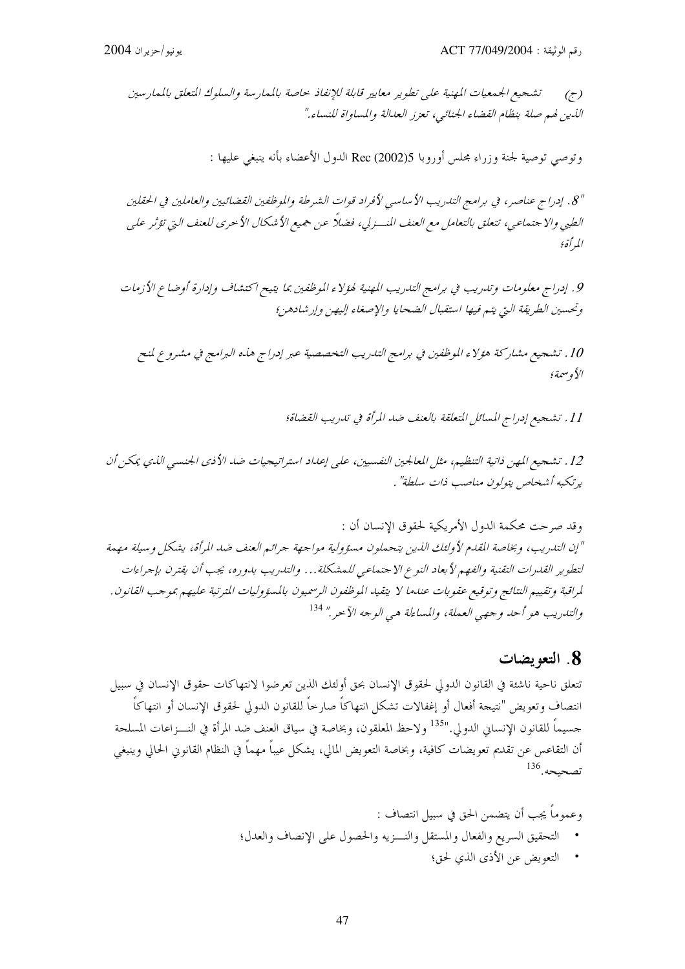تشجيع الجمعيات المهنية على تطوير معايير قابلة للإنفاذ حاصة بالممارسة والسلوك المتعلق بالممارسين  $(\tau)$ الذين لهم صلة بنظام القضاء الجنائبي، تعزز العدالة والمساواة للنساء."

وتوصى توصية لجنة وزراء مجلس أوروبا Rec (2002)5 الدول الأعضاء بأنه ينبغي عليها :

8″. إدراج عناصر، في برامج التدريب الأساسي لأفراد قوات الشرطة والموظفين القضائيين والعاملين في الحقلين الطبي والا جتماعي، تتعلق بالتعامل مع العنف المنسزلي، فضلاً عن جميع الأشكال الأحرى للعنف التي تؤثر علي المرأة؛

9. إدراج معلومات وتدريب في برامج التدريب المهنية لهؤلاء الموظفين بما يتيح اكتشاف وإدارة أوضاع الأزمات وتحسين الطريقة التي يتم فيها استقبال الضحايا والإصغاء إليهن وإرشادهن؛

10 . تشجيع مشاركة هؤلاء الموظفين في برامج التدريب التخصصية عبر إدراج هذه البرامج في مشروع لمنح الأوسيمة؛

11 . تشجيع إدراج المسائل المتعلقة بالعنف ضد المرأة في تدريب القضاة؛

12. تشجيع المهن ذاتية التنظيم، مثل المعالجين النفسيين، على إعداد استراتيجيات ضد الأذي الجنسي الذي يمكن أن يرتكبه أشخاص يتولون مناصب ذات سلطة" .

وقد صرحت محكمة الدول الأمريكية لحقوق الإنسان أن : "إن التدريب، وبخاصة القدم لأولئك الذين يتحملون مسؤولية مواجهة جرائم العنف ضد المرأة، يشكل وسيلة مهمة لتطوير القدرات التقنية والفهم لأبعاد النوع الاجتماعي للمشكلة... والتدريب بدوره، يجب أن يقترن بإجراءات لمراقبة وتقييم النتائج وتوقيع عقوبات عندما لا يتقيد الموظفون الرسميون بالمسؤوليات المترتبة عليهم بموجب القانون. والتدريب هو أحد وجهي العملة، والمساءلة هي الوجه الآخر." <sup>134</sup>

### 8. التعويضات

تتعلق ناحية ناشئة في القانون الدولي لحقوق الإنسان بحق أولئك الذين تعرضوا لانتهاكات حقوق الإنسان في سبيل انتصاف وتعويض "نتيجة أفعال أو إغفالات تشكل انتهاكاً صارخاً للقانون الدولي لحقوق الإنسان أو انتهاكاً جسيماً للقانون الإنساني الدولي."<sup>135</sup> ولاحظ المعلقون، وبخاصة في سياق العنف ضد المرأة في النـــزاعات المسلحة أن التقاعس عن تقديم تعويضات كافية، وبخاصة التعويض المالي، يشكل عيباً مهماً في النظام القانوين الحالي وينبغي تصحيحه. <sup>136</sup>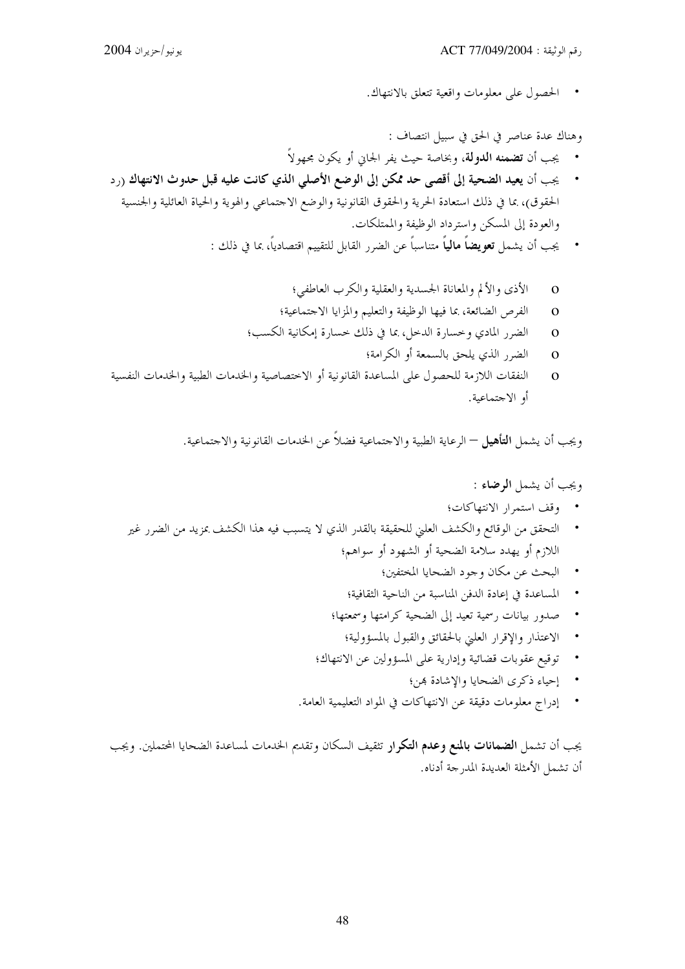الحصول على معلومات واقعية تتعلق بالانتهاك.

وهناك عدة عناصر في الحق في سبيل انتصاف :

- يجب أن **تضمنه الدولة**، وبخاصة حيث يفر الجابي أو يكون مجهولاً
- يجب أن يعيد الضحية إلى أقصى حد ممكن إلى الوضع الأصلي الذي كانت عليه قبل حدوث الانتهاك (رد الحقوق)، بما في ذلك استعادة الحرية والحقوق القانونية والوضع الاحتماعي والهوية والحياة العائلية والجنسية والعودة إلى المسكن واسترداد الوظيفة والممتلكات.
	- يجب أن يشمل **تعويضاً مالياً** متناسباً عن الضرر القابل للتقييم اقتصادياً، بما في ذلك :
		- الأذى والألم والمعاناة الجسدية والعقلية والكرب العاطفي؛  $\mathbf{o}$
		- الفرص الضائعة، بما فيها الوظيفة والتعليم والمزايا الاجتماعية؛  $\overline{O}$
		- الضرر المادي وخسارة الدحل، بما في ذلك حسارة إمكانية الكسب؛  $\overline{O}$ 
			- الضرر الذي يلحق بالسمعة أو الكرامة؛  $\Omega$
- النفقات اللازمة للحصول على المساعدة القانونية أو الاختصاصية والخدمات الطبية والخدمات النفسية  $\Omega$ أو الاجتماعية.

ويجب أن يشمل **التأهيل** — الرعاية الطبية والاجتماعية فضلاً عن الحدمات القانونية والاجتماعية.

### ويجب أن يشمل **الوضاء :**

- وقف استمرار الانتهاكات؛
- التحقق من الوقائع والكشف العليّ للحقيقة بالقدر الذي لا يتسبب فيه هذا الكشف بمزيد من الضرر غير اللازم أو يهدد سلامة الضحية أو الشهود أو سواهم؛
	- البحث عن مكان وجود الضحايا المختفين؛
	- المساعدة في إعادة الدفن المناسبة من الناحية الثقافية؛
	- صدور بيانات رسمية تعيد إلى الضحية كرامتها وسمعتها؛
		- الاعتذار والإقرار العلني بالحقائق والقبول بالمسؤولية؛
	- توقيع عقوبات قضائية وإدارية على المسؤولين عن الانتهاك؛
		- إحياء ذكرى الضحايا والإشادة هن؛
	- إدراج معلومات دقيقة عن الانتهاكات في المواد التعليمية العامة.

يجب أن تشمل ا**لضمانات بالمنع وعدم التكرار** تثقيف السكان وتقديم الخدمات لمساعدة الضحايا المحتملين. ويجب أن تشمل الأمثلة العديدة المدرجة أدناه.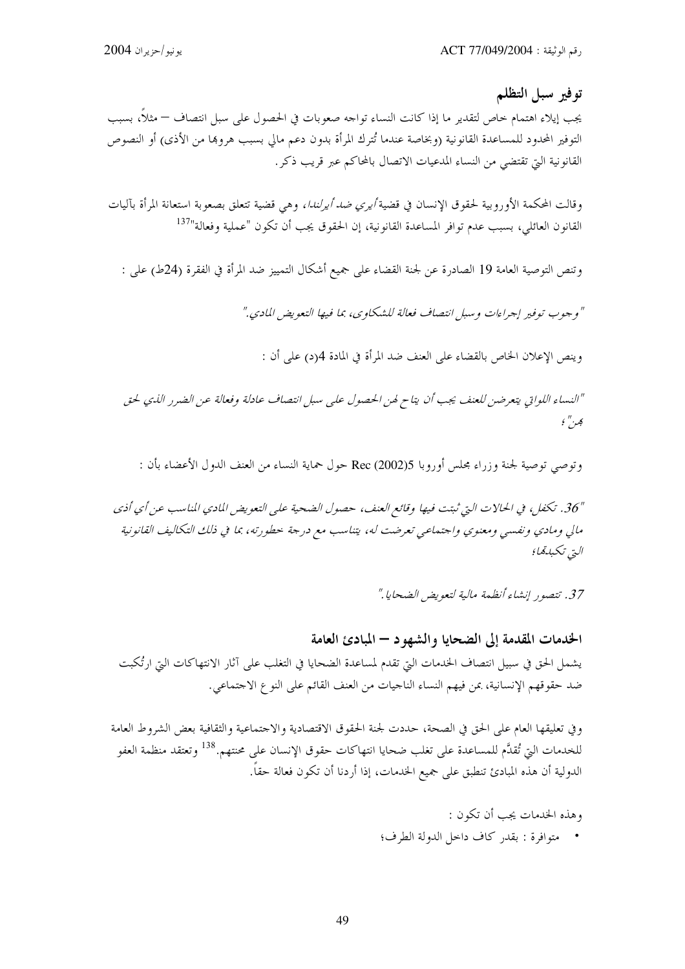توفير سبل التظلم

يجب إيلاء اهتمام خاص لتقدير ما إذا كانت النساء تواجه صعوبات في الحصول على سبل انتصاف — مثلاً، بسبب التوفير المحدود للمساعدة القانونية (وبخاصة عندما تُترك المرأة بدون دعم مالي بسبب هروها من الأذى) أو النصوص القانونية التي تقتضي من النساء المدعيات الاتصال بالمحاكم عبر قريب ذكر.

وقالت المحكمة الأوروبية لحقوق الإنسان في قضية *أيري ضد أيرلندا،* وهي قضية تتعلق بصعوبة استعانة المرأة بآليات القانون العائلي، بسبب عدم توافر المساعدة القانونية، إن الحقوق يجب أن تكون "عملية وفعالة"<sup>137</sup>

وتنص التوصية العامة 19 الصادرة عن لجنة القضاء على جميع أشكال التمييز ضد المرأة في الفقرة (24ط) على :

" وجوب توفير إجراءات و سبل انتصاف فعالة للشكاوي، بما فيها التعويض المادي."

وينص الإعلان الخاص بالقضاء على العنف ضد المرأة في المادة 4(د) على أن :

"النساء اللواتي يتعرضن للعنف يجب أن يتاح لهن الحصول على سبل انتصاف عادلة وفعالة عن الضرر الذي لحق هر " ؛

وتوصى توصية لجنة وزراء مجلس أوروبا Rec (2002)5 حول حماية النساء من العنف الدول الأعضاء بأن :

"36. تكفل، في الحالات التي ثبتت فيها وقائع العنف، حصول الضحية على التعويض المادي المناسب عن أي أذى مالي ومادي ونفسي ومعنوي واحتماعي تعرضت له، يتناسب مع درجة خطورته، بما في ذلك التكاليف القانونية التي تكبدةما؛

37. تتصور إنشاء أنظهة مالية لتعويض الضحايا ."

الخدمات المقدمة إلى الضحايا والشهو د – المبادئ العامة يشمل الحق في سبيل انتصاف الخدمات التي تقدم لمساعدة الضحايا في التغلب على آثار الانتهاكات التي ارتُكبت ضد حقوقهم الإنسانية، بمن فيهم النساء الناجيات من العنف القائم على النوع الاجتماعي.

وفي تعليقها العام على الحق في الصحة، حددت لجنة الحقوق الاقتصادية والاحتماعية والثقافية بعض الشروط العامة للخدمات التي تُقدَّم للمساعدة على تغلب ضحايا انتهاكات حقوق الإنسان على محنتهم.<sup>138</sup> وتعتقد منظمة العفو الدولية أن هذه المبادئ تنطبق على جميع الخدمات، إذا أردنا أن تكون فعالة حقاً.

> وهذه الخدمات يجب أن تكون : • متوافرة : بقدر كاف داخل الدولة الطرف؛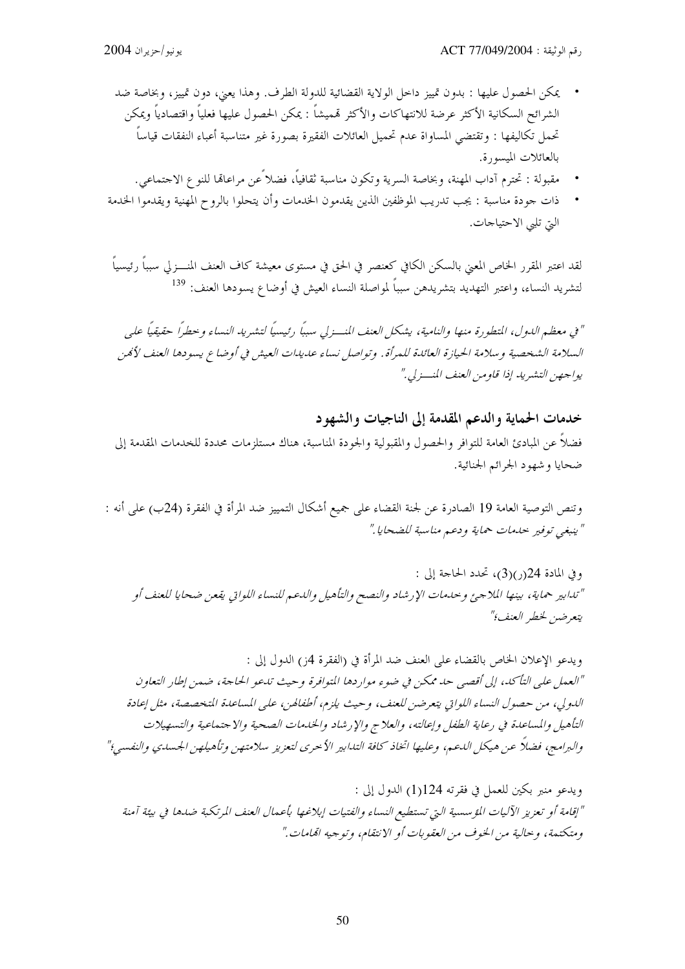- يمكن الحصول عليها : بدون تمييز داحل الولاية القضائية للدولة الطرف. وهذا يعني، دون تمييز، وبخاصة ضد الشرائح السكانية الأكثر عرضة للانتهاكات والأكثر قمميشاً : يمكن الحصول عليها فعلياً واقتصادياً ويمكن تحمل تكاليفها : وتقتضى المساواة عدم تحميل العائلات الفقيرة بصورة غير متناسبة أعباء النفقات قياساً بالعائلات الميسورة.
	- مقبولة : تحترم آداب المهنة، وبخاصة السرية وتكون مناسبة ثقافياً، فضلاً عن مراعالها للنوع الاحتماعي.
- ذات جودة مناسبة : يجب تدريب الموظفين الذين يقدمون الخدمات وأن يتحلوا بالروح المهنية ويقدموا الخدمة التي تلبي الاحتياجات.

لقد اعتبر المقرر الخاص المعنى بالسكن الكافي كعنصر في الحق في مستوى معيشة كاف العنف المنــــزلي سبباً رئيسياً لتشريد النساء، واعتبر التهديد بتشريدهن سبباً لمواصلة النساء العيش في أوضاع يسودها العنف: <sup>139</sup>

" في معظم الدول، المتطورة منها والنامية، يشكل العنف المنسـزلي سبباً رئيسياً لتشريد النساء وحطراً حقيقياً على السلامة الشخصية وسلامة الحيازة العائدة للمرأة. وتواصل نساء عديدات العيش في أوضاع يسودها العنف لأمحن يواجهن التشيريد إذا قاو من العنف المنسر لي."

# خدمات الحماية والدعم المقدمة إلى الناجيات والشهود فضلا عن المبادئ العامة للتوافر والحصول والمقبولية والجودة المناسبة، هناك مستلزمات محددة للخدمات المقدمة إلى ضحايا و شهود الجرائم الجنائية.

وتنص التوصية العامة 19 الصادرة عن لجنة القضاء على جميع أشكال التمييز ضد المرأة في الفقرة (24ب) على أنه : " ينبغي توفير بحدمات حماية ودعيه مناسبة للضحايا ."

وفي المادة 24(ر)(3)، تحدد الحاحة إلى : "تدابير حماية، بينها الملاجئ وحدمات الإرشاد والنصح والتأهيل والدعم للنساء اللواتي يقعن ضحايا للعنف أو يتعرضن لخطر العنف؟"

ويدعو الإعلان الخاص بالقضاء على العنف ضد المرأة في (الفقرة 4ز) الدول إلى : "العمل على التأكد، إلى أقصى حد ممكن في ضوء مواردها المتوافرة وحيث تدعو الحاجة، ضمن إطار التعاون اللدولي، من حصول النساء اللواتي يتعرضن للعنف، وحيث يلزم، أطفالهن، على المساعدة المتخصصة، مثل إعادة التأهيل والمساعدة في رعاية الطفل وإعالته، والعلاج والإرشاد والخدمات الصحية والاجتماعية والتسهيلات والبرامج، فضالًا عن هيكل الدعم، وعليها اتخاذ كافة التدابير الأحرى لتعزيز سلامتهن وتأهيلهن الجسدي والنفسي؛"

ويدعو منبر بكين للعمل في فقرته 124(1) الدول إلى : "إقامة أو تعزيز الآليات المؤسسية التي تستطيع النساء والفتيات إبلاغها بأعمال العنف المرتكبة ضدها في بيئة آمنة ومتكتمة، وحالية من الخوف من العقوبات أو الانتقام، وتوجيه المَامات."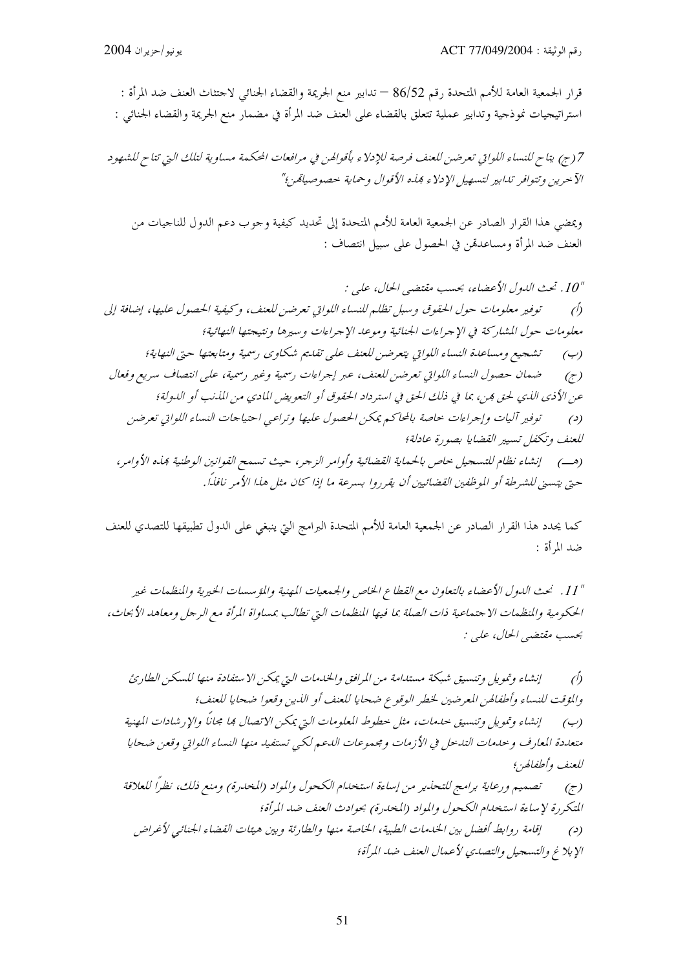قرار الجمعية العامة للأمم المتحدة رقم 86/52 — تدابير منع الجريمة والقضاء الجنائبي لاحتثاث العنف ضد المرأة : استراتيجيات نموذجية وتدابير عملية تتعلق بالقضاء على العنف ضد المرأة في مضمار منع الجريمة والقضاء الجنائي :

7 (ج) يتاح للنساء اللواتي تعرضن للعنف فرصة للإدلاء بأقوالهن في مرافعات المحكمة مساوية لتلك التي تتاح للشهود الآ حرين وتتوافر تدابير لتسهيل الإدلاء فهذه الأقوال وحماية حصوصياتهن؛"

ويمضي هذا القرار الصادر عن الجمعية العامة للأمم المتحدة إلى تحديد كيفية وحوب دعم الدول للناجيات من العنف ضد المرأة ومساعدقمن في الحصول على سبيل انتصاف :

كما يحدد هذا القرار الصادر عن الجمعية العامة للأمم المتحدة البرامج التي ينبغي على الدول تطبيقها للتصدي للعنف ضد المرأة :

" 11. نحث الدول الأعضاء بالتعاون مع القطاع الخاص والجمعيات المهنية والمؤسسات الخيرية والمنظمات غير الحكومية والمنظمات الاحتماعية ذات الصلة بما فيها المنظمات التي تطالب بمساواة المرأة مع الرحل ومعاهد الأبحاث، بحسب مقتضى الحال، علي :

إنشاء وتمويل وتنسيق شبكة مستدامة من المرافق والخدمات التي يمكن الاستفادة منها للسكن الطارئ  $\hat{O}$ والمؤقت للنساء وأطفالهن المعرضين لخطر الوقوع ضحايا للعنف أو الذين وقعوا ضحايا للعنف؛ (ب) \_ إنشاء وتمويل وتنسيق حدمات، مثل حطوط المعلومات التي يمكن الاتصال بما مجاناً والإرشادات المهنية متعددة المعارف وحدمات التدحل في الأزمات ومجموعات الدعم لكي تستفيد منها النساء اللواتي وقعن ضحايا للعنف وأطفالهن (ج) \_ تصميم ورعاية برامج للتحذير من إساءة استخدام الكحول والمواد (المخدرة) ومنع ذلك، نظراً للعلاقة

التكررة لإساءة استخدام الكحول والمواد (المخدرة) بحوادث العنف ضد المرأة؛ إقامة روابط أفضل بين الخدمات الطبية، الخاصة منها والطارئة وبين هيئات القضاء الجنائبي لأغراض  $\left( \right)$ الإبلاغ والتسجيل والتصدي لأعمال العنف ضد المرأة؛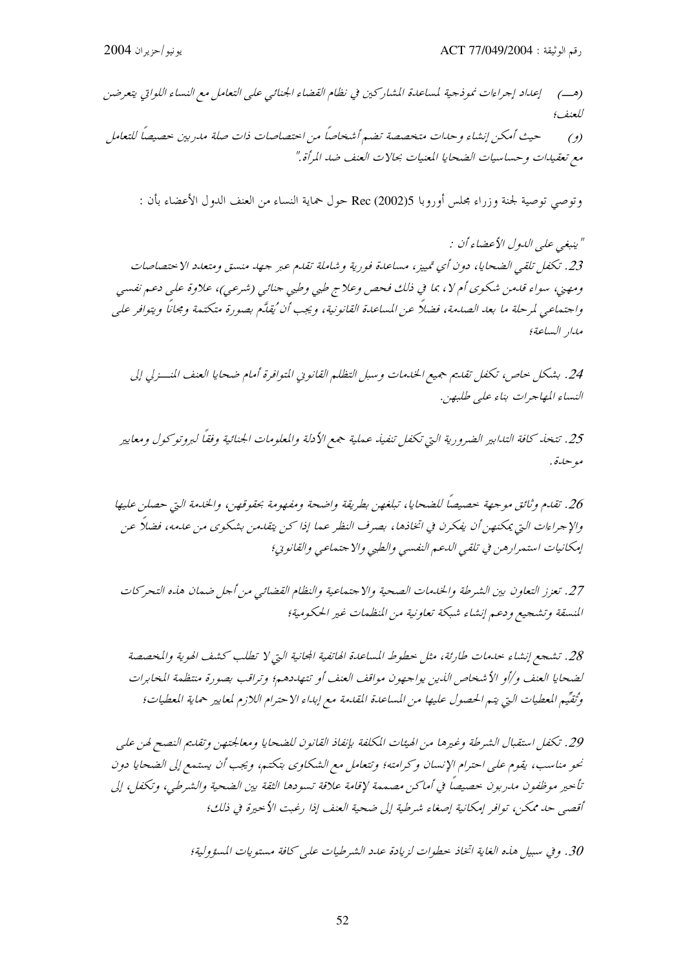إعداد إجراءات نموذجية لمساعدة المشاركين في نظام القضاء الجنائبي علىي التعامل مع النساء اللواتي يتعرضن  $\left(\rightarrow\right)$ للعنف؛ حيث أمكن إنشاء وحدات متخصصة تضم أشخاصاً من احتصاصات ذات صلة مدربين حصيصاً للتعامل  $(2)$ 

مع تعقيدات وحساسيات الضحايا المعنيات بحالات العنف ضد المرأة."

وتوصى توصية لجنة وزراء مجلس أوروبا Rec (2002)5 حول حماية النساء من العنف الدول الأعضاء بأن :

" ينبغي علي اللهول الأعضاء أن : 23. تكفل تلقي الضحايا، دون أي تمييز، مساعدة فورية وشاملة تقدم عبر جهد منسق ومتعدد الاختصاصات ومهني، سواء قلعن شكوي أم لا، بما في ذلك فحص وعلاج طبي وطبي جنائي (شرعبي)، علاوة علي دعم نفسي واجتماعي لمرحلة ما بعد الصدمة، فضلاً عن المساعدة القانونية، ويجب أن 'يقلَّم بصورة متكتمة ومجاناً ويتوافر على مدار الساعة؛

24. بشكل حاص، تكفل تقليم جهيع الخلهات وسبل التظلم القانويي المتوافرة أمام ضحايا العنف المنسزلي إلى النساء المهاجرات بناء على طلبهن.

25. تتخذ كافة التدابير الضرورية التي تكفل تنفيذ عملية جمع الأدلة والمعلومات الجنائية وفقاً لبروتوكول ومعايير مو حيدة .

26. تقدم وثائق موجهة حصيصاً للضحايا، تبلغهن بطريقة واضحة ومفهومة بحقوقهن، والخدمة التي حصلن عليها والإجراءات التي يمكنهن أن يفكرن في اتخاذها، بصرف النظر عما إذا كن يتقلدمن بشكوى من علدمه، فضلاً عن إمكانيات استمرار هن في تلقى الدعم النفسي والطبي والاجتماعي والقانوني؛

27. تعزز التعاون بين الشرطة والخدمات الصحية والاجتماعية والنظام القضائيي من أجل ضمان هذه التحركات المنسقة وتشجيع ودعم إنشاء شبكة تعاونية من المنظمات غير الحكومية؛

28. تشجع إنشاء حدمات طارئة، مثل حطوط المساعدة الهاتفية المجانية التي لا تطلب كشف الهوية والمخصصة لضحايا العنف و/أو الأشخاص الذين يواجهون مواقف العنف أو تتهددهم؛ وتراقب بصورة منتظمة المخابرات وتُقِيِّم المعطيات التي يتم الحصول عليها من المساعدة المقدمة مع إبداء الاحترام اللازم لمعايير حماية المعطيات؛

29. تكفل استقبال الشرطة وغيرها من الهيئات المكلفة بإنفاذ القانون للضحايا ومعالجتهن وتقليم النصح لهن على نحو مناسب، يقوم على احترام الإنسان وكرامته؛ وتتعامل مع الشكاوي بتكتبه، ويجب أن يستمع إلى الضحايا دون تأخير موظفون مدربون حصيصاً في أماكن مصممة لإقامة علاقة تسودها الثقة بين الضحية والشرطي، وتكفل إلى أقصى حد ممكن، توافر إمكانية إصغاء شرطية إلى ضحية العنف إذا رغبت الأحيرة في ذلك؛

30. وفي سبيل هذه الغاية اتخاذ حطوات لزيادة عدد الشرطيات على كافة مستويات المسؤولية؛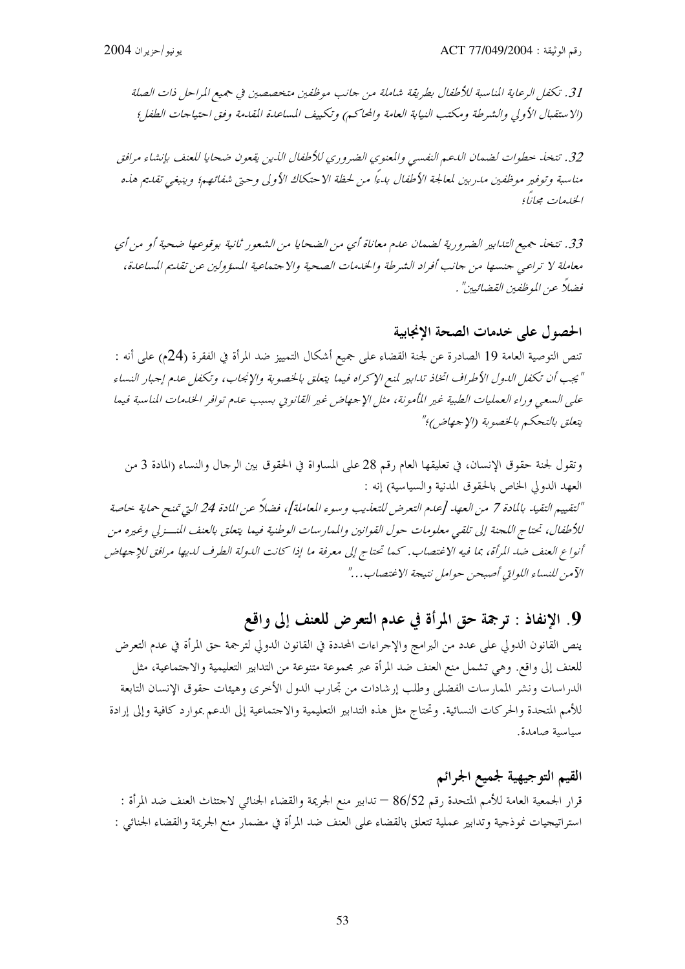31. تكفل الرعاية المناسبة للأطفال بطريقة شاملة من جانب موظفين متخصصين في جميع المراحل ذات الصلة (الاستقبال الأولى والشرطة ومكتب النيابة العامة والمحاكم) وتكييف المساعدة المقدمة وفق احتياجات الطفل؛

32. تتخذ حطوات لضمان الدعم النفسي والمعنوي الضروري للأطفال الذين يقعون ضحايا للعنف بإنشاء مرافق مناسبة وتوفير موظفين مدربين لمعالجة الأطفال بدءاً من لحظة الاحتكاك الأولى وحتى شفائهم؛ وينبغي تقديم هذه الخليصات مجانبأ

33. تتخذ جميع التدابير الضرورية لضمان عدم معاناة أي من الضحايا من الشعور ثانية بوقوعها ضحية أو من أي معاملة لا تراعبي جنسها من جانب أفراد الشرطة والخدمات الصحية والاجتماعية المسؤولين عن تقليم المساعدة، فضلاً عن الموظفين القضائيين" .

الحصول على حدمات الصحة الإنجابية

تنص التوصية العامة 19 الصادرة عن لجنة القضاء على جميع أشكال التمييز ضد المرأة في الفقرة (24م) على أنه : " يجب أن تكفل الدول الأطراف اتخاذ تدابير لمنع الإكراه فيما يتعلق بالخصوبة والإنجاب، وتكفل عدم إجبار النساء على السعى وراء العمليات الطبية غير المأمونة، مثل الإحهاض غير القانوين بسبب عدم توافر الخدمات المناسبة فيما يتعلق بالتحكم بالخصوبة (الإجهاض)؛"

وتقول لجنة حقوق الإنسان، في تعليقها العام رقم 28 على المساواة في الحقوق بين الرحال والنساء (المادة 3 من العهد الدولي الخاص بالحقوق المدنية والسياسية) إنه : "لتقييم التقيد بالمادة 7 من العهد [عدم التعرض للتعذيب وسوء المعاملة]، فضلاً عن المادة 24 التي تمنح حماية حاصة للأطفال، تحتاج اللجنة إلى تلقى معلومات حول القوانين والممارسات الوطنية فيما يتعلق بالعنف المنسـزلي وغيره من أنواع العنف ضد المرأة، بما فيه الاغتصاب. كما تحتاج إلى معرفة ما إذا كانت الدولة الطرف لديها مرافق للإجهاض الآمن للنساء اللوابي أصبحن حوامل نتيجة الاغتصاب…"

# 9. الإنفاذ : ترجمة حق المرأة في عدم التعرض للعنف إلى واقع

ينص القانون الدولي على عدد من البرامج والإحراءات المحددة في القانون الدولي لترجمة حق المرأة في عدم التعرض للعنف إلى واقع. وهي تشمل منع العنف ضد المرأة عبر مجموعة متنوعة من التدابير التعليمية والاحتماعية، مثل الدراسات ونشر الممارسات الفضلي وطلب إرشادات من تجارب الدول الأخرى وهيئات حقوق الإنسان التابعة للأمم المتحدة والحركات النسائية. وتحتاج مثل هذه التدابير التعليمية والاحتماعية إلى الدعم بموارد كافية وإلى إرادة سياسية صامدة.

القيم التوجيهية لجميع الجرائم قرار الجمعية العامة للأمم المتحدة رقم 86/52 — تدابير منع الجريمة والقضاء الجنائبي لاحتثاث العنف ضد المرأة : استراتيجيات نموذجية وتدابير عملية تتعلق بالقضاء على العنف ضد المرأة في مضمار منع الجريمة والقضاء الجنائبي :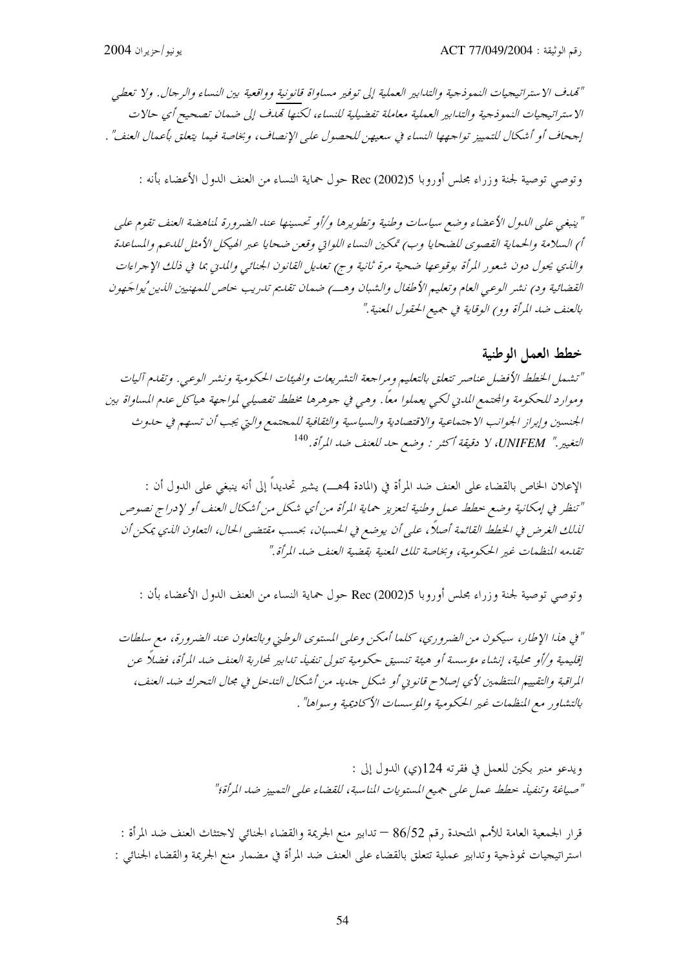"تمدف الاستراتيجيات النموذجية والتدابير العملية إلى توفير مساواة قانونية وواقعية بين النساء والرجال. ولا تعطي الاستراتيجيات النموذجية والتدابير العملية معاملة تفضيلية للنساء، لكنها تمدف إلى ضمان تصحيح أي حالات إجحاف أو أشكال للتمييز تواجهها النساء في سعيهن للحصول على الإنصاف، وبخاصة فيما يتعلق بأعمال العنف" .

وتوصى توصية لجنة وزراء مجلس أوروبا Rec (2002)5 حول حماية النساء من العنف الدول الأعضاء بأنه :

" ينبغي على الدول الأعضاء وضع سياسات وطنية وتطويرها و/أو تحسينها عند الضرورة لمناهضة العنف تقوم على أ) السلامة والحماية القصوى للضحايا وب) تمكين النساء اللواتي وقعن ضحايا عبر الهيكل الأمثل للدعم والمساعدة والذي يحول دون شعور المرأة بوقوعها ضحية مرة ثانية وج) تعديل القانون الجنائي والمدني بما في ذلك الإجراءات القضائية ود) نشر الوعي العام وتعليم الأطفال والشبان وهــ) ضمان تقليم تدريب حاص للمهنيين الذين ُيواجَهون بالعنف ضد المرأة وو) الوقاية في جميع الحقول المعنية."

#### خطط العمل الوطنية

"تشمل الخطط الأفضل عناصر تتعلق بالتعليم ومراجعة التشريعات والهيئات الحكومية ونشر الوعي. وتقدم آليات وموارد للحكومة والجتمع المدني لكبي يعملوا معاً. وهي في جوهرها مخطط تفصيلي لمواجهة هياكل عدم المساواة بين الجنسين وإبراز الجوانب الاجتماعية والاقتصادية والسياسية والثقافية للمجتمع والتي يجب أن تسهم في حلوث التغيير." UNIFEM، لا دقيقة أكثر : وضع حد للعنف ضد المرأة. <sup>140</sup>

الإعلان الخاص بالقضاء على العنف ضد المرأة في (المادة 4هـــ) يشير تحديداً إلى أنه ينبغي على الدول أن : "تنظر في إمكانية وضع حطط عمل وطنية لتعزيز حماية المرأة من أي شكل من أشكال العنف أو لإدراج نصوص لذلك الغرض في الخطط القائمة أصلاً، على أن يوضع في الحسبان، بحسب مقتضى الحال، التعاون الذي يمكن أن تقدمه المنظهات غير الحكومية، وبخاصة تلك المعنية بقضية العنف ضد المرأة."

وتوصى توصية لجنة وزراء مجلس أوروبا Rec (2002)5 حول حماية النساء من العنف الدول الأعضاء بأن :

" في هذا الإطار، سيكون من الضروري، كلما أمكن وعلى المستوى الوطني وبالتعاون عند الضرورة، مع سلطات إقليمية و/أو محلية، إنشاء مؤسسة أو هيئة تنسيق حكومية تتولى تنفيذ تدابير لمحاربة العنف ضد المرأة، فضلاً عن المراقبة والتقييم المنتظمين لأي إصلاح قانوني أو شكل جديد من أشكال التدخل في مجال التحرك ضد العنف، بالتشاور مع المنظمات غير الحكومية والمؤسسات الأكاديمية وسواها" .

> ويدعو منبر بكين للعمل في فقرته 124(ي) الدول إلى : "صياغة وتنفيذ حطط عمل على جميع المستويات المناسبة، للقضاء على التمييز ضد المرأة؛"

قرار الجمعية العامة للأمم المتحدة رقم 86/52 — تدابير منع الجريمة والقضاء الجنائبي لاحتثاث العنف ضد المرأة : استراتيجيات نموذجية وتدابير عملية تتعلق بالقضاء على العنف ضد المرأة في مضمار منع الجريمة والقضاء الجنائبي :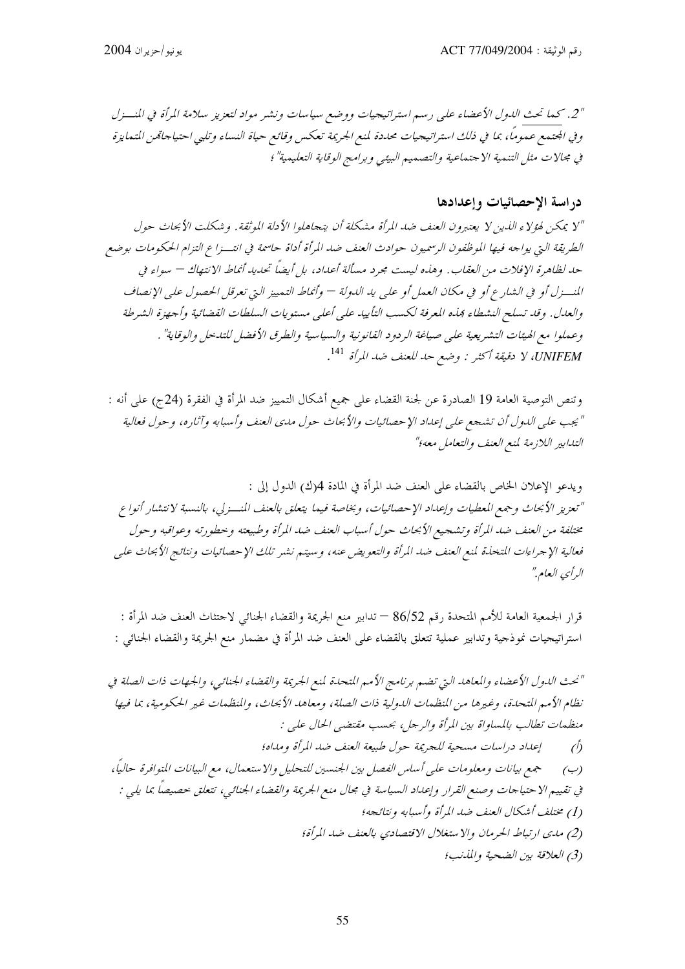"2. كيما تحتْ اللهول الأعضاء على رسيم استراتيجيات ووضع سياسات ونشير مواد لتعزيز سلامة المرأة في المنسزل وفي المجتمع عموماً، بما في ذلك استراتيجيات محددة لمنع الجريمة تعكس وقائع حياة النساء وتلبي احتياجاقمن المتمايزة في مجالات مثل التنمية الاجتماعية والتصميم البيئي وبرامج الوقاية التعليمية"؛

### دراسة الإحصائيات وإعدادها

"Y يمكن لهؤلاء الذين لا يعتبرون العنف ضد المرأة مشكلة أن يتجاهلوا الأدلة الموثقة. وشكلت الأبحاث حول الطريقة التي يواجه فيها الموظفون الرسميون حوادث العنف ضد المرأة أداة حاسمة في انتسزاع التزام الحكومات بوضع حد لظاهرة الإفلات من العقاب. وهذه ليست محرد مسألة أعداد، بل أيضاً تحديد أنماط الانتهاك — سواء في المنسزل أو في الشارع أو في مكان العمل أو على يد الدولة — وأنماط التمييز التي تعرقل الحصول على الإنصاف والعدل. وقد تسلح النشطاء ڢذه المعرفة لكسب التأييد على أعلى مستويات السلطات القضائية وأجهزة الشرطة وعملوا مع الهيئات التشريعية على صياغة الردود القانونية والسياسية والطرق الأفضل للتدخل والوقاية" . UNIFEM، لا دقيقة أكثر : وضع حد للعنف ضد المرأة <sup>141</sup>.

وتنص التوصية العامة 19 الصادرة عن لجنة القضاء على جميع أشكال التمييز ضد المرأة في الفقرة (24ج) على أنه : " يجب على اللدول أن تشجع على إعداد الإحصائيات والأبحاث حول مدى العنف وأسبابه وآثاره، وحول فعالية التدابير اللازمة لمنع العنف والتعامل معه؟"

ويدعو الإعلان الخاص بالقضاء على العنف ضد المرأة في المادة 4(ك) الدول إلى : "تعزيز الأبحاث وجمع المعطيات وإعداد الإحصائيات، وبخاصة فيما يتعلق بالعنف المنسزلي، بالنسبة لانتشار أنواع مختلفة من العنف ضد المرأة وتشحيع الأبحاث حول أسباب العنف ضد المرأة وطبيعته وحطورته وعواقبه وحول فعالية الإجراءات المتخذة لمنع العنف ضد المرأة والتعويض عنه، وسيتم نشر تلك الإحصائيات ونتائج الأبحاث على الرأي العام"

قرار الجمعية العامة للأمم المتحدة رقم 86/52 — تدابير منع الجريمة والقضاء الجنائبي لاحتثاث العنف ضد المرأة : استراتيجيات نموذجية وتدابير عملية تتعلق بالقضاء على العنف ضد المرأة في مضمار منع الجريمة والقضاء الجنائبي :

"نحث الدول الأعضاء والمعاهد التي تضم برنامج الأمم المتحدة لمنع الجريمة والقضاء الجنائبي، والجهات ذات الصلة في نظام الأمم المتحدة، وغيرها من المنظمات الدولية ذات الصلة، ومعاهد الأبحاث، والمنظمات غير الحكومية، بما فيها منظمات تطالب بالمساواة بين المرأة والرجل، بحسب مقتضى الحال على : إعداد دراسات مسحية للجريمة حول طبيعة العنف ضد المرأة ومداه؛  $\bigwedge$ (ب) هجمع بيانات و معلومات على أساس الفصل بين الجنسين للتحليل والاستعمال، مع البيانات المتوافرة حاليًا، في تقييم الاحتياجات وصنع القرار وإعداد السياسة في مجال منع الجريمة والقضاء الجنائبي، تتعلق حصيصاً بما يلبي : (1) مختلف أشكال العنف ضد المرأة وأسبابه ونتائجه؛ (2) مدى ارتباط الحرمان والاستغلال الاقتصادي بالعنف ضد المرأة؛ (3) العلاقة بين الضحية والمذنب؛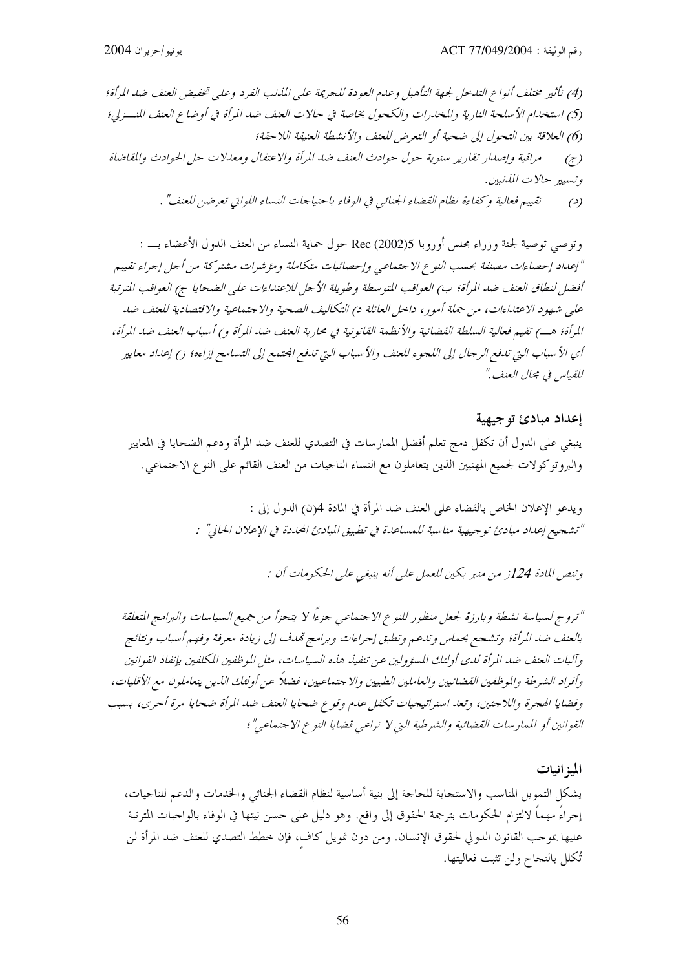وتوصى توصية لجنة وزراء مجلس أوروبا Rec (2002)5 حول حماية النساء من العنف الدول الأعضاء بـــ : "إعداد إحصاءات مصنفة بحسب النوع الاجتماعي وإحصائيات متكاملة ومؤشرات مشتركة من أجل إجراء تقييم أفضل لنطاق العنف ضد المرأة؛ ب) العواقب المتوسطة وطويلة الأحل للاعتداءات على الضحايا ج) العواقب المترتبة علي شهود الاعتداءات، من جملة أمور ، داخل العائلة د) التكاليف الصحية والاجتماعية والاقتصادية للعنف ضد أي الأسباب التي تدفع الرجال إلى اللجوء للعنف والأسباب التي تدفع الجتمع إلى التسامح إزاءه؛ ز) إعداد معايير للقياس في مجال العنف"

إعداد مبادئ توجيهية ينبغي على الدول أن تكفل دمج تعلم أفضل الممارسات في التصدي للعنف ضد المرأة ودعم الضحايا في المعايير والبروتوكولات لجميع المهنيين الذين يتعاملون مع النساء الناحيات من العنف القائم على النوع الاحتماعي.

> ويدعو الإعلان الخاص بالقضاء على العنف ضد المرأة في المادة 4(ن) الدول إلى : "تشجيع إعداد مبادئ توجيهية مناسبة للمساعدة في تطبيق المبادئ المحددة في الإعلان الحالي" :

> > وتنص المادة 124; من منبر يكين للعمل على أنه ينبغي على الحكومات أن :

"تروج لسياسة نشطة وبارزة لجعل منظور للنوع الاجتماعي جزءًا لا يتحزأ من جميع السياسات والبرامج المتعلقة بالعنف ضد المرأة؛ وتشجع بحماس وتدعم وتطبق إحراءات وبرامج تمدف إلى زيادة معرفة وفهم أسباب ونتائج وآليات العنف ضد المرأة لدى أولئك المسؤولين عن تنفيذ هذه السياسات، مثل الموظفين المكلفين بإنفاذ القوانين وأفراد الشرطة والموظفين القضائيين والعاملين الطبيين والا حتماعيين، فضلاً عن أولئك الذين يتعاملون مع الأقليات، وقضايا الهجرة واللاجئين، وتعد استراتيجيات تكفل عدم وقوع ضحايا العنف ضد المرأة ضحايا مرة أخرى، بسبب القوانين أو الممارسات القضائية والشرطية التي لا تراعبي قضايا النوع الاجتماعي"؛

الميز انيات يشكل التمويل المناسب والاستجابة للحاجة إلى بنية أساسية لنظام القضاء الجنائي والخدمات والدعم للناجيات، إجراءَ مهماً لالتزام الحكومات بترجمة الحقوق إلى واقع. وهو دليل على حسن نيتها في الوفاء بالواحبات المترتبة عليها بموجب القانون الدولي لحقوق الإنسان. ومن دون تمويل كاف، فإن خطط التصدي للعنف ضد المرأة لن تُكلل بالنجاح ولن تثبت فعاليتها.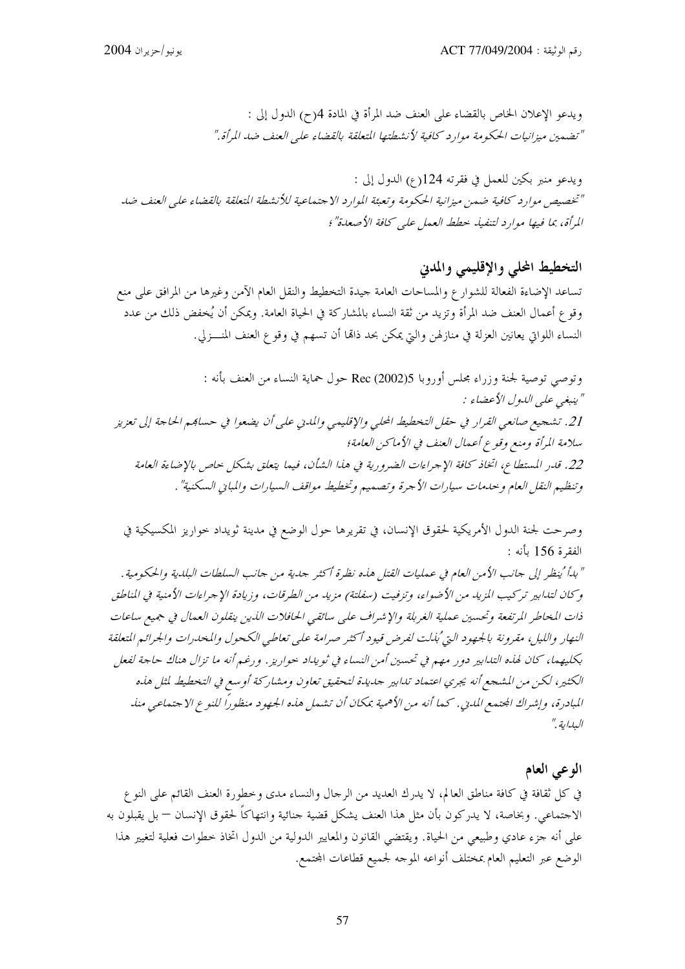ويدعو الإعلان الخاص بالقضاء على العنف ضد المرأة في المادة 4(ح) الدول إلى : "تضمين ميزانيات الحكومة موارد كافية لأنشطتها المتعلقة بالقضاء على العنف ضد المرأة."

ويدعو منبر بكين للعمل في فقرته 124(ع) الدول إلى : "تخصيص موارد كافية ضمن ميزانية الحكومة وتعبئة الموارد الاجتماعية للأنشطة المتعلقة بالقضاء على العنف ضد المرأة، بما فيها موارد لتنفيذ حطط العمل على كافة الأصعدة"؛

التخطيط الملى والإقليمي والمدني تساعد الإضاءة الفعالة للشوارع والمساحات العامة جيدة التخطيط والنقل العام الآمن وغيرها من المرافق على منع وقوع أعمال العنف ضد المرأة وتزيد من ثقة النساء بالمشاركة في الحياة العامة. ويمكن أن يُخفض ذلك من عدد النساء اللواتي يعانين العزلة في منازلهن والتي يمكن بحد ذاقما أن تسهم في وقوع العنف المنسزلي.

وتوصى توصية لجنة وزراء مجلس أوروبا Rec (2002)5 حول حماية النساء من العنف بأنه : " ينبغبي *علي اللهول الأعضاء* : 21. تشجيع صانعي القرار في حقل التخطيط المحلي والإقليمي والمدني على أن يضعوا في حسابهم الحاجة إلى تعزيز سلامة المرأة ومنع وقوع أعمال العنف في الأماكن العامة؛ 22. قدر المستطاع، اتخاذ كافة الإجراءات الضرورية في هذا الشأن، فيما يتعلق بشكل حاص بالإضاءة العامة وتنظيم النقل العام و حيدمات سيارات الأجرة و تصميم وتخطيط مواقف السيارات والمبايي السكنية" .

وصرحت لجنة الدول الأمريكية لحقوق الإنسان، في تقريرها حول الوضع في مدينة ثويداد حواريز المكسيكية في الفقرة 156 بأنه :

" بدأ 'ينظر إلى جانب الأمن العام في عمليات القتل هذه نظرة أكثر جدية من جانب السلطات البلدية والحكومية . وكان لتدابير تركيب المزيد من الأضواء، وتزفيت (سفلتة) مزيد من الطرقات، وزيادة الإجراءات الأمنية في المناطق ذات المخاطر المرتفعة وتحسين عملية الغربلة والإشراف على سائقي الحافلات الذين ينقلون العمال في جميع ساعات النهار والليل، مقرونة بالجهود التي ُبذلت لفرض قيود أكثر صرامة على تعاطي الكحول والمحدرات والجرائم المتعلقة بكليهما، كان لهذه التدابير دور مهم في تحسين أمن النساء في ثويداد حواريز. ورغم أنه ما تزال هناك حاجة لفعل الكثير، لكن من المشجع أنه يجري اعتماد تدابير جديدة لتحقيق تعاون ومشاركة أوسع في التخطيط لثل هذه المبادرة، وإشراك المحتمع المدين . كما أنه من الأهمية بمكان أن تشمل هذه الجهود منظوراً للنوع الاجتماعي منذ السابة "

#### الوعى العام

في كل ثقافة في كافة مناطق العالم، لا يدرك العديد من الرحال والنساء مدى وخطورة العنف القائم على النوع الاحتماعي. وبخاصة، لا يدركون بأن مثل هذا العنف يشكل قضية حنائية وانتهاكاً لحقوق الإنسان — بل يقبلون به على أنه حزء عادي وطبيعي من الحياة. ويقتضى القانون والمعايير الدولية من الدول اتخاذ خطوات فعلية لتغيير هذا الوضع عبر التعليم العام بمختلف أنواعه الموحه لجميع قطاعات المحتمع.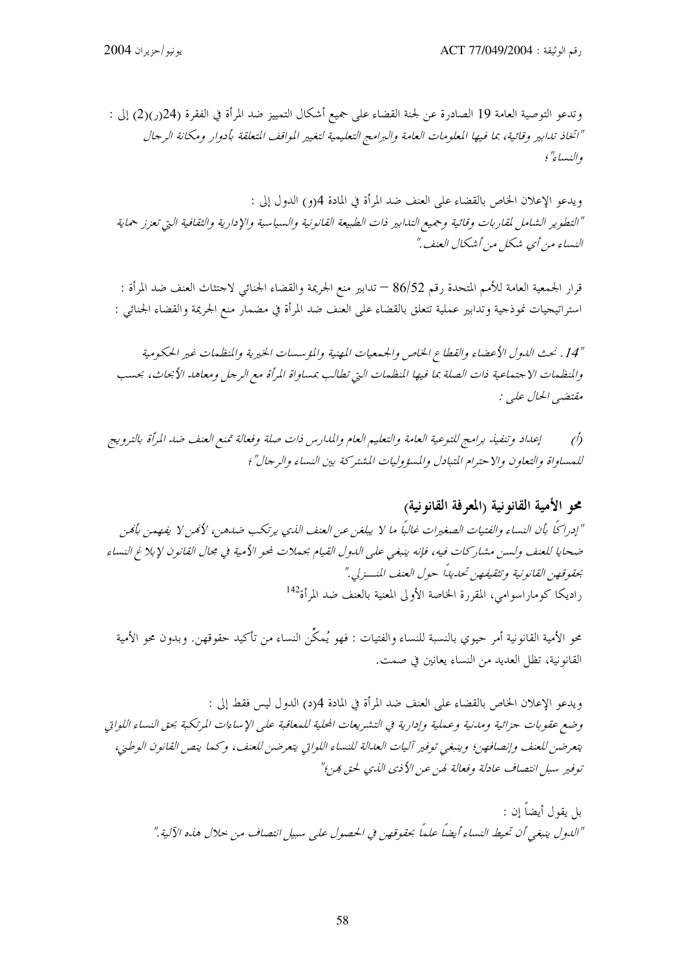وتدعو التوصية العامة 19 الصادرة عن لجنة القضاء على جميع أشكال التمييز ضد المرأة في الفقرة (24(ر)(2) إلى : "اتخاذ تدابير وقائية، بما فيها المعلومات العامة والبرامج التعليمية لتغيير المواقف المتعلقة بأدوار ومكانة الرجال والنساء" ؛

ويدعو الإعلان الخاص بالقضاء على العنف ضد المرأة في المادة 4(و) الدول إلى : "التطوير الشامل لمقاربات وقائية وجميع التدابير ذات الطبيعة القانونية والسياسية والإدارية والثقافية التي تعزز حماية النساء من أي شكل من أشكال العنف."

قرار الجمعية العامة للأمم المتحدة رقم 86/52 — تدابير منع الجريمة والقضاء الجنائبي لاحتثاث العنف ضد المرأة : استراتيجيات نموذجية وتدابير عملية تتعلق بالقضاء على العنف ضد المرأة في مضمار منع الجريمة والقضاء الجنائبي :

"14" . نحث الدول الأعضاء والقطاع الخاص والجمعيات المهنية والمؤسسات الخيرية والمنظمات غير الحكومية والمنظمات الاجتماعية ذات الصلة بما فيها المنظمات التي تطالب بمساواة المرأة مع الرجل ومعاهد الأبحاث، بحسب مقتضي الحال علي :

إعداد وتنفيذ برامج للتوعية العامة والتعليم العام والمدارس ذات صلة وفعالة تمنع العنف ضد المرأة بالترويج  $\hat{D}$ للمساواة والتعاون والاحترام المتبادل والمسؤوليات المشتركة بين النساء والر جال" ؛

# محو الأمية القانونية (المعرفة القانونية) "إدراكًا بأن النساء والفتيات الصغيرات غالبًا ما لا يبلغن عن العنف اللدي يرتكب ضدهن، لأمَن لا يفهمن بأمَن ضحايا للعنف ولسن مشاركات فيه، فإنه ينبغي على الدول القيام بحملات لمحو الأمية في مجال القانون لإبلاغ النساء بحقوقهن القانونية وتثقيفهن تحديداً حول العنف المنسر لي." راديكا كوماراسوامي، المقررة الخاصة الأولى المعنية بالعنف ضد المرأة<sup>142</sup>

محو الأمية القانونية أمر حيوي بالنسبة للنساء والفتيات : فهو يُمكِّن النساء من تأكيد حقوقهن. وبدون محو الأمية القانونية، تظلَّ العديد من النساء يعانين في صمت.

ويدعو الإعلان الخاص بالقضاء على العنف ضد المرأة في المادة 4(د) الدول ليس فقط إلى : وضع عقوبات جزائية ومدنية وعملية وإدارية في التشريعات المحلية للمعاقبة على الإساءات المرتكبة بحق النساء اللواتي يتعرضن للعنف وإنصافهن؛ وينبغي توفير آليات العدالة للنساء اللواتي يتعرضن للعنف، وكما ينص القانون الوطني، توفير سبل انتصاف عادلة وفعالة لهن عن الأذي الذي لحق هن؟"

> بل يقول أيضاً إن : "اللدول ينبغي أن تحيط النساء أيضاً علماً بحقوقهن في الحصول على سبيل انتصاف من حلال هذه الآلية."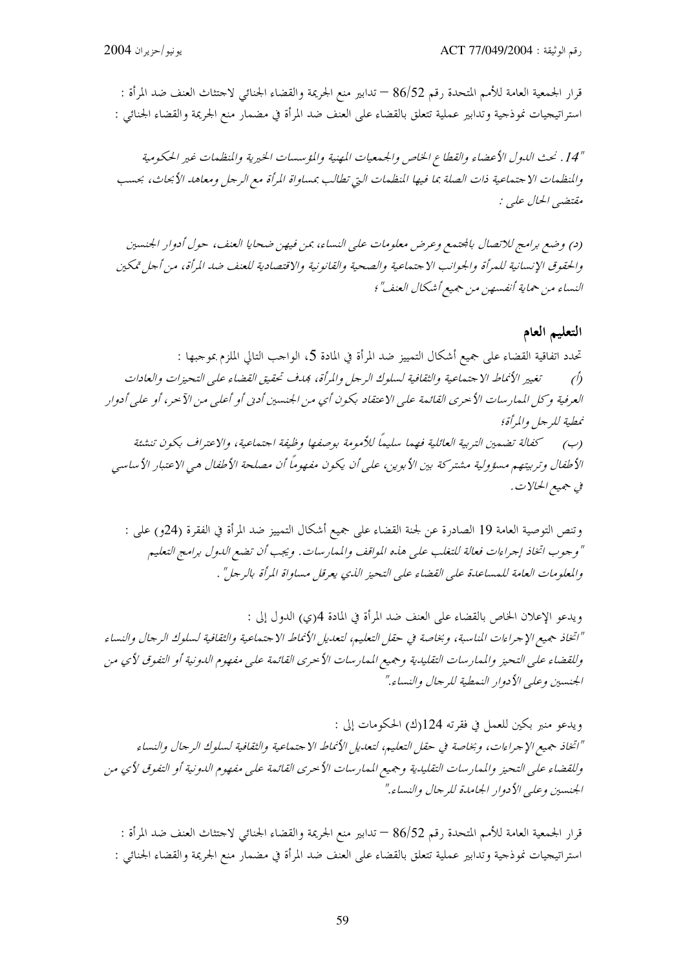قرار الجمعية العامة للأمم المتحدة رقم 86/52 — تدابير منع الجريمة والقضاء الجنائبي لاحتثاث العنف ضد المرأة : استراتيجيات نموذجية وتدابير عملية تتعلق بالقضاء على العنف ضد المرأة في مضمار منع الجريمة والقضاء الجنائبي :

"14" . نحث الدول الأعضاء والقطاع الخاص والجمعيات المهنية والمؤسسات الخيرية والمنظمات غير الحكومية والمنظمات الاجتماعية ذات الصلة بما فيها المنظمات التي تطالب بمساواة المرأة مع الرجل ومعاهد الأبحاث، بحسب مقتضبي الحال علي :

(د) وضع برامج للاتصال بالجتمع وعرض معلومات على النساء، بمن فيهن ضحايا العنف، حول أدوار الجنسين والحقوق الإنسانية للمرأة والجوانب الاحتماعية والصحية والقانونية والاقتصادية للعنف ضد المرأة، من أحل تمكين النساء من حماية أنفسهن من جميع أشكال العنف"؛

#### التعليم العام

تحدد اتفاقية القضاء على جميع أشكال التمييز ضد المرأة في المادة 5، الواحب التالي الملزم بموجبها : (أ) تغيير الأنماط الا جتماعية والثقافية لسلوك الرجل والمرأة، بمدف تحقيق القضاء على التحيزات والعادات العرفية وكل الممار سات الأحرى القائمة على الاعتقاد بكون أي من الجنسين أدين أو أعلى من الآحر، أو على أدوار نمطية للر جل والمرأة؛ (ب) \_ كفالة تضمين التربية العائلية فهما سليماً للأمومة بوصفها وظيفة اجتماعية، والاعتراف بكون تنشئة الأطفال وتربيتهم مسؤولية مشتركة بين الأبوين، على أن يكون مفهوماً أن مصلحة الأطفال هي الاعتبار الأساسي في جهيع الحالات.

وتنص التوصية العامة 19 الصادرة عن لجنة القضاء على جميع أشكال التمييز ضد المرأة في الفقرة (24و) على : " وجوب اتخاذ إجراءات فعالة للتغلب على هذه المواقف والممارسات. ويجب أن تضع الدول برامج التعليم والمعلومات العامة للمساعدة على القضاء على التحيز الذي يعرقل مساواة المرأة بالرجل" .

ويدعو الإعلان الخاص بالقضاء على العنف ضد المرأة في المادة 4(ي) الدول إلى : "اتخاذ جميع الإجراءات المناسبة، وبخاصة في حقل التعليم، لتعديل الأنماط الاجتماعية والثقافية لسلوك الرجال والنساء وللقضاء على التحيز والممارسات التقليدية وجميع الممارسات الأحرى القائمة على مفهوم الدونية أو التفوق لأي من الجنسين وعلبي الأدوار النمطية للرحال والنساء."

ويدعو منبر بكين للعمل في فقرته 124(ك) الحكومات إلى : "اتخاذ جميع الإجراءات، وبخاصة في حقل التعليم، لتعديل الأنماط الاجتماعية والثقافية لسلوك الرجال والنساء وللقضاء على التحيز والممارسات التقليدية وجميع الممارسات الأحرى القائمة على مفهوم الدونية أو التفوق لأي من الجنسين وعليي الأدوار الجامدة للرجال والنساء."

قرار الجمعية العامة للأمم المتحدة رقم 86/52 — تدابير منع الجريمة والقضاء الجنائبي لاحتثاث العنف ضد المرأة : استراتيجيات نموذجية وتدابير عملية تتعلق بالقضاء على العنف ضد المرأة في مضمار منع الجريمة والقضاء الجنائبي :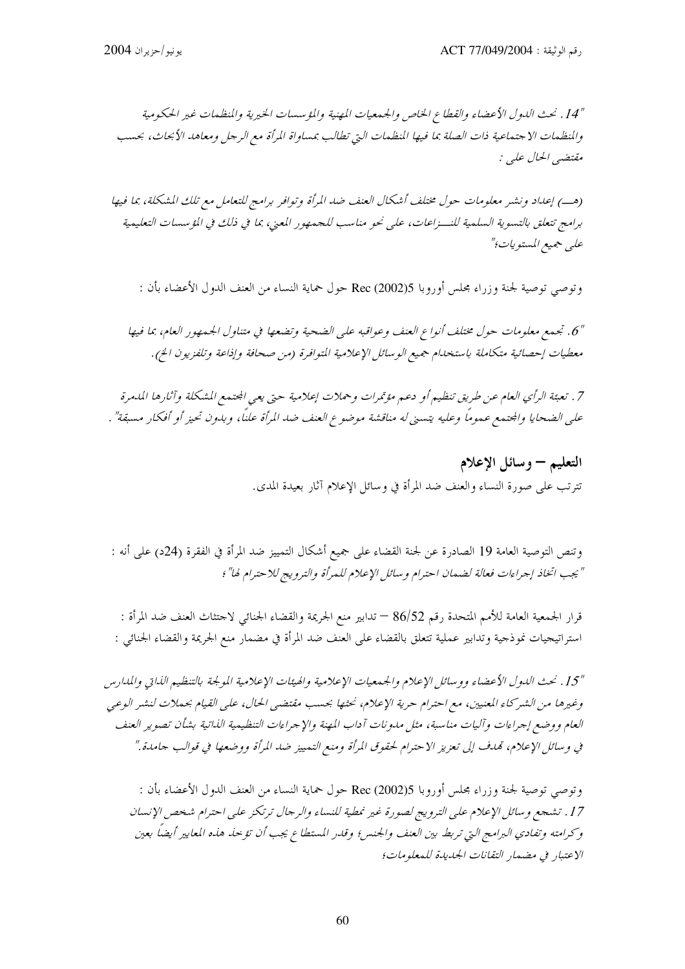"14" . نحث الدول الأعضاء والقطاع الخاص والجيمعيات المهنية والمؤسسات الخيرية والمنظمات غير الحكومية والمنظمات الاجتماعية ذات الصلة بما فيها المنظمات التي تطالب بمساواة المرأة مع الرجل ومعاهد الأبحاث، بحسب مقتضي الحال علي :

(هـ) إعداد ونشر معلومات حول مختلف أشكال العنف ضد المرأة وتوافر برامج للتعامل مع تلك المشكلة، بما فيها برامج تتعلق بالتسوية السلمية للنــزاعات، على نحو مناسب للجمهور المعنى، بما في ذلك في المؤسسات التعليمية علي جميع المستويات؛"

وتوصى توصية لجنة وزراء مجلس أوروبا Rec (2002)5 حول حماية النساء من العنف الدول الأعضاء بأن :

"6. تجمع معلومات حول مختلف أنواع العنف وعواقبه على الضحية وتضعها في متناول الجمهور العام، بما فيها معطيات إحصائية متكاملة باستخدام جميع الوسائل الإعلامية المتوافرة (من صحافة وإذاعة وتلفزيون الخ).

7 . تعبئة الرأي العام عن طريق تنظيم أو دعم مؤتمرات وحملات إعلامية حتى يعي المجتمع المشكلة وآثارها المدمرة على الضحايا والمجتمع عموماً وعليه يتسنى له مناقشة موضوع العنف ضد المرأة علناً، وبدون تحيز أو أفكار مسبقة" .

> التعليم – وسائل الإعلام تترتب على صورة النساء والعنف ضد المرأة في وسائل الإعلام آثار بعيدة المدى.

وتنص التوصية العامة 19 الصادرة عن لجنة القضاء على جميع أشكال التمييز ضد المرأة في الفقرة (24د) على أنه : " يجب اتخاذ إجراءات فعالة لضمان احترام وسائل الإعلام للمرأة والترويج للاحترام لها" ؛

قرار الجمعية العامة للأمم المتحدة رقم 86/52 — تدابير منع الجريمة والقضاء الجنائبي لاحتثاث العنف ضد المرأة : استراتيجيات نموذجية وتدابير عملية تتعلق بالقضاء على العنف ضد المرأة في مضمار منع الجريمة والقضاء الجنائبي :

"15، نحث الدول الأعضاء ووسائل الإعلام والجمعيات الإعلامية والهيئات الإعلامية المولجة بالتنظيم الذاتي والمدارس وغيرها من الشركاء المعنيين، مع احترام حرية الإعلام، نحثها بحسب مقتضى الحال، على القيام بحملات لنشر الوعبي العام ووضع إجراءات وآليات مناسبة، مثل مدونات آداب المهنة والإجراءات التنظيمية الذاتية بشأن تصوير العنف في وسائل الإعلام، تمدف إلى تعزيز الاحترام لحقوق المرأة ومنع التمييز ضد المرأة ووضعها في قوالب جامدة."

وتوصى توصية لجنة وزراء مجلس أوروبا Rec (2002)5 حول حماية النساء من العنف الدول الأعضاء بأن : 17 . تشجع وسائل الإعلام على الترويج لصورة غير نمطية للنساء والرجال ترتكز على احترام شخص الإنسان وكرامته وتفادي البرامج التي تربط بين العنف والجنس؛ وقدر المستطاع يجب أن تؤخذ هذه المعايير أيضا بعين الاعتبار في مضمار التقانات الجديدة للمعلومات؛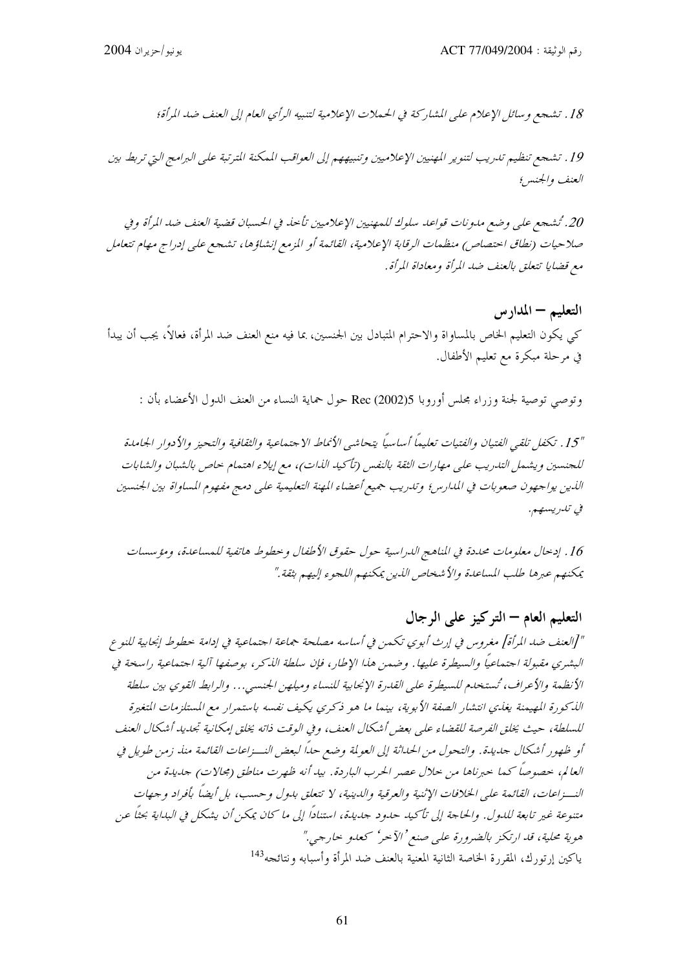18. تشجع وسائل الإعلام على المشاركة في الحيملات الإعلامية لتنبيه الرأى العام إلى العنف ضد المرأة؛

19. تشجع تنظيم تدريب لتنوير المهنيين الإعلاميين وتنبيههم إلى العواقب الممكنة المترتبة على البرامج التي تربط بين العنف والجنس؛

20. تُشجع على وضع مدونات قواعد سلوك للمهنيين الإعلاميين تأحذ في الحسبان قضية العنف ضد المرأة وفي صلاحيات (نطاق احتصاص) منظمات الرقابة الإعلامية، القائمة أو المزمع إنشاؤها، تشجع على إدراج مهام تتعامل مع قضايا تتعلق بالعنف ضد المرأة ومعاداة المرأة.

التعليم – المدار س كي يكون التعليم الخاص بالمساواة والاحترام المتبادل بين الجنسين، بما فيه منع العنف ضد المرأة، فعالاً، يجب أن يبدأ في مرحلة مبكرة مع تعليم الأطفال.

وتوصى توصية لجنة وزراء مجلس أوروبا Rec (2002)5 حول حماية النساء من العنف الدول الأعضاء بأن :

"15. تكفل تلقي الفتيان والفتيات تعليماً أساسياً يتحاشى الأنماط الاجتماعية والثقافية والتحيز والأدوار الجامدة للجنسين ويشمل التدريب على مهارات الثقة بالنفس (تأكيد الذات)، مع إيلاء اهتمام حاص بالشبان والشابات الذين يواجهون صعوبات في المدارس؛ وتدريب جميع أعضاء المهنة التعليمية على دمج مفهوم المساواة بين الجنسين فى تلىريسىم.

16 . إدخال معلومات محددة في المناهج الدراسية حول حقوق الأطفال وخطوط هاتفية للمساعدة، ومؤسسات يمكنهم عبرها طلب المساعدة والأشخاص الذين يمكنهم اللجوء إليهم بثقة ."

التعليم العام – التوكيز على الرجال "[العنف ضد المرأة] مغروس في إرث أبوي تكمن في أساسه مصلحة جماعة اجتماعية في إدامة خطوط إنجابية للنوع البشري مقبولة اجتماعياً والسيطرة عليها. وضمن هذا الإطار، فإن سلطة الذكر، بوصفها آلية اجتماعية راسخة في الأنظمة والأعراف، تُستخدم للسيطرة على القدرة الإنجابية للنساء وميلهن الجنسبي... والرابط القوي بين سلطة الذكورة المهيمنة يغذي انتشار الصفة الأبوية، بينما ما هو ذكري يكيف نفسه باستمرار مع المستلزمات المتغيرة للسلطة، حيث يخلق الفرصة للقضاء على بعض أشكال العنف، وفي الوقت ذاته يخلق إمكانية تجديد أشكال العنف أو ظهور أشكال جديدة. والتحول من الحداثة إلى العولمة وضع حداً لبعض النسزاعات القائمة منذ زمن طويل في العالم، خصوصاً كما خبرناها من حلال عصر الحرب الباردة. بيد أنه ظهرت مناطق (مجالات) جديدة من النسزاعات، القائمة على الخلافات الإثنية والعرقية والدينية، لا تتعلق بدول وحسب، بل أيضاً بأفراد وجهات متنوعة غير تابعة للدول. والحاجة إلى تأكيد حدود جديدة، استنادًا إلى ما كان يمكن أن يشكل في البداية بحثًا عن هوية محلية، قد ارتكز بالضرورة على صنع 'الآحر' كعدو حارجي." ياكين إرتورك، المقررة الخاصة الثانية المعنية بالعنف ضد المرأة وأسبابه ونتائجه<sup>143</sup>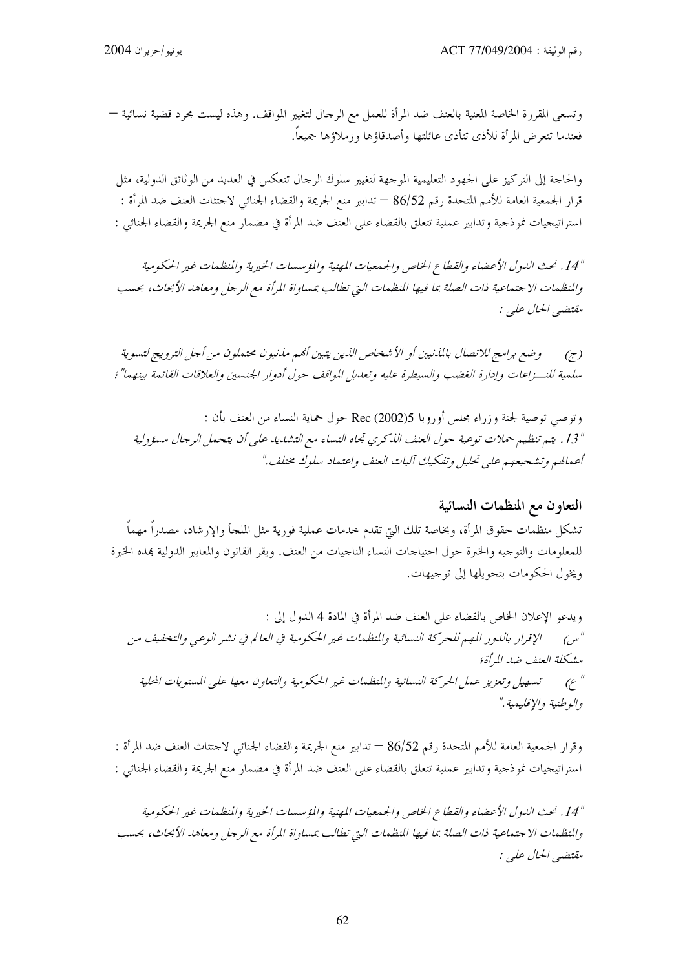وتسعى المقررة الخاصة المعنية بالعنف ضد المرأة للعمل مع الرحال لتغيير المواقف. وهذه ليست مجرد قضية نسائية — فعندما تتعرض المرأة للأذى تتأذى عائلتها وأصدقاؤها وزملاؤها جميعاً.

والحاجة إلى التركيز على الجهود التعليمية الموجهة لتغيير سلوك الرجال تنعكس في العديد من الوثائق الدولية، مثل قرار الجمعية العامة للأمم المتحدة رقم 86/52 — تدابير منع الجريمة والقضاء الجنائي لاحتثاث العنف ضد المرأة : استراتيجيات نموذجية وتدابير عملية تتعلق بالقضاء على العنف ضد المرأة في مضمار منع الجريمة والقضاء الجنائبي :

"14" . نحث الدول الأعضاء والقطاع الخاص والجمعيات المهنية والمؤسسات الخيرية والمنظمات غير الحكومية والمنظمات الاحتماعية ذات الصلة بما فيها المنظمات التي تطالب بمساواة المرأة مع الرجل ومعاهد الأبحاث، بحسب مقتضبي الحال علي :

وضع برامج للاتصال بالمذنبين أو الأشخاص الذين يتبين أنهم مذنبون محتملون من أجل الترويج لتسوية  $(\tau)$ سلمية للنــزاعات وإدارة الغضب والسيطرة عليه وتعديل المواقف حول أدوار الجنسين والعلاقات القائمة بينهما" ؛

وتوصى توصية لجنة وزراء مجلس أوروبا Rec (2002)5 حول حماية النساء من العنف بأن : "13. يتم تنظيم حملات توعية حول العنف الذكري تجاه النساء مع التشديد على أن يتحمل الرجال مسؤولية أعمالهم وتشجيعهم على تحليل وتفكيك آليات العنف واعتماد سلوك مختلف."

# التعاون مع المنظمات النسائية تشكل منظمات حقوق المرأة، وبخاصة تلك التي تقدم حدمات عملية فورية مثل الملجأ والإرشاد، مصدراً مهماً للمعلومات والتوجيه والخبرة حول احتياجات النساء الناجيات من العنف. ويقر القانون والمعايير الدولية بمذه الخبرة ويخول الحكومات بتحويلها إلى توجيهات.

ويدعو الإعلان الخاص بالقضاء على العنف ضد المرأة في المادة 4 الدول إلى : "س) الإقرار بالدور المهم للحركة النسائية والمنظمات غير الحكومية في العالم في نشر الوعبي والتخفيف من مشكلة العنف ضد المرأة؛ " ع) تسهيل وتعزيز عمل الحركة النسائية والمنظمات غير الحكومية والتعاون معها على المستويات المحلية والوطنية والإقليمية."

وقرار الجمعية العامة للأمم المتحدة رقم 86/52 — تدابير منع الجريمة والقضاء الجنائي لاحتثاث العنف ضد المرأة : استراتيجيات نموذجية وتدابير عملية تتعلق بالقضاء على العنف ضد المرأة في مضمار منع الجريمة والقضاء الجنائبي :

"14" . نحث الدول الأعضاء والقطاع الخاص والجمعيات المهنية والمؤسسات الخيرية والمنظمات غير الحكومية والمنظمات الاجتماعية ذات الصلة بما فيها المنظمات التي تطالب بمساواة المرأة مع الرجل ومعاهد الأبحاث، بحسب مقتضبي الحال عليي :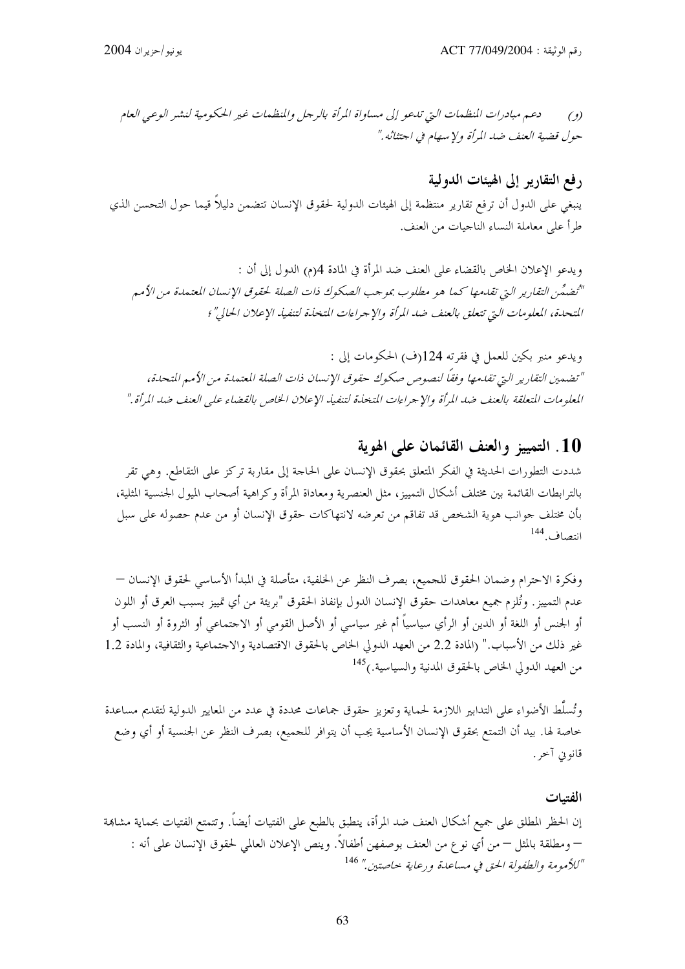دعيم مبادرات المنظهات التي تلحو إلى مساواة المرأة بالرجل والمنظهات غير الحكومية لنشير الوعبي العام  $(9)$ حول قضية العنف ضد المرأة ولإسهام في احتثاثه ."

رفع التقارير إلى الهيئات الدولية ينبغي على الدول أن ترفع تقارير منتظمة إلى الهيئات الدولية لحقوق الإنسان تتضمن دليلاً قيما حول التحسن الذي طرأ على معاملة النساء الناجيات من العنف.

ويدعو الإعلان الخاص بالقضاء على العنف ضد المرأة في المادة 4(م) الدول إلى أن : "تُضمِّن التقارير التي تقدمها كما هو مطلوب بموجب الصكوك ذات الصلة لحقوق الإنسان المعتمدة من الأمم المتحلة، المعلومات التي تتعلق بالعنف ضد المرأة والإجراءات المتخذة لتنفيذ الإعلان الحالي"؛

ويدعو منبر بكين للعمل في فقرته 124(ف) الحكومات إلى : " تضمين التقارير التي تقدمها وفقاً لنصوص صكوك حقوق الإنسان ذات الصلة المعتمدة من الأمم المتحدة، المعلومات المتعلقة بالعنف ضد المرأة والإجراءات المتخذة لتنفيذ الإعلان الخاص بالقضاء على العنف ضد المرأة."

## 10. التمييز والعنف القائمان على الهوية

شددت التطورات الحديثة في الفكر المتعلق بحقوق الإنسان على الحاجة إلى مقاربة تركز على التقاطع. وهي تقر بالترابطات القائمة بين مختلف أشكال التمييز، مثل العنصرية ومعاداة المرأة وكراهية أصحاب الميول الجنسية المثلية، بأن مختلف جوانب هوية الشخص قد تفاقم من تعرضه لانتهاكات حقوق الإنسان أو من عدم حصوله على سبل انتصاف, 144

وفكرة الاحترام وضمان الحقوق للجميع، بصرف النظر عن الخلفية، متأصلة في المبدأ الأساسي لحقوق الإنسان — عدم التمييز. وتُلزم جميع معاهدات حقوق الإنسان الدول بإنفاذ الحقوق "بريئة من أي تمييز بسبب العرق أو اللون أو الجنس أو اللغة أو الدين أو الرأي سياسياً أم غير سياسي أو الأصل القومي أو الاحتماعي أو الثروة أو النسب أو غير ذلك من الأسباب." (المادة 2.2 من العهد الدولي الخاص بالحقوق الاقتصادية والاحتماعية والثقافية، والمادة 1.2 من العهد الدولي الخاص بالحقوق المدنية والسياسية.)<sup>145</sup>

وتُسلَّط الأضواء على التدابير اللازمة لحماية وتعزيز حقوق جماعات محددة في عدد من المعايير الدولية لتقديم مساعدة خاصة لها. بيد أن التمتع بحقوق الإنسان الأساسية يجب أن يتوافر للجميع، بصرف النظر عن الجنسية أو أي وضع قانوني آحر .

الفتيات إن الحظر المطلق على جميع أشكال العنف ضد المرأة، ينطبق بالطبع على الفتيات أيضاً. وتتمتع الفتيات بحماية مشاهة – ومطلقة بالمثل – من أي نو ع من العنف بوصفهن أطفالاً. وينص الإعلان العالمي لحقوق الإنسان على أنه : "للأمومة والطفولة الحق في مساعدة ورعاية حاصتين." 146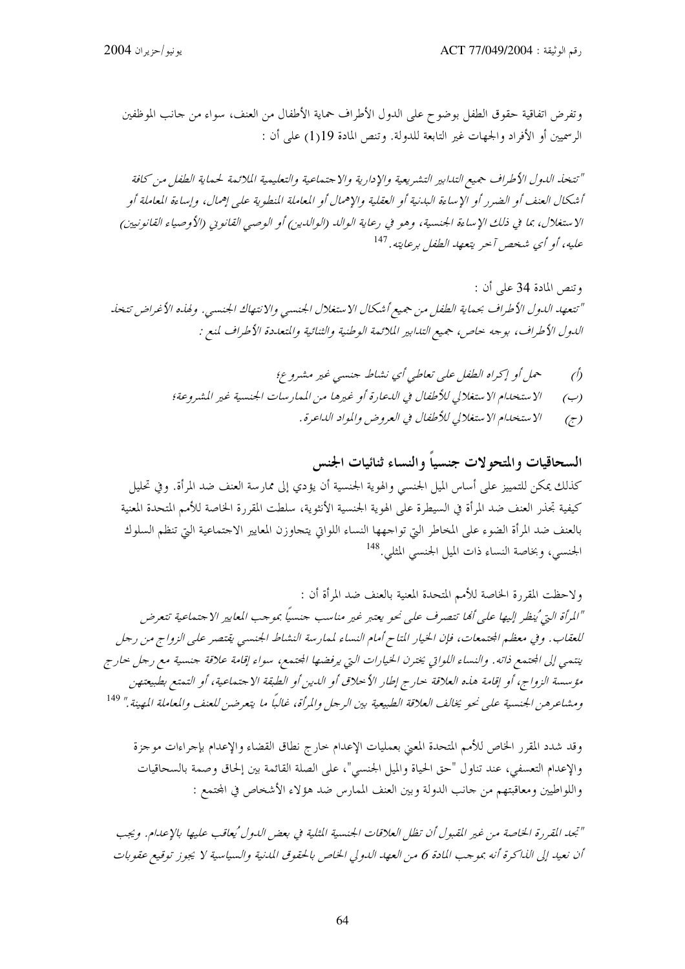وتفرض اتفاقية حقوق الطفل بوضوح على الدول الأطراف حماية الأطفال من العنف، سواء من حانب الموظفين الرسميين أو الأفراد والجهات غير التابعة للدولة. وتنص المادة 19(1) على أن :

"تتخذ الدول الأطراف جميع التدابير التشريعية والإدارية والاجتماعية والتعليمية الملائمة لحماية الطفل من كافة أشكال العنف أو الضرر أو الإساءة البدنية أو العقلية والإهمال أو المعاملة المنطوية على إهمال، وإساءة المعاملة أو الاستغلال، بما في ذلك الإساءة الجنسية، وهو في رعاية الوالد (الوالدين) أو الوصي القانويي (الأوصياء القانونيين) عليه، أو أي شخص آحر يتعهد الطفل برعايته. <sup>147</sup>

وتنص المادة 34 على أن : "تتعهد الدول الأطراف بحماية الطفل من جميع أشكال الاستغلال الجنسبي والانتهاك الجنسبي. ولهذه الأغراض تتخذ الدول الأطراف، بوجه حاص، جميع التدابير الملائمة الوطنية والثنائية والتعددة الأطراف لمنع :

> حمل أو إكراه الطفل على تعاطي أي نشاط جنسي غير مشروع؛  $\hat{O}$ الاستخدام الاستغلالي للأطفال في اللبحارة أو غيرها من الممار سات الجنسية غير المشروعة؛  $(\hookrightarrow)$ الاستخدام الاستغلالي للأطفال في العروض والمواد الداعرة.  $(\tau)$

السحاقيات والمتحولات جنسياً والنساء ثنائيات الجنس

كذلك يمكن للتمييز على أساس الميل الجنسي والهوية الجنسية أن يؤدي إلى ممارسة العنف ضد المرأة. وفي تحليل كيفية تجذر العنف ضد المرأة في السيطرة على الهوية الجنسية الأنثوية، سلطت المقررة الخاصة للأمم المتحدة المعنية بالعنف ضد المرأة الضوء على المخاطر التي تواجمها النساء اللواتي يتحاوزن المعايير الاحتماعية التي تنظم السلوك الجنسي، وبخاصة النساء ذات الميل الجنسبي المثلي.<sup>148</sup>

ولاحظت المقررة الخاصة للأمم المتحدة المعنية بالعنف ضد المرأة أن : "المرأة التي ُينظر إليها على ألها تتصرف على نحو يعتبر غير مناسب جنسياً بموجب المعايير الاجتماعية تتعرض للعقاب. وفي معظم الجتمعات، فإن الخيار المتاح أمام النساء لممارسة النشاط الجنسبي يقتصر على الزواج من رجل ينتمي إلى المجتمع ذاته. والنساء اللواتي يخترن الخيارات التي يرفضها المجتمع، سواء إقامة علاقة جنسية مع رجل حارج مؤسسة الزواج، أو إقامة هذه العلاقة حارج إطار الأحلاق أو الدين أو الطبقة الاجتماعية، أو التمتع بطبيعتهن ومشاعرهن الجنسية على نحو يخالف العلاقة الطبيعية بين الرجل والمرأة، غالباً ما يتعرضن للعنف والمعاملة المهينة ." <sup>149</sup>

وقد شدد المقرر الخاص للأمم المتحدة المعنى بعمليات الإعدام حارج نطاق القضاء والإعدام بإجراءات موجزة والإعدام التعسفي، عند تناول "حق الحياة والميل الجنسي"، على الصلة القائمة بين إلحاق وصمة بالسحاقيات واللواطيين ومعاقبتهم من حانب الدولة وبين العنف الممارس ضد هؤلاء الأشخاص في المحتمع :

"تجد القررة الخاصة من غير القبول أن تظل العلاقات الجنسية الثلية في بعض الدول ُ يعاقب عليها بالإعدام. ويجب أن نعيد إلى الذاكرة أنه بموجب المادة 6 من العهد الدولي الخاص بالحقوق المدنية والسياسية لا يجوز توقيع عقوبات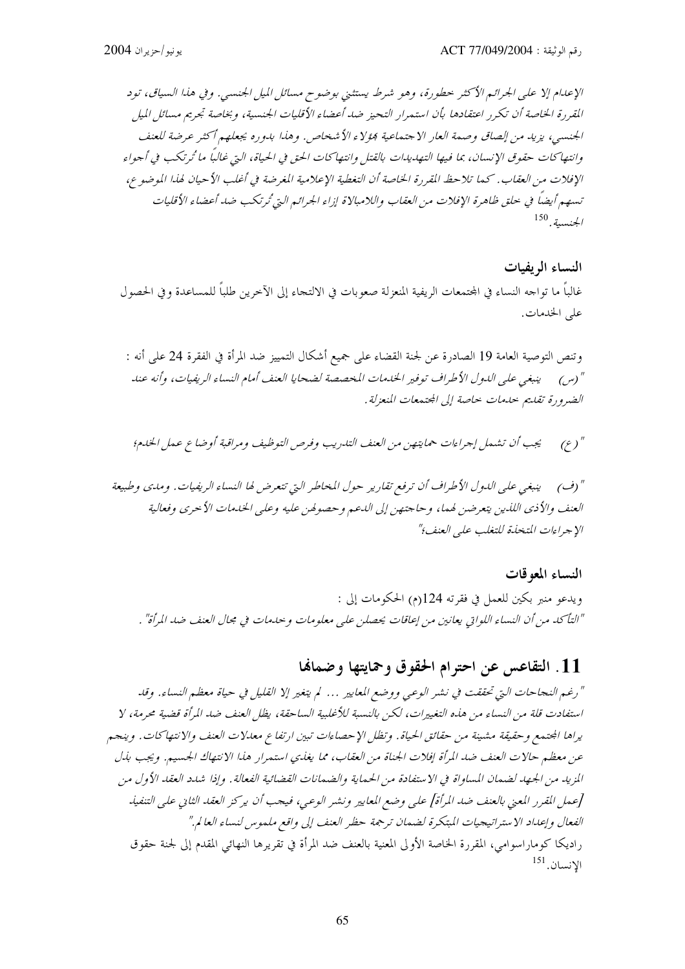الإعدام إلا على الجرائم الأكثر حطورة، وهو شرط يستثني بوضوح مسائل الميل الجنسي. وفي هذا السياق، تود المقررة الخاصة أن تكرر اعتقادها بأن استمرار التحيز ضد أعضاء الأقليات الجنسية، وبخاصة تجريم مسائل الميل الجنسي، يزيد من إلصاق وصمة العار الاجتماعية فؤلاء الأشخاص. وهذا بدوره يجعلهم أكثر عرضة للعنف وانتهاكات حقوق الإنسان، بما فيها التهديدات بالقتل وانتهاكات الحق في الحياة، التي غالباً ما تُرتكب في أجواء الإفلات من العقاب. كما تلاحظ القررة الخاصة أن التغطية الإعلامية المغرضة في أغلب الأحيان لهذا الموضوع، تسهم أيضاً في حلق ظاهرة الإفلات من العقاب واللامبالاة إزاء الجرائم التي ُترتكب ضد أعضاء الأقليات  $^{150}$ بلخنسية.

النساء الريفيات غالباً ما تواجه النساء في المحتمعات الريفية المنعزلة صعوبات في الالتجاء إلى الآخرين طلباً للمساعدة وفي الحصول على الخدمات.

وتنص التوصية العامة 19 الصادرة عن لجنة القضاء على جميع أشكال التمييز ضد المرأة في الفقرة 24 على أنه : الضرورة تقليم حليمات حلصة إلى المجتمعات المنعزلة .

" (ف) ينبغي على اللهول الأطراف أن ترفع تقارير حول المخاطر التي تتعرض لها النساء الريفيات. ومدى وطبيعة العنف والأذى اللذين يتعرضن لهما، وحاجتهن إلى اللحم وحصولهن عليه وعلى الخلدمات الأحرى وفعالية الإجراءات المتخذة للتغلب على العنف؟"

النساء المعوقات ويدعو منبر بكين للعمل في فقرته 124(م) الحكومات إلى : "التأكد من أن النساء اللواتي يعانين من إعاقات يحصلن على معلومات وحدمات في مجال العنف ضد المرأة" .

## 11. التقاعس عن احترام الحقوق وحمايتها وضمالها

"رغم النجاحات التي تحققت في نشر الوعبي ووضع المعايير … لم يتغير إلا القليل في حياة معظم النساء. وقد استفادت قلة من النساء من هذه التغييرات، لكن بالنسبة للأغلبية الساحقة، يظل العنف ضد المرأة قضية محرمة، لا يراها المجتمع وحقيقة مشينة من حقائق الحياة. وتظل الإحصاءات تبين ارتفاع معدلات العنف والانتهاكات. وينجم عن معظم حالات العنف ضد المرأة إفلات الجناة من العقاب، مما يغذي استمرار هذا الانتهاك الجسيم. ويجب بذل المزيد من الجهد لضمان المساواة في الاستفادة من الحماية والضمانات القضائية الفعالة. وإذا شدد العقد الأول من [عمل القرر المعنى بالعنف ضد المرأة] على وضع المعايير ونشر الوعبي، فيجب أن يركز العقد الثاني على التنفيذ الفعال وإعداد الاستراتيجيات المبتكرة لضمان ترجمة حظر العنف إلى واقع ملموس لنساء العالم." راديكا كوماراسوامي، المقررة الخاصة الأولى المعنية بالعنف ضد المرأة في تقريرها النهائي المقدم إلى لجنة حقوق  $^{151}$ الانسان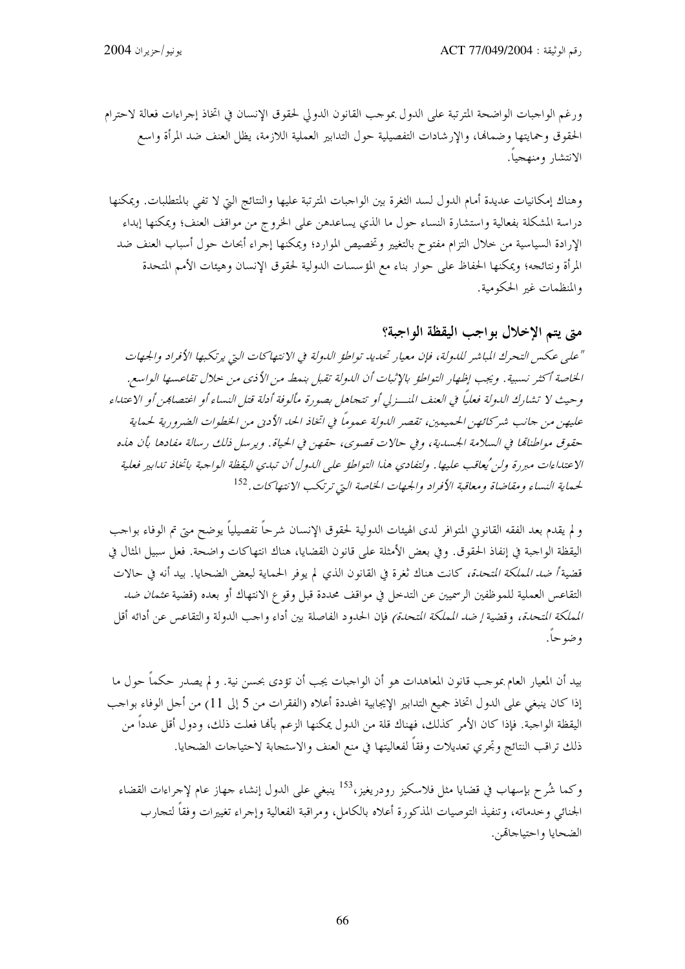ورغم الواجبات الواضحة المترتبة على الدول بموجب القانون الدولي لحقوق الإنسان في اتخاذ إجراءات فعالة لاحترام الحقوق وحمايتها وضمالها، والإرشادات التفصيلية حول التدابير العملية اللازمة، يظل العنف ضد المرأة واسع الانتشار ومنهجيا.

وهناك إمكانيات عديدة أمام الدول لسد الثغرة بين الواجبات المترتبة عليها والنتائج التي لا تفي بالمتطلبات. ويمكنها دراسة المشكلة بفعالية واستشارة النساء حول ما الذي يساعدهن على الخروج من مواقف العنف؛ ويمكنها إبداء الإرادة السياسية من حلال التزام مفتوح بالتغيير وتخصيص الموارد؛ ويمكنها إجراء أبحاث حول أسباب العنف ضد المرأة ونتائجه؛ ويمكنها الحفاظ على حوار بناء مع المؤسسات الدولية لحقوق الإنسان وهيئات الأمم المتحدة والمنظمات غير الحكومية.

## متى يتم الإخلال بواجب اليقظة الواجبة؟

"على عكس التحرك المباشر للدولة، فإن معيار تحديد تواطؤ الدولة في الانتهاكات التي يرتكبها الأفراد والجهات الخاصة أكثر نسبية. ويجب إظهار التواطؤ بالإثبات أن اللدولة تقبل بنمط من الأذي من حلال تقاعسها الواسع. وحيث لا تشارك الدولة فعلياً في العنف المنسرلي أو تتحاهل بصورة مألوفة أدلة قتل النساء أو اغتصاب<sub>كن</sub> أو الاعتداء عليهن من جانب شير كائص الحمهيهين، تقصير اللهولة عيموماً في اتخاذ الحد الأدبي من الخطوات الضيرورية لحيماية حقوق مواطناتما في السلامة الجسدية، وفي حالات قصوى، حقهن في الحياة. ويرسل ذلك رسالة مفادها بأن هذه الاعتداءات مبررة ولن يُعاقب عليها. ولتفادي هذا التواطؤ على الدول أن تبدي اليقظة الواحبة باتخاذ تدابير فعلية لحماية النساء ومقاضاة ومعاقبة الأفراد والجهات الخاصة التي ترتكب الانتهاكات. <sup>152</sup>

و لم يقدم بعد الفقه القانوني المتوافر لدى الهيئات الدولية لحقوق الإنسان شرحاً تفصيلياً يوضح متى تم الوفاء بواحب اليقظة الواحبة في إنفاذ الحقوق. وفي بعض الأمثلة على قانون القضايا، هناك انتهاكات واضحة. فعل سبيل المثال في قضية *أضد المملكة المتحدة،* كانت هناك ثغرة في القانون الذي لم يوفر الحماية لبعض الضحايا. بيد أنه في حالات التقاعس العملية للموظفين الرسميين عن التدخل في مواقف محددة قبل وقوع الانتهاك أو بعده (قضية *عثمان ضد المملكة التحدة،* وقضية *إضد الملكة التحدة)* فإن الحدود الفاصلة بين أداء واجب الدولة والتقاعس عن أدائه أقل وضوحاً.

بيد أن المعيار العام بموجب قانون المعاهدات هو أن الواجبات يجب أن تؤدي بحسن نية. و لم يصدر حكماً حول ما إذا كان ينبغي على الدول اتخاذ جميع التدابير الإيجابية المحددة أعلاه (الفقرات من 5 إلى 11) من أحل الوفاء بواحب اليقظة الواجبة. فإذا كان الأمر كذلك، فهناك قلة من الدول يمكنها الزعم بألها فعلت ذلك، ودول أقل عدداً من ذلك تراقب النتائج وتحري تعديلات وفقاً لفعاليتها في منع العنف والاستجابة لاحتياجات الضحايا.

وكما شُرح بإسهاب في قضايا مثل فلاسكيز رودريغيز،<sup>153</sup> ينبغي على الدول إنشاء جهاز عام لإجراءات القضاء الجنائبي وخدماته، وتنفيذ التوصيات المذكورة أعلاه بالكامل، ومراقبة الفعالية وإجراء تغييرات وفقاً لتجارب الضحايا واحتياحاقمن.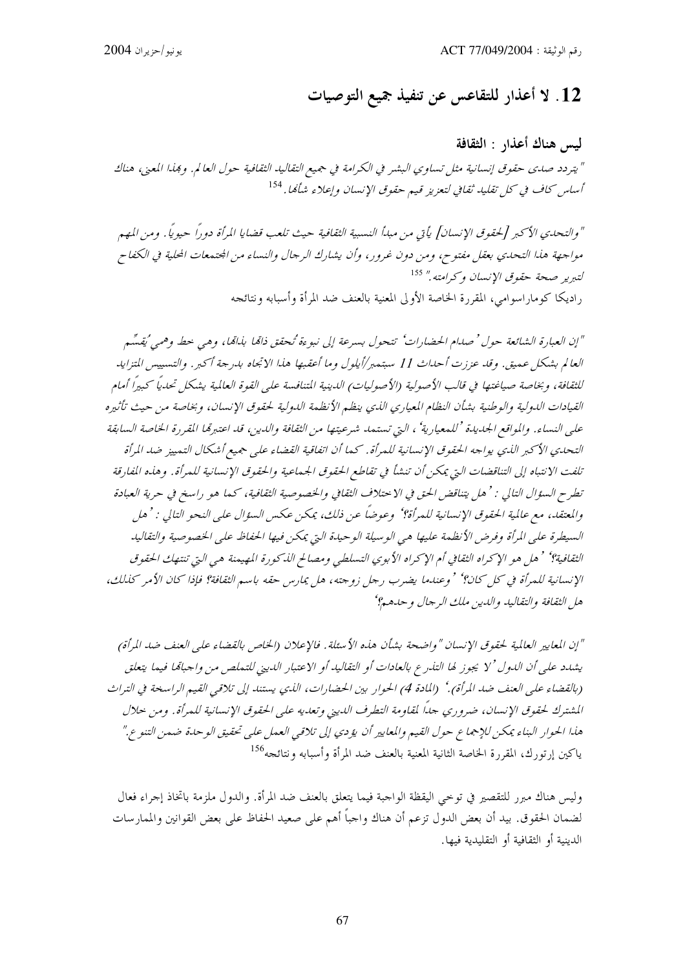# 12. لا أعذار للتقاعس عن تنفيذ جميع التوصيات

ليس هناك أعذار : الثقافة " يتردد صدى حقوق إنسانية مثل تساوي البشر في الكرامة في جميع التقاليد الثقافية حول العالم. وهذا المعنى، هناك أساس كلف في كل تقليد ثقافي لتعزيز قييم حقوق الإنسان وإعلاء شأكما. <sup>154</sup>

" والتحدي الأكبر [لحقوق الإنسان] يأتي من مبدأ النسبية الثقافية حيث تلعب قضايا المرأة دوراً حيوياً . ومن المهم مواجهة هذا التحدي بعقل مفتوح، ومن دون غرور، وأن يشارك الرجال والنساء من الجتمعات المحلية في الكفاح لتبرير صحة حقوق الإنسان وكرامته." <sup>155</sup> راديكا كوماراسوامي، المقررة الخاصة الأولى المعنية بالعنف ضد المرأة وأسبابه ونتائجه

"إن العبارة الشائعة حول ' صدام الحضارات' تتحول بسرعة إلى نبوءة تُحقق ذامًا بذامًا، وهي حط وهمي يُقسِّم العالم بشكل عميق. وقد عززت أحداث 11 سبتمبر/أيلول وما أعقبها هذا الإنجاه بدرجة أكبر . والتسبيس المتزايد للثقافة، وبخاصة صياغتها في قالب الأصولية (الأصوليات) الدينية المتنافسة على القوة العالمية بشكل تحديًا كبيرًا أمام القيادات الدولية والوطنية بشأن النظام المعياري الذي ينظم الأنظمة الدولية لحقوق الإنسان، وبخاصة من حيث تأثيره على النساء. والمواقع الجديدة 'للمعيارية' ، التي تستمد شرعيتها من الثقافة والدين، قد اعتبرها المقررة الخاصة السابقة التحدي الأكبر الذي يواجه الحقوق الإنسانية للمرأة. كما أن اتفاقية القضاء على جميع أشكال التمييز ضد المرأة تلفت الانتباه إلى التناقضات التي يمكن أن تنشأ في تقاطع الحقوق الجماعية والحقوق الإنسانية للمرأة. وهذه المفارقة تطرح السؤال التالي : ' هل يتناقض الحق في الا حتلاف الثقافي والخصوصية الثقافية، كما هو راسخ في حرية العبادة والمعتقد، مع عالمية الحقوق الإنسانية للمرأة؟' وعوضاً عن ذلك، يمكن عكس السؤال على النحو التالي : ' هل السيطرة على المرأة وفرض الأنظمة عليها هي الوسيلة الوحيدة التي يمكن فيها الحفاظ على الخصوصية والتقاليد الثقافية؟' ' هل هو الإكراه الثقافي أم الإكراه الأبوي التسلطبي ومصالح الله كورة المهيمنة هي التي تنتهك الحقوق الإنسانية للمرأة في كل كان؟' ' وعندما يضرب رجل زوجته، هل يمارس حقه باسم الثقافة؟ فإذا كان الأمر كذلك، هل الثقافة والتقاليد والدين ملك الرجال و حدهيم؟

"إن المعايير العالمية لحقوق الإنسان "واضحة بشأن هذه الأسئلة. فالإعلان (الخاص بالقضاء على العنف ضد المرأة) يشدد على أن الدول ' لا يجوز لها التذرع بالعادات أو التقاليد أو الاعتبار الديني للتملص من واجبالها فيما يتعلق (بالقضاء على العنف ضد المرأة).' (المادة 4) الحوار بين الحضارات، الذي يستند إلى تلاقي القيم الراسخة في التراث المشترك لحقوق الإنسان، ضروري جدًا لمقاومة التطرف الديني وتعديه على الحقوق الإنسانية للمرأة. ومن حلال هذا الحوار البناء يمكن للإجماع حول القيم والمعايير أن يؤدي إلى تلاقي العمل على تحقيق الوحدة ضمن التنوع." ياكين إرتورك، المقررة الخاصة الثانية المعنية بالعنف ضد المرأة وأسبابه ونتائجه<sup>156</sup>

وليس هناك مبرر للتقصير في توحى اليقظة الواجبة فيما يتعلق بالعنف ضد المرأة. والدول ملزمة باتخاذ إجراء فعال لضمان الحقوق. بيد أن بعض الدول تزعم أن هناك واجباً أهم على صعيد الحفاظ على بعض القوانين والممارسات الدينية أو الثقافية أو التقليدية فيها.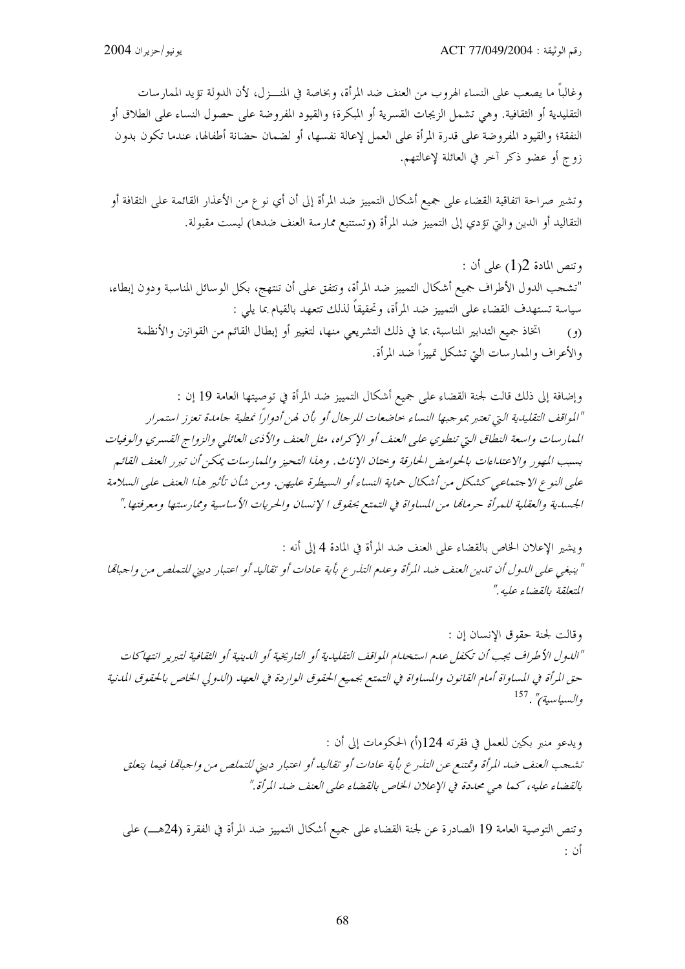وغالباً ما يصعب على النساء الهروب من العنف ضد المرأة، وبخاصة في المنـــزل، لأن الدولة تؤيد الممارسات التقليدية أو الثقافية. وهي تشمل الزيجات القسرية أو المبكرة؛ والقيود المفروضة على حصول النساء على الطلاق أو النفقة؛ والقيود المفروضة على قدرة المرأة على العمل لإعالة نفسها، أو لضمان حضانة أطفالها، عندما تكون بدون زوج أو عضو ذكر آخر في العائلة لإعالتهم.

وتشير صراحة اتفاقية القضاء على جميع أشكال التمييز ضد المرأة إلى أن أي نو ع من الأعذار القائمة على الثقافة أو التقاليد أو الدين والتي تؤدي إلى التمييز ضد المرأة (وتستتبع ممارسة العنف ضدها) ليست مقبولة.

وتنص المادة 12(1) على أن : "تشجب الدول الأطراف جميع أشكال التمييز ضد المرأة، وتتفق على أن تنتهج، بكل الوسائل المناسبة ودون إبطاء، سياسة تستهدف القضاء على التمييز ضد المرأة، وتحقيقاً لذلك تتعهد بالقيام بما يلي : اتخاذ جميع التدابير المناسبة، بما في ذلك التشريعي منها، لتغيير أو إبطال القائم من القوانين والأنظمة  $(\theta)$ والأعراف والممارسات التي تشكل تمييزاً ضد المرأة.

وإضافة إلى ذلك قالت لجنة القضاء على جميع أشكال التمييز ضد المرأة في توصيتها العامة 19 إن : "المواقف التقليدية التي تعتبر بموجبها النساء حاضعات للرجال أو بأن لهن أدواراً نمطية جامدة تعزز استمرار الممارسات واسعة النطاق التي تنطوي على العنف أو الإكراه، مثل العنف والأذي العائلي والزواج القسري والوفيات بسبب المهور والاعتداءات بالحوامض الحارقة و حتان الإناث. و هذا التحيز والمهار سات يمكن أن تب<sub>ر</sub>ر العنف القائير علي النوع الاجتماعي كشكل من أشكال حماية النساء أو السيطرة عليهن. ومن شأن تأثير هذا العنف علي السلامة الجسدية والعقلية للمرأة حرمامًا من المساواة في التمتع بحقوق الإنسان والحريات الأساسية وممارستها ومعرفتها ."

ويشير الإعلان الخاص بالقضاء على العنف ضد المرأة في المادة 4 إلى أنه : " ينبغي على الدول أن تدين العنف ضد المرأة وعدم التذرع بأية عادات أو تقاليد أو اعتبار ديني للتملص من واجبامًا المتعلقة بالقضاء عليه."

وقالت لجنة حقوق الإنسان إن : "اللدول الأطراف يجب أن تكفل علىم استخدام المواقف التقليدية أو التاريخية أو اللدينية أو الثقافية لتبرير انتهاكات حق المرأة في المساواة أمام القانون والمساواة في التمتع بجميع الحقوق الواردة في العهد (الدولي الخاص بالحقوق المدنية والسياسية)" . <sup>157</sup>

ويدعو منبر بكين للعمل في فقرته 124(أ) الحكومات إلى أن : تشجب العنف ضد المرأة وتمتنع عن التذرع بأية عادات أو تقاليد أو اعتبار ديني للتملص من واجباهًا فيما يتعلق بالقضاء عليه، كما هي محددة في الإعلان الخاص بالقضاء على العنف ضد المرأة."

وتنص التوصية العامة 19 الصادرة عن لجنة القضاء على جميع أشكال التمييز ضد المرأة في الفقرة (24هـــ) على أن :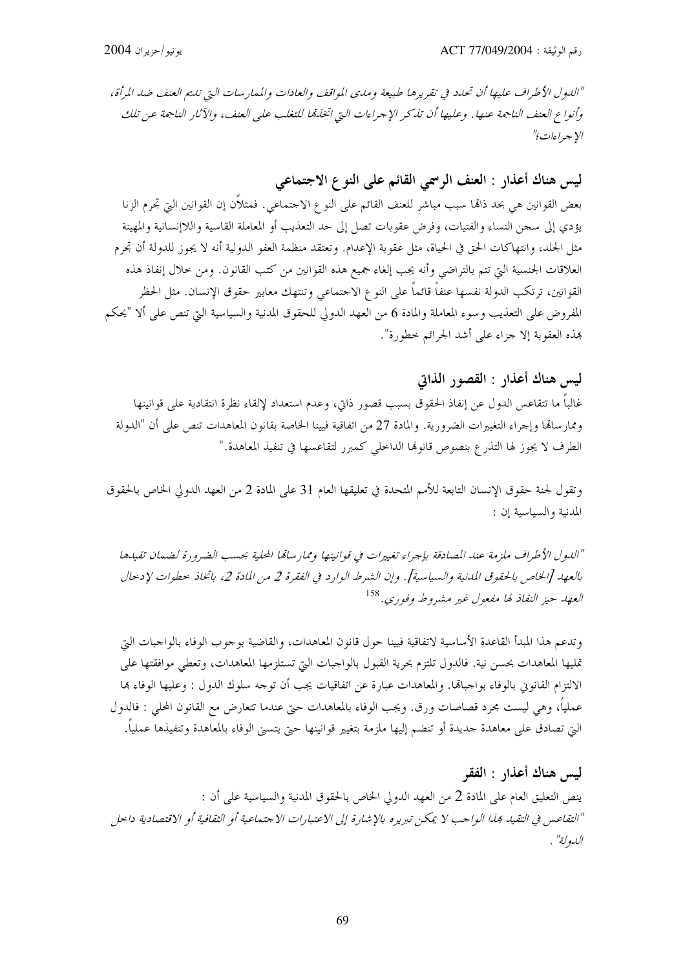"الدول الأطراف عليها أن تحدد في تقريرها طبيعة ومدى المواقف والعادات والممارسات التي تلتم العنف ضد المرأة، وأنواع العنف الناجمة عنها . وعليها أن تذكر الإجراءات التي اتخلقا للتغلب على العنف، والآثار الناجمة عن تلك الا جير اءات<sup>ي"</sup>

ليس هناك أعذار : العنف الرسمي القائم على النوع الاجتماعي

بعض القوانين هي بحد ذاتما سبب مباشر للعنف القائم على النوع الاحتماعى. فمثلاًن إن القوانين التي تجرم الزنا يؤدي إلى سجن النساء والفتيات، وفرض عقوبات تصل إلى حد التعذيب أو المعاملة القاسية واللاإنسانية والمهينة مثل الجلد، وانتهاكات الحق في الحياة، مثل عقوبة الإعدام. وتعتقد منظمة العفو الدولية أنه لا يجوز للدولة أن تجرم العلاقات الجنسية التي تتم بالتراضي وأنه يجب إلغاء جميع هذه القوانين من كتب القانون. ومن خلال إنفاذ هذه القوانين، ترتكب الدولة نفسها عنفاً قائماً على النو ع الاحتماعي وتنتهك معايير حقوق الإنسان. مثل الحظر المفروض على التعذيب وسوء المعاملة والمادة 6 من العهد الدولي للحقوق المدنية والسياسية التي تنص على ألا "يحكم هِذِهِ العقوبةِ إِلاَّ جزاءِ على أشدِ الجرائمِ خطورة".

ليس هناك أعذار : القصور الذاتي

غالباً ما تتقاعس الدول عن إنفاذ الحقوق بسبب قصور ذاتي، وعدم استعداد لإلقاء نظرة انتقادية على قوانينها وممارساقما وإجراء التغييرات الضرورية. والمادة 27 من اتفاقية فيينا الخاصة بقانون المعاهدات تنص على أن "الدولة الطرف لا يجوز لها التذرع بنصوص قانوها الداحلي كمبرر لتقاعسها في تنفيذ المعاهدة."

وتقول لجنة حقوق الإنسان التابعة للأمم المتحدة في تعليقها العام 31 على المادة 2 من العهد الدولي الخاص بالحقوق المدنية والسياسية إن :

"الدول الأطراف ملزمة عند المصادقة بإجراء تغييرات في قوانينها وممارساقما المحلية بحسب الضرورة لضمان تقيدها بالعهد [الخاص بالحقوق المدنية والسياسية]. وإن الشرط الوارد في الفقرة 2 من المادة 2، باتخاذ حطوات لإدحال العبهد حيز النفاذ لها مفعول غير مشيروط وفوري. <sup>158</sup>

وتدعم هذا المبدأ القاعدة الأساسية لاتفاقية فيينا حول قانون المعاهدات، والقاضية بوجوب الوفاء بالواجبات التي تمليها المعاهدات بحسن نية. فالدول تلتزم بحرية القبول بالواجبات التي تستلزمها المعاهدات، وتعطي موافقتها على الالتزام القانوين بالوفاء بواجبالها. والمعاهدات عبارة عن اتفاقيات يجب أن توجه سلوك الدول : وعليها الوفاء ها عملياً، وهي ليست مجرد قصاصات ورق. ويجب الوفاء بالمعاهدات حتى عندما تتعارض مع القانون المحلي : فالدول التي تصادق على معاهدة حديدة أو تنضم إليها ملزمة بتغيير قوانينها حتى يتسنى الوفاء بالمعاهدة وتنفيذها عملياً.

ليس هناك أعذار : الفقر ينص التعليق العام على المادة 2 من العهد الدولي الخاص بالحقوق المدنية والسياسية على أن : "التقاعس في التقيد بمذا الواجب لا يمكن تبريره بالإشارة إلى الاعتبارات الاجتماعية أو الثقافية أو الاقتصادية داحل اللهولة" .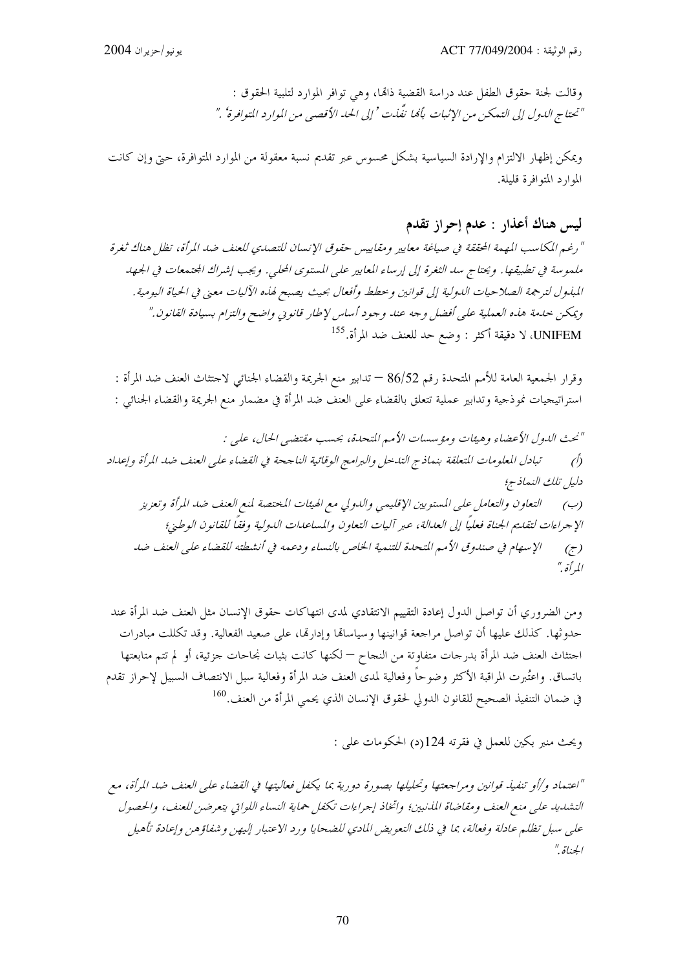وقالت لجنة حقوق الطفل عند دراسة القضية ذاقما، وهي توافر الموارد لتلبية الحقوق : "تحتاج الدول إلى التهكين من الإثبات بألها نفّلت ' إلى الحد الأقصبي من الموارد المتوافرة' ."

ويمكن إظهار الالتزام والإرادة السياسية بشكل محسوس عبر تقديم نسبة معقولة من الموارد المتوافرة، حتى وإن كانت الموارد المتوافرة قليلة.

ليس هناك أعذار : عدم إحراز تقدم

" رغم المكاسب المهمة المحققة في صياغة معايير ومقاييس حقوق الإنسان للتصدي للعنف ضد المرأة، تظل هناك ثغرة ملموسة في تطبيقها. ويحتاج سد الثغرة إلى إرساء المعايير على المستوى المحلي. ويجب إشراك المحتمعات في الجهد المبذول لترجمة الصلاحيات الدولية إلى قوانين وخطط وأفعال بحيث يصبح لهذه الآليات معنى في الحياة اليومية . ويمكن حدمة هذه العملية على أفضل وجه عند وجود أساس لإطار قانوني واضح والتزام بسيادة القانون." UNIFEM، لا دقيقة أكثر : وضع حد للعنف ضد المرأة.<sup>155</sup>

وقرار الجمعية العامة للأمم المتحدة رقم 86/52 — تدابير منع الجريمة والقضاء الجنائي لاحتثاث العنف ضد المرأة : استراتيجيات نموذجية وتدابير عملية تتعلق بالقضاء على العنف ضد المرأة في مضمار منع الجريمة والقضاء الجنائي :

"نحت الدول الأعضاء وهيئات ومؤسسات الأمير المتحدة، بحسب مقتضي الحال، علي : تبادل المعلومات المتعلقة بنماذج التدحل والبرامج الوقائية الناجحة في القضاء على العنف ضد المرأة وإعداد  $\hat{O}$ دليل تلك النماذج؛ التعاون والتعامل على المستويين الإقليمي واللدولي مع الهيئات المختصة لمنع العنف ضد المرأة وتعزيز  $(\hookrightarrow)$ الإجراءات لتقليم الجناة فعليًا إلى العدالة، عبر آليات التعاون والمساعدات الدولية وفقًا للقانون الوطيئ؛ الإسهام في صندوق الأميم المتحدة للتنمية الخاص بالنساء و دعمه في أنشطته للقضاء على العنف ضد  $\left(\overline{z}\right)$ المرأة ."

ومن الضروري أن تواصل الدول إعادة التقييم الانتقادي لمدى انتهاكات حقوق الإنسان مثل العنف ضد المرأة عند حدوثها. كذلك عليها أن تواصل مراجعة قوانينها وسياسالها وإدارتها، على صعيد الفعالية. وقد تكللت مبادرات احتثاث العنف ضد المرأة بدرحات متفاوتة من النجاح — لكنها كانت بثبات نجاحات جزئية، أو لم تتم متابعتها باتساق. واعتُبرت المراقبة الأكثر وضوحاً وفعالية لمدى العنف ضد المرأة وفعالية سبل الانتصاف السبيل لإحراز تقدم في ضمان التنفيذ الصحيح للقانون الدولي لحقوق الإنسان الذي يحمى المرأة من العنف.<sup>160</sup>

ويحتْ منبر بكين للعمل في فقرته 124(د) الحكومات على :

"اعتماد و/أو تنفيذ قوانين ومراجعتها وتحليلها بصورة دورية بما يكفل فعاليتها في القضاء على العنف ضد المرأة، مع التشديد على منع العنف ومقاضاة المذنبين؛ واتخاذ إجراءات تكفل حماية النساء اللواتي يتعرضن للعنف، والحصول على سبل تظلم عادلة وفعالة، بما في ذلك التعويض المادي للضحايا ورد الاعتبار إليهن وشفاؤهن وإعادة تأهيل الجناة "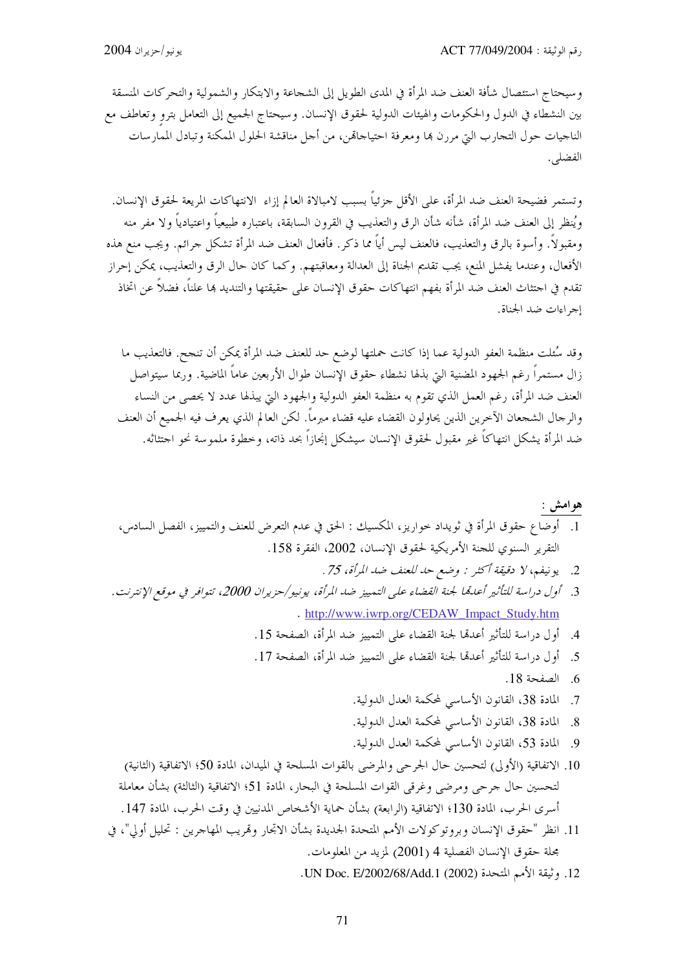وسيحتاج استئصال شأفة العنف ضد المرأة في المدى الطويل إلى الشحاعة والابتكار والشمولية والتحركات المنسقة بين النشطاء في الدول والحكومات والهيئات الدولية لحقوق الإنسان. وسيحتاج الجميع إلى التعامل بترو وتعاطف مع الناجيات حول التجارب التي مررن بما ومعرفة احتياجاقمن، من أجل مناقشة الحلول الممكنة وتبادل الممارسات الفضلي.

وتستمر فضيحة العنف ضد المرأة، على الأقل جزئياً بسبب لامبالاة العالم إزاء الانتهاكات المريعة لحقوق الإنسان. ويُنظر إلى العنف ضد المرأة، شأنه شأن الرق والتعذيب في القرون السابقة، باعتباره طبيعياً واعتيادياً ولا مفر منه ومقبولاً. وأسوة بالرق والتعذيب، فالعنف ليس أياً مما ذكر. فأفعال العنف ضد المرأة تشكل جرائم. ويجب منع هذه الأفعال، وعندما يفشل المنع، يجب تقديم الجناة إلى العدالة ومعاقبتهم. وكما كان حال الرق والتعذيب، يمكن إحراز تقدم في احتثاث العنف ضد المرأة بفهم انتهاكات حقوق الإنسان على حقيقتها والتنديد بما علناً، فضلاً عن اتخاذ إجراءات ضد الجناة.

وقد سُئلت منظمة العفو الدولية عما إذا كانت حملتها لوضع حد للعنف ضد المرأة يمكن أن تنجح. فالتعذيب ما زال مستمراً رغم الجهود المضنية التي بذلها نشطاء حقوق الإنسان طوال الأربعين عاماً الماضية. وربما سيتواصل العنف ضد المرأة، رغم العمل الذي تقوم به منظمة العفو الدولية والجهود التي يبذلها عدد لا يحصى من النساء والرجال الشجعان الآخرين الذين يحاولون القضاء عليه قضاء مبرماً. لكن العالم الذي يعرف فيه الجميع أن العنف ضد المرأة يشكل انتهاكاً غير مقبول لحقوق الإنسان سيشكل إنجازاً بحد ذاته، وخطوة ملموسة نحو احتثاثه.

# هوامش : 1. أوضاع حقوق المرأة في ثويداد حواريز، المكسيك : الحق في عدم التعرض للعنف والتمييز، الفصل السادس، التقرير السنوي للجنة الأمريكية لحقوق الإنسان، 2002، الفقرة 158.

- 2. يونيفم، لا دقيقة أكثر : وضع حد للعنف ضد المرأة، 75 .
- . http://www.iwrp.org/CEDAW\_Impact\_Study.htm
	-
	- 5. أول دراسة للتأثير أعدهما لجنة القضاء على التمييز ضد المرأة، الصفحة 17.
		- 6 الصفحة 18.
		- 7. المادة 38، القانون الأساسي لمحكمة العدل الدولية.
		- 8. المادة 38، القانون الأساسي لمحكمة العدل الدولية.
		- 9. المادة 53، القانون الأساسي لمحكمة العدل الدولية.
- 10. الاتفاقية (الأولى) لتحسين حال الجرحي والمرضى بالقوات المسلحة في الميدان، المادة 50؛ الاتفاقية (الثانية) لتحسين حال جرحي ومرضى وغرقي القوات المسلحة في البحار، المادة 51؛ الاتفاقية (الثالثة) بشأن معاملة أسرى الحرب، المادة 130؛ الاتفاقية (الرابعة) بشأن حماية الأشخاص المدنيين في وقت الحرب، المادة 147.
- 11. انظر "حقوق الإنسان وبروتوكولات الأمم المتحدة الجديدة بشأن الاتحار وقمريب المهاجرين : تحليل أولي"، في بحلة حقوق الإنسان الفصلية 4 (2001) لمزيد من المعلومات.
	- 12. وثيقة الأمم المتحدة (2002) UN Doc. E/2002/68/Add.1.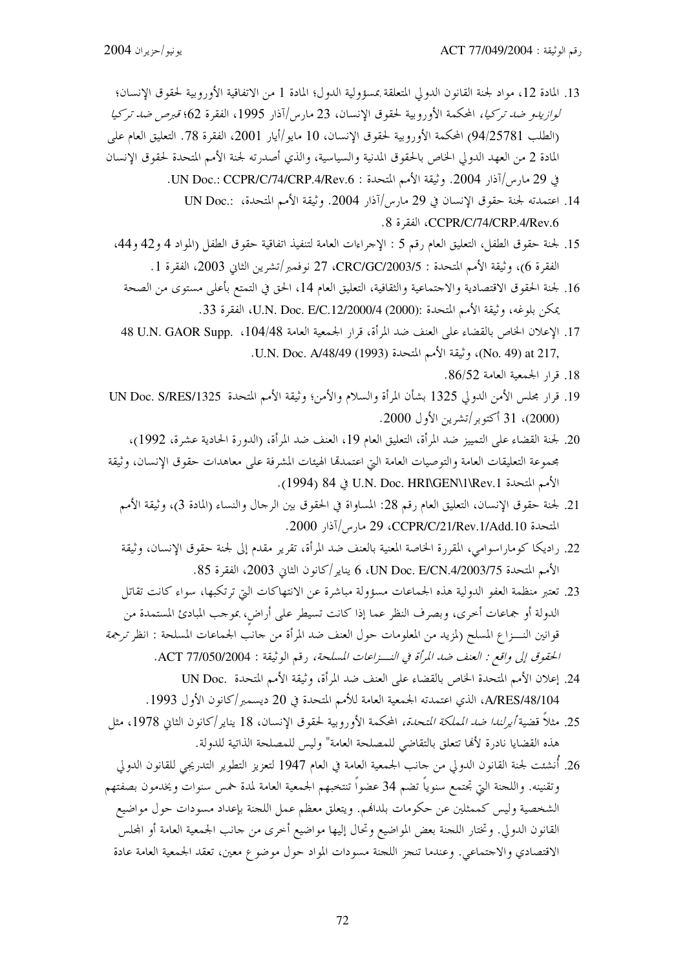- 13. المادة 12، مواد لجنة القانون الدولي المتعلقة بمسؤولية الدول؛ المادة 1 من الاتفاقية الأوروبية لحقوق الإنسان؛ لوازيدو ض*د تركيا،* المحكمة الأوروبية لحقوق الإنسان، 23 مارس/آذار 1995، الفقرة 62؛ *قبرص ضد تركيا* (الطلب 94/25781) المحكمة الأوروبية لحقوق الإنسان، 10 مايو/أيار 2001، الفقرة 78. التعليق العام على المادة 2 من العهد الدولي الخاص بالحقوق المدنية والسياسية، والذي أصدرته لجنة الأمم المتحدة لحقوق الإنسان في 29 مارس/آذار 2004. وثيقة الأمم المتحدة : UN Doc.: CCPR/C/74/CRP.4/Rev.6.
	- 14. اعتمدته لجنة حقوق الإنسان في 29 مارس/آذار 2004. وثيقة الأمم المتحدة، :.UN Doc .8 .CCPR/C/74/CRP.4/Rev، الفقرة 8.
	- 15. لجنة حقوق الطفل، التعليق العام رقم 5 : الإحراءات العامة لتنفيذ اتفاقية حقوق الطفل (المواد 4 و42 و44، الفقرة 6)، وثيقة الأمم المتحدة : CRC/GC/2003/5، 27 نوفمبر/تشرين الثاني 2003، الفقرة 1.
		- 16. لجنة الحقوق الاقتصادية والاحتماعية والثقافية، التعليق العام 14، الحق في التمتع بأعلى مستوى من الصحة يمكن بلوغه، وثيقة الأمم المتحدة :(U.N. Doc. E/C.12/2000/4 (2000) الفقرة 33.
		- 17. الإعلان الخاص بالقضاء على العنف ضد المرأة، قرار الجمعية العامة U.N. GAOR Supp. ،104/48 له .No. 49) at 217, وثيقة الأمم المتحدة (1993) U.N. Doc. A/48/49.
			- 18. قرار الجمعية العامة 86/52.
- 19. قرار مجلس الأمن الدولي 1325 بشأن المرأة والسلام والأمن؛ وثيقة الأمم المتحدة UN Doc. S/RES/1325 (2000)، 31 أكتوبر/تشرين الأول 2000.
- 20. لجنة القضاء على التمييز ضد المرأة، التعليق العام 19، العنف ضد المرأة، (الدورة الحادية عشرة، 1992)، مجموعة التعليقات العامة والتوصيات العامة التي اعتمدقما الهيئات المشرفة على معاهدات حقوق الإنسان، وثيقة الأمم المتحدة U.N. Doc. HRI\GEN\1\Rev.1 في 84 (1994).
	- 21. لجنة حقوق الإنسان، التعليق العام رقم 28: المساواة في الحقوق بين الرجال والنساء (المادة 3)، وثيقة الأمم المتحدة CCPR/C/21/Rev.1/Add.10، 29 مارس/آذار 2000.
	- 22. راديكا كوماراسوامي، المقررة الخاصة المعنية بالعنف ضد المرأة، تقرير مقدم إلى لجنة حقوق الإنسان، وثيقة الأمم المتحدة UN Doc. E/CN.4/2003/75، يناير/كانون الثاني 2003، الفقرة 85.
- 23. تعتبر منظمة العفو الدولية هذه الجماعات مسؤولة مباشرة عن الانتهاكات التي ترتكبها، سواء كانت تقاتل الدولة أو جماعات أخرى، وبصرف النظر عما إذا كانت تسيطر على أراض، بموجب المبادئ المستمدة من قوانين النـــزاع المسلح (لمزيد من المعلومات حول العنف ضد المرأة من حانب الجماعات المسلحة : انظر ترجمة الحقوق إلى واقع : العنف ضد المرأة في النواعات المسلحة، رقم الوثيقة : ACT 77/050/2004.
	- 24. إعلان الأمم المتحدة الخاص بالقضاء على العنف ضد المرأة، وثيقة الأمم المتحدة .UN Doc A/RES/48/104، الذي اعتمدته الجمعية العامة للأمم المتحدة في 20 ديسمبر/كانون الأول 1993.
- 25. مثلاً قضية *أيرلندا ضد المملكة المتحدة،* المحكمة الأوروبية لحقوق الإنسان، 18 يناير/كانون الثاني 1978، مثل هذه القضايا نادرة لألها تتعلق بالتقاضي للمصلحة العامة" وليس للمصلحة الذاتية للدولة.
- 26. أُنشئت لجنة القانون الدولي من حانب الجمعية العامة في العام 1947 لتعزيز التطوير التدريجي للقانون الدولي وتقنينه. واللحنة التي تجتمع سنوياً تضم 34 عضواً تنتخبهم الجمعية العامة لمدة حمس سنوات ويخدمون بصفتهم الشخصية وليس كممثلين عن حكومات بلدافمم. ويتعلق معظم عمل اللجنة بإعداد مسودات حول مواضيع القانون الدولي. وتختار اللحنة بعض المواضيع وتحال إليها مواضيع أخرى من حانب الجمعية العامة أو المحلس الاقتصادي والاجتماعي. وعندما تنجز اللجنة مسودات المواد حول موضوع معين، تعقد الجمعية العامة عادة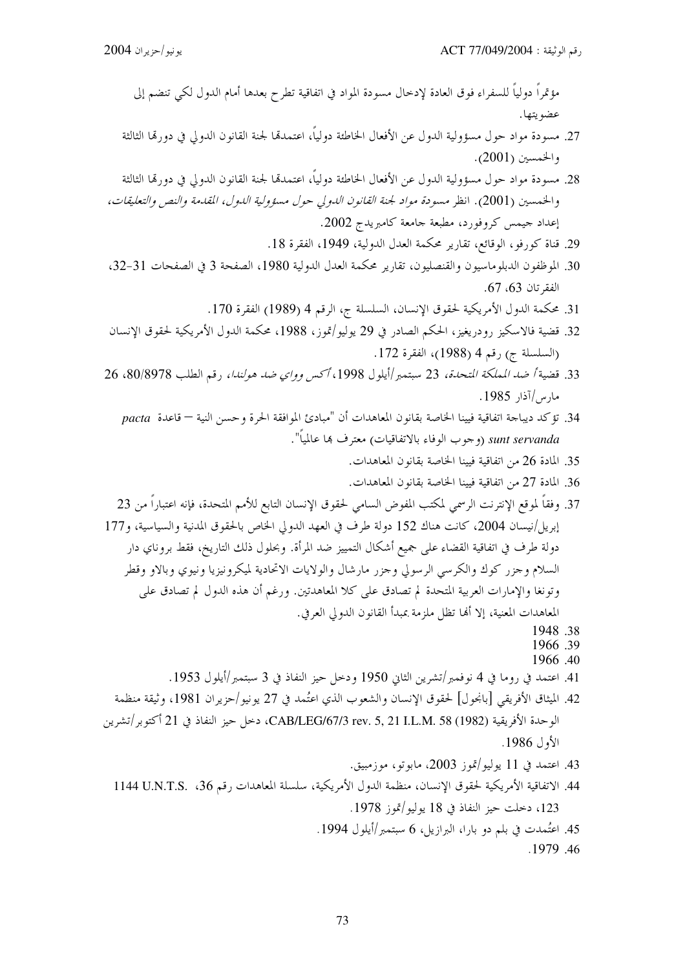مؤتمراً دولياً للسفراء فوق العادة لإدخال مسودة المواد في اتفاقية تطرح بعدها أمام الدول لكى تنضم إلى عضو يتها.

- 27. مسودة مواد حول مسؤولية الدول عن الأفعال الخاطئة دولياً، اعتمدها لجنة القانون الدولي في دورها الثالثة والخمسين (2001).
- 28. مسودة مواد حول مسؤولية الدول عن الأفعال الخاطئة دولياً، اعتمدها لجنة القانون الدولي في دورتما الثالثة والخمسين (2001). انظر مسودة مواد لجنة القانون اللدولي حول مسؤولية الدول، المقدمة والنص والتعليقات، إعداد حيمس كروفورد، مطبعة جامعة كامبريدج 2002.
	- 29. قناة كورفو، الوقائع، تقارير محكمة العدل الدولية، 1949، الفقرة 18.
- 30. الموظفون الدبلوماسيون والقنصليون، تقارير محكمة العدل الدولية 1980، الصفحة 3 في الصفحات 31-32، الفقر تان 63، 67.
	- 31. محكمة الدول الأمريكية لحقوق الإنسان، السلسلة ج، الرقم 4 (1989) الفقرة 170.
- 32. قضية فالاسكيز رودريغيز، الحكم الصادر في 29 يوليو/تموز، 1988، محكمة الدول الأمريكية لحقوق الإنسان (السلسلة ج) رقم 4 (1988)، الفقرة 172.
- 33. قضية أصد المملكة التحدة، 23 سبتمبر |أيلول 1998، أكس وواي ضد هولندا، رقم الطلب 80/8978، 26 مارس/آذار 1985.
	- 34. تؤكد ديباجة اتفاقية فيينا الخاصة بقانون المعاهدات أن "مبادئ الموافقة الحرة وحسن النية قاعدة pacta sunt servanda (وجوب الوفاء بالاتفاقيات) معترف بما عالمياً".
		- 35. المادة 26 من اتفاقية فيبنا الخاصة بقانون المعاهدات.
		- 36. المادة 27 من اتفاقية فيينا الخاصة بقانون المعاهدات.
- 37. وفقاً لموقع الإنترنت الرسمي لمكتب المفوض السامي لحقوق الإنسان التابع للأمم المتحدة، فإنه اعتباراً من 23 إبريل/نيسان 2004، كانت هناك 152 دولة طرف في العهد الدولي الخاص بالحقوق المدنية والسياسية، و177 دولة طرف في اتفاقية القضاء على جميع أشكال التمييز ضد المرأة. وبحلول ذلك التاريخ، فقط بروناي دار السلام وجزر كوك والكرسي الرسولي وجزر مارشال والولايات الاتحادية لميكرونيزيا ونيوي وبالاو وقطر وتونغا والإمارات العربية المتحدة لم تصادق على كلا المعاهدتين. ورغم أن هذه الدول لم تصادق على المعاهدات المعنية، إلا أُلها تظلَّ ملزمة بمبدأ القانون الدولي العرفي.
	- 1948.38
	- 1966 39 1966.40
	- 41. اعتمد في روما في 4 نوفمبر/تشرين الثاني 1950 ودحل حيز النفاذ في 3 سبتمبر/أيلول 1953.
- 42. الميثاق الأفريقي [بانجول] لحقوق الإنسان والشعوب الذي اعتُمد في 27 يونيو/حزيران 1981، وثيقة منظمة الوحدة الأفريقية CAB/LEG/67/3 rev. 5, 21 I.L.M. 58 (1982)، دخل حيز النفاذ في 21 أكتوبر/تشرين الأول 1986.
	- 43. اعتمد في 11 يوليو/تموز 2003، مابوتو، موزمبيق.
	- 44. الاتفاقية الأمريكية لحقوق الإنسان، منظمة الدول الأمريكية، سلسلة المعاهدات رقم 36، U.N.T.S. ، 123، دخلت حيز النفاذ في 18 يوليو/تموز 1978.
		- 45. اعتُمدت في بلم دو بارا، البرازيل، 6 سبتمبر/أيلول 1994.
			- .1979.46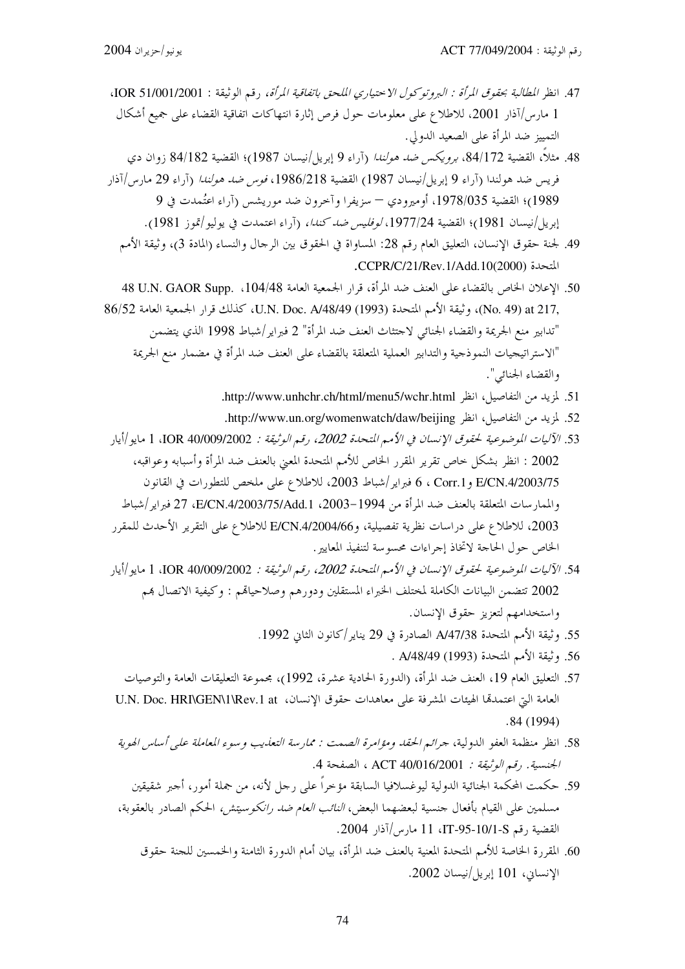- 47. انظر المطالبة بحقوق المرأة : البروتوكول الاحتياري الملحق باتفاقية المرأة، رقم الوثيقة : 1001/2001، IOR 51/0 1 مارس/آذار 2001، للاطلاع على معلومات حول فرص إثارة انتهاكات اتفاقية القضاء على جميع أشكال التمييز ضد المرأة على الصعيد الدولي.
- 48. مثلاً، القضية 84/172، *برويكس ضد هولندا* (آراء 9 إبريل/نيسان 1987)؛ القضية 84/182 زوان دي فريس ضد هولندا (آراء 9 إبريل/نيسان 1987) القضية 1986/218، *فوس ضد هولندا* (آراء 29 مارس/آذار 1989)؛ القضية 1978/035، أوميرودي – سزيفرا وآخرون ضد موريشس (آراء اعتُمدت في 9 إبريل/نيسان 1981)؛ القضية 1977/24، *لوفليس ضد كندا،* (آراء اعتمدت في يوليو/تموز 1981).
	- 49. لجنة حقوق الإنسان، التعليق العام رقم 28: المساواة في الحقوق بين الرحال والنساء (المادة 3)، وثيقة الأمم التحدة (CCPR/C/21/Rev.1/Add.10(2000).
- 50. الإعلان الخاص بالقضاء على العنف ضد المرأة، قرار الجمعية العامة U.N. GAOR Supp. ،104/48 له ,No. 49) at 217)، وثيقة الأمم المتحدة (U.N. Doc. A/48/49 (1993) كذلك قرار الجمعية العامة 86/52 "تدابير منع الجريمة والقضاء الجنائبي لاحتثاث العنف ضد المرأة" 2 فبراير/شباط 1998 الذي يتضمن "الاستراتيجيات النموذجية والتدابير العملية المتعلقة بالقضاء على العنف ضد المرأة في مضمار منع الجريمة والقضاء الجنائبي".
	- 51. لمزيد من التفاصيل، انظر http://www.unhchr.ch/html/menu5/wchr.html.
	- 52. لمزيد من التفاصيل، انظر http://www.un.org/womenwatch/daw/beijing.
- 53. الآليات الموضوعية لحقوق الإنسان في الأمم المتحدة 2002، رقم الوثيقة : IOR 40/009/2002، 1 مايو |أيار 2002 : انظر بشكل حاص تقرير المقرر الخاص للأمم المتحدة المعين بالعنف ضد المرأة وأسبابه وعواقبه، E/CN.4/2003/75 و Corr.1 ، 6 فبراير/شباط 2003، للاطلاع على ملخص للتطورات في القانون والممارسات المتعلقة بالعنف ضد المرأة من 1994–2003، E/CN.4/2003/75/Add.1، 27 فبراير/شباط 2003، للاطلاع على دراسات نظرية تفصيلية، وE/CN.4/2004/66 للاطلاع على التقرير الأحدث للمقرر الخاص حول الحاجة لاتخاذ إجراءات محسوسة لتنفيذ المعايير .
- 54. الآليات الموضوعية لحقوق الإنسان في الأمم المتحدة 2002، رقم الوثيقة : IOR 40/009/2002، 1 مايو/أيار 2002 تتضمن البيانات الكاملة لمختلف الخبراء المستقلين ودورهم وصلاحياقم : وكيفية الاتصال بمم واستخدامهم لتعزيز حقوق الإنسان.
	- 55. وثيقة الأمم المتحدة A/47/38 الصادرة في 29 يناير /كانون الثاني 1992.
		- 56. وثيقة الأمم المتحدة (1993) A/48/49 .
	- 57. التعليق العام 19، العنف ضد المرأة، (الدورة الحادية عشرة، 1992)، مجموعة التعليقات العامة والتوصيات العامة التي اعتمدها الهيئات المشرفة على معاهدات حقوق الإنسان، U.N. Doc. HRI\GEN\1\Rev.1 at  $.84(1994)$
	- 58. انظر منظمة العفو الدولية، جرائم الحقد ومؤامرة الصمت : ممارسة التعذيب وسوء المعاملة على أساس الهوية الجنسية. رقم *الوثيقة:* 10/016/2001 ACT ، الصفحة 4.
	- 59. حكمت المحكمة الجنائية الدولية ليوغسلافيا السابقة مؤخراً على رجل لأنه، من جملة أمور، أجبر شقيقين مسلمين على القيام بأفعال حنسية لبعضهما البعض، *النائب العام ضد رانكوسيتش،* الحكم الصادر بالعقوبة، القضية , قم IT-95-10/1-S، 11 مارس/آذار 2004.
		- 60. المقررة الخاصة للأمم المتحدة المعنية بالعنف ضد المرأة، بيان أمام الدورة الثامنة والخمسين للجنة حقوق الإنساني، 101 إبريل/نيسان 2002.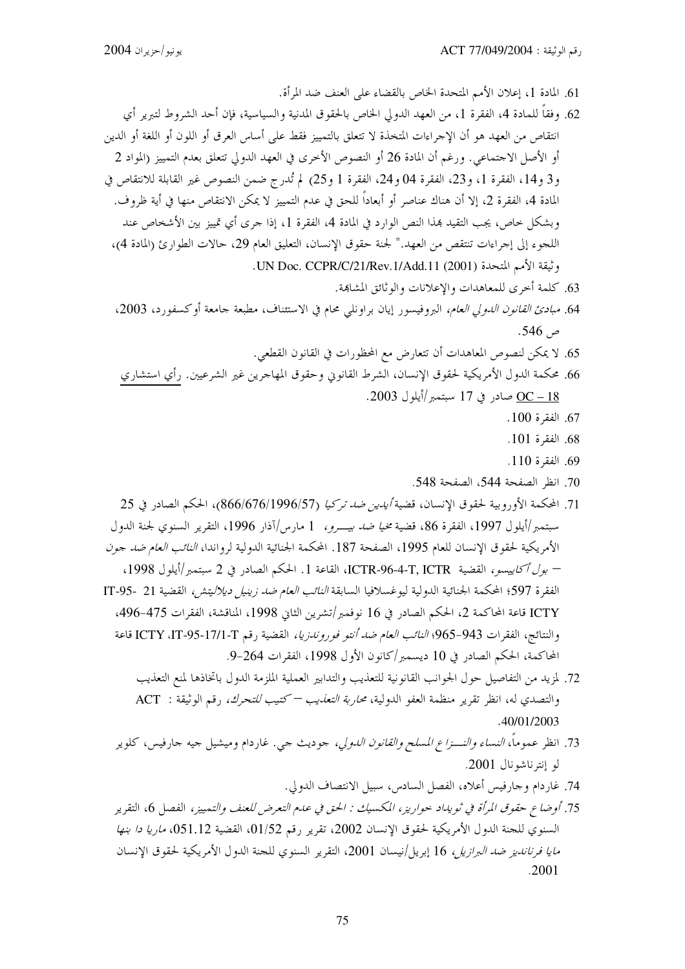- 61. المادة 1، إعلان الأمم المتحدة الخاص بالقضاء على العنف ضد المرأة.
- 62. وفقاً للمادة 4، الفقرة 1، من العهد الدولي الخاص بالحقوق المدنية والسياسية، فإن أحد الشروط لتبرير أي انتقاص من العهد هو أن الإجراءات المتخذة لا تتعلق بالتمييز فقط على أساس العرق أو اللون أو اللغة أو الدين أو الأصل الاجتماعي. ورغم أن المادة 26 أو النصوص الأخرى في العهد الدولي تتعلق بعدم التمييز (المواد 2 و3 و14، الفقرة 1، و23، الفقرة 04 و24، الفقرة 1 و25) لم تُدرج ضمن النصوص غير القابلة للانتقاص في المادة 4، الفقرة 2، إلا أن هناك عناصر أو أبعاداً للحق في عدم التمييز لا يمكن الانتقاص منها في أية ظروف. وبشكل حاص، يجب التقيد بمذا النص الوارد في المادة 4، الفقرة 1، إذا جرى أي تمييز بين الأشخاص عند اللجوء إلى إجراءات تنتقص من العهد." لجنة حقوق الإنسان، التعليق العام 29، حالات الطوارئ (المادة 4)، وثيقة الأمم المتحدة (2001) UN Doc. CCPR/C/21/Rev.1/Add.11.
	- 63. كلمة أخرى للمعاهدات والإعلانات والوثائق المشابهة.
	- 64. مب*ادئ القانون الدولى العام،* البروفيسور إيان براونلي محام في الاستئناف، مطبعة جامعة أوكسفورد، 2003، ص 546.
		- 65. لا يمكن لنصوص المعاهدات أن تتعارض مع المحظورات في القانون القطعي.
	- 66. محكمة الدول الأمريكية لحقوق الإنسان، الشرط القانوني وحقوق المهاجرين غير الشرعيين. رأي استشاري OC – 18 صادر في 17 سبتمبر/أيلول 2003.
		- 67. الفقرة 100.
		- 68. الفقرة 101.
		- 69. الفقرة 110.
		- 70. انظر الصفحة 544، الصفحة 548.
- 71. المحكمة الأوروبية لحقوق الإنسان، قضية *أيدين ضد تركيا (*866/676/1996/57)، الحكم الصادر في 25 سبتمبر/أيلول 1997، الفقرة 86، قضية مخي*ا ضد بيــرو،* 1 مارس/آذار 1996، التقرير السنوي لجنة الدول الأمريكية لحقوق الإنسان للعام 1995، الصفحة 187. المحكمة الجنائية الدولية لرواندا، *النائب العام ضد جون* – بول أكاييسو، القضية ICTR-96-4-T, ICTR، القاعة 1. الحكم الصادر في 2 سبتمبر/أيلول 1998، الفقرة 597؛ المحكمة الجنائية الدولية ليوغسلافيا السابقة *النائب العام ضد زينيل ديلاليتش،* القضية 21 -95-IT ICTY قاعة المحاكمة 2، الحكم الصادر في 16 نوفمبر/تشرين الثاني 1998، المناقشة، الفقرات 475-496، والنتائج، الفقرات 943-965؛ *النائب العام ضد أنتو فوروندزيا،* القضية رقم ICTY ،IT-95-17/1-T، واعة المحاكمة، الحكم الصادر في 10 ديسمبر/كانون الأول 1998، الفقرات 264-9.
	- 72. لمزيد من التفاصيل حول الجوانب القانونية للتعذيب والتدابير العملية الملزمة الدول باتخاذها لمنع التعذيب والتصدي له، انظر تقرير منظمة العفو الدولية، محار*بة التعذيب — كتيب للتحرك،* رقم الوثيقة : ACT .40/01/2003
	- 73. انظر عموماً، *النساء والنـــزاع المسلح والقانون الدو*لي، جوديث جي. غاردام وميشيل جيه جارفيس، كلوير لو إنترناشونال 2001.
		- 74. غار دام و حارفيس أعلاه، الفصل السادس، سبيل الانتصاف الدولي.
	- 75. أوضاع حقوق المرأة في ثويداد حواريز، المكسيك : الحق في عدم التعرض للعنف والتمييز، الفصل 6، التقرير السنوي للجنة الدول الأمريكية لحقوق الإنسان 2002، تقرير رقم 01/52، القضية 051.12، *ماريا دا بنها مايا فرنانديز ضد البرازيل* 16 إبريل/نيسان 2001، التقرير السنوي للجنة الدول الأمريكية لحقوق الإنسان .2001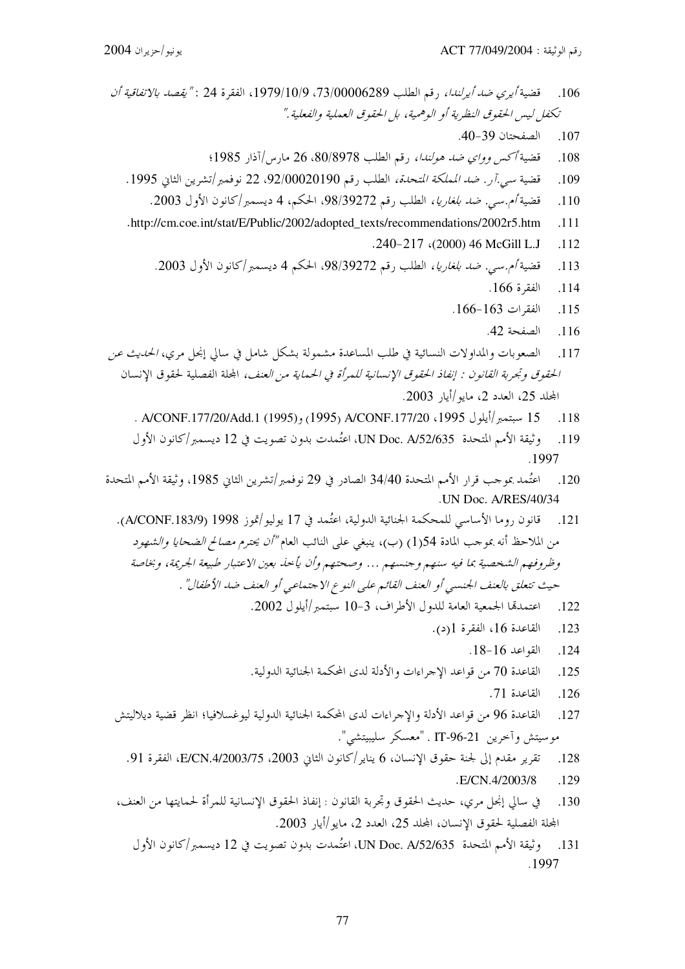- قضية *أيري ضد أيرلندا*، , قم الطلب 73/00060289، 1979/10/9، الفقرة 24 : *"يقصد بالاتفاقية أن* .106 تكغل ليبس الحقوق النظرية أو الوهمية، بل الحقوق العملية والفعلية." الصفحتان 39-40.  $.107$ قضية أكس وواي ضد هولندا، , قم الطلب 80/8978، 26 مارس/آذار 1985؛ .108 قضية سبي.آر . ضد المملكة المتحدة، الطلب , قم 92/00020190، 22 نوفمبر/تشرين الثاني 1995. .109 قضية أم.سي. ض*د بلغاريا،* الطلب رقم 39272(98، الحكم، 4 ديسمبر/كانون الأول 2003.  $.110$ .http://cm.coe.int/stat/E/Public/2002/adopted\_texts/recommendations/2002r5.htm  $.111$ .240-217 (2000) 46 McGill L.J .112 قضية أم.سبي. ض*د بلغاريا،* الطلب رقم 98/39272، الحكم 4 ديسمبر/كانون الأول 2003.  $.113$  $.166$  الفقرة 114  $.166 - 163$  الفقرات  $.115$ الصفحة 42. .116 الصعوبات والمداولات النسائية في طلب المساعدة مشمولة بشكل شامل في سالي إنجل مرى، *الحديث عن*  $.117$ الحقوق وتجربة القانون : إنفاذ الحقوق الإنسانية للمرأة في الحماية من العنف، المحلة الفصلية لحقوق الإنسان المحلد 25، العدد 2، مايو/أيا, 2003. 15 سبتمبر/أيلول 1995، 200NF.177/20/Add.1 (1995), A/CONF.177/20 . A/CONF.177/20  $.118$ وثيقة الأمم المتحدة UN Doc. A/52/635، اعتُمدت بدون تصويت في 12 ديسمبر/كانون الأول  $.119$ .1997 اعتُمد بموجب قرار الأمم المتحدة 34/40 الصادر في 29 نوفمبر/تشرين الثاني 1985، وثيقة الأمم المتحدة  $.120$ .UN Doc. A/RES/40/34 قانون روما الأساسي للمحكمة الجنائية الدولية، اعتُمد في 17 يوليو/تموز A/CONF.183/9) (4/CONF.183/9). .121 من الملاحظ أنه بموجب المادة 154() (ب)، ينبغي على النائب العام *"أن يحترم مصالح الضحايا والشهود* وظروفهم الشخصية بما فيه سنهم وجنسهم ... وصحتهم وأن يأحذ بعين الاعتبار طبيعة الجريمة، وبخاصة حيث تتعلق بالعنف الجنسبي أو العنف القائم على النوع الا جتماعي أو العنف ضد الأطفال" . اعتمدتما الجمعية العامة للدول الأطراف، 3-10 سبتمبر/أيلول 2002. .122 القاعدة 16، الفقرة 1(د).  $.123$  $.18-16$  القواعد 16 $.124$ 
	- القاعدة 70 من قواعد الإجراءات والأدلة لدى المحكمة الجنائية الدولية.  $.125$ 
		- القاعدة 71.  $.126$
	- القاعدة 96 من قواعد الأدلة والإجراءات لدى المحكمة الجنائية الدولية ليوغسلافيا؛ انظر قضية ديلاليتش .127
		- تقرير مقدم إلى لجنة حقوق الإنسان، 6 يناير /كانون الثاني 2003، E/CN.4/2003/75، الفقرة 91. .128
			- .E/CN.4/2003/8  $.129$
	- في سالي إنجل مرى، حديث الحقوق وتجربة القانون : إنفاذ الحقوق الإنسانية للمرأة لحمايتها من العنف،  $.130$ المحلة الفصلية لحقوق الإنسان، المحلد 25، العدد 2، مايو/أيار 2003.
		- وثيقة الأمم المتحدة UN Doc. A/52/635، اعتُمدت بدون تصويت في 12 ديسمبر/كانون الأول  $.131$ .1997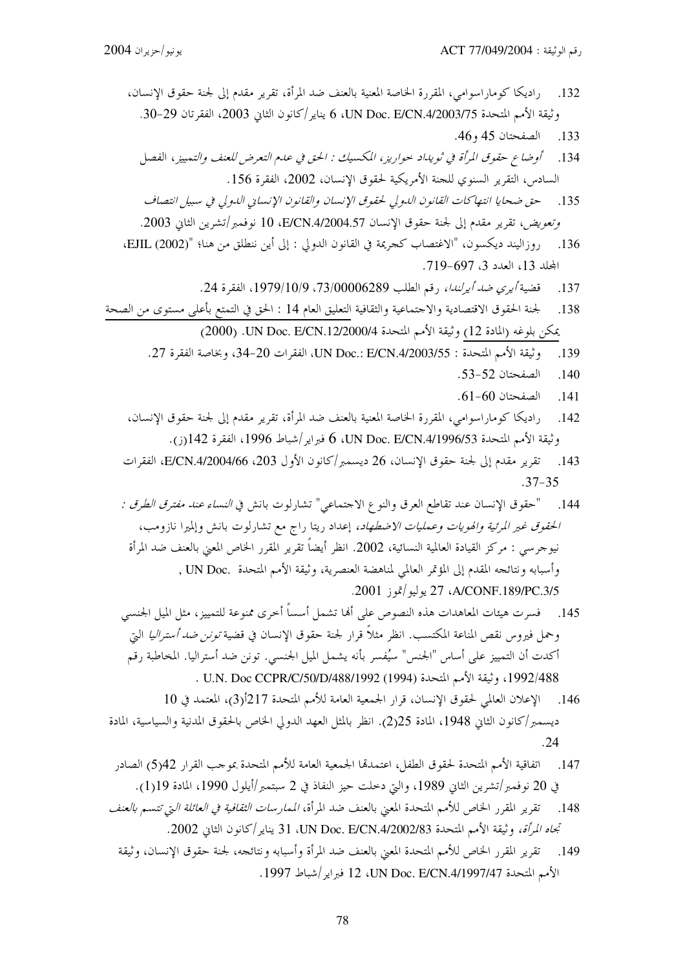راديكا كوماراسوامي، المقررة الحاصة المعنية بالعنف ضد المرأة، تقرير مقدم إلى لجنة حقوق الإنسان، .132 وثيقة الأمم المتحدة UN Doc. E/CN.4/2003/75، يناير/كانون الثاني 2003، الفقرتان 29-30. الصفحتان 45 و46.  $.133$ أوضاع حقوق المرأة في ثويداد حواريز، المكسيك : الحق في عدم التعرض للعنف والتمييز ، الفصل .134 السادس، التقرير السنوى للجنة الأمريكية لحقوق الإنسان، 2002، الفقرة 156. حق ضحايا انتهاكات القانون الدولي لحقوق الإنسان والقانون الإنساني الدولي في سبيل انتصاف .135 وتعويض، تقرير مقدم إلى لجنة حقوق الإنسان E/CN.4/2004.57، 10 نوفمبر/تشرين الثاني 2003. روزاليند ديكسون، "الاغتصاب كجريمة في القانون الدولي : إلى أين ننطلق من هنا؛ "(EJIL (2002). .136 المحلد 13، العدد 3، 697-719. قضية أ*يرى ضد أيرلندا*، , قم الطلب 73/00006289، 1979/10/9، الفقرة 24. 137 لجنة الحقوق الاقتصادية والاحتماعية والثقافية التعليق العام 14 : الحق في التمتع بأعلى مستوى من الصحة .138 يمكن بلوغه (المادة 12) وثيقة الأمم المتحدة 2000/07. UN Doc. E/CN. (2000). وثيقة الأمم المتحدة : UN Doc.: E/CN.4/2003/55، وبخاصة الفقرة 27. .139 الصفحتان 52-53.  $.140$ الصفحتان 60-61. .141 راديكا كوماراسوامي، المقررة الخاصة المعنية بالعنف ضد المرأة، تقرير مقدم إلى لجنة حقوق الإنسان،  $.142$ وثيقة الأمم المتحدة UN Doc. E/CN.4/1996/53، 6 فبراير/شباط 1996، الفقرة 142(ز). تقرير مقدم إلى لجنة حقوق الإنسان، 26 ديسمبر/كانون الأول 203، E/CN.4/2004/66، الفقرات  $.143$  $.37 - 35$ "حقوق الإنسان عند تقاطع العرق والنوع الاحتماعي" تشارلوت بانش في *النساء عند مفترق الطرق :* .144 *الحقوق غير المرئية والهويات وعمليات الاضطهاد،* إعداد ريتا راج مع تشارلوت بانش وإلميرا نازومب،

نيوجرسي : مركز القيادة العالمية النسائية، 2002. انظر أيضاً تقرير المقرر الخاص المعنى بالعنف ضد المرأة وأسبابه ونتائجه المقدم إلى المؤتمر العالمي لمناهضة العنصرية، وثيقة الأمم المتحدة .UN Doc , A/CONF.189/PC.3/5، 27 يوليو/تموز 2001.

- 145. فسرت هيئات المعاهدات هذه النصوص على ألها تشمل أسساً أخرى ممنوعة للتمييز، مثل الميل الجنسي وحمل فيروس نقص المناعة المكتسب. انظر مثلاً قرار لجنة حقوق الإنسان في قضية *تونن ضد أستراليا* التي أكدت أن التمييز على أساس "الجنس" سيُفسر بأنه يشمل الميل الجنسي. تونن ضد أستراليا. المخاطبة رقم 1992/488، وثيقة الأمم المتحدة (1994/1992) U.N. Doc CCPR/C/50/D
- 146. الإعلان العالمي لحقوق الإنسان، قرار الجمعية العامة للأمم المتحدة 217أ(3)، المعتمد في 10 ديسمبر/كانون الثاني 1948، المادة 25(2). انظر بالمثل العهد الدولي الخاص بالحقوق المدنية والسياسية، المادة  $.24$
- اتفاقية الأمم المتحدة لحقوق الطفل، اعتمدتما الجمعية العامة للأمم المتحدة بموحب القرار 42(5) الصادر 147 في 20 نوفمبر/تشرين الثاني 1989، والتي دخلت حيز النفاذ في 2 سبتمبر/أيلول 1990، المادة 19[1).
- تقرير المقرر الخاص للأمم المتحدة المعنى بالعنف ضد المرأة، *الممارسات الثقافية في العائلة التي تتسم بالعنف* .148 تجاه المرأة، وثيقة الأمم المتحدة UN Doc. E/CN.4/2002/83، و13 يناير /كانون الثاني 2002.
	- 149. تقرير المقرر الخاص للأمم المتحدة المعين بالعنف ضد المرأة وأسبابه و نتائجه، لجنة حقوق الإنسان، وثيقة الأمم المتحدة UN Doc. E/CN.4/1997/47، 1997. فبراير /شباط 1997.